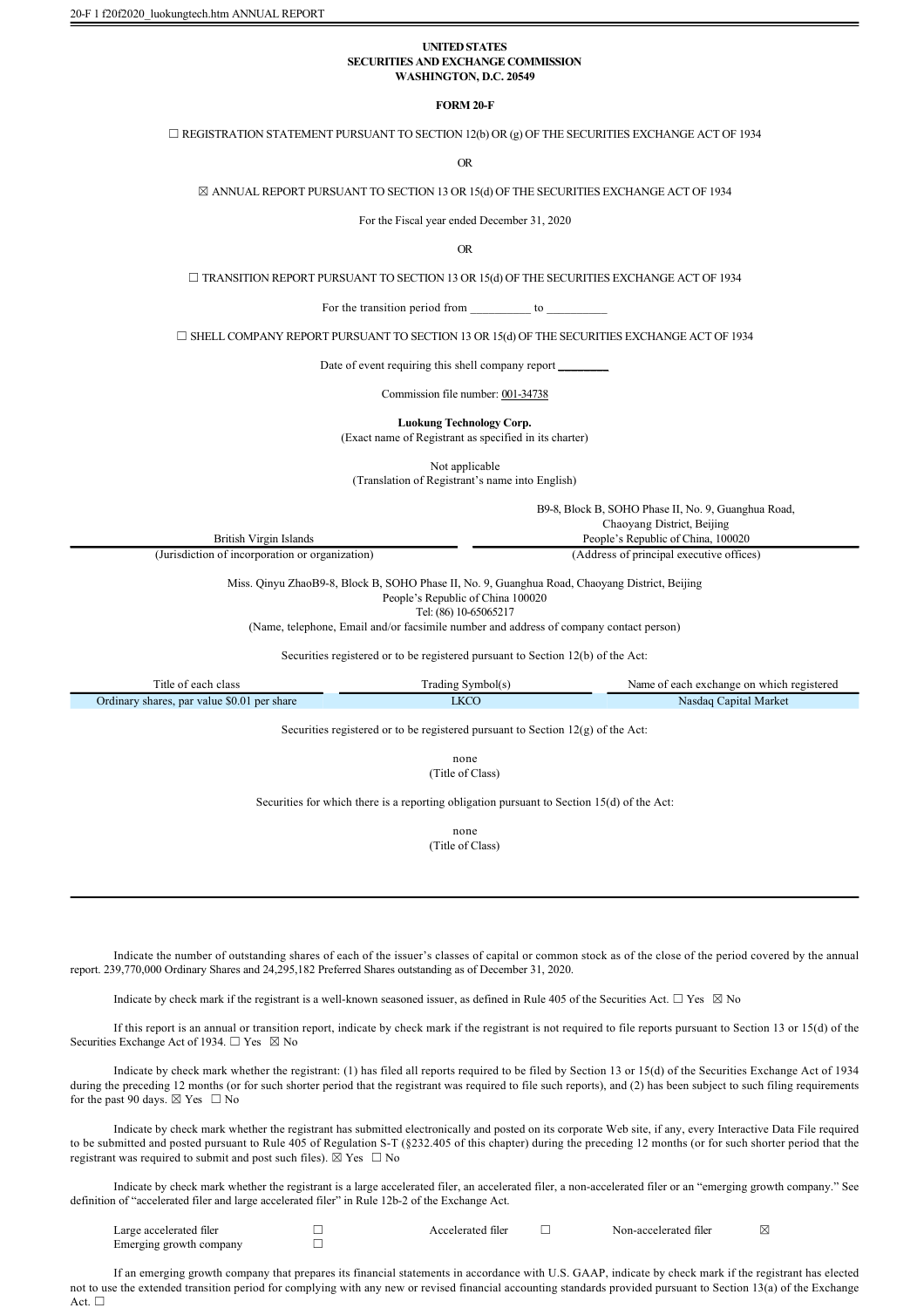20-F 1 f20f2020\_luokungtech.htm ANNUAL REPORT

# **UNITED STATES SECURITIES AND EXCHANGE COMMISSION WASHINGTON, D.C. 20549**

**FORM 20F**

 $\Box$  REGISTRATION STATEMENT PURSUANT TO SECTION 12(b) OR (g) OF THE SECURITIES EXCHANGE ACT OF 1934

OR

 $\boxtimes$  ANNUAL REPORT PURSUANT TO SECTION 13 OR 15(d) OF THE SECURITIES EXCHANGE ACT OF 1934

For the Fiscal year ended December 31, 2020

OR

☐ TRANSITION REPORT PURSUANT TO SECTION 13 OR 15(d) OF THE SECURITIES EXCHANGE ACT OF 1934

For the transition period from to \_\_\_\_\_\_\_\_\_ to \_

☐ SHELL COMPANY REPORT PURSUANT TO SECTION 13 OR 15(d) OF THE SECURITIES EXCHANGE ACT OF 1934

Date of event requiring this shell company report

Commission file number: 001-34738

**Luokung Technology Corp.**

(Exact name of Registrant as specified in its charter)

Not applicable (Translation of Registrant's name into English)

> B9-8, Block B, SOHO Phase II, No. 9, Guanghua Road, Chaoyang District, Beijing People's Republic of China, 100020

British Virgin Islands

(Jurisdiction of incorporation or organization) (Address of principal executive offices)

Miss. Qinyu ZhaoB9-8, Block B, SOHO Phase II, No. 9, Guanghua Road, Chaoyang District, Beijing People's Republic of China 100020

Tel: (86) 10-65065217

(Name, telephone, Email and/or facsimile number and address of company contact person)

Securities registered or to be registered pursuant to Section 12(b) of the Act:

| l'itle of each class                        | rading Symbol(s) | t each exchange on which registered<br>Name of |
|---------------------------------------------|------------------|------------------------------------------------|
| Ordinary shares, par value \$0.01 per share | AU.              | Capital Market<br>Nasdag                       |

Securities registered or to be registered pursuant to Section 12(g) of the Act:

none (Title of Class)

Securities for which there is a reporting obligation pursuant to Section 15(d) of the Act:

none (Title of Class)

Indicate the number of outstanding shares of each of the issuer's classes of capital or common stock as of the close of the period covered by the annual report. 239,770,000 Ordinary Shares and 24,295,182 Preferred Shares outstanding as of December 31, 2020.

Indicate by check mark if the registrant is a well-known seasoned issuer, as defined in Rule 405 of the Securities Act.  $\Box$  Yes  $\boxtimes$  No

If this report is an annual or transition report, indicate by check mark if the registrant is not required to file reports pursuant to Section 13 or 15(d) of the Securities Exchange Act of 1934.  $\Box$  Yes  $\boxtimes$  No

Indicate by check mark whether the registrant: (1) has filed all reports required to be filed by Section 13 or 15(d) of the Securities Exchange Act of 1934 during the preceding 12 months (or for such shorter period that the registrant was required to file such reports), and (2) has been subject to such filing requirements for the past 90 days.  $\boxtimes$  Yes  $\Box$  No

Indicate by check mark whether the registrant has submitted electronically and posted on its corporate Web site, if any, every Interactive Data File required to be submitted and posted pursuant to Rule 405 of Regulation S-T (§232.405 of this chapter) during the preceding 12 months (or for such shorter period that the registrant was required to submit and post such files).  $\boxtimes$  Yes  $\Box$  No

Indicate by check mark whether the registrant is a large accelerated filer, an accelerated filer, a nonaccelerated filer or an "emerging growth company." See definition of "accelerated filer and large accelerated filer" in Rule 12b-2 of the Exchange Act.

Large accelerated filer □ △ Accelerated filer □ Non-accelerated filer ⊠ Emerging growth company □

If an emerging growth company that prepares its financial statements in accordance with U.S. GAAP, indicate by check mark if the registrant has elected not to use the extended transition period for complying with any new or revised financial accounting standards provided pursuant to Section 13(a) of the Exchange Act. □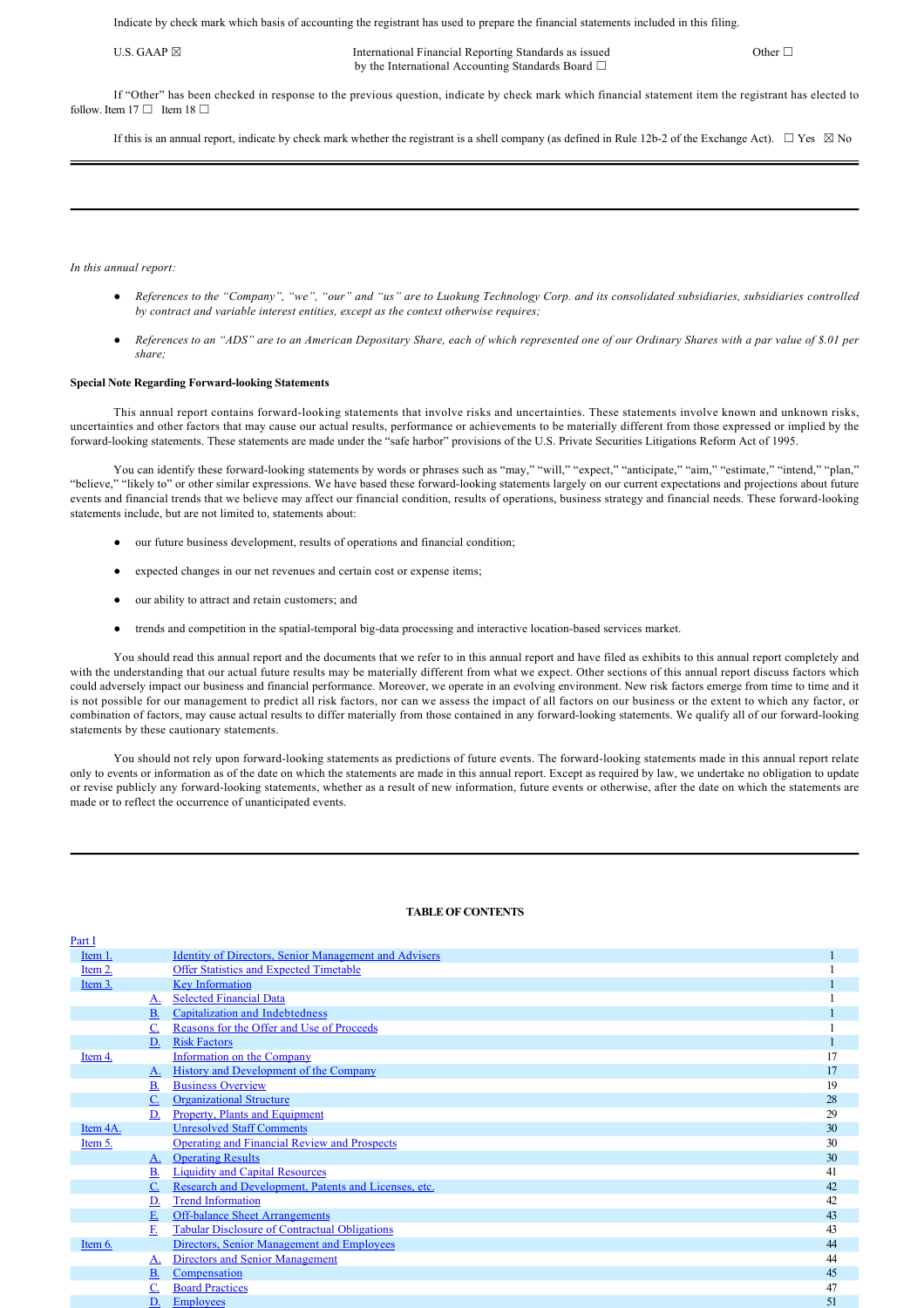Indicate by check mark which basis of accounting the registrant has used to prepare the financial statements included in this filing.

U.S. GAAP  $\boxtimes$  International Financial Reporting Standards as issued by the International Accounting Standards Board  $\Box$ 

Other □

If "Other" has been checked in response to the previous question, indicate by check mark which financial statement item the registrant has elected to follow. Item  $17 \Box$  Item  $18 \Box$ 

If this is an annual report, indicate by check mark whether the registrant is a shell company (as defined in Rule 12b-2 of the Exchange Act).  $\Box$  Yes  $\boxtimes$  No

## *In this annual report:*

Part I

- *References to the "Company", "we", "our" and "us" are to Luokung Technology Corp. and its consolidated subsidiaries, subsidiaries controlled by contract and variable interest entities, except as the context otherwise requires;*
- *References to an "ADS" are to an American Depositary Share, each of which represented one of our Ordinary Shares with a par value of \$.01 per share;*

# **Special Note Regarding Forward-looking Statements**

This annual report contains forward-looking statements that involve risks and uncertainties. These statements involve known and unknown risks, uncertainties and other factors that may cause our actual results, performance or achievements to be materially different from those expressed or implied by the forward-looking statements. These statements are made under the "safe harbor" provisions of the U.S. Private Securities Litigations Reform Act of 1995.

You can identify these forward-looking statements by words or phrases such as "may," "will," "expect," "anticipate," "aim," "estimate," "intend," "plan," "believe," "likely to" or other similar expressions. We have based these forward-looking statements largely on our current expectations and projections about future events and financial trends that we believe may affect our financial condition, results of operations, business strategy and financial needs. These forward-looking statements include, but are not limited to, statements about:

- our future business development, results of operations and financial condition;
- expected changes in our net revenues and certain cost or expense items;
- our ability to attract and retain customers; and
- trends and competition in the spatial-temporal big-data processing and interactive location-based services market.

You should read this annual report and the documents that we refer to in this annual report and have filed as exhibits to this annual report completely and with the understanding that our actual future results may be materially different from what we expect. Other sections of this annual report discuss factors which could adversely impact our business and financial performance. Moreover, we operate in an evolving environment. New risk factors emerge from time to time and it is not possible for our management to predict all risk factors, nor can we assess the impact of all factors on our business or the extent to which any factor, or combination of factors, may cause actual results to differ materially from those contained in any forward-looking statements. We qualify all of our forward-looking statements by these cautionary statements.

You should not rely upon forward-looking statements as predictions of future events. The forward-looking statements made in this annual report relate only to events or information as of the date on which the statements are made in this annual report. Except as required by law, we undertake no obligation to update or revise publicly any forward-looking statements, whether as a result of new information, future events or otherwise, after the date on which the statements are made or to reflect the occurrence of unanticipated events.

# **TABLE OF CONTENTS**

| <u>1 ai t-1</u> |           |                                                              |    |
|-----------------|-----------|--------------------------------------------------------------|----|
| Item 1.         |           | <b>Identity of Directors, Senior Management and Advisers</b> |    |
| Item 2.         |           | <b>Offer Statistics and Expected Timetable</b>               |    |
| Item 3.         |           | <b>Key Information</b>                                       |    |
|                 | A.        | <b>Selected Financial Data</b>                               |    |
|                 | <b>B.</b> | Capitalization and Indebtedness                              |    |
|                 | C.        | Reasons for the Offer and Use of Proceeds                    |    |
|                 | D.        | <b>Risk Factors</b>                                          |    |
| Item 4.         |           | Information on the Company                                   | 17 |
|                 | A.        | <b>History and Development of the Company</b>                | 17 |
|                 | В.        | <b>Business Overview</b>                                     | 19 |
|                 |           | <b>Organizational Structure</b>                              | 28 |
|                 | D.        | Property, Plants and Equipment                               | 29 |
| Item 4A.        |           | <b>Unresolved Staff Comments</b>                             | 30 |
| Item 5.         |           | <b>Operating and Financial Review and Prospects</b>          | 30 |
|                 | A.        | <b>Operating Results</b>                                     | 30 |
|                 | В.        | <b>Liquidity and Capital Resources</b>                       | 41 |
|                 |           | Research and Development, Patents and Licenses, etc.         | 42 |
|                 | D.        | <b>Trend Information</b>                                     | 42 |
|                 | Е.        | <b>Off-balance Sheet Arrangements</b>                        | 43 |
|                 | F.        | <b>Tabular Disclosure of Contractual Obligations</b>         | 43 |
| Item 6.         |           | Directors, Senior Management and Employees                   | 44 |
|                 | Α.        | <b>Directors and Senior Management</b>                       | 44 |
|                 | В.        | Compensation                                                 | 45 |
|                 |           | <b>Board Practices</b>                                       | 47 |
|                 | D         | <b>Employees</b>                                             | 51 |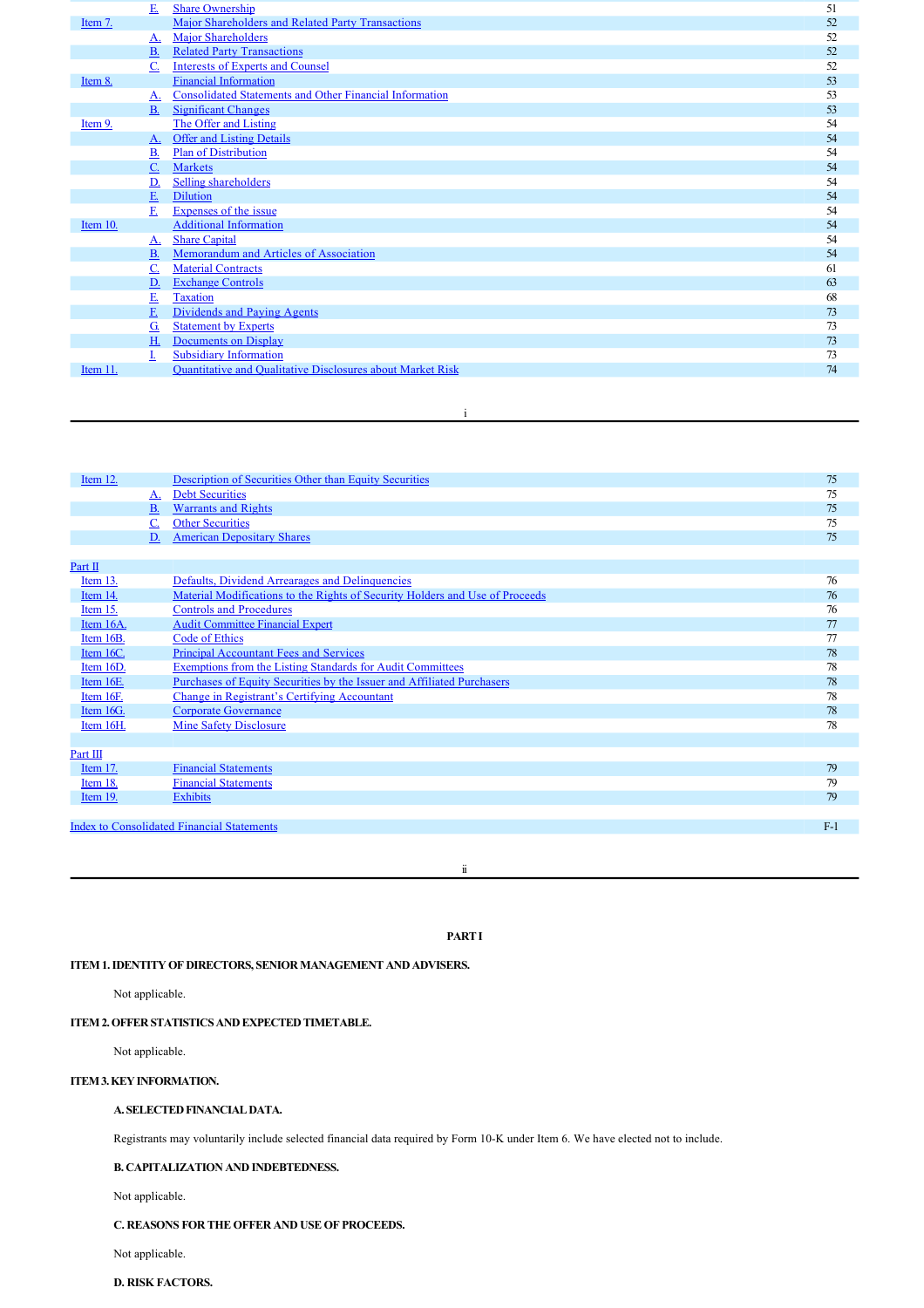|             | Е.        | <b>Share Ownership</b>                                         | 51 |
|-------------|-----------|----------------------------------------------------------------|----|
| Item 7.     |           | Major Shareholders and Related Party Transactions              | 52 |
|             | A.        | <b>Major Shareholders</b>                                      | 52 |
|             | <b>B.</b> | <b>Related Party Transactions</b>                              | 52 |
|             | C.        | <b>Interests of Experts and Counsel</b>                        | 52 |
| Item 8.     |           | <b>Financial Information</b>                                   | 53 |
|             | A.        | <b>Consolidated Statements and Other Financial Information</b> | 53 |
|             | <b>B.</b> | <b>Significant Changes</b>                                     | 53 |
| Item 9.     |           | The Offer and Listing                                          | 54 |
|             | A.        | <b>Offer and Listing Details</b>                               | 54 |
|             | <b>B.</b> | Plan of Distribution                                           | 54 |
|             | $C$ .     | <b>Markets</b>                                                 | 54 |
|             | D.        | Selling shareholders                                           | 54 |
|             | Е.        | <b>Dilution</b>                                                | 54 |
|             | F.        | Expenses of the issue                                          | 54 |
| Item 10.    |           | <b>Additional Information</b>                                  | 54 |
|             | A.        | <b>Share Capital</b>                                           | 54 |
|             | <b>B.</b> | Memorandum and Articles of Association                         | 54 |
|             |           | <b>Material Contracts</b>                                      | 61 |
|             | D.        | <b>Exchange Controls</b>                                       | 63 |
|             | Е.        | <b>Taxation</b>                                                | 68 |
|             | F.        | Dividends and Paying Agents                                    | 73 |
|             | G.        | <b>Statement by Experts</b>                                    | 73 |
|             | H.        | <b>Documents on Display</b>                                    | 73 |
|             |           | <b>Subsidiary Information</b>                                  | 73 |
| Item $11$ . |           | Quantitative and Qualitative Disclosures about Market Risk     | 74 |

i

| Item 12.    |           | Description of Securities Other than Equity Securities                       | 75    |
|-------------|-----------|------------------------------------------------------------------------------|-------|
|             | A.        | <b>Debt Securities</b>                                                       | 75    |
|             | В.        | <b>Warrants and Rights</b>                                                   | 75    |
|             | <u>C.</u> | <b>Other Securities</b>                                                      | 75    |
|             | D.        | <b>American Depositary Shares</b>                                            | 75    |
|             |           |                                                                              |       |
| Part II     |           |                                                                              |       |
| Item $13$ . |           | Defaults, Dividend Arrearages and Delinquencies                              | 76    |
| Item 14.    |           | Material Modifications to the Rights of Security Holders and Use of Proceeds | 76    |
| Item 15.    |           | <b>Controls and Procedures</b>                                               | 76    |
| Item 16A.   |           | <b>Audit Committee Financial Expert</b>                                      | 77    |
| Item 16B.   |           | <b>Code of Ethics</b>                                                        | 77    |
| Item 16C.   |           | <b>Principal Accountant Fees and Services</b>                                | 78    |
| Item 16D.   |           | Exemptions from the Listing Standards for Audit Committees                   | 78    |
| Item 16E.   |           | Purchases of Equity Securities by the Issuer and Affiliated Purchasers       | 78    |
| Item 16F.   |           | Change in Registrant's Certifying Accountant                                 | 78    |
| Item 16G.   |           | <b>Corporate Governance</b>                                                  | 78    |
| Item 16H.   |           | <b>Mine Safety Disclosure</b>                                                | 78    |
|             |           |                                                                              |       |
| Part III    |           |                                                                              |       |
| Item 17.    |           | <b>Financial Statements</b>                                                  | 79    |
| Item 18.    |           | <b>Financial Statements</b>                                                  | 79    |
| Item 19.    |           | <b>Exhibits</b>                                                              | 79    |
|             |           |                                                                              |       |
|             |           | <b>Index to Consolidated Financial Statements</b>                            | $F-1$ |
|             |           |                                                                              |       |

ii

# **PART I**

# **ITEM 1. IDENTITY OF DIRECTORS, SENIOR MANAGEMENT AND ADVISERS.**

Not applicable.

# **ITEM 2. OFFER STATISTICS AND EXPECTED TIMETABLE.**

Not applicable.

# **ITEM 3. KEY INFORMATION.**

# **A. SELECTED FINANCIAL DATA.**

Registrants may voluntarily include selected financial data required by Form 10K under Item 6. We have elected not to include.

# **B. CAPITALIZATION AND INDEBTEDNESS.**

Not applicable.

# **C. REASONS FOR THE OFFER AND USE OF PROCEEDS.**

Not applicable.

# **D. RISK FACTORS.**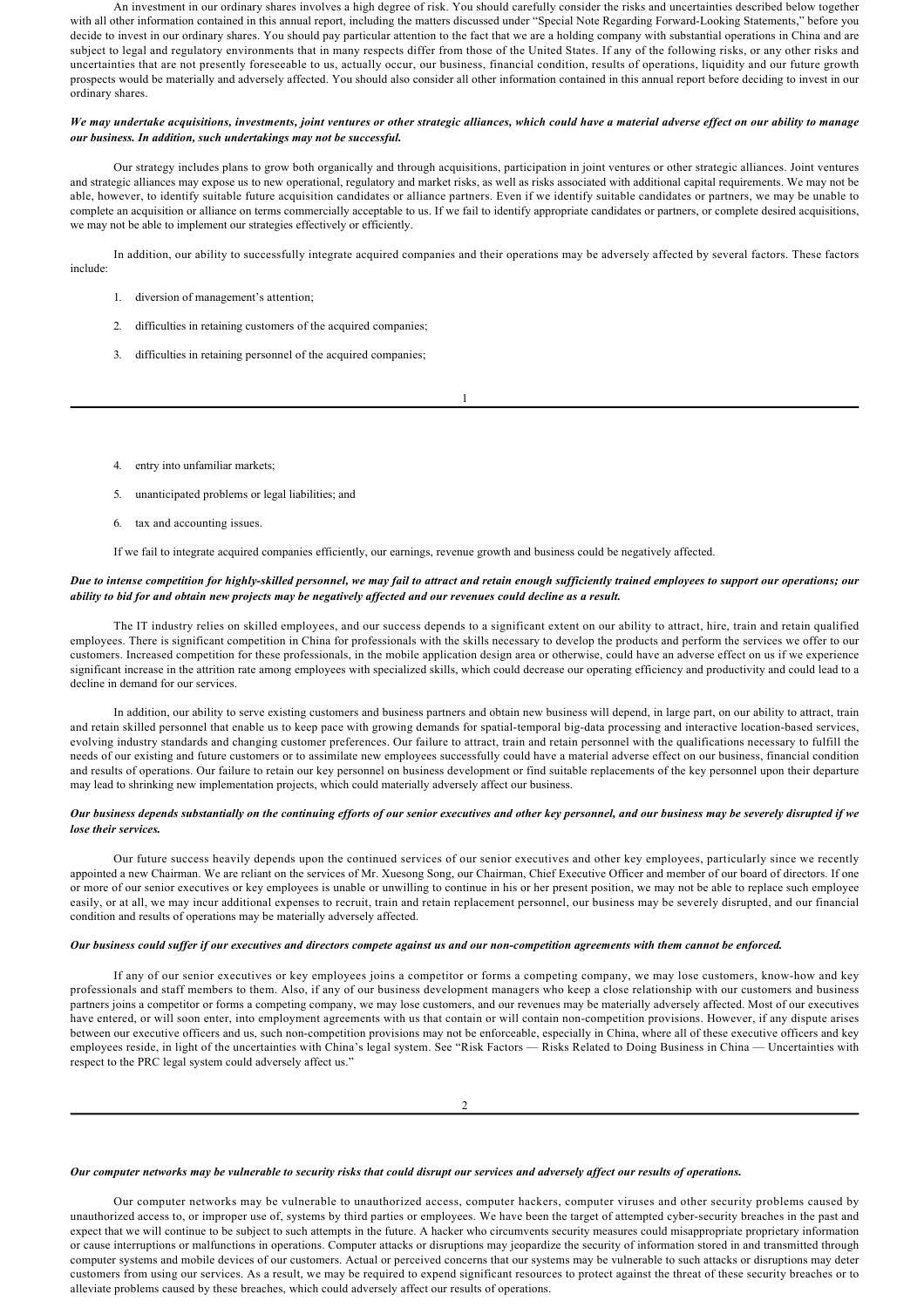An investment in our ordinary shares involves a high degree of risk. You should carefully consider the risks and uncertainties described below together with all other information contained in this annual report, including the matters discussed under "Special Note Regarding Forward-Looking Statements," before you decide to invest in our ordinary shares. You should pay particular attention to the fact that we are a holding company with substantial operations in China and are subject to legal and regulatory environments that in many respects differ from those of the United States. If any of the following risks, or any other risks and uncertainties that are not presently foreseeable to us, actually occur, our business, financial condition, results of operations, liquidity and our future growth prospects would be materially and adversely affected. You should also consider all other information contained in this annual report before deciding to invest in our ordinary shares.

# *We may undertake acquisitions, investments, joint ventures or other strategic alliances, which could have a material adverse effect on our ability to manage our business. In addition, such undertakings may not be successful.*

Our strategy includes plans to grow both organically and through acquisitions, participation in joint ventures or other strategic alliances. Joint ventures and strategic alliances may expose us to new operational, regulatory and market risks, as well as risks associated with additional capital requirements. We may not be able, however, to identify suitable future acquisition candidates or alliance partners. Even if we identify suitable candidates or partners, we may be unable to complete an acquisition or alliance on terms commercially acceptable to us. If we fail to identify appropriate candidates or partners, or complete desired acquisitions, we may not be able to implement our strategies effectively or efficiently.

In addition, our ability to successfully integrate acquired companies and their operations may be adversely affected by several factors. These factors include:

1

- 1. diversion of management's attention;
- 2. difficulties in retaining customers of the acquired companies;
- 3. difficulties in retaining personnel of the acquired companies;
- 4. entry into unfamiliar markets;
- 5. unanticipated problems or legal liabilities; and
- 6. tax and accounting issues.

If we fail to integrate acquired companies efficiently, our earnings, revenue growth and business could be negatively affected.

## *Due to intense competition for highlyskilled personnel, we may fail to attract and retain enough sufficiently trained employees to support our operations; our ability to bid for and obtain new projects may be negatively affected and our revenues could decline as a result.*

The IT industry relies on skilled employees, and our success depends to a significant extent on our ability to attract, hire, train and retain qualified employees. There is significant competition in China for professionals with the skills necessary to develop the products and perform the services we offer to our customers. Increased competition for these professionals, in the mobile application design area or otherwise, could have an adverse effect on us if we experience significant increase in the attrition rate among employees with specialized skills, which could decrease our operating efficiency and productivity and could lead to a decline in demand for our services.

In addition, our ability to serve existing customers and business partners and obtain new business will depend, in large part, on our ability to attract, train and retain skilled personnel that enable us to keep pace with growing demands for spatial-temporal big-data processing and interactive location-based services, evolving industry standards and changing customer preferences. Our failure to attract, train and retain personnel with the qualifications necessary to fulfill the needs of our existing and future customers or to assimilate new employees successfully could have a material adverse effect on our business, financial condition and results of operations. Our failure to retain our key personnel on business development or find suitable replacements of the key personnel upon their departure may lead to shrinking new implementation projects, which could materially adversely affect our business.

# *Our business depends substantially on the continuing efforts of our senior executives and other key personnel, and our business may be severely disrupted if we lose their services.*

Our future success heavily depends upon the continued services of our senior executives and other key employees, particularly since we recently appointed a new Chairman. We are reliant on the services of Mr. Xuesong Song, our Chairman, Chief Executive Officer and member of our board of directors. If one or more of our senior executives or key employees is unable or unwilling to continue in his or her present position, we may not be able to replace such employee easily, or at all, we may incur additional expenses to recruit, train and retain replacement personnel, our business may be severely disrupted, and our financial condition and results of operations may be materially adversely affected.

# *Our business could suffer if our executives and directors compete against us and our noncompetition agreements with them cannot be enforced.*

If any of our senior executives or key employees joins a competitor or forms a competing company, we may lose customers, knowhow and key professionals and staff members to them. Also, if any of our business development managers who keep a close relationship with our customers and business partners joins a competitor or forms a competing company, we may lose customers, and our revenues may be materially adversely affected. Most of our executives have entered, or will soon enter, into employment agreements with us that contain or will contain noncompetition provisions. However, if any dispute arises between our executive officers and us, such non-competition provisions may not be enforceable, especially in China, where all of these executive officers and key employees reside, in light of the uncertainties with China's legal system. See "Risk Factors — Risks Related to Doing Business in China — Uncertainties with respect to the PRC legal system could adversely affect us."

### *Our computer networks may be vulnerable to security risks that could disrupt our services and adversely affect our results of operations.*

Our computer networks may be vulnerable to unauthorized access, computer hackers, computer viruses and other security problems caused by unauthorized access to, or improper use of, systems by third parties or employees. We have been the target of attempted cybersecurity breaches in the past and expect that we will continue to be subject to such attempts in the future. A hacker who circumvents security measures could misappropriate proprietary information or cause interruptions or malfunctions in operations. Computer attacks or disruptions may jeopardize the security of information stored in and transmitted through computer systems and mobile devices of our customers. Actual or perceived concerns that our systems may be vulnerable to such attacks or disruptions may deter customers from using our services. As a result, we may be required to expend significant resources to protect against the threat of these security breaches or to alleviate problems caused by these breaches, which could adversely affect our results of operations.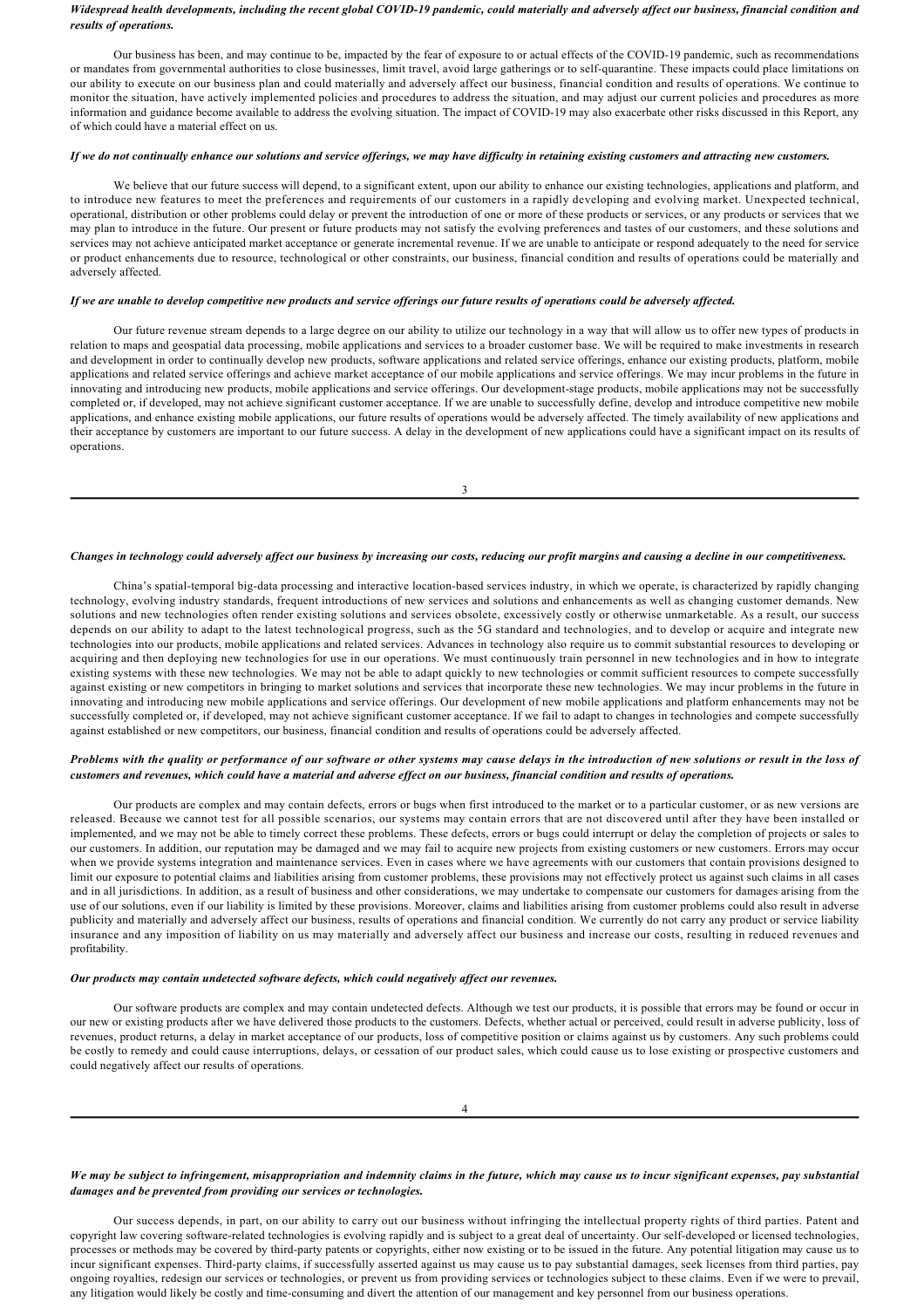# *Widespread health developments, including the recent global COVID19 pandemic, could materially and adversely affect our business, financial condition and results of operations.*

Our business has been, and may continue to be, impacted by the fear of exposure to or actual effects of the COVID-19 pandemic, such as recommendations or mandates from governmental authorities to close businesses, limit travel, avoid large gatherings or to self-quarantine. These impacts could place limitations on our ability to execute on our business plan and could materially and adversely affect our business, financial condition and results of operations. We continue to monitor the situation, have actively implemented policies and procedures to address the situation, and may adjust our current policies and procedures as more information and guidance become available to address the evolving situation. The impact of COVID-19 may also exacerbate other risks discussed in this Report, any of which could have a material effect on us.

### *If we do not continually enhance our solutions and service offerings, we may have difficulty in retaining existing customers and attracting new customers.*

We believe that our future success will depend, to a significant extent, upon our ability to enhance our existing technologies, applications and platform, and to introduce new features to meet the preferences and requirements of our customers in a rapidly developing and evolving market. Unexpected technical, operational, distribution or other problems could delay or prevent the introduction of one or more of these products or services, or any products or services that we may plan to introduce in the future. Our present or future products may not satisfy the evolving preferences and tastes of our customers, and these solutions and services may not achieve anticipated market acceptance or generate incremental revenue. If we are unable to anticipate or respond adequately to the need for service or product enhancements due to resource, technological or other constraints, our business, financial condition and results of operations could be materially and adversely affected.

# *If we are unable to develop competitive new products and service offerings our future results of operations could be adversely affected.*

Our future revenue stream depends to a large degree on our ability to utilize our technology in a way that will allow us to offer new types of products in relation to maps and geospatial data processing, mobile applications and services to a broader customer base. We will be required to make investments in research and development in order to continually develop new products, software applications and related service offerings, enhance our existing products, platform, mobile applications and related service offerings and achieve market acceptance of our mobile applications and service offerings. We may incur problems in the future in innovating and introducing new products, mobile applications and service offerings. Our developmentstage products, mobile applications may not be successfully completed or, if developed, may not achieve significant customer acceptance. If we are unable to successfully define, develop and introduce competitive new mobile applications, and enhance existing mobile applications, our future results of operations would be adversely affected. The timely availability of new applications and their acceptance by customers are important to our future success. A delay in the development of new applications could have a significant impact on its results of operations.

3

### *Changes in technology could adversely affect our business by increasing our costs, reducing our profit margins and causing a decline in our competitiveness.*

China's spatial-temporal big-data processing and interactive location-based services industry, in which we operate, is characterized by rapidly changing technology, evolving industry standards, frequent introductions of new services and solutions and enhancements as well as changing customer demands. New solutions and new technologies often render existing solutions and services obsolete, excessively costly or otherwise unmarketable. As a result, our success depends on our ability to adapt to the latest technological progress, such as the 5G standard and technologies, and to develop or acquire and integrate new technologies into our products, mobile applications and related services. Advances in technology also require us to commit substantial resources to developing or acquiring and then deploying new technologies for use in our operations. We must continuously train personnel in new technologies and in how to integrate existing systems with these new technologies. We may not be able to adapt quickly to new technologies or commit sufficient resources to compete successfully against existing or new competitors in bringing to market solutions and services that incorporate these new technologies. We may incur problems in the future in innovating and introducing new mobile applications and service offerings. Our development of new mobile applications and platform enhancements may not be successfully completed or, if developed, may not achieve significant customer acceptance. If we fail to adapt to changes in technologies and compete successfully against established or new competitors, our business, financial condition and results of operations could be adversely affected.

# *Problems with the quality or performance of our software or other systems may cause delays in the introduction of new solutions or result in the loss of customers and revenues, which could have a material and adverse effect on our business, financial condition and results of operations.*

Our products are complex and may contain defects, errors or bugs when first introduced to the market or to a particular customer, or as new versions are released. Because we cannot test for all possible scenarios, our systems may contain errors that are not discovered until after they have been installed or implemented, and we may not be able to timely correct these problems. These defects, errors or bugs could interrupt or delay the completion of projects or sales to our customers. In addition, our reputation may be damaged and we may fail to acquire new projects from existing customers or new customers. Errors may occur when we provide systems integration and maintenance services. Even in cases where we have agreements with our customers that contain provisions designed to limit our exposure to potential claims and liabilities arising from customer problems, these provisions may not effectively protect us against such claims in all cases and in all jurisdictions. In addition, as a result of business and other considerations, we may undertake to compensate our customers for damages arising from the use of our solutions, even if our liability is limited by these provisions. Moreover, claims and liabilities arising from customer problems could also result in adverse publicity and materially and adversely affect our business, results of operations and financial condition. We currently do not carry any product or service liability insurance and any imposition of liability on us may materially and adversely affect our business and increase our costs, resulting in reduced revenues and profitability.

# *Our products may contain undetected software defects, which could negatively affect our revenues.*

Our software products are complex and may contain undetected defects. Although we test our products, it is possible that errors may be found or occur in our new or existing products after we have delivered those products to the customers. Defects, whether actual or perceived, could result in adverse publicity, loss of revenues, product returns, a delay in market acceptance of our products, loss of competitive position or claims against us by customers. Any such problems could be costly to remedy and could cause interruptions, delays, or cessation of our product sales, which could cause us to lose existing or prospective customers and could negatively affect our results of operations.

# *We may be subject to infringement, misappropriation and indemnity claims in the future, which may cause us to incur significant expenses, pay substantial damages and be prevented from providing our services or technologies.*

Our success depends, in part, on our ability to carry out our business without infringing the intellectual property rights of third parties. Patent and copyright law covering software-related technologies is evolving rapidly and is subject to a great deal of uncertainty. Our self-developed or licensed technologies, processes or methods may be covered by third-party patents or copyrights, either now existing or to be issued in the future. Any potential litigation may cause us to incur significant expenses. Third-party claims, if successfully asserted against us may cause us to pay substantial damages, seek licenses from third parties, pay ongoing royalties, redesign our services or technologies, or prevent us from providing services or technologies subject to these claims. Even if we were to prevail, any litigation would likely be costly and time-consuming and divert the attention of our management and key personnel from our business operations.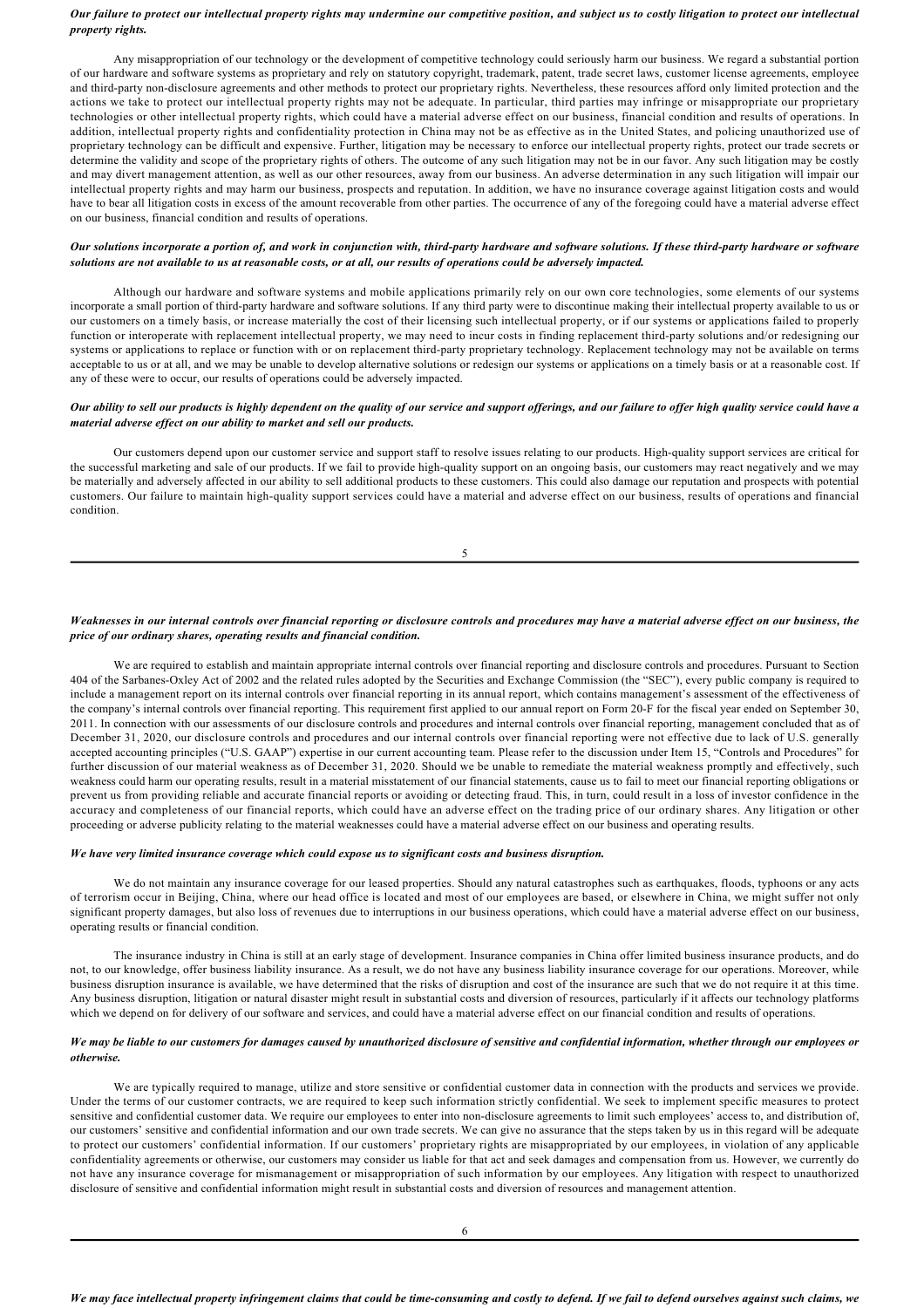# *Our failure to protect our intellectual property rights may undermine our competitive position, and subject us to costly litigation to protect our intellectual property rights.*

Any misappropriation of our technology or the development of competitive technology could seriously harm our business. We regard a substantial portion of our hardware and software systems as proprietary and rely on statutory copyright, trademark, patent, trade secret laws, customer license agreements, employee and third-party non-disclosure agreements and other methods to protect our proprietary rights. Nevertheless, these resources afford only limited protection and the actions we take to protect our intellectual property rights may not be adequate. In particular, third parties may infringe or misappropriate our proprietary technologies or other intellectual property rights, which could have a material adverse effect on our business, financial condition and results of operations. In addition, intellectual property rights and confidentiality protection in China may not be as effective as in the United States, and policing unauthorized use of proprietary technology can be difficult and expensive. Further, litigation may be necessary to enforce our intellectual property rights, protect our trade secrets or determine the validity and scope of the proprietary rights of others. The outcome of any such litigation may not be in our favor. Any such litigation may be costly and may divert management attention, as well as our other resources, away from our business. An adverse determination in any such litigation will impair our intellectual property rights and may harm our business, prospects and reputation. In addition, we have no insurance coverage against litigation costs and would have to bear all litigation costs in excess of the amount recoverable from other parties. The occurrence of any of the foregoing could have a material adverse effect on our business, financial condition and results of operations.

# Our solutions incorporate a portion of, and work in conjunction with, third-party hardware and software solutions. If these third-party hardware or software *solutions are not available to us at reasonable costs, or at all, our results of operations could be adversely impacted.*

Although our hardware and software systems and mobile applications primarily rely on our own core technologies, some elements of our systems incorporate a small portion of third-party hardware and software solutions. If any third party were to discontinue making their intellectual property available to us or our customers on a timely basis, or increase materially the cost of their licensing such intellectual property, or if our systems or applications failed to properly function or interoperate with replacement intellectual property, we may need to incur costs in finding replacement third-party solutions and/or redesigning our systems or applications to replace or function with or on replacement third-party proprietary technology. Replacement technology may not be available on terms acceptable to us or at all, and we may be unable to develop alternative solutions or redesign our systems or applications on a timely basis or at a reasonable cost. If any of these were to occur, our results of operations could be adversely impacted.

# *Our ability to sell our products is highly dependent on the quality of our service and support offerings, and our failure to offer high quality service could have a material adverse effect on our ability to market and sell our products.*

Our customers depend upon our customer service and support staff to resolve issues relating to our products. High-quality support services are critical for the successful marketing and sale of our products. If we fail to provide high-quality support on an ongoing basis, our customers may react negatively and we may be materially and adversely affected in our ability to sell additional products to these customers. This could also damage our reputation and prospects with potential customers. Our failure to maintain high-quality support services could have a material and adverse effect on our business, results of operations and financial condition.

5

# *Weaknesses in our internal controls over financial reporting or disclosure controls and procedures may have a material adverse effect on our business, the price of our ordinary shares, operating results and financial condition.*

We are required to establish and maintain appropriate internal controls over financial reporting and disclosure controls and procedures. Pursuant to Section 404 of the Sarbanes-Oxley Act of 2002 and the related rules adopted by the Securities and Exchange Commission (the "SEC"), every public company is required to include a management report on its internal controls over financial reporting in its annual report, which contains management's assessment of the effectiveness of the company's internal controls over financial reporting. This requirement first applied to our annual report on Form 20-F for the fiscal year ended on September 30, 2011. In connection with our assessments of our disclosure controls and procedures and internal controls over financial reporting, management concluded that as of December 31, 2020, our disclosure controls and procedures and our internal controls over financial reporting were not effective due to lack of U.S. generally accepted accounting principles ("U.S. GAAP") expertise in our current accounting team. Please refer to the discussion under Item 15, "Controls and Procedures" for further discussion of our material weakness as of December 31, 2020. Should we be unable to remediate the material weakness promptly and effectively, such weakness could harm our operating results, result in a material misstatement of our financial statements, cause us to fail to meet our financial reporting obligations or prevent us from providing reliable and accurate financial reports or avoiding or detecting fraud. This, in turn, could result in a loss of investor confidence in the accuracy and completeness of our financial reports, which could have an adverse effect on the trading price of our ordinary shares. Any litigation or other proceeding or adverse publicity relating to the material weaknesses could have a material adverse effect on our business and operating results.

# *We have very limited insurance coverage which could expose us to significant costs and business disruption.*

We do not maintain any insurance coverage for our leased properties. Should any natural catastrophes such as earthquakes, floods, typhoons or any acts of terrorism occur in Beijing, China, where our head office is located and most of our employees are based, or elsewhere in China, we might suffer not only significant property damages, but also loss of revenues due to interruptions in our business operations, which could have a material adverse effect on our business, operating results or financial condition.

The insurance industry in China is still at an early stage of development. Insurance companies in China offer limited business insurance products, and do not, to our knowledge, offer business liability insurance. As a result, we do not have any business liability insurance coverage for our operations. Moreover, while business disruption insurance is available, we have determined that the risks of disruption and cost of the insurance are such that we do not require it at this time. Any business disruption, litigation or natural disaster might result in substantial costs and diversion of resources, particularly if it affects our technology platforms which we depend on for delivery of our software and services, and could have a material adverse effect on our financial condition and results of operations.

# *We may be liable to our customers for damages caused by unauthorized disclosure of sensitive and confidential information, whether through our employees or otherwise.*

We are typically required to manage, utilize and store sensitive or confidential customer data in connection with the products and services we provide. Under the terms of our customer contracts, we are required to keep such information strictly confidential. We seek to implement specific measures to protect sensitive and confidential customer data. We require our employees to enter into non-disclosure agreements to limit such employees' access to, and distribution of, our customers' sensitive and confidential information and our own trade secrets. We can give no assurance that the steps taken by us in this regard will be adequate to protect our customers' confidential information. If our customers' proprietary rights are misappropriated by our employees, in violation of any applicable confidentiality agreements or otherwise, our customers may consider us liable for that act and seek damages and compensation from us. However, we currently do not have any insurance coverage for mismanagement or misappropriation of such information by our employees. Any litigation with respect to unauthorized disclosure of sensitive and confidential information might result in substantial costs and diversion of resources and management attention.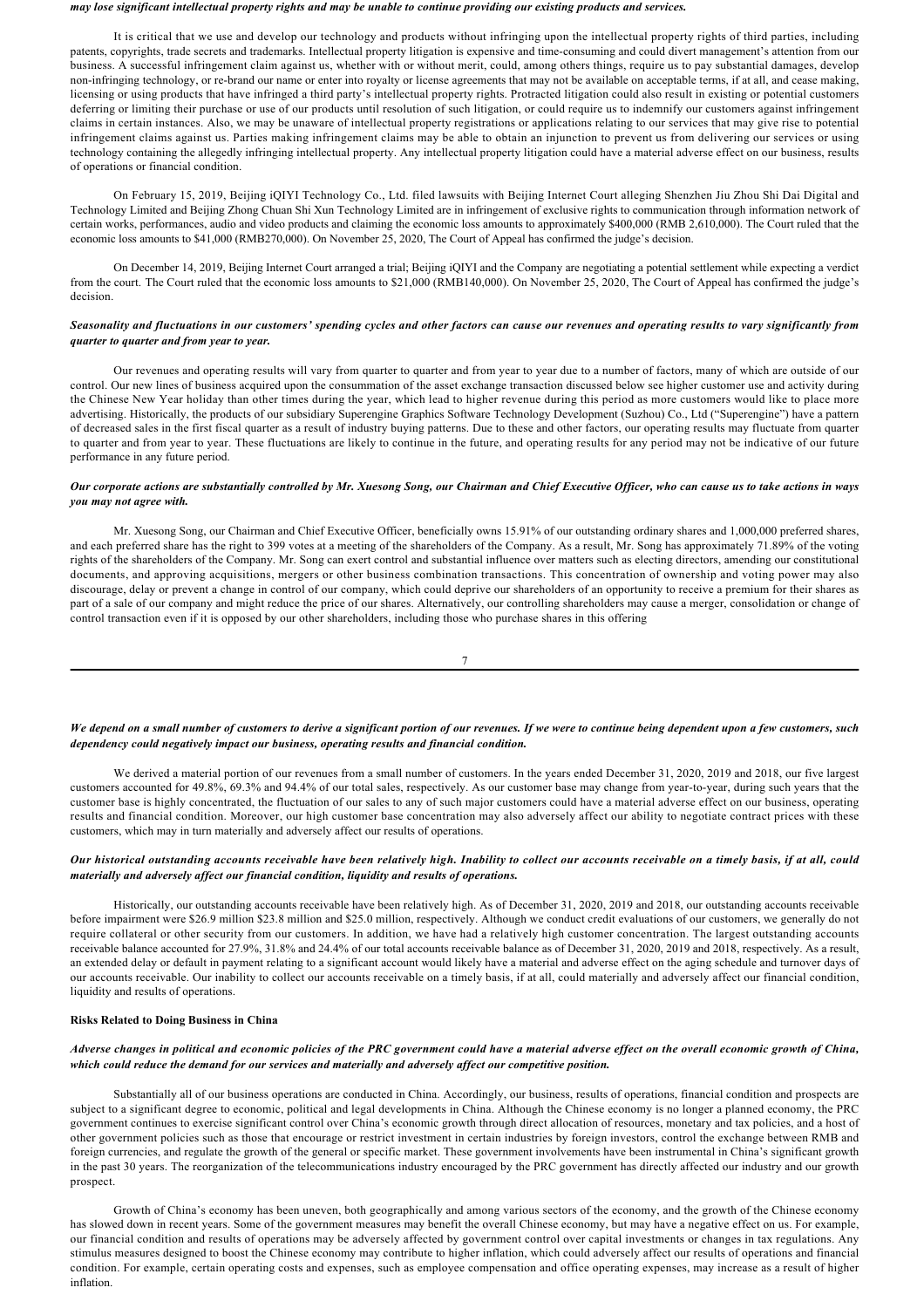## *may lose significant intellectual property rights and may be unable to continue providing our existing products and services.*

It is critical that we use and develop our technology and products without infringing upon the intellectual property rights of third parties, including patents, copyrights, trade secrets and trademarks. Intellectual property litigation is expensive and time-consuming and could divert management's attention from our business. A successful infringement claim against us, whether with or without merit, could, among others things, require us to pay substantial damages, develop non-infringing technology, or re-brand our name or enter into royalty or license agreements that may not be available on acceptable terms, if at all, and cease making, licensing or using products that have infringed a third party's intellectual property rights. Protracted litigation could also result in existing or potential customers deferring or limiting their purchase or use of our products until resolution of such litigation, or could require us to indemnify our customers against infringement claims in certain instances. Also, we may be unaware of intellectual property registrations or applications relating to our services that may give rise to potential infringement claims against us. Parties making infringement claims may be able to obtain an injunction to prevent us from delivering our services or using technology containing the allegedly infringing intellectual property. Any intellectual property litigation could have a material adverse effect on our business, results of operations or financial condition.

On February 15, 2019, Beijing iQIYI Technology Co., Ltd. filed lawsuits with Beijing Internet Court alleging Shenzhen Jiu Zhou Shi Dai Digital and Technology Limited and Beijing Zhong Chuan Shi Xun Technology Limited are in infringement of exclusive rights to communication through information network of certain works, performances, audio and video products and claiming the economic loss amounts to approximately \$400,000 (RMB 2,610,000). The Court ruled that the economic loss amounts to \$41,000 (RMB270,000). On November 25, 2020, The Court of Appeal has confirmed the judge's decision.

On December 14, 2019, Beijing Internet Court arranged a trial; Beijing iQIYI and the Company are negotiating a potential settlement while expecting a verdict from the court. The Court ruled that the economic loss amounts to \$21,000 (RMB140,000). On November 25, 2020, The Court of Appeal has confirmed the judge's decision.

# *Seasonality and fluctuations in our customers' spending cycles and other factors can cause our revenues and operating results to vary significantly from quarter to quarter and from year to year.*

Our revenues and operating results will vary from quarter to quarter and from year to year due to a number of factors, many of which are outside of our control. Our new lines of business acquired upon the consummation of the asset exchange transaction discussed below see higher customer use and activity during the Chinese New Year holiday than other times during the year, which lead to higher revenue during this period as more customers would like to place more advertising. Historically, the products of our subsidiary Superengine Graphics Software Technology Development (Suzhou) Co., Ltd ("Superengine") have a pattern of decreased sales in the first fiscal quarter as a result of industry buying patterns. Due to these and other factors, our operating results may fluctuate from quarter to quarter and from year to year. These fluctuations are likely to continue in the future, and operating results for any period may not be indicative of our future performance in any future period.

# *Our corporate actions are substantially controlled by Mr. Xuesong Song, our Chairman and Chief Executive Officer, who can cause us to take actions in ways you may not agree with.*

Mr. Xuesong Song, our Chairman and Chief Executive Officer, beneficially owns 15.91% of our outstanding ordinary shares and 1,000,000 preferred shares, and each preferred share has the right to 399 votes at a meeting of the shareholders of the Company. As a result, Mr. Song has approximately 71.89% of the voting rights of the shareholders of the Company. Mr. Song can exert control and substantial influence over matters such as electing directors, amending our constitutional documents, and approving acquisitions, mergers or other business combination transactions. This concentration of ownership and voting power may also discourage, delay or prevent a change in control of our company, which could deprive our shareholders of an opportunity to receive a premium for their shares as part of a sale of our company and might reduce the price of our shares. Alternatively, our controlling shareholders may cause a merger, consolidation or change of control transaction even if it is opposed by our other shareholders, including those who purchase shares in this offering

$$
\phantom{0}7
$$

# *We depend on a small number of customers to derive a significant portion of our revenues. If we were to continue being dependent upon a few customers, such dependency could negatively impact our business, operating results and financial condition.*

We derived a material portion of our revenues from a small number of customers. In the years ended December 31, 2020, 2019 and 2018, our five largest customers accounted for 49.8%, 69.3% and 94.4% of our total sales, respectively. As our customer base may change from yeartoyear, during such years that the customer base is highly concentrated, the fluctuation of our sales to any of such major customers could have a material adverse effect on our business, operating results and financial condition. Moreover, our high customer base concentration may also adversely affect our ability to negotiate contract prices with these customers, which may in turn materially and adversely affect our results of operations.

# *Our historical outstanding accounts receivable have been relatively high. Inability to collect our accounts receivable on a timely basis, if at all, could materially and adversely affect our financial condition, liquidity and results of operations.*

Historically, our outstanding accounts receivable have been relatively high. As of December 31, 2020, 2019 and 2018, our outstanding accounts receivable before impairment were \$26.9 million \$23.8 million and \$25.0 million, respectively. Although we conduct credit evaluations of our customers, we generally do not require collateral or other security from our customers. In addition, we have had a relatively high customer concentration. The largest outstanding accounts receivable balance accounted for 27.9%, 31.8% and 24.4% of our total accounts receivable balance as of December 31, 2020, 2019 and 2018, respectively. As a result, an extended delay or default in payment relating to a significant account would likely have a material and adverse effect on the aging schedule and turnover days of our accounts receivable. Our inability to collect our accounts receivable on a timely basis, if at all, could materially and adversely affect our financial condition, liquidity and results of operations.

# **Risks Related to Doing Business in China**

# *Adverse changes in political and economic policies of the PRC government could have a material adverse effect on the overall economic growth of China, which could reduce the demand for our services and materially and adversely affect our competitive position.*

Substantially all of our business operations are conducted in China. Accordingly, our business, results of operations, financial condition and prospects are subject to a significant degree to economic, political and legal developments in China. Although the Chinese economy is no longer a planned economy, the PRC government continues to exercise significant control over China's economic growth through direct allocation of resources, monetary and tax policies, and a host of other government policies such as those that encourage or restrict investment in certain industries by foreign investors, control the exchange between RMB and foreign currencies, and regulate the growth of the general or specific market. These government involvements have been instrumental in China's significant growth in the past 30 years. The reorganization of the telecommunications industry encouraged by the PRC government has directly affected our industry and our growth prospect.

Growth of China's economy has been uneven, both geographically and among various sectors of the economy, and the growth of the Chinese economy has slowed down in recent years. Some of the government measures may benefit the overall Chinese economy, but may have a negative effect on us. For example, our financial condition and results of operations may be adversely affected by government control over capital investments or changes in tax regulations. Any stimulus measures designed to boost the Chinese economy may contribute to higher inflation, which could adversely affect our results of operations and financial condition. For example, certain operating costs and expenses, such as employee compensation and office operating expenses, may increase as a result of higher inflation.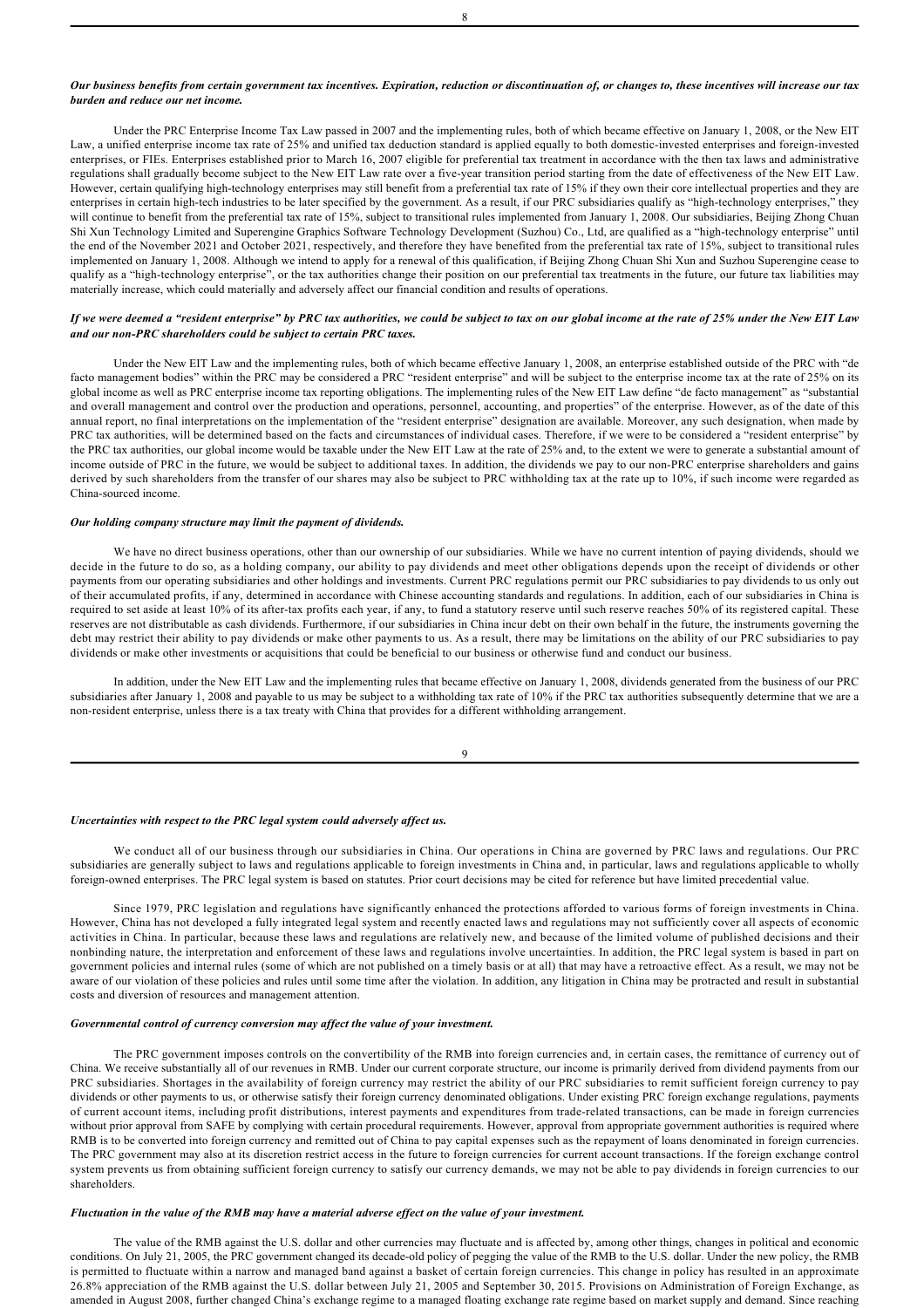# *Our business benefits from certain government tax incentives. Expiration, reduction or discontinuation of, or changes to, these incentives will increase our tax burden and reduce our net income.*

8

Under the PRC Enterprise Income Tax Law passed in 2007 and the implementing rules, both of which became effective on January 1, 2008, or the New EIT Law, a unified enterprise income tax rate of 25% and unified tax deduction standard is applied equally to both domestic-invested enterprises and foreign-invested enterprises, or FIEs. Enterprises established prior to March 16, 2007 eligible for preferential tax treatment in accordance with the then tax laws and administrative regulations shall gradually become subject to the New EIT Law rate over a five-year transition period starting from the date of effectiveness of the New EIT Law. However, certain qualifying high-technology enterprises may still benefit from a preferential tax rate of 15% if they own their core intellectual properties and they are enterprises in certain high-tech industries to be later specified by the government. As a result, if our PRC subsidiaries qualify as "high-technology enterprises," they will continue to benefit from the preferential tax rate of 15%, subject to transitional rules implemented from January 1, 2008. Our subsidiaries, Beijing Zhong Chuan Shi Xun Technology Limited and Superengine Graphics Software Technology Development (Suzhou) Co., Ltd, are qualified as a "high-technology enterprise" until the end of the November 2021 and October 2021, respectively, and therefore they have benefited from the preferential tax rate of 15%, subject to transitional rules implemented on January 1, 2008. Although we intend to apply for a renewal of this qualification, if Beijing Zhong Chuan Shi Xun and Suzhou Superengine cease to qualify as a "high-technology enterprise", or the tax authorities change their position on our preferential tax treatments in the future, our future tax liabilities may materially increase, which could materially and adversely affect our financial condition and results of operations.

# *If we were deemed a "resident enterprise" by PRC tax authorities, we could be subject to tax on our global income at the rate of 25% under the New EIT Law and our nonPRC shareholders could be subject to certain PRC taxes.*

Under the New EIT Law and the implementing rules, both of which became effective January 1, 2008, an enterprise established outside of the PRC with "de facto management bodies" within the PRC may be considered a PRC "resident enterprise" and will be subject to the enterprise income tax at the rate of 25% on its global income as well as PRC enterprise income tax reporting obligations. The implementing rules of the New EIT Law define "de facto management" as "substantial and overall management and control over the production and operations, personnel, accounting, and properties" of the enterprise. However, as of the date of this annual report, no final interpretations on the implementation of the "resident enterprise" designation are available. Moreover, any such designation, when made by PRC tax authorities, will be determined based on the facts and circumstances of individual cases. Therefore, if we were to be considered a "resident enterprise" by the PRC tax authorities, our global income would be taxable under the New EIT Law at the rate of 25% and, to the extent we were to generate a substantial amount of income outside of PRC in the future, we would be subject to additional taxes. In addition, the dividends we pay to our non-PRC enterprise shareholders and gains derived by such shareholders from the transfer of our shares may also be subject to PRC withholding tax at the rate up to 10%, if such income were regarded as China-sourced income.

# *Our holding company structure may limit the payment of dividends.*

We have no direct business operations, other than our ownership of our subsidiaries. While we have no current intention of paying dividends, should we decide in the future to do so, as a holding company, our ability to pay dividends and meet other obligations depends upon the receipt of dividends or other payments from our operating subsidiaries and other holdings and investments. Current PRC regulations permit our PRC subsidiaries to pay dividends to us only out of their accumulated profits, if any, determined in accordance with Chinese accounting standards and regulations. In addition, each of our subsidiaries in China is required to set aside at least 10% of its after-tax profits each year, if any, to fund a statutory reserve until such reserve reaches 50% of its registered capital. These reserves are not distributable as cash dividends. Furthermore, if our subsidiaries in China incur debt on their own behalf in the future, the instruments governing the debt may restrict their ability to pay dividends or make other payments to us. As a result, there may be limitations on the ability of our PRC subsidiaries to pay dividends or make other investments or acquisitions that could be beneficial to our business or otherwise fund and conduct our business.

In addition, under the New EIT Law and the implementing rules that became effective on January 1, 2008, dividends generated from the business of our PRC subsidiaries after January 1, 2008 and payable to us may be subject to a withholding tax rate of 10% if the PRC tax authorities subsequently determine that we are a nonresident enterprise, unless there is a tax treaty with China that provides for a different withholding arrangement.

#### *Uncertainties with respect to the PRC legal system could adversely affect us.*

We conduct all of our business through our subsidiaries in China. Our operations in China are governed by PRC laws and regulations. Our PRC subsidiaries are generally subject to laws and regulations applicable to foreign investments in China and, in particular, laws and regulations applicable to wholly foreign-owned enterprises. The PRC legal system is based on statutes. Prior court decisions may be cited for reference but have limited precedential value.

Since 1979, PRC legislation and regulations have significantly enhanced the protections afforded to various forms of foreign investments in China. However, China has not developed a fully integrated legal system and recently enacted laws and regulations may not sufficiently cover all aspects of economic activities in China. In particular, because these laws and regulations are relatively new, and because of the limited volume of published decisions and their nonbinding nature, the interpretation and enforcement of these laws and regulations involve uncertainties. In addition, the PRC legal system is based in part on government policies and internal rules (some of which are not published on a timely basis or at all) that may have a retroactive effect. As a result, we may not be aware of our violation of these policies and rules until some time after the violation. In addition, any litigation in China may be protracted and result in substantial costs and diversion of resources and management attention.

## *Governmental control of currency conversion may affect the value of your investment.*

The PRC government imposes controls on the convertibility of the RMB into foreign currencies and, in certain cases, the remittance of currency out of China. We receive substantially all of our revenues in RMB. Under our current corporate structure, our income is primarily derived from dividend payments from our PRC subsidiaries. Shortages in the availability of foreign currency may restrict the ability of our PRC subsidiaries to remit sufficient foreign currency to pay dividends or other payments to us, or otherwise satisfy their foreign currency denominated obligations. Under existing PRC foreign exchange regulations, payments of current account items, including profit distributions, interest payments and expenditures from traderelated transactions, can be made in foreign currencies without prior approval from SAFE by complying with certain procedural requirements. However, approval from appropriate government authorities is required where RMB is to be converted into foreign currency and remitted out of China to pay capital expenses such as the repayment of loans denominated in foreign currencies. The PRC government may also at its discretion restrict access in the future to foreign currencies for current account transactions. If the foreign exchange control system prevents us from obtaining sufficient foreign currency to satisfy our currency demands, we may not be able to pay dividends in foreign currencies to our shareholders.

# *Fluctuation in the value of the RMB may have a material adverse effect on the value of your investment.*

The value of the RMB against the U.S. dollar and other currencies may fluctuate and is affected by, among other things, changes in political and economic conditions. On July 21, 2005, the PRC government changed its decade-old policy of pegging the value of the RMB to the U.S. dollar. Under the new policy, the RMB is permitted to fluctuate within a narrow and managed band against a basket of certain foreign currencies. This change in policy has resulted in an approximate 26.8% appreciation of the RMB against the U.S. dollar between July 21, 2005 and September 30, 2015. Provisions on Administration of Foreign Exchange, as amended in August 2008, further changed China's exchange regime to a managed floating exchange rate regime based on market supply and demand. Since reaching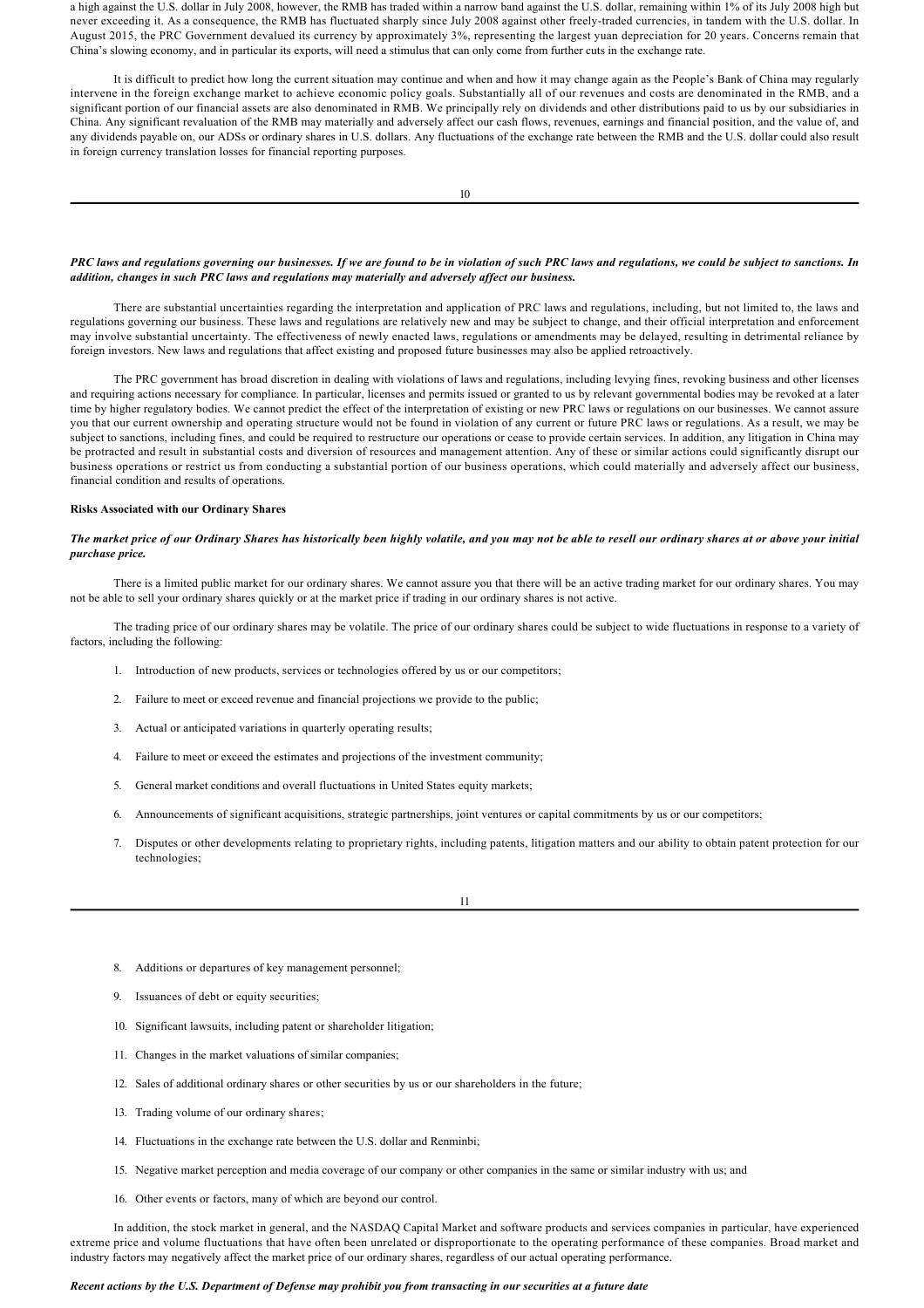a high against the U.S. dollar in July 2008, however, the RMB has traded within a narrow band against the U.S. dollar, remaining within 1% of its July 2008 high but never exceeding it. As a consequence, the RMB has fluctuated sharply since July 2008 against other freely-traded currencies, in tandem with the U.S. dollar. In August 2015, the PRC Government devalued its currency by approximately 3%, representing the largest yuan depreciation for 20 years. Concerns remain that China's slowing economy, and in particular its exports, will need a stimulus that can only come from further cuts in the exchange rate.

It is difficult to predict how long the current situation may continue and when and how it may change again as the People's Bank of China may regularly intervene in the foreign exchange market to achieve economic policy goals. Substantially all of our revenues and costs are denominated in the RMB, and a significant portion of our financial assets are also denominated in RMB. We principally rely on dividends and other distributions paid to us by our subsidiaries in China. Any significant revaluation of the RMB may materially and adversely affect our cash flows, revenues, earnings and financial position, and the value of, and any dividends payable on, our ADSs or ordinary shares in U.S. dollars. Any fluctuations of the exchange rate between the RMB and the U.S. dollar could also result in foreign currency translation losses for financial reporting purposes.

# *PRC laws and regulations governing our businesses. If we are found to be in violation of such PRC laws and regulations, we could be subject to sanctions. In addition, changes in such PRC laws and regulations may materially and adversely affect our business.*

There are substantial uncertainties regarding the interpretation and application of PRC laws and regulations, including, but not limited to, the laws and regulations governing our business. These laws and regulations are relatively new and may be subject to change, and their official interpretation and enforcement may involve substantial uncertainty. The effectiveness of newly enacted laws, regulations or amendments may be delayed, resulting in detrimental reliance by foreign investors. New laws and regulations that affect existing and proposed future businesses may also be applied retroactively.

The PRC government has broad discretion in dealing with violations of laws and regulations, including levying fines, revoking business and other licenses and requiring actions necessary for compliance. In particular, licenses and permits issued or granted to us by relevant governmental bodies may be revoked at a later time by higher regulatory bodies. We cannot predict the effect of the interpretation of existing or new PRC laws or regulations on our businesses. We cannot assure you that our current ownership and operating structure would not be found in violation of any current or future PRC laws or regulations. As a result, we may be subject to sanctions, including fines, and could be required to restructure our operations or cease to provide certain services. In addition, any litigation in China may be protracted and result in substantial costs and diversion of resources and management attention. Any of these or similar actions could significantly disrupt our business operations or restrict us from conducting a substantial portion of our business operations, which could materially and adversely affect our business, financial condition and results of operations.

# **Risks Associated with our Ordinary Shares**

# *The market price of our Ordinary Shares has historically been highly volatile, and you may not be able to resell our ordinary shares at or above your initial purchase price.*

There is a limited public market for our ordinary shares. We cannot assure you that there will be an active trading market for our ordinary shares. You may not be able to sell your ordinary shares quickly or at the market price if trading in our ordinary shares is not active.

The trading price of our ordinary shares may be volatile. The price of our ordinary shares could be subject to wide fluctuations in response to a variety of factors, including the following:

- 1. Introduction of new products, services or technologies offered by us or our competitors;
- 2. Failure to meet or exceed revenue and financial projections we provide to the public;
- 3. Actual or anticipated variations in quarterly operating results;
- 4. Failure to meet or exceed the estimates and projections of the investment community;
- 5. General market conditions and overall fluctuations in United States equity markets;
- 6. Announcements of significant acquisitions, strategic partnerships, joint ventures or capital commitments by us or our competitors;
- 7. Disputes or other developments relating to proprietary rights, including patents, litigation matters and our ability to obtain patent protection for our technologies;

11

- 8. Additions or departures of key management personnel;
- 9. Issuances of debt or equity securities;
- 10. Significant lawsuits, including patent or shareholder litigation;
- 11. Changes in the market valuations of similar companies;
- 12. Sales of additional ordinary shares or other securities by us or our shareholders in the future;
- 13. Trading volume of our ordinary shares;
- 14. Fluctuations in the exchange rate between the U.S. dollar and Renminbi;
- 15. Negative market perception and media coverage of our company or other companies in the same or similar industry with us; and
- 16. Other events or factors, many of which are beyond our control.

In addition, the stock market in general, and the NASDAQ Capital Market and software products and services companies in particular, have experienced extreme price and volume fluctuations that have often been unrelated or disproportionate to the operating performance of these companies. Broad market and industry factors may negatively affect the market price of our ordinary shares, regardless of our actual operating performance.

## *Recent actions by the U.S. Department of Defense may prohibit you from transacting in our securities at a future date*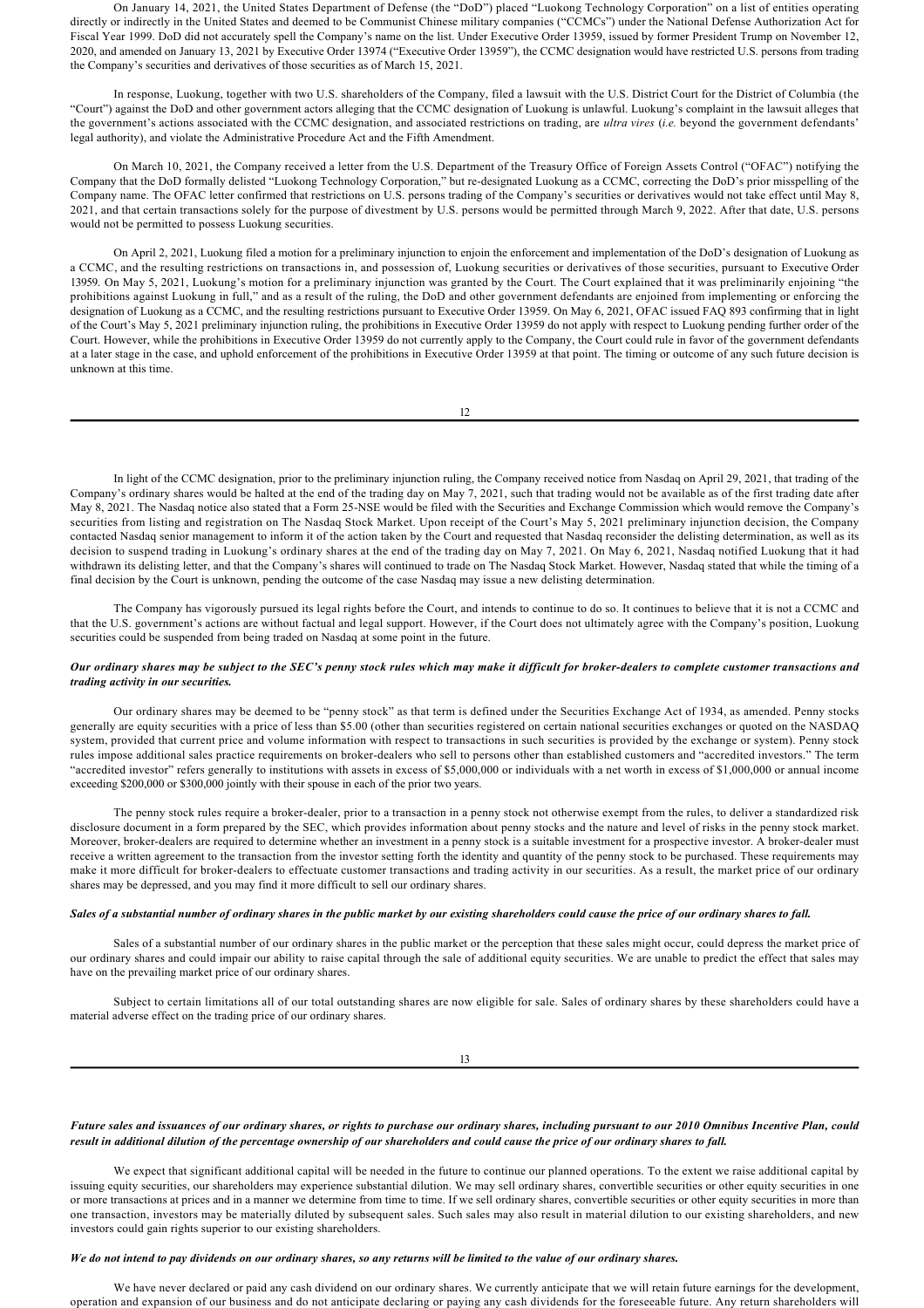On January 14, 2021, the United States Department of Defense (the "DoD") placed "Luokong Technology Corporation" on a list of entities operating directly or indirectly in the United States and deemed to be Communist Chinese military companies ("CCMCs") under the National Defense Authorization Act for Fiscal Year 1999. DoD did not accurately spell the Company's name on the list. Under Executive Order 13959, issued by former President Trump on November 12, 2020, and amended on January 13, 2021 by Executive Order 13974 ("Executive Order 13959"), the CCMC designation would have restricted U.S. persons from trading the Company's securities and derivatives of those securities as of March 15, 2021.

In response, Luokung, together with two U.S. shareholders of the Company, filed a lawsuit with the U.S. District Court for the District of Columbia (the "Court") against the DoD and other government actors alleging that the CCMC designation of Luokung is unlawful. Luokung's complaint in the lawsuit alleges that the government's actions associated with the CCMC designation, and associated restrictions on trading, are *ultra vires* (*i.e.* beyond the government defendants' legal authority), and violate the Administrative Procedure Act and the Fifth Amendment.

On March 10, 2021, the Company received a letter from the U.S. Department of the Treasury Office of Foreign Assets Control ("OFAC") notifying the Company that the DoD formally delisted "Luokong Technology Corporation," but redesignated Luokung as a CCMC, correcting the DoD's prior misspelling of the Company name. The OFAC letter confirmed that restrictions on U.S. persons trading of the Company's securities or derivatives would not take effect until May 8, 2021, and that certain transactions solely for the purpose of divestment by U.S. persons would be permitted through March 9, 2022. After that date, U.S. persons would not be permitted to possess Luokung securities.

On April 2, 2021, Luokung filed a motion for a preliminary injunction to enjoin the enforcement and implementation of the DoD's designation of Luokung as a CCMC, and the resulting restrictions on transactions in, and possession of, Luokung securities or derivatives of those securities, pursuant to Executive Order 13959. On May 5, 2021, Luokung's motion for a preliminary injunction was granted by the Court. The Court explained that it was preliminarily enjoining "the prohibitions against Luokung in full," and as a result of the ruling, the DoD and other government defendants are enjoined from implementing or enforcing the designation of Luokung as a CCMC, and the resulting restrictions pursuant to Executive Order 13959. On May 6, 2021, OFAC issued FAQ 893 confirming that in light of the Court's May 5, 2021 preliminary injunction ruling, the prohibitions in Executive Order 13959 do not apply with respect to Luokung pending further order of the Court. However, while the prohibitions in Executive Order 13959 do not currently apply to the Company, the Court could rule in favor of the government defendants at a later stage in the case, and uphold enforcement of the prohibitions in Executive Order 13959 at that point. The timing or outcome of any such future decision is unknown at this time.

| ł |  |
|---|--|
|   |  |

In light of the CCMC designation, prior to the preliminary injunction ruling, the Company received notice from Nasdaq on April 29, 2021, that trading of the Company's ordinary shares would be halted at the end of the trading day on May 7, 2021, such that trading would not be available as of the first trading date after May 8, 2021. The Nasdaq notice also stated that a Form 25-NSE would be filed with the Securities and Exchange Commission which would remove the Company's securities from listing and registration on The Nasdaq Stock Market. Upon receipt of the Court's May 5, 2021 preliminary injunction decision, the Company contacted Nasdaq senior management to inform it of the action taken by the Court and requested that Nasdaq reconsider the delisting determination, as well as its decision to suspend trading in Luokung's ordinary shares at the end of the trading day on May 7, 2021. On May 6, 2021, Nasdaq notified Luokung that it had withdrawn its delisting letter, and that the Company's shares will continued to trade on The Nasdaq Stock Market. However, Nasdaq stated that while the timing of a final decision by the Court is unknown, pending the outcome of the case Nasdaq may issue a new delisting determination.

The Company has vigorously pursued its legal rights before the Court, and intends to continue to do so. It continues to believe that it is not a CCMC and that the U.S. government's actions are without factual and legal support. However, if the Court does not ultimately agree with the Company's position, Luokung securities could be suspended from being traded on Nasdaq at some point in the future.

# *Our ordinary shares may be subject to the SEC's penny stock rules which may make it difficult for brokerdealers to complete customer transactions and trading activity in our securities.*

Our ordinary shares may be deemed to be "penny stock" as that term is defined under the Securities Exchange Act of 1934, as amended. Penny stocks generally are equity securities with a price of less than \$5.00 (other than securities registered on certain national securities exchanges or quoted on the NASDAQ system, provided that current price and volume information with respect to transactions in such securities is provided by the exchange or system). Penny stock rules impose additional sales practice requirements on broker-dealers who sell to persons other than established customers and "accredited investors." The term "accredited investor" refers generally to institutions with assets in excess of \$5,000,000 or individuals with a net worth in excess of \$1,000,000 or annual income exceeding \$200,000 or \$300,000 jointly with their spouse in each of the prior two years.

The penny stock rules require a broker-dealer, prior to a transaction in a penny stock not otherwise exempt from the rules, to deliver a standardized risk disclosure document in a form prepared by the SEC, which provides information about penny stocks and the nature and level of risks in the penny stock market. Moreover, broker-dealers are required to determine whether an investment in a penny stock is a suitable investment for a prospective investor. A broker-dealer must receive a written agreement to the transaction from the investor setting forth the identity and quantity of the penny stock to be purchased. These requirements may make it more difficult for broker-dealers to effectuate customer transactions and trading activity in our securities. As a result, the market price of our ordinary shares may be depressed, and you may find it more difficult to sell our ordinary shares.

# *Sales of a substantial number of ordinary shares in the public market by our existing shareholders could cause the price of our ordinary shares to fall.*

Sales of a substantial number of our ordinary shares in the public market or the perception that these sales might occur, could depress the market price of our ordinary shares and could impair our ability to raise capital through the sale of additional equity securities. We are unable to predict the effect that sales may have on the prevailing market price of our ordinary shares.

Subject to certain limitations all of our total outstanding shares are now eligible for sale. Sales of ordinary shares by these shareholders could have a material adverse effect on the trading price of our ordinary shares.

*Future sales and issuances of our ordinary shares, or rights to purchase our ordinary shares, including pursuant to our 2010 Omnibus Incentive Plan, could result in additional dilution of the percentage ownership of our shareholders and could cause the price of our ordinary shares to fall.*

We expect that significant additional capital will be needed in the future to continue our planned operations. To the extent we raise additional capital by issuing equity securities, our shareholders may experience substantial dilution. We may sell ordinary shares, convertible securities or other equity securities in one or more transactions at prices and in a manner we determine from time to time. If we sell ordinary shares, convertible securities or other equity securities in more than one transaction, investors may be materially diluted by subsequent sales. Such sales may also result in material dilution to our existing shareholders, and new investors could gain rights superior to our existing shareholders.

# *We do not intend to pay dividends on our ordinary shares, so any returns will be limited to the value of our ordinary shares.*

We have never declared or paid any cash dividend on our ordinary shares. We currently anticipate that we will retain future earnings for the development, operation and expansion of our business and do not anticipate declaring or paying any cash dividends for the foreseeable future. Any return shareholders will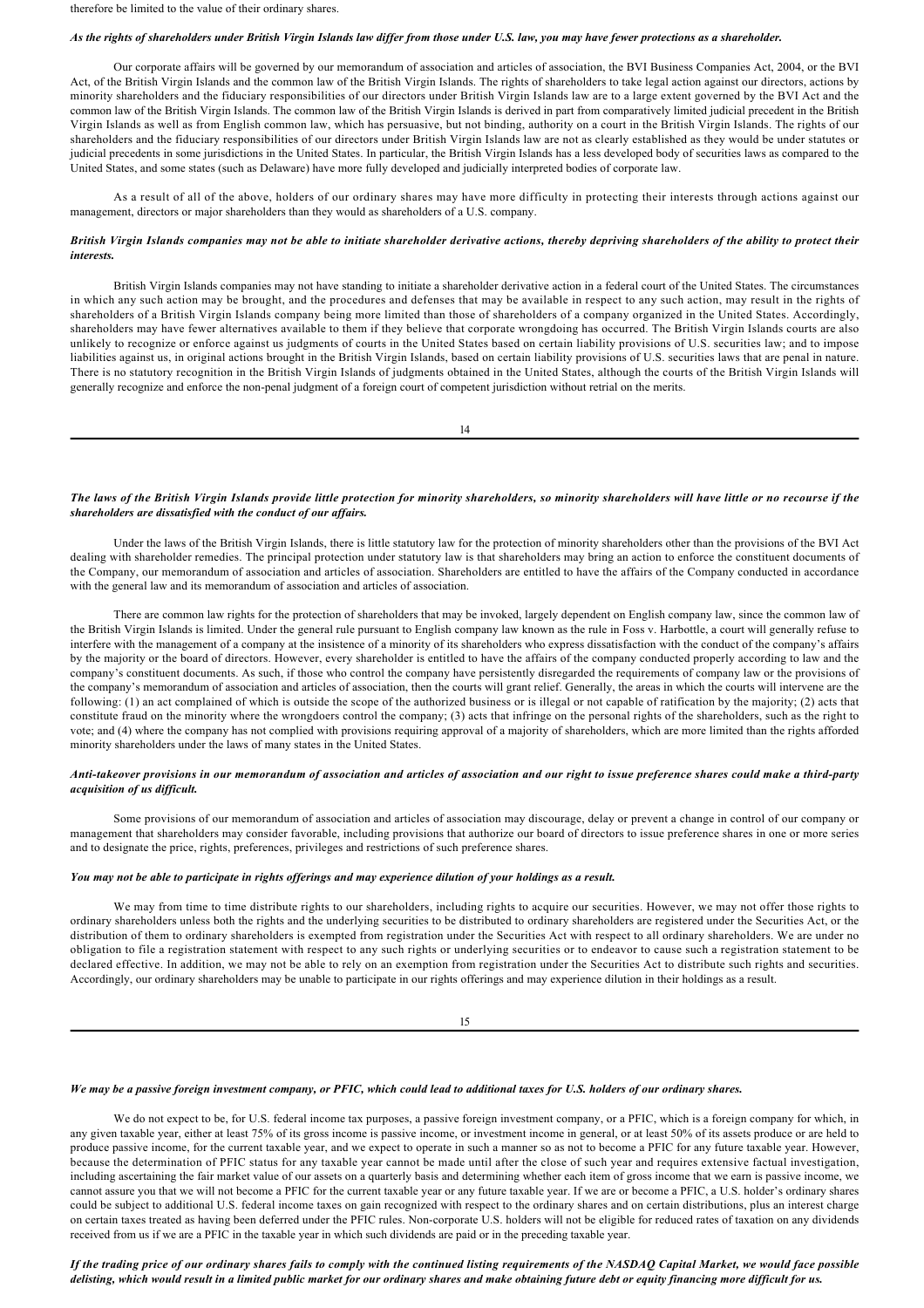operation and expansion of our business and do not anticipate declaring or paying any cash dividends for the foreseeable future. Any return shareholders will therefore be limited to the value of their ordinary shares.

# *As the rights of shareholders under British Virgin Islands law differ from those under U.S. law, you may have fewer protections as a shareholder.*

Our corporate affairs will be governed by our memorandum of association and articles of association, the BVI Business Companies Act, 2004, or the BVI Act, of the British Virgin Islands and the common law of the British Virgin Islands. The rights of shareholders to take legal action against our directors, actions by minority shareholders and the fiduciary responsibilities of our directors under British Virgin Islands law are to a large extent governed by the BVI Act and the common law of the British Virgin Islands. The common law of the British Virgin Islands is derived in part from comparatively limited judicial precedent in the British Virgin Islands as well as from English common law, which has persuasive, but not binding, authority on a court in the British Virgin Islands. The rights of our shareholders and the fiduciary responsibilities of our directors under British Virgin Islands law are not as clearly established as they would be under statutes or judicial precedents in some jurisdictions in the United States. In particular, the British Virgin Islands has a less developed body of securities laws as compared to the United States, and some states (such as Delaware) have more fully developed and judicially interpreted bodies of corporate law.

As a result of all of the above, holders of our ordinary shares may have more difficulty in protecting their interests through actions against our management, directors or major shareholders than they would as shareholders of a U.S. company.

### *British Virgin Islands companies may not be able to initiate shareholder derivative actions, thereby depriving shareholders of the ability to protect their interests.*

British Virgin Islands companies may not have standing to initiate a shareholder derivative action in a federal court of the United States. The circumstances in which any such action may be brought, and the procedures and defenses that may be available in respect to any such action, may result in the rights of shareholders of a British Virgin Islands company being more limited than those of shareholders of a company organized in the United States. Accordingly, shareholders may have fewer alternatives available to them if they believe that corporate wrongdoing has occurred. The British Virgin Islands courts are also unlikely to recognize or enforce against us judgments of courts in the United States based on certain liability provisions of U.S. securities law; and to impose liabilities against us, in original actions brought in the British Virgin Islands, based on certain liability provisions of U.S. securities laws that are penal in nature. There is no statutory recognition in the British Virgin Islands of judgments obtained in the United States, although the courts of the British Virgin Islands will generally recognize and enforce the non-penal judgment of a foreign court of competent jurisdiction without retrial on the merits.

14

# *The laws of the British Virgin Islands provide little protection for minority shareholders, so minority shareholders will have little or no recourse if the shareholders are dissatisfied with the conduct of our affairs.*

Under the laws of the British Virgin Islands, there is little statutory law for the protection of minority shareholders other than the provisions of the BVI Act dealing with shareholder remedies. The principal protection under statutory law is that shareholders may bring an action to enforce the constituent documents of the Company, our memorandum of association and articles of association. Shareholders are entitled to have the affairs of the Company conducted in accordance with the general law and its memorandum of association and articles of association.

There are common law rights for the protection of shareholders that may be invoked, largely dependent on English company law, since the common law of the British Virgin Islands is limited. Under the general rule pursuant to English company law known as the rule in Foss v. Harbottle, a court will generally refuse to interfere with the management of a company at the insistence of a minority of its shareholders who express dissatisfaction with the conduct of the company's affairs by the majority or the board of directors. However, every shareholder is entitled to have the affairs of the company conducted properly according to law and the company's constituent documents. As such, if those who control the company have persistently disregarded the requirements of company law or the provisions of the company's memorandum of association and articles of association, then the courts will grant relief. Generally, the areas in which the courts will intervene are the following: (1) an act complained of which is outside the scope of the authorized business or is illegal or not capable of ratification by the majority; (2) acts that constitute fraud on the minority where the wrongdoers control the company; (3) acts that infringe on the personal rights of the shareholders, such as the right to vote; and (4) where the company has not complied with provisions requiring approval of a majority of shareholders, which are more limited than the rights afforded minority shareholders under the laws of many states in the United States.

# *Antitakeover provisions in our memorandum of association and articles of association and our right to issue preference shares could make a thirdparty acquisition of us difficult.*

Some provisions of our memorandum of association and articles of association may discourage, delay or prevent a change in control of our company or management that shareholders may consider favorable, including provisions that authorize our board of directors to issue preference shares in one or more series and to designate the price, rights, preferences, privileges and restrictions of such preference shares.

## *You may not be able to participate in rights offerings and may experience dilution of your holdings as a result.*

We may from time to time distribute rights to our shareholders, including rights to acquire our securities. However, we may not offer those rights to ordinary shareholders unless both the rights and the underlying securities to be distributed to ordinary shareholders are registered under the Securities Act, or the distribution of them to ordinary shareholders is exempted from registration under the Securities Act with respect to all ordinary shareholders. We are under no obligation to file a registration statement with respect to any such rights or underlying securities or to endeavor to cause such a registration statement to be declared effective. In addition, we may not be able to rely on an exemption from registration under the Securities Act to distribute such rights and securities. Accordingly, our ordinary shareholders may be unable to participate in our rights offerings and may experience dilution in their holdings as a result.

15

# *We may be a passive foreign investment company, or PFIC, which could lead to additional taxes for U.S. holders of our ordinary shares.*

We do not expect to be, for U.S. federal income tax purposes, a passive foreign investment company, or a PFIC, which is a foreign company for which, in any given taxable year, either at least 75% of its gross income is passive income, or investment income in general, or at least 50% of its assets produce or are held to produce passive income, for the current taxable year, and we expect to operate in such a manner so as not to become a PFIC for any future taxable year. However, because the determination of PFIC status for any taxable year cannot be made until after the close of such year and requires extensive factual investigation, including ascertaining the fair market value of our assets on a quarterly basis and determining whether each item of gross income that we earn is passive income, we cannot assure you that we will not become a PFIC for the current taxable year or any future taxable year. If we are or become a PFIC, a U.S. holder's ordinary shares could be subject to additional U.S. federal income taxes on gain recognized with respect to the ordinary shares and on certain distributions, plus an interest charge on certain taxes treated as having been deferred under the PFIC rules. Noncorporate U.S. holders will not be eligible for reduced rates of taxation on any dividends received from us if we are a PFIC in the taxable year in which such dividends are paid or in the preceding taxable year.

*If the trading price of our ordinary shares fails to comply with the continued listing requirements of the NASDAQ Capital Market, we would face possible delisting, which would result in a limited public market for our ordinary shares and make obtaining future debt or equity financing more difficult for us.*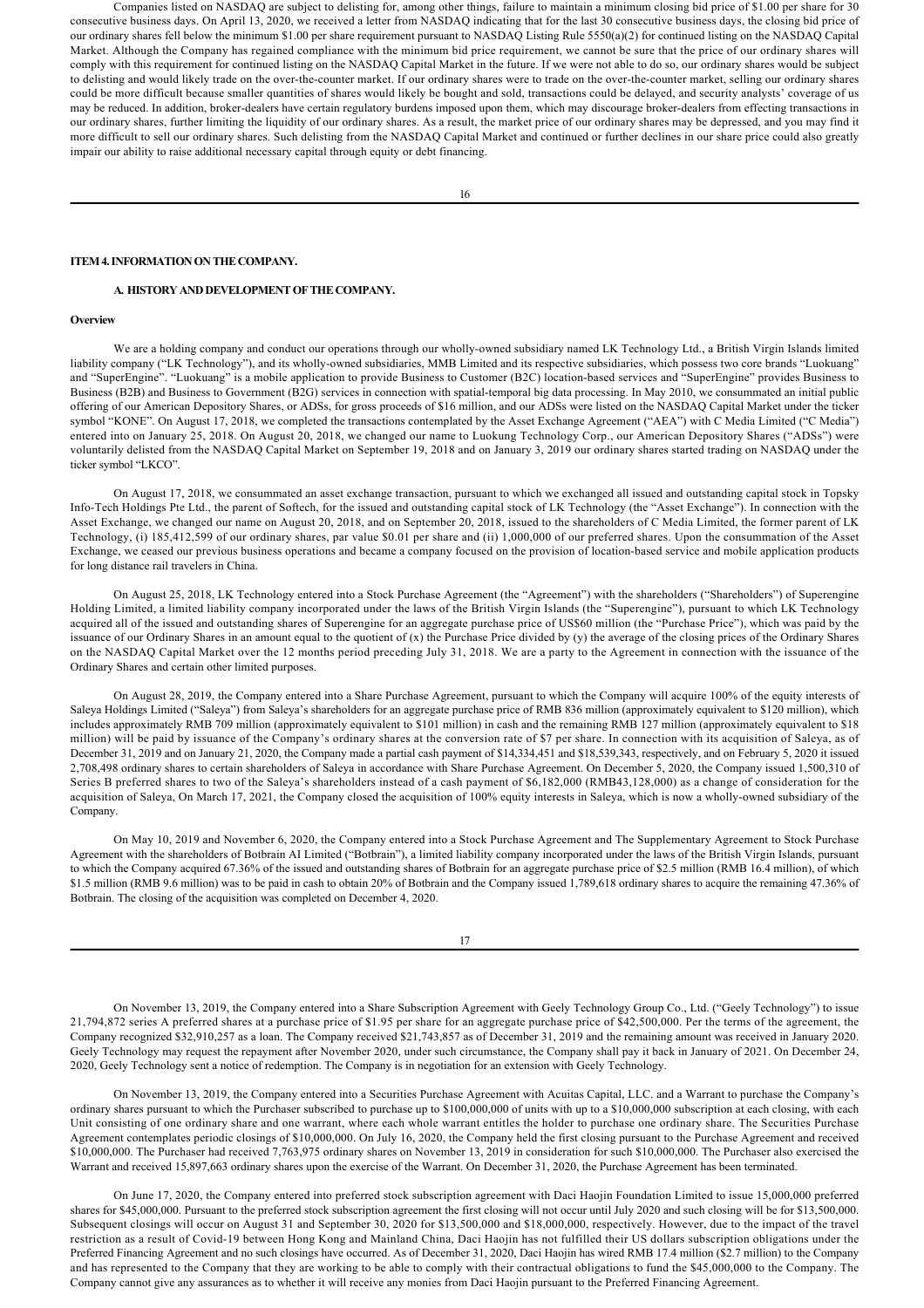Companies listed on NASDAQ are subject to delisting for, among other things, failure to maintain a minimum closing bid price of \$1.00 per share for 30 consecutive business days. On April 13, 2020, we received a letter from NASDAQ indicating that for the last 30 consecutive business days, the closing bid price of our ordinary shares fell below the minimum \$1.00 per share requirement pursuant to NASDAQ Listing Rule 5550(a)(2) for continued listing on the NASDAQ Capital Market. Although the Company has regained compliance with the minimum bid price requirement, we cannot be sure that the price of our ordinary shares will comply with this requirement for continued listing on the NASDAQ Capital Market in the future. If we were not able to do so, our ordinary shares would be subject to delisting and would likely trade on the over-the-counter market. If our ordinary shares were to trade on the over-the-counter market, selling our ordinary shares could be more difficult because smaller quantities of shares would likely be bought and sold, transactions could be delayed, and security analysts' coverage of us may be reduced. In addition, broker-dealers have certain regulatory burdens imposed upon them, which may discourage broker-dealers from effecting transactions in our ordinary shares, further limiting the liquidity of our ordinary shares. As a result, the market price of our ordinary shares may be depressed, and you may find it more difficult to sell our ordinary shares. Such delisting from the NASDAQ Capital Market and continued or further declines in our share price could also greatly impair our ability to raise additional necessary capital through equity or debt financing.

# **ITEM 4. INFORMATION ON THE COMPANY.**

#### **A***.* **HISTORY AND DEVELOPMENT OF THE COMPANY.**

#### **Overview**

We are a holding company and conduct our operations through our wholly-owned subsidiary named LK Technology Ltd., a British Virgin Islands limited liability company ("LK Technology"), and its wholly-owned subsidiaries, MMB Limited and its respective subsidiaries, which possess two core brands "Luokuang" and "SuperEngine". "Luokuang" is a mobile application to provide Business to Customer (B2C) location-based services and "SuperEngine" provides Business to Business (B2B) and Business to Government (B2G) services in connection with spatial-temporal big data processing. In May 2010, we consummated an initial public offering of our American Depository Shares, or ADSs, for gross proceeds of \$16 million, and our ADSs were listed on the NASDAQ Capital Market under the ticker symbol "KONE". On August 17, 2018, we completed the transactions contemplated by the Asset Exchange Agreement ("AEA") with C Media Limited ("C Media") entered into on January 25, 2018. On August 20, 2018, we changed our name to Luokung Technology Corp., our American Depository Shares ("ADSs") were voluntarily delisted from the NASDAQ Capital Market on September 19, 2018 and on January 3, 2019 our ordinary shares started trading on NASDAQ under the ticker symbol "LKCO".

On August 17, 2018, we consummated an asset exchange transaction, pursuant to which we exchanged all issued and outstanding capital stock in Topsky Info-Tech Holdings Pte Ltd., the parent of Softech, for the issued and outstanding capital stock of LK Technology (the "Asset Exchange"). In connection with the Asset Exchange, we changed our name on August 20, 2018, and on September 20, 2018, issued to the shareholders of C Media Limited, the former parent of LK Technology, (i) 185,412,599 of our ordinary shares, par value \$0.01 per share and (ii) 1,000,000 of our preferred shares. Upon the consummation of the Asset Exchange, we ceased our previous business operations and became a company focused on the provision of location-based service and mobile application products for long distance rail travelers in China.

On August 25, 2018, LK Technology entered into a Stock Purchase Agreement (the "Agreement") with the shareholders ("Shareholders") of Superengine Holding Limited, a limited liability company incorporated under the laws of the British Virgin Islands (the "Superengine"), pursuant to which LK Technology acquired all of the issued and outstanding shares of Superengine for an aggregate purchase price of US\$60 million (the "Purchase Price"), which was paid by the issuance of our Ordinary Shares in an amount equal to the quotient of (x) the Purchase Price divided by (y) the average of the closing prices of the Ordinary Shares on the NASDAQ Capital Market over the 12 months period preceding July 31, 2018. We are a party to the Agreement in connection with the issuance of the Ordinary Shares and certain other limited purposes.

On August 28, 2019, the Company entered into a Share Purchase Agreement, pursuant to which the Company will acquire 100% of the equity interests of Saleya Holdings Limited ("Saleya") from Saleya's shareholders for an aggregate purchase price of RMB 836 million (approximately equivalent to \$120 million), which includes approximately RMB 709 million (approximately equivalent to \$101 million) in cash and the remaining RMB 127 million (approximately equivalent to \$18 million) will be paid by issuance of the Company's ordinary shares at the conversion rate of \$7 per share. In connection with its acquisition of Saleya, as of December 31, 2019 and on January 21, 2020, the Company made a partial cash payment of \$14,334,451 and \$18,539,343, respectively, and on February 5, 2020 it issued 2,708,498 ordinary shares to certain shareholders of Saleya in accordance with Share Purchase Agreement. On December 5, 2020, the Company issued 1,500,310 of Series B preferred shares to two of the Saleya's shareholders instead of a cash payment of \$6,182,000 (RMB43,128,000) as a change of consideration for the acquisition of Saleya, On March 17, 2021, the Company closed the acquisition of 100% equity interests in Saleya, which is now a wholly-owned subsidiary of the Company.

On May 10, 2019 and November 6, 2020, the Company entered into a Stock Purchase Agreement and The Supplementary Agreement to Stock Purchase Agreement with the shareholders of Botbrain AI Limited ("Botbrain"), a limited liability company incorporated under the laws of the British Virgin Islands, pursuant to which the Company acquired 67.36% of the issued and outstanding shares of Botbrain for an aggregate purchase price of \$2.5 million (RMB 16.4 million), of which \$1.5 million (RMB 9.6 million) was to be paid in cash to obtain 20% of Botbrain and the Company issued 1,789,618 ordinary shares to acquire the remaining 47.36% of Botbrain. The closing of the acquisition was completed on December 4, 2020.

# 17

On November 13, 2019, the Company entered into a Share Subscription Agreement with Geely Technology Group Co., Ltd. ("Geely Technology") to issue 21,794,872 series A preferred shares at a purchase price of \$1.95 per share for an aggregate purchase price of \$42,500,000. Per the terms of the agreement, the Company recognized \$32,910,257 as a loan. The Company received \$21,743,857 as of December 31, 2019 and the remaining amount was received in January 2020. Geely Technology may request the repayment after November 2020, under such circumstance, the Company shall pay it back in January of 2021. On December 24, 2020, Geely Technology sent a notice of redemption. The Company is in negotiation for an extension with Geely Technology.

On November 13, 2019, the Company entered into a Securities Purchase Agreement with Acuitas Capital, LLC. and a Warrant to purchase the Company's ordinary shares pursuant to which the Purchaser subscribed to purchase up to \$100,000,000 of units with up to a \$10,000,000 subscription at each closing, with each Unit consisting of one ordinary share and one warrant, where each whole warrant entitles the holder to purchase one ordinary share. The Securities Purchase Agreement contemplates periodic closings of \$10,000,000. On July 16, 2020, the Company held the first closing pursuant to the Purchase Agreement and received \$10,000,000. The Purchaser had received 7,763,975 ordinary shares on November 13, 2019 in consideration for such \$10,000,000. The Purchaser also exercised the Warrant and received 15,897,663 ordinary shares upon the exercise of the Warrant. On December 31, 2020, the Purchase Agreement has been terminated.

On June 17, 2020, the Company entered into preferred stock subscription agreement with Daci Haojin Foundation Limited to issue 15,000,000 preferred shares for \$45,000,000. Pursuant to the preferred stock subscription agreement the first closing will not occur until July 2020 and such closing will be for \$13,500,000. Subsequent closings will occur on August 31 and September 30, 2020 for \$13,500,000 and \$18,000,000, respectively. However, due to the impact of the travel restriction as a result of Covid-19 between Hong Kong and Mainland China, Daci Haojin has not fulfilled their US dollars subscription obligations under the Preferred Financing Agreement and no such closings have occurred. As of December 31, 2020, Daci Haojin has wired RMB 17.4 million (\$2.7 million) to the Company and has represented to the Company that they are working to be able to comply with their contractual obligations to fund the \$45,000,000 to the Company. The Company cannot give any assurances as to whether it will receive any monies from Daci Haojin pursuant to the Preferred Financing Agreement.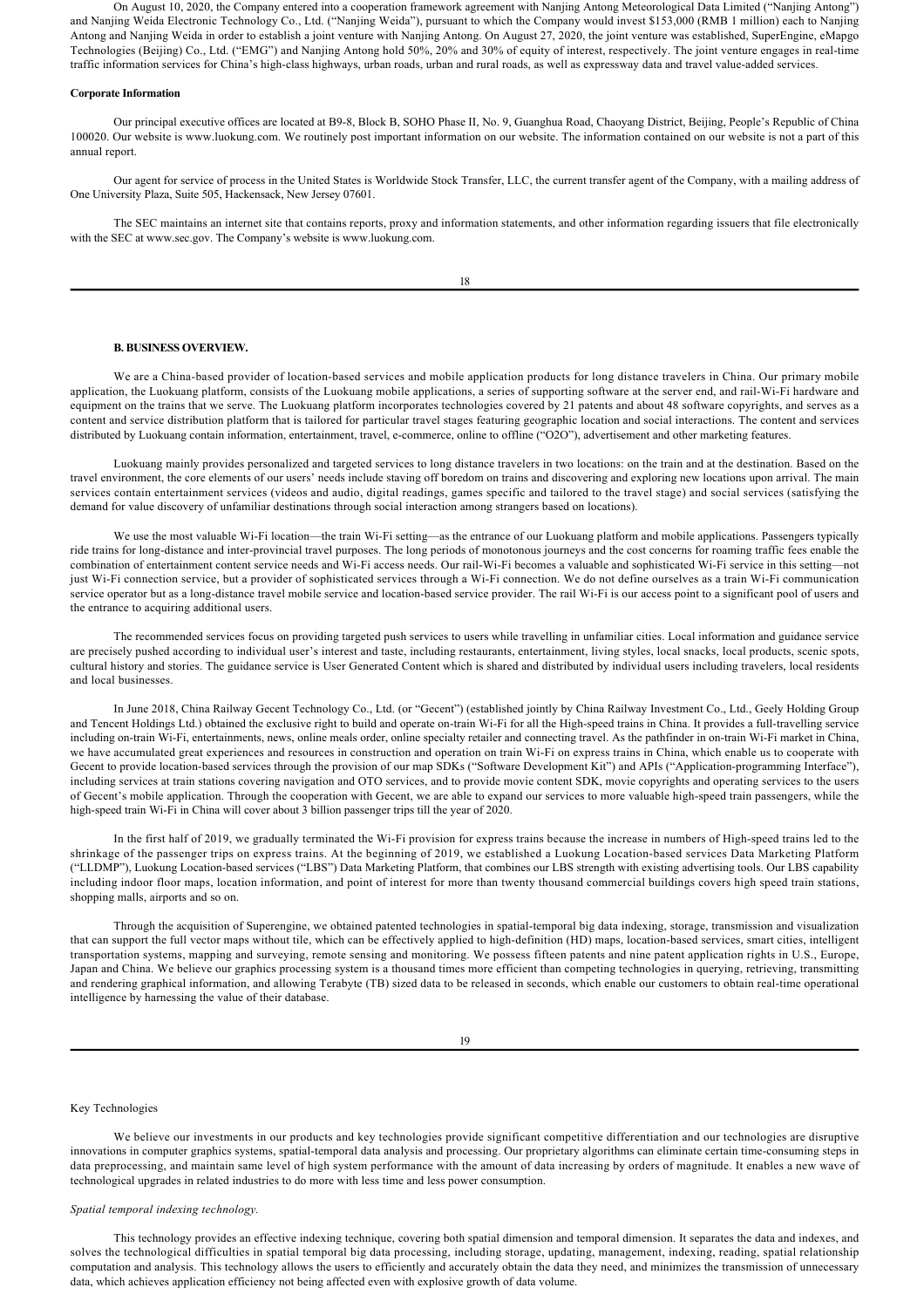On August 10, 2020, the Company entered into a cooperation framework agreement with Nanjing Antong Meteorological Data Limited ("Nanjing Antong") and Nanjing Weida Electronic Technology Co., Ltd. ("Nanjing Weida"), pursuant to which the Company would invest \$153,000 (RMB 1 million) each to Nanjing Antong and Nanjing Weida in order to establish a joint venture with Nanjing Antong. On August 27, 2020, the joint venture was established, SuperEngine, eMapgo Technologies (Beijing) Co., Ltd. ("EMG") and Nanjing Antong hold 50%, 20% and 30% of equity of interest, respectively. The joint venture engages in realtime traffic information services for China's high-class highways, urban roads, urban and rural roads, as well as expressway data and travel value-added services.

#### **Corporate Information**

Our principal executive offices are located at B98, Block B, SOHO Phase II, No. 9, Guanghua Road, Chaoyang District, Beijing, People's Republic of China 100020. Our website is www.luokung.com. We routinely post important information on our website. The information contained on our website is not a part of this annual report.

Our agent for service of process in the United States is Worldwide Stock Transfer, LLC, the current transfer agent of the Company, with a mailing address of One University Plaza, Suite 505, Hackensack, New Jersey 07601.

The SEC maintains an internet site that contains reports, proxy and information statements, and other information regarding issuers that file electronically with the SEC at www.sec.gov. The Company's website is www.luokung.com.

## **B. BUSINESS OVERVIEW.**

We are a China-based provider of location-based services and mobile application products for long distance travelers in China. Our primary mobile application, the Luokuang platform, consists of the Luokuang mobile applications, a series of supporting software at the server end, and rail-Wi-Fi hardware and equipment on the trains that we serve. The Luokuang platform incorporates technologies covered by 21 patents and about 48 software copyrights, and serves as a content and service distribution platform that is tailored for particular travel stages featuring geographic location and social interactions. The content and services distributed by Luokuang contain information, entertainment, travel, e-commerce, online to offline ("O2O"), advertisement and other marketing features.

Luokuang mainly provides personalized and targeted services to long distance travelers in two locations: on the train and at the destination. Based on the travel environment, the core elements of our users' needs include staving off boredom on trains and discovering and exploring new locations upon arrival. The main services contain entertainment services (videos and audio, digital readings, games specific and tailored to the travel stage) and social services (satisfying the demand for value discovery of unfamiliar destinations through social interaction among strangers based on locations).

We use the most valuable Wi-Fi location—the train Wi-Fi setting—as the entrance of our Luokuang platform and mobile applications. Passengers typically ride trains for long-distance and inter-provincial travel purposes. The long periods of monotonous journeys and the cost concerns for roaming traffic fees enable the combination of entertainment content service needs and Wi-Fi access needs. Our rail-Wi-Fi becomes a valuable and sophisticated Wi-Fi service in this setting—not just Wi-Fi connection service, but a provider of sophisticated services through a Wi-Fi connection. We do not define ourselves as a train Wi-Fi communication service operator but as a long-distance travel mobile service and location-based service provider. The rail Wi-Fi is our access point to a significant pool of users and the entrance to acquiring additional users.

The recommended services focus on providing targeted push services to users while travelling in unfamiliar cities. Local information and guidance service are precisely pushed according to individual user's interest and taste, including restaurants, entertainment, living styles, local snacks, local products, scenic spots, cultural history and stories. The guidance service is User Generated Content which is shared and distributed by individual users including travelers, local residents and local businesses.

In June 2018, China Railway Gecent Technology Co., Ltd. (or "Gecent") (established jointly by China Railway Investment Co., Ltd., Geely Holding Group and Tencent Holdings Ltd.) obtained the exclusive right to build and operate on-train Wi-Fi for all the High-speed trains in China. It provides a full-travelling service including on-train Wi-Fi, entertainments, news, online meals order, online specialty retailer and connecting travel. As the pathfinder in on-train Wi-Fi market in China, we have accumulated great experiences and resources in construction and operation on train Wi-Fi on express trains in China, which enable us to cooperate with Gecent to provide location-based services through the provision of our map SDKs ("Software Development Kit") and APIs ("Application-programming Interface"), including services at train stations covering navigation and OTO services, and to provide movie content SDK, movie copyrights and operating services to the users of Gecent's mobile application. Through the cooperation with Gecent, we are able to expand our services to more valuable high-speed train passengers, while the high-speed train Wi-Fi in China will cover about 3 billion passenger trips till the year of 2020.

In the first half of 2019, we gradually terminated the Wi-Fi provision for express trains because the increase in numbers of High-speed trains led to the shrinkage of the passenger trips on express trains. At the beginning of 2019, we established a Luokung Location-based services Data Marketing Platform ("LLDMP"), Luokung Location-based services ("LBS") Data Marketing Platform, that combines our LBS strength with existing advertising tools. Our LBS capability including indoor floor maps, location information, and point of interest for more than twenty thousand commercial buildings covers high speed train stations, shopping malls, airports and so on.

Through the acquisition of Superengine, we obtained patented technologies in spatial-temporal big data indexing, storage, transmission and visualization that can support the full vector maps without tile, which can be effectively applied to high-definition (HD) maps, location-based services, smart cities, intelligent transportation systems, mapping and surveying, remote sensing and monitoring. We possess fifteen patents and nine patent application rights in U.S., Europe, Japan and China. We believe our graphics processing system is a thousand times more efficient than competing technologies in querying, retrieving, transmitting and rendering graphical information, and allowing Terabyte (TB) sized data to be released in seconds, which enable our customers to obtain real-time operational intelligence by harnessing the value of their database.

#### 19

## Key Technologies

We believe our investments in our products and key technologies provide significant competitive differentiation and our technologies are disruptive innovations in computer graphics systems, spatial-temporal data analysis and processing. Our proprietary algorithms can eliminate certain time-consuming steps in data preprocessing, and maintain same level of high system performance with the amount of data increasing by orders of magnitude. It enables a new wave of technological upgrades in related industries to do more with less time and less power consumption.

#### *Spatial temporal indexing technology.*

This technology provides an effective indexing technique, covering both spatial dimension and temporal dimension. It separates the data and indexes, and solves the technological difficulties in spatial temporal big data processing, including storage, updating, management, indexing, reading, spatial relationship computation and analysis. This technology allows the users to efficiently and accurately obtain the data they need, and minimizes the transmission of unnecessary data, which achieves application efficiency not being affected even with explosive growth of data volume.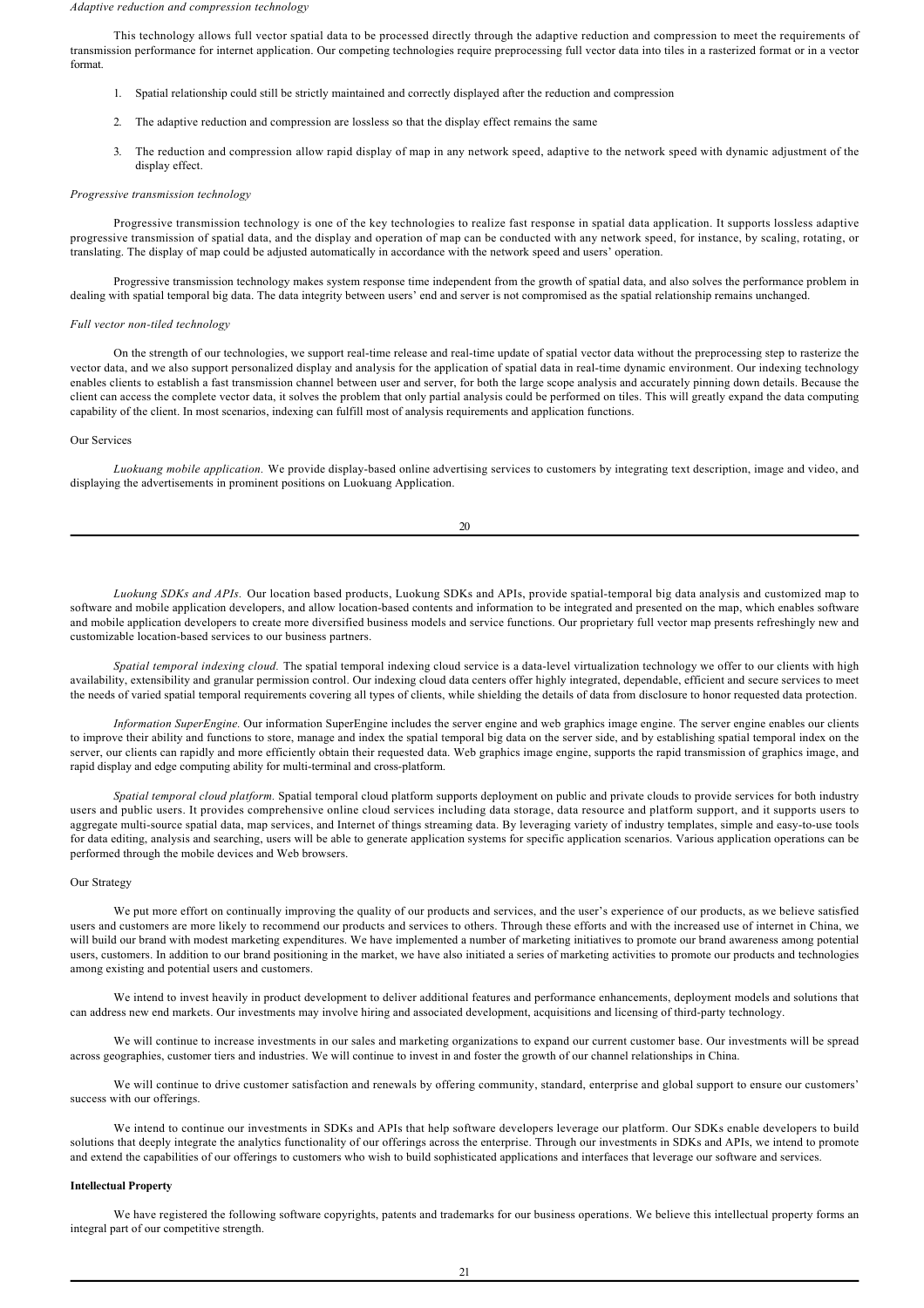#### *Adaptive reduction and compression technology*

This technology allows full vector spatial data to be processed directly through the adaptive reduction and compression to meet the requirements of transmission performance for internet application. Our competing technologies require preprocessing full vector data into tiles in a rasterized format or in a vector format.

- 1. Spatial relationship could still be strictly maintained and correctly displayed after the reduction and compression
- 2. The adaptive reduction and compression are lossless so that the display effect remains the same
- 3. The reduction and compression allow rapid display of map in any network speed, adaptive to the network speed with dynamic adjustment of the display effect.

### *Progressive transmission technology*

Progressive transmission technology is one of the key technologies to realize fast response in spatial data application. It supports lossless adaptive progressive transmission of spatial data, and the display and operation of map can be conducted with any network speed, for instance, by scaling, rotating, or translating. The display of map could be adjusted automatically in accordance with the network speed and users' operation.

Progressive transmission technology makes system response time independent from the growth of spatial data, and also solves the performance problem in dealing with spatial temporal big data. The data integrity between users' end and server is not compromised as the spatial relationship remains unchanged.

#### Full vector non-tiled technology

On the strength of our technologies, we support real-time release and real-time update of spatial vector data without the preprocessing step to rasterize the vector data, and we also support personalized display and analysis for the application of spatial data in real-time dynamic environment. Our indexing technology enables clients to establish a fast transmission channel between user and server, for both the large scope analysis and accurately pinning down details. Because the client can access the complete vector data, it solves the problem that only partial analysis could be performed on tiles. This will greatly expand the data computing capability of the client. In most scenarios, indexing can fulfill most of analysis requirements and application functions.

#### Our Services

*Luokuang mobile application*. We provide display-based online advertising services to customers by integrating text description, image and video, and displaying the advertisements in prominent positions on Luokuang Application.

20

*Luokung SDKs and APIs.* Our location based products, Luokung SDKs and APIs, provide spatial-temporal big data analysis and customized map to software and mobile application developers, and allow location-based contents and information to be integrated and presented on the map, which enables software and mobile application developers to create more diversified business models and service functions. Our proprietary full vector map presents refreshingly new and customizable location-based services to our business partners.

Spatial temporal indexing cloud. The spatial temporal indexing cloud service is a data-level virtualization technology we offer to our clients with high availability, extensibility and granular permission control. Our indexing cloud data centers offer highly integrated, dependable, efficient and secure services to meet the needs of varied spatial temporal requirements covering all types of clients, while shielding the details of data from disclosure to honor requested data protection.

*Information SuperEngine.* Our information SuperEngine includes the server engine and web graphics image engine. The server engine enables our clients to improve their ability and functions to store, manage and index the spatial temporal big data on the server side, and by establishing spatial temporal index on the server, our clients can rapidly and more efficiently obtain their requested data. Web graphics image engine, supports the rapid transmission of graphics image, and rapid display and edge computing ability for multi-terminal and cross-platform.

*Spatial temporal cloud platform.* Spatial temporal cloud platform supports deployment on public and private clouds to provide services for both industry users and public users. It provides comprehensive online cloud services including data storage, data resource and platform support, and it supports users to aggregate multi-source spatial data, map services, and Internet of things streaming data. By leveraging variety of industry templates, simple and easy-to-use tools for data editing, analysis and searching, users will be able to generate application systems for specific application scenarios. Various application operations can be performed through the mobile devices and Web browsers.

# Our Strategy

We put more effort on continually improving the quality of our products and services, and the user's experience of our products, as we believe satisfied users and customers are more likely to recommend our products and services to others. Through these efforts and with the increased use of internet in China, we will build our brand with modest marketing expenditures. We have implemented a number of marketing initiatives to promote our brand awareness among potential users, customers. In addition to our brand positioning in the market, we have also initiated a series of marketing activities to promote our products and technologies among existing and potential users and customers.

We intend to invest heavily in product development to deliver additional features and performance enhancements, deployment models and solutions that can address new end markets. Our investments may involve hiring and associated development, acquisitions and licensing of third-party technology.

We will continue to increase investments in our sales and marketing organizations to expand our current customer base. Our investments will be spread across geographies, customer tiers and industries. We will continue to invest in and foster the growth of our channel relationships in China.

We will continue to drive customer satisfaction and renewals by offering community, standard, enterprise and global support to ensure our customers' success with our offerings.

We intend to continue our investments in SDKs and APIs that help software developers leverage our platform. Our SDKs enable developers to build solutions that deeply integrate the analytics functionality of our offerings across the enterprise. Through our investments in SDKs and APIs, we intend to promote and extend the capabilities of our offerings to customers who wish to build sophisticated applications and interfaces that leverage our software and services.

# **Intellectual Property**

We have registered the following software copyrights, patents and trademarks for our business operations. We believe this intellectual property forms an integral part of our competitive strength.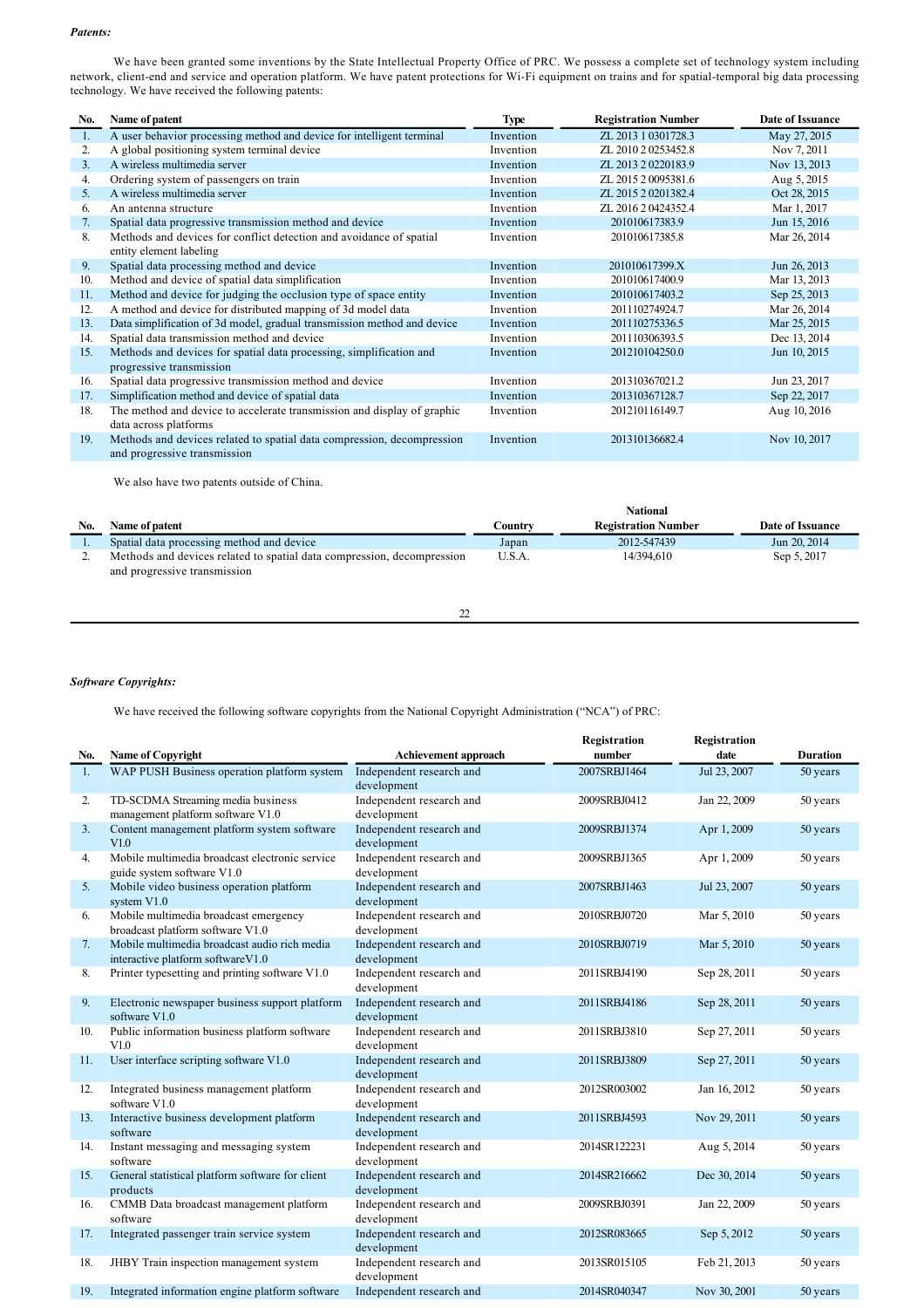### *Patents:*

We have been granted some inventions by the State Intellectual Property Office of PRC. We possess a complete set of technology system including network, client-end and service and operation platform. We have patent protections for Wi-Fi equipment on trains and for spatial-temporal big data processing technology. We have received the following patents:

| No. | Name of patent                                                                                         | <b>Type</b> | <b>Registration Number</b> | Date of Issuance |
|-----|--------------------------------------------------------------------------------------------------------|-------------|----------------------------|------------------|
| -1. | A user behavior processing method and device for intelligent terminal                                  | Invention   | ZL 2013 1 0301728.3        | May 27, 2015     |
| 2.  | A global positioning system terminal device                                                            | Invention   | ZL 2010 2 0253452.8        | Nov 7, 2011      |
| 3.  | A wireless multimedia server                                                                           | Invention   | ZL 2013 2 0220183.9        | Nov 13, 2013     |
| 4.  | Ordering system of passengers on train                                                                 | Invention   | ZL 2015 2 0095381.6        | Aug 5, 2015      |
| 5.  | A wireless multimedia server                                                                           | Invention   | ZL 2015 2 0201382.4        | Oct 28, 2015     |
| 6.  | An antenna structure                                                                                   | Invention   | ZL 2016 2 0424352.4        | Mar 1, 2017      |
| 7.  | Spatial data progressive transmission method and device                                                | Invention   | 201010617383.9             | Jun 15, 2016     |
| 8.  | Methods and devices for conflict detection and avoidance of spatial<br>entity element labeling         | Invention   | 201010617385.8             | Mar 26, 2014     |
| 9.  | Spatial data processing method and device                                                              | Invention   | 201010617399.X             | Jun 26, 2013     |
| 10. | Method and device of spatial data simplification                                                       | Invention   | 201010617400.9             | Mar 13, 2013     |
| 11. | Method and device for judging the occlusion type of space entity                                       | Invention   | 201010617403.2             | Sep 25, 2013     |
| 12. | A method and device for distributed mapping of 3d model data                                           | Invention   | 201110274924.7             | Mar 26, 2014     |
| 13. | Data simplification of 3d model, gradual transmission method and device                                | Invention   | 201110275336.5             | Mar 25, 2015     |
| 14. | Spatial data transmission method and device                                                            | Invention   | 201110306393.5             | Dec 13, 2014     |
| 15. | Methods and devices for spatial data processing, simplification and                                    | Invention   | 201210104250.0             | Jun 10, 2015     |
|     | progressive transmission                                                                               |             |                            |                  |
| 16. | Spatial data progressive transmission method and device                                                | Invention   | 201310367021.2             | Jun 23, 2017     |
| 17. | Simplification method and device of spatial data                                                       | Invention   | 201310367128.7             | Sep 22, 2017     |
| 18. | The method and device to accelerate transmission and display of graphic<br>data across platforms       | Invention   | 201210116149.7             | Aug 10, 2016     |
| 19. | Methods and devices related to spatial data compression, decompression<br>and progressive transmission | Invention   | 201310136682.4             | Nov 10, 2017     |

We also have two patents outside of China.

|     |                                                                        |          | National                   |                  |
|-----|------------------------------------------------------------------------|----------|----------------------------|------------------|
| No. | <b>Name of patent</b>                                                  | .`ountrv | <b>Registration Number</b> | Date of Issuance |
|     | Spatial data processing method and device                              | Japan    | 2012-547439                | Jun 20, 2014     |
|     | Methods and devices related to spatial data compression, decompression | U.S.A    | 14/394.610                 | Sep 5, 2017      |
|     | and progressive transmission                                           |          |                            |                  |

# *Software Copyrights:*

We have received the following software copyrights from the National Copyright Administration ("NCA") of PRC:

| No.            | <b>Name of Copyright</b>                                                           | <b>Achievement approach</b>             | Registration<br>number | Registration<br>date | <b>Duration</b> |
|----------------|------------------------------------------------------------------------------------|-----------------------------------------|------------------------|----------------------|-----------------|
| $\mathbf{1}$ . | WAP PUSH Business operation platform system                                        | Independent research and<br>development | 2007SRBJ1464           | Jul 23, 2007         | 50 years        |
| 2.             | TD-SCDMA Streaming media business<br>management platform software V1.0             | Independent research and<br>development | 2009SRBJ0412           | Jan 22, 2009         | 50 years        |
| 3 <sub>1</sub> | Content management platform system software<br>V1.0                                | Independent research and<br>development | 2009SRBJ1374           | Apr 1, 2009          | 50 years        |
| 4.             | Mobile multimedia broadcast electronic service<br>guide system software V1.0       | Independent research and<br>development | 2009SRBJ1365           | Apr 1, 2009          | 50 years        |
| 5 <sub>1</sub> | Mobile video business operation platform<br>system V1.0                            | Independent research and<br>development | 2007SRBJ1463           | Jul 23, 2007         | 50 years        |
| 6.             | Mobile multimedia broadcast emergency<br>broadcast platform software V1.0          | Independent research and<br>development | 2010SRBJ0720           | Mar 5, 2010          | 50 years        |
| 7 <sub>1</sub> | Mobile multimedia broadcast audio rich media<br>interactive platform software V1.0 | Independent research and<br>development | 2010SRBJ0719           | Mar 5, 2010          | 50 years        |
| 8.             | Printer typesetting and printing software V1.0                                     | Independent research and<br>development | 2011SRBJ4190           | Sep 28, 2011         | 50 years        |
| 9.             | Electronic newspaper business support platform<br>software V1.0                    | Independent research and<br>development | 2011SRBJ4186           | Sep 28, 2011         | 50 years        |
| 10.            | Public information business platform software<br>V1.0                              | Independent research and<br>development | 2011SRBJ3810           | Sep 27, 2011         | 50 years        |
| 11.            | User interface scripting software V1.0                                             | Independent research and<br>development | 2011SRBJ3809           | Sep 27, 2011         | 50 years        |
| 12.            | Integrated business management platform<br>software V1.0                           | Independent research and<br>development | 2012SR003002           | Jan 16, 2012         | 50 years        |
| 13.            | Interactive business development platform<br>software                              | Independent research and<br>development | 2011SRBJ4593           | Nov 29, 2011         | 50 years        |
| 14.            | Instant messaging and messaging system<br>software                                 | Independent research and<br>development | 2014SR122231           | Aug 5, 2014          | 50 years        |
| 15.            | General statistical platform software for client<br>products                       | Independent research and<br>development | 2014SR216662           | Dec 30, 2014         | 50 years        |
| 16.            | CMMB Data broadcast management platform<br>software                                | Independent research and<br>development | 2009SRBJ0391           | Jan 22, 2009         | 50 years        |
| 17.            | Integrated passenger train service system                                          | Independent research and<br>development | 2012SR083665           | Sep 5, 2012          | 50 years        |
| 18.            | JHBY Train inspection management system                                            | Independent research and<br>development | 2013SR015105           | Feb 21, 2013         | 50 years        |
| 19.            | Integrated information engine platform software                                    | Independent research and                | 2014SR040347           | Nov 30, 2001         | 50 years        |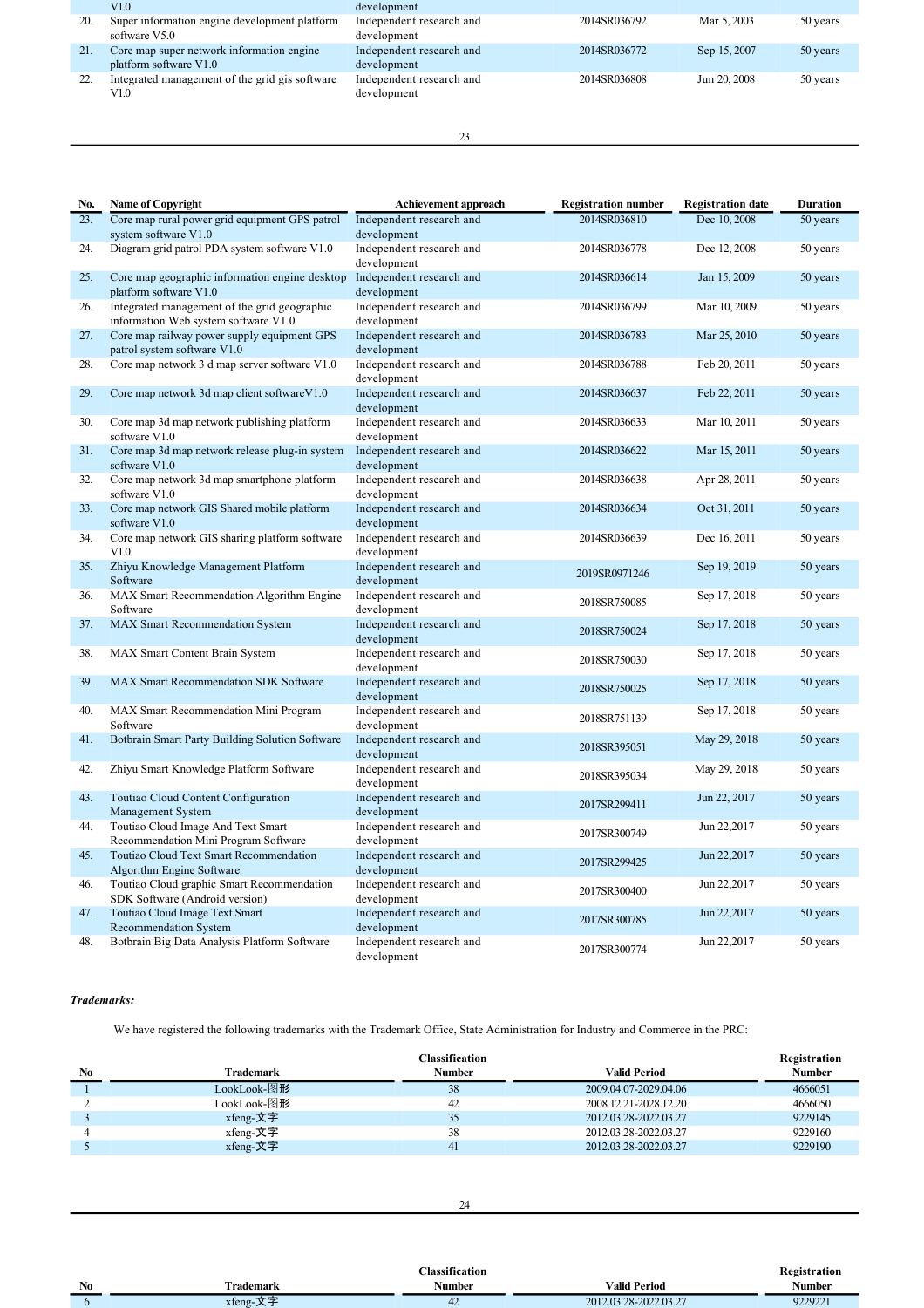|     | V1.0                                           | development              |              |              |          |
|-----|------------------------------------------------|--------------------------|--------------|--------------|----------|
| 20. | Super information engine development platform  | Independent research and | 2014SR036792 | Mar 5, 2003  | 50 years |
|     | software V5.0                                  | development              |              |              |          |
| 21. | Core map super network information engine      | Independent research and | 2014SR036772 | Sep 15, 2007 | 50 years |
|     | platform software V1.0                         | development              |              |              |          |
| 22. | Integrated management of the grid gis software | Independent research and | 2014SR036808 | Jun 20, 2008 | 50 years |
|     | V1.0                                           | development              |              |              |          |

# 23

| No. | Name of Copyright                                                                    | Achievement approach                    | <b>Registration number</b> | <b>Registration date</b> | <b>Duration</b> |
|-----|--------------------------------------------------------------------------------------|-----------------------------------------|----------------------------|--------------------------|-----------------|
| 23. | Core map rural power grid equipment GPS patrol                                       | Independent research and                | 2014SR036810               | Dec 10, 2008             | 50 years        |
|     | system software V1.0                                                                 | development                             |                            |                          |                 |
| 24. | Diagram grid patrol PDA system software V1.0                                         | Independent research and<br>development | 2014SR036778               | Dec 12, 2008             | 50 years        |
| 25. | Core map geographic information engine desktop<br>platform software V1.0             | Independent research and<br>development | 2014SR036614               | Jan 15, 2009             | 50 years        |
| 26. | Integrated management of the grid geographic<br>information Web system software V1.0 | Independent research and<br>development | 2014SR036799               | Mar 10, 2009             | 50 years        |
| 27. | Core map railway power supply equipment GPS<br>patrol system software V1.0           | Independent research and<br>development | 2014SR036783               | Mar 25, 2010             | 50 years        |
| 28. | Core map network 3 d map server software V1.0                                        | Independent research and<br>development | 2014SR036788               | Feb 20, 2011             | 50 years        |
| 29. | Core map network 3d map client software V1.0                                         | Independent research and<br>development | 2014SR036637               | Feb 22, 2011             | 50 years        |
| 30. | Core map 3d map network publishing platform<br>software V1.0                         | Independent research and<br>development | 2014SR036633               | Mar 10, 2011             | 50 years        |
| 31. | Core map 3d map network release plug-in system<br>software V1.0                      | Independent research and<br>development | 2014SR036622               | Mar 15, 2011             | 50 years        |
| 32. | Core map network 3d map smartphone platform<br>software V1.0                         | Independent research and<br>development | 2014SR036638               | Apr 28, 2011             | 50 years        |
| 33. | Core map network GIS Shared mobile platform<br>software V1.0                         | Independent research and<br>development | 2014SR036634               | Oct 31, 2011             | 50 years        |
| 34. | Core map network GIS sharing platform software<br>V1.0                               | Independent research and<br>development | 2014SR036639               | Dec 16, 2011             | 50 years        |
| 35. | Zhiyu Knowledge Management Platform<br>Software                                      | Independent research and<br>development | 2019SR0971246              | Sep 19, 2019             | 50 years        |
| 36. | MAX Smart Recommendation Algorithm Engine<br>Software                                | Independent research and<br>development | 2018SR750085               | Sep 17, 2018             | 50 years        |
| 37. | MAX Smart Recommendation System                                                      | Independent research and<br>development | 2018SR750024               | Sep 17, 2018             | 50 years        |
| 38. | MAX Smart Content Brain System                                                       | Independent research and<br>development | 2018SR750030               | Sep 17, 2018             | 50 years        |
| 39. | <b>MAX Smart Recommendation SDK Software</b>                                         | Independent research and<br>development | 2018SR750025               | Sep 17, 2018             | 50 years        |
| 40. | MAX Smart Recommendation Mini Program<br>Software                                    | Independent research and<br>development | 2018SR751139               | Sep 17, 2018             | 50 years        |
| 41. | Botbrain Smart Party Building Solution Software                                      | Independent research and<br>development | 2018SR395051               | May 29, 2018             | 50 years        |
| 42. | Zhiyu Smart Knowledge Platform Software                                              | Independent research and<br>development | 2018SR395034               | May 29, 2018             | 50 years        |
| 43. | Toutiao Cloud Content Configuration<br>Management System                             | Independent research and<br>development | 2017SR299411               | Jun 22, 2017             | 50 years        |
| 44. | Toutiao Cloud Image And Text Smart<br>Recommendation Mini Program Software           | Independent research and<br>development | 2017SR300749               | Jun 22,2017              | 50 years        |
| 45. | Toutiao Cloud Text Smart Recommendation<br>Algorithm Engine Software                 | Independent research and<br>development | 2017SR299425               | Jun 22,2017              | 50 years        |
| 46. | Toutiao Cloud graphic Smart Recommendation<br>SDK Software (Android version)         | Independent research and<br>development | 2017SR300400               | Jun 22,2017              | 50 years        |
| 47. | Toutiao Cloud Image Text Smart<br>Recommendation System                              | Independent research and<br>development | 2017SR300785               | Jun 22,2017              | 50 years        |
| 48. | Botbrain Big Data Analysis Platform Software                                         | Independent research and<br>development | 2017SR300774               | Jun 22,2017              | 50 years        |

# *Trademarks:*

We have registered the following trademarks with the Trademark Office, State Administration for Industry and Commerce in the PRC:

|                |             | <b>Classification</b> |                       | Registration  |
|----------------|-------------|-----------------------|-----------------------|---------------|
| N <sub>0</sub> | Trademark   | Number                | Valid Period          | <b>Number</b> |
|                | LookLook-图形 | 38                    | 2009.04.07-2029.04.06 | 4666051       |
|                | LookLook-图形 | 42                    | 2008.12.21-2028.12.20 | 4666050       |
|                | xfeng-文字    | 35                    | 2012.03.28-2022.03.27 | 9229145       |
|                | xfeng-文字    | 38                    | 2012.03.28-2022.03.27 | 9229160       |
|                | xfeng-文字    | 41                    | 2012 03:28-2022 03:27 | 9229190       |

|     |                | <b>Hassification</b><br>. . |                                                  | atıon.<br>- - -                |
|-----|----------------|-----------------------------|--------------------------------------------------|--------------------------------|
| 1NO | --<br>rademark | Number                      | alid /<br>-Period<br>.                           | Number                         |
|     | xteng-         | 42                          | $\sim$<br>ּטר<br>201<br>$\sim$ $\sim$<br>4.UD.ZT | $\sim$ $\sim$ $\sim$<br>フムムフムム |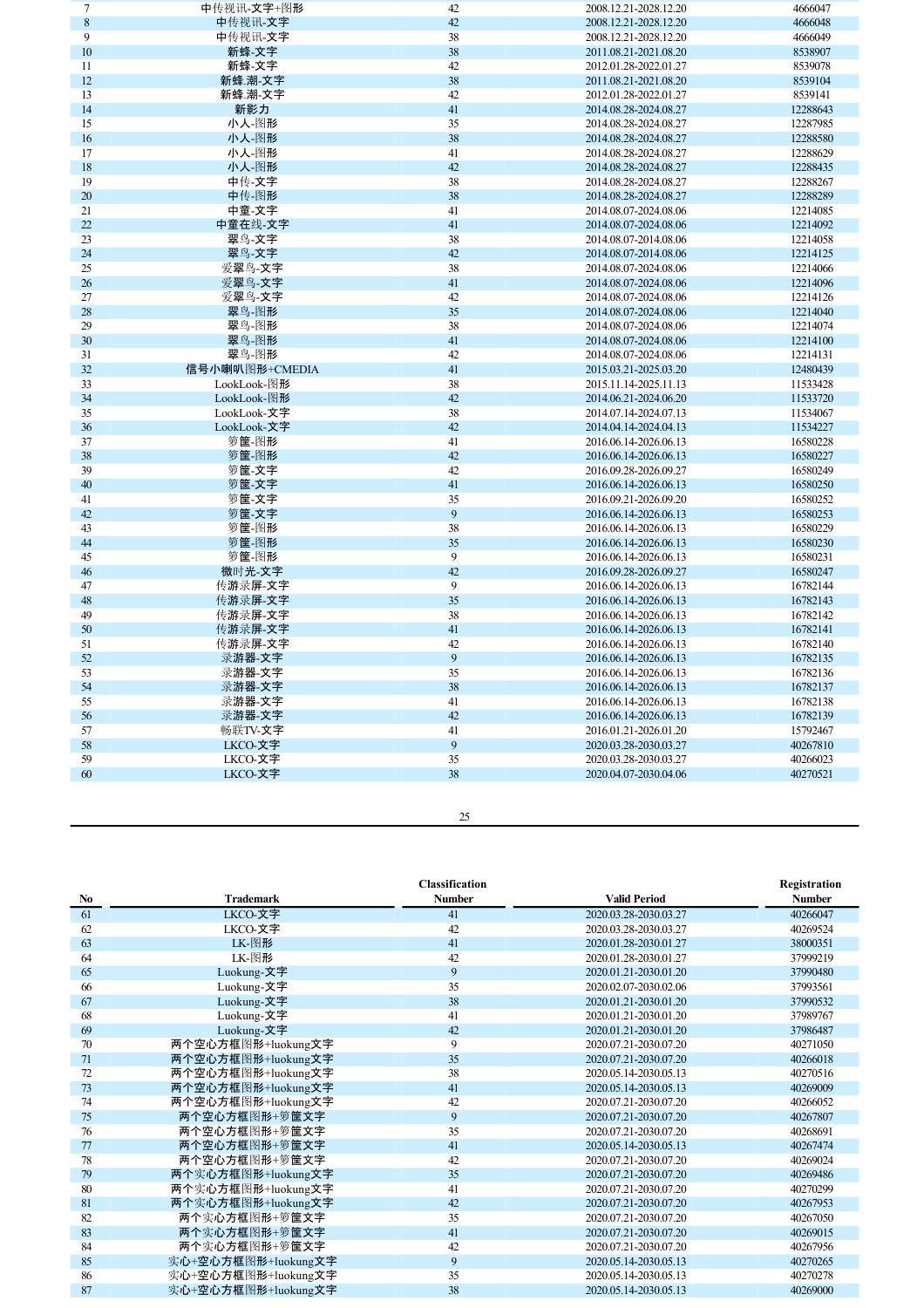| $\tau$      | 中传视讯-文字+图形     | 42             | 2008.12.21-2028.12.20 | 4666047  |
|-------------|----------------|----------------|-----------------------|----------|
| $\,$ 8 $\,$ | 中传视讯-文字        | 42             | 2008.12.21-2028.12.20 | 4666048  |
| 9           | 中传视讯-文字        | 38             | 2008.12.21-2028.12.20 | 4666049  |
| 10          | 新蜂-文字          | 38             | 2011.08.21-2021.08.20 | 8538907  |
| 11          | 新蜂-文字          | 42             | 2012.01.28-2022.01.27 | 8539078  |
| 12          | 新蜂.潮-文字        | 38             | 2011.08.21-2021.08.20 | 8539104  |
| 13          | 新蜂.潮-文字        | 42             | 2012.01.28-2022.01.27 | 8539141  |
| 14          | 新影力            | 41             | 2014.08.28-2024.08.27 | 12288643 |
| 15          | 小人-图形          | 35             | 2014.08.28-2024.08.27 | 12287985 |
| 16          | 小人-图形          | 38             | 2014.08.28-2024.08.27 | 12288580 |
| 17          | 小人-图形          | 41             | 2014.08.28-2024.08.27 | 12288629 |
| 18          | 小人-图形          | 42             | 2014.08.28-2024.08.27 | 12288435 |
| 19          | 中传-文字          | 38             | 2014.08.28-2024.08.27 | 12288267 |
| 20          | 中传-图形          | 38             | 2014.08.28-2024.08.27 | 12288289 |
| 21          | 中童-文字          | 41             | 2014.08.07-2024.08.06 | 12214085 |
| 22          | 中童在线-文字        | 41             | 2014.08.07-2024.08.06 | 12214092 |
| 23          | 翠鸟-文字          | 38             | 2014.08.07-2014.08.06 | 12214058 |
| 24          | 翠鸟-文字          | 42             | 2014.08.07-2014.08.06 | 12214125 |
| 25          | 爱翠鸟-文字         | 38             | 2014.08.07-2024.08.06 | 12214066 |
| 26          | 爱翠鸟-文字         | 41             | 2014.08.07-2024.08.06 | 12214096 |
| 27          | 爱翠鸟-文字         | 42             | 2014.08.07-2024.08.06 | 12214126 |
| 28          | 翠鸟-图形          | 35             | 2014.08.07-2024.08.06 | 12214040 |
| 29          | 翠鸟-图形          | 38             | 2014.08.07-2024.08.06 | 12214074 |
| 30          | 翠鸟-图形          | 41             | 2014.08.07-2024.08.06 | 12214100 |
| 31          | 翠鸟-图形          | 42             | 2014.08.07-2024.08.06 | 12214131 |
| 32          | 信号小喇叭图形+CMEDIA | 41             | 2015.03.21-2025.03.20 | 12480439 |
| 33          | LookLook-图形    | 38             | 2015.11.14-2025.11.13 | 11533428 |
| 34          | LookLook-图形    | 42             | 2014.06.21-2024.06.20 | 11533720 |
| 35          | LookLook-文字    | 38             | 2014.07.14-2024.07.13 | 11534067 |
| 36          | LookLook-文字    | 42             | 2014.04.14-2024.04.13 | 11534227 |
| 37          | 箩筐-图形          | 41             | 2016.06.14-2026.06.13 | 16580228 |
| 38          | 箩筐-图形          | 42             | 2016.06.14-2026.06.13 | 16580227 |
| 39          | 箩筐-文字          | 42             | 2016.09.28-2026.09.27 | 16580249 |
| 40          | 箩筐-文字          | 41             | 2016.06.14-2026.06.13 | 16580250 |
| 41          | 箩筐-文字          | 35             | 2016.09.21-2026.09.20 | 16580252 |
| 42          | 箩筐-文字          | 9              | 2016.06.14-2026.06.13 | 16580253 |
| 43          | 箩筐-图形          | 38             | 2016.06.14-2026.06.13 | 16580229 |
| 44          | 箩筐-图形          | 35             | 2016.06.14-2026.06.13 | 16580230 |
| 45          | 箩筐-图形          | $\mathbf{Q}$   | 2016.06.14-2026.06.13 | 16580231 |
| 46          | 微时光-文字         | 42             | 2016.09.28-2026.09.27 | 16580247 |
| 47          | 传游录屏-文字        | 9              |                       | 16782144 |
| 48          |                | 35             | 2016.06.14-2026.06.13 |          |
|             | 传游录屏-文字        |                | 2016.06.14-2026.06.13 | 16782143 |
| 49          | 传游录屏-文字        | 38             | 2016.06.14-2026.06.13 | 16782142 |
| 50          | 传游录屏-文字        | 41             | 2016.06.14-2026.06.13 | 16782141 |
| 51          | 传游录屏-文字        | 42             | 2016.06.14-2026.06.13 | 16782140 |
| 52          | 录游器-文字         | 9              | 2016.06.14-2026.06.13 | 16782135 |
| 53          | 录游器-文字         | 35             | 2016.06.14-2026.06.13 | 16782136 |
| 54          | 录游器-文字         | 38             | 2016.06.14-2026.06.13 | 16782137 |
| 55          | 录游器-文字         | 41             | 2016.06.14-2026.06.13 | 16782138 |
| 56          | 录游器-文字         | 42             | 2016.06.14-2026.06.13 | 16782139 |
| 57          | 畅联TV-文字        | 41             | 2016.01.21-2026.01.20 | 15792467 |
| 58          | LKCO-文字        | $\overline{9}$ | 2020.03.28-2030.03.27 | 40267810 |
| 59          | LKCO-文字        | 35             | 2020.03.28-2030.03.27 | 40266023 |
| 60          | LKCO-文字        | 38             | 2020.04.07-2030.04.06 | 40270521 |

|    |                     | Classification |                       | Registration  |
|----|---------------------|----------------|-----------------------|---------------|
| No | <b>Trademark</b>    | <b>Number</b>  | <b>Valid Period</b>   | <b>Number</b> |
| 61 | LKCO-文字             | 41             | 2020.03.28-2030.03.27 | 40266047      |
| 62 | LKCO-文字             | 42             | 2020.03.28-2030.03.27 | 40269524      |
| 63 | LK-图形               | 41             | 2020.01.28-2030.01.27 | 38000351      |
| 64 | LK-图形               | 42             | 2020.01.28-2030.01.27 | 37999219      |
| 65 | Luokung-文字          | 9              | 2020.01.21-2030.01.20 | 37990480      |
| 66 | Luokung-文字          | 35             | 2020.02.07-2030.02.06 | 37993561      |
| 67 | Luokung-文字          | 38             | 2020.01.21-2030.01.20 | 37990532      |
| 68 | Luokung-文字          | 41             | 2020.01.21-2030.01.20 | 37989767      |
| 69 | Luokung-文字          | 42             | 2020.01.21-2030.01.20 | 37986487      |
| 70 | 两个空心方框图形+luokung文字  | 9              | 2020.07.21-2030.07.20 | 40271050      |
| 71 | 两个空心方框图形+luokung文字  | 35             | 2020.07.21-2030.07.20 | 40266018      |
| 72 | 两个空心方框图形+luokung文字  | 38             | 2020.05.14-2030.05.13 | 40270516      |
| 73 | 两个空心方框图形+luokung文字  | 41             | 2020.05.14-2030.05.13 | 40269009      |
| 74 | 两个空心方框图形+luokung文字  | 42             | 2020.07.21-2030.07.20 | 40266052      |
| 75 | 两个空心方框图形+箩筐文字       | 9              | 2020.07.21-2030.07.20 | 40267807      |
| 76 | 两个空心方框图形+箩筐文字       | 35             | 2020.07.21-2030.07.20 | 40268691      |
| 77 | 两个空心方框图形+箩筐文字       | 41             | 2020.05.14-2030.05.13 | 40267474      |
| 78 | 两个空心方框图形+箩筐文字       | 42             | 2020.07.21-2030.07.20 | 40269024      |
| 79 | 两个实心方框图形+luokung文字  | 35             | 2020.07.21-2030.07.20 | 40269486      |
| 80 | 两个实心方框图形+luokung文字  | 41             | 2020.07.21-2030.07.20 | 40270299      |
| 81 | 两个实心方框图形+luokung文字  | 42             | 2020.07.21-2030.07.20 | 40267953      |
| 82 | 两个实心方框图形+箩筐文字       | 35             | 2020.07.21-2030.07.20 | 40267050      |
| 83 | 两个实心方框图形+箩筐文字       | 41             | 2020.07.21-2030.07.20 | 40269015      |
| 84 | 两个实心方框图形+箩筐文字       | 42             | 2020.07.21-2030.07.20 | 40267956      |
| 85 | 实心+空心方框图形+luokung文字 | 9              | 2020.05.14-2030.05.13 | 40270265      |
| 86 | 实心+空心方框图形+luokung文字 | 35             | 2020.05.14-2030.05.13 | 40270278      |
| 87 | 实心+空心方框图形+luokung文字 | 38             | 2020.05.14-2030.05.13 | 40269000      |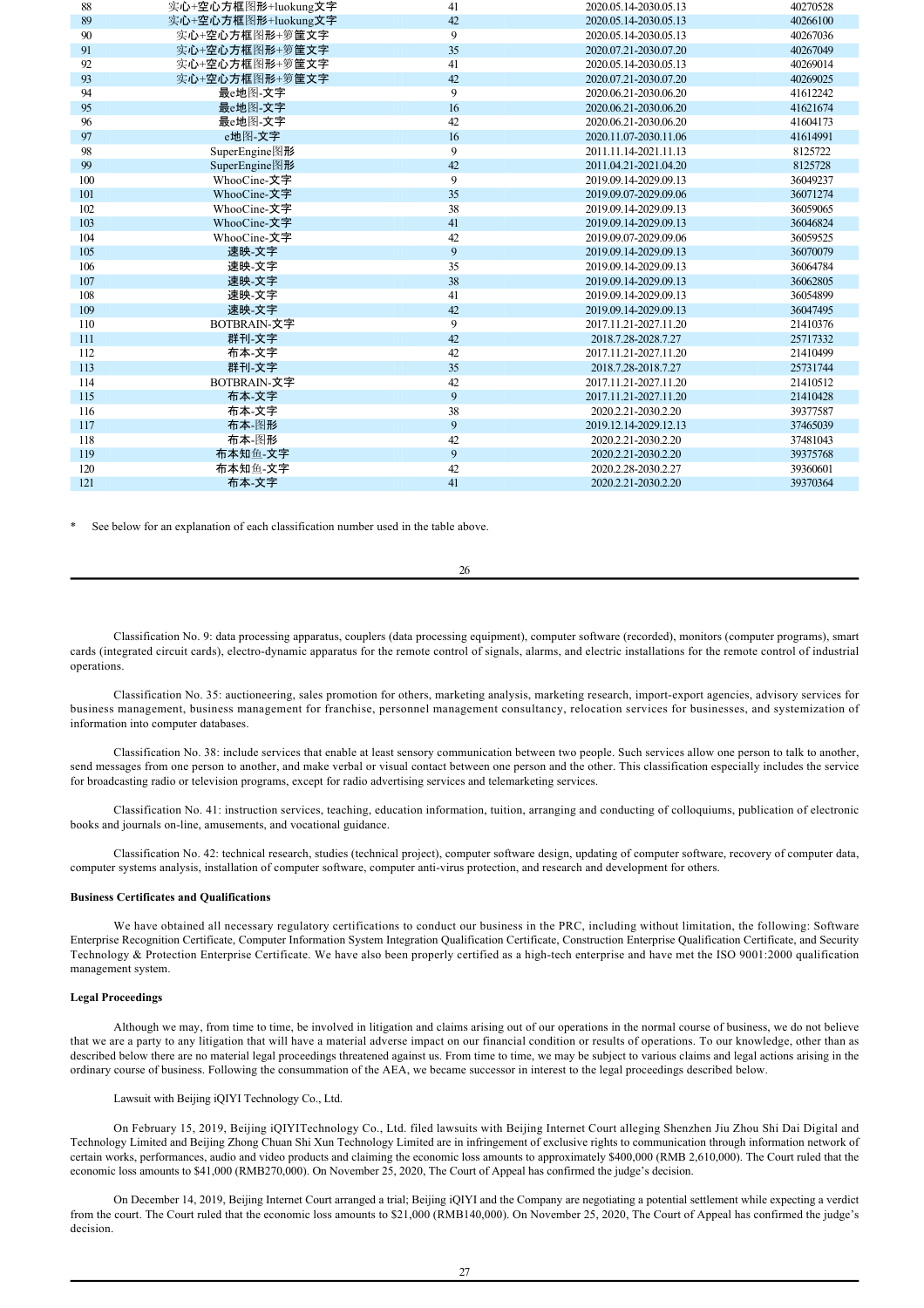| 实心+空心方框图形+luokung文字 | 41                                                                                               | 2020.05.14-2030.05.13                           | 40270528                                                                                                                                                                                   |
|---------------------|--------------------------------------------------------------------------------------------------|-------------------------------------------------|--------------------------------------------------------------------------------------------------------------------------------------------------------------------------------------------|
| 实心+空心方框图形+luokung文字 | 42                                                                                               | 2020.05.14-2030.05.13                           | 40266100                                                                                                                                                                                   |
| 实心+空心方框图形+箩筐文字      | 9                                                                                                | 2020.05.14-2030.05.13                           | 40267036                                                                                                                                                                                   |
| 实心+空心方框图形+箩筐文字      | 35                                                                                               | 2020.07.21-2030.07.20                           | 40267049                                                                                                                                                                                   |
| 实心+空心方框图形+箩筐文字      | 41                                                                                               | 2020.05.14-2030.05.13                           | 40269014                                                                                                                                                                                   |
| 实心+空心方框图形+箩筐文字      | 42                                                                                               | 2020.07.21-2030.07.20                           | 40269025                                                                                                                                                                                   |
| 最e地图-文字             | 9                                                                                                | 2020.06.21-2030.06.20                           | 41612242                                                                                                                                                                                   |
| 最e地图-文字             | 16                                                                                               | 2020.06.21-2030.06.20                           | 41621674                                                                                                                                                                                   |
| 最e地图-文字             | 42                                                                                               | 2020.06.21-2030.06.20                           | 41604173                                                                                                                                                                                   |
| e地图-文字              | 16                                                                                               | 2020.11.07-2030.11.06                           | 41614991                                                                                                                                                                                   |
| SuperEngine图形       | 9                                                                                                | 2011.11.14-2021.11.13                           | 8125722                                                                                                                                                                                    |
| SuperEngine图形       | 42                                                                                               | 2011.04.21-2021.04.20                           | 8125728                                                                                                                                                                                    |
| WhooCine-文字         | 9                                                                                                | 2019.09.14-2029.09.13                           | 36049237                                                                                                                                                                                   |
| WhooCine-文字         | 35                                                                                               | 2019.09.07-2029.09.06                           | 36071274                                                                                                                                                                                   |
| WhooCine-文字         | 38                                                                                               | 2019.09.14-2029.09.13                           | 36059065                                                                                                                                                                                   |
| WhooCine-文字         | 41                                                                                               | 2019.09.14-2029.09.13                           | 36046824                                                                                                                                                                                   |
| WhooCine-文字         | 42                                                                                               | 2019.09.07-2029.09.06                           | 36059525                                                                                                                                                                                   |
| 速映-文字               | 9                                                                                                | 2019.09.14-2029.09.13                           | 36070079                                                                                                                                                                                   |
| 速映-文字               | 35                                                                                               | 2019.09.14-2029.09.13                           | 36064784                                                                                                                                                                                   |
| 速映-文字               | 38                                                                                               | 2019.09.14-2029.09.13                           | 36062805                                                                                                                                                                                   |
| 速映-文字               | 41                                                                                               | 2019.09.14-2029.09.13                           | 36054899                                                                                                                                                                                   |
|                     |                                                                                                  | 2019.09.14-2029.09.13                           | 36047495                                                                                                                                                                                   |
| BOTBRAIN-文字         | 9                                                                                                | 2017.11.21-2027.11.20                           | 21410376                                                                                                                                                                                   |
| 群刊-文字               | 42                                                                                               | 2018.7.28-2028.7.27                             | 25717332                                                                                                                                                                                   |
| 布本-文字               | 42                                                                                               | 2017.11.21-2027.11.20                           | 21410499                                                                                                                                                                                   |
|                     | 35                                                                                               | 2018.7.28-2018.7.27                             | 25731744                                                                                                                                                                                   |
|                     |                                                                                                  |                                                 | 21410512                                                                                                                                                                                   |
|                     |                                                                                                  |                                                 | 21410428                                                                                                                                                                                   |
|                     |                                                                                                  |                                                 | 39377587                                                                                                                                                                                   |
|                     |                                                                                                  |                                                 | 37465039                                                                                                                                                                                   |
|                     |                                                                                                  |                                                 | 37481043                                                                                                                                                                                   |
|                     |                                                                                                  |                                                 | 39375768                                                                                                                                                                                   |
|                     |                                                                                                  |                                                 | 39360601                                                                                                                                                                                   |
|                     |                                                                                                  |                                                 | 39370364                                                                                                                                                                                   |
|                     | 速映-文字<br>群刊-文字<br>BOTBRAIN-文字<br>布本-文字<br>布本-文字<br>布本-图形<br>布本-图形<br>布本知鱼-文字<br>布本知鱼-文字<br>布本-文字 | 42<br>42<br>9<br>38<br>9<br>42<br>9<br>42<br>41 | 2017.11.21-2027.11.20<br>2017.11.21-2027.11.20<br>2020.2.21-2030.2.20<br>2019.12.14-2029.12.13<br>2020.2.21-2030.2.20<br>2020.2.21-2030.2.20<br>2020.2.28-2030.2.27<br>2020.2.21-2030.2.20 |

See below for an explanation of each classification number used in the table above.

26

Classification No. 9: data processing apparatus, couplers (data processing equipment), computer software (recorded), monitors (computer programs), smart cards (integrated circuit cards), electro-dynamic apparatus for the remote control of signals, alarms, and electric installations for the remote control of industrial operations.

Classification No. 35: auctioneering, sales promotion for others, marketing analysis, marketing research, importexport agencies, advisory services for business management, business management for franchise, personnel management consultancy, relocation services for businesses, and systemization of information into computer databases.

Classification No. 38: include services that enable at least sensory communication between two people. Such services allow one person to talk to another, send messages from one person to another, and make verbal or visual contact between one person and the other. This classification especially includes the service for broadcasting radio or television programs, except for radio advertising services and telemarketing services.

Classification No. 41: instruction services, teaching, education information, tuition, arranging and conducting of colloquiums, publication of electronic books and journals on-line, amusements, and vocational guidance.

Classification No. 42: technical research, studies (technical project), computer software design, updating of computer software, recovery of computer data, computer systems analysis, installation of computer software, computer antivirus protection, and research and development for others.

#### **Business Certificates and Qualifications**

We have obtained all necessary regulatory certifications to conduct our business in the PRC, including without limitation, the following: Software Enterprise Recognition Certificate, Computer Information System Integration Qualification Certificate, Construction Enterprise Qualification Certificate, and Security Technology & Protection Enterprise Certificate. We have also been properly certified as a high-tech enterprise and have met the ISO 9001:2000 qualification management system.

# **Legal Proceedings**

Although we may, from time to time, be involved in litigation and claims arising out of our operations in the normal course of business, we do not believe that we are a party to any litigation that will have a material adverse impact on our financial condition or results of operations. To our knowledge, other than as described below there are no material legal proceedings threatened against us. From time to time, we may be subject to various claims and legal actions arising in the ordinary course of business. Following the consummation of the AEA, we became successor in interest to the legal proceedings described below.

# Lawsuit with Beijing iQIYI Technology Co., Ltd.

On February 15, 2019, Beijing iQIYITechnology Co., Ltd. filed lawsuits with Beijing Internet Court alleging Shenzhen Jiu Zhou Shi Dai Digital and Technology Limited and Beijing Zhong Chuan Shi Xun Technology Limited are in infringement of exclusive rights to communication through information network of certain works, performances, audio and video products and claiming the economic loss amounts to approximately \$400,000 (RMB 2,610,000). The Court ruled that the economic loss amounts to \$41,000 (RMB270,000). On November 25, 2020, The Court of Appeal has confirmed the judge's decision.

On December 14, 2019, Beijing Internet Court arranged a trial; Beijing iQIYI and the Company are negotiating a potential settlement while expecting a verdict from the court. The Court ruled that the economic loss amounts to \$21,000 (RMB140,000). On November 25, 2020, The Court of Appeal has confirmed the judge's decision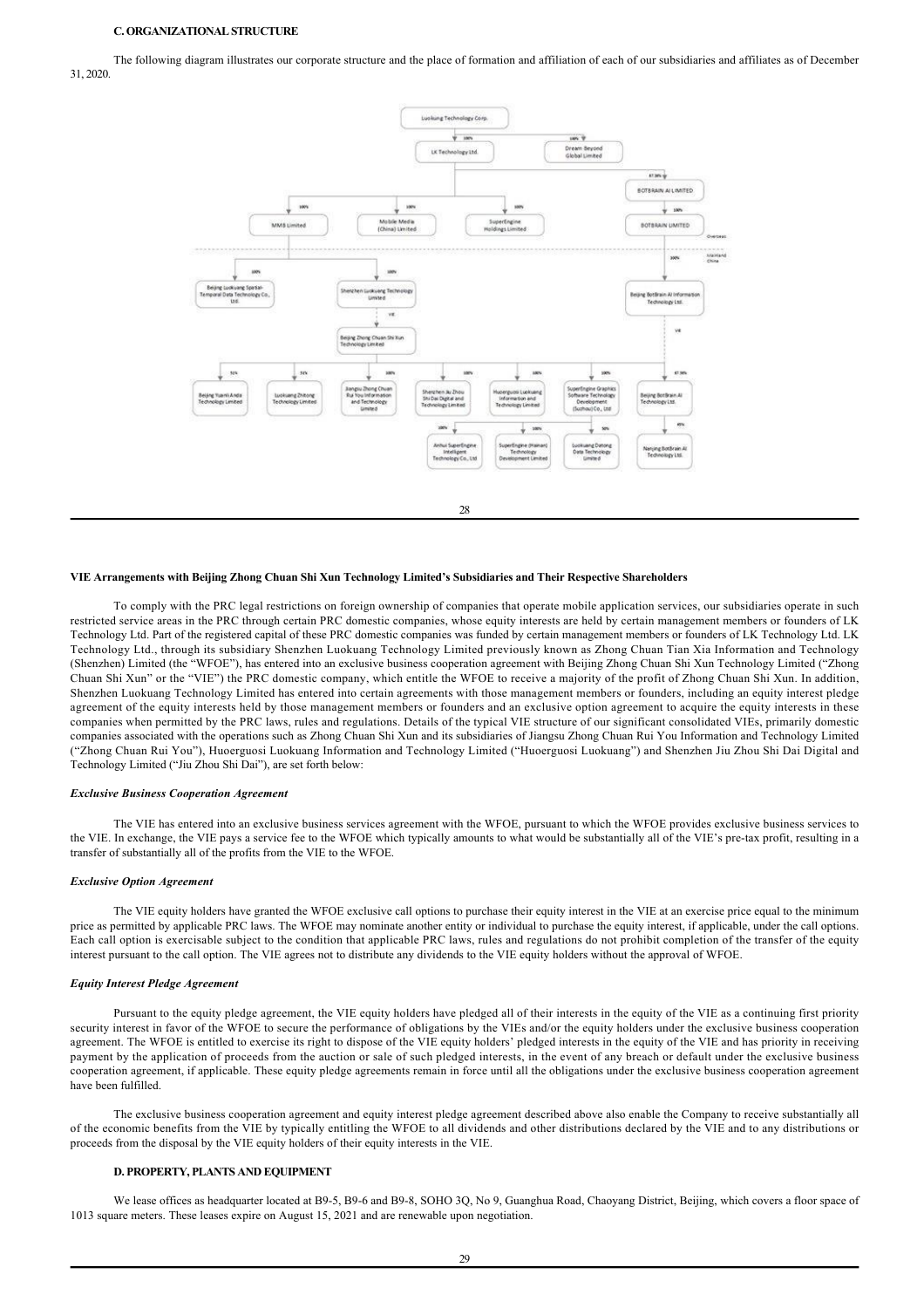#### **C. ORGANIZATIONAL STRUCTURE**

The following diagram illustrates our corporate structure and the place of formation and affiliation of each of our subsidiaries and affiliates as of December 31, 2020.



#### **VIE Arrangements with Beijing Zhong Chuan Shi Xun Technology Limited's Subsidiaries and Their Respective Shareholders**

To comply with the PRC legal restrictions on foreign ownership of companies that operate mobile application services, our subsidiaries operate in such restricted service areas in the PRC through certain PRC domestic companies, whose equity interests are held by certain management members or founders of LK Technology Ltd. Part of the registered capital of these PRC domestic companies was funded by certain management members or founders of LK Technology Ltd. LK Technology Ltd., through its subsidiary Shenzhen Luokuang Technology Limited previously known as Zhong Chuan Tian Xia Information and Technology (Shenzhen) Limited (the "WFOE"), has entered into an exclusive business cooperation agreement with Beijing Zhong Chuan Shi Xun Technology Limited ("Zhong Chuan Shi Xun" or the "VIE") the PRC domestic company, which entitle the WFOE to receive a majority of the profit of Zhong Chuan Shi Xun. In addition, Shenzhen Luokuang Technology Limited has entered into certain agreements with those management members or founders, including an equity interest pledge agreement of the equity interests held by those management members or founders and an exclusive option agreement to acquire the equity interests in these companies when permitted by the PRC laws, rules and regulations. Details of the typical VIE structure of our significant consolidated VIEs, primarily domestic companies associated with the operations such as Zhong Chuan Shi Xun and its subsidiaries of Jiangsu Zhong Chuan Rui You Information and Technology Limited ("Zhong Chuan Rui You"), Huoerguosi Luokuang Information and Technology Limited ("Huoerguosi Luokuang") and Shenzhen Jiu Zhou Shi Dai Digital and Technology Limited ("Jiu Zhou Shi Dai"), are set forth below:

# *Exclusive Business Cooperation Agreement*

The VIE has entered into an exclusive business services agreement with the WFOE, pursuant to which the WFOE provides exclusive business services to the VIE. In exchange, the VIE pays a service fee to the WFOE which typically amounts to what would be substantially all of the VIE's pre-tax profit, resulting in a transfer of substantially all of the profits from the VIE to the WFOE.

### *Exclusive Option Agreement*

The VIE equity holders have granted the WFOE exclusive call options to purchase their equity interest in the VIE at an exercise price equal to the minimum price as permitted by applicable PRC laws. The WFOE may nominate another entity or individual to purchase the equity interest, if applicable, under the call options. Each call option is exercisable subject to the condition that applicable PRC laws, rules and regulations do not prohibit completion of the transfer of the equity interest pursuant to the call option. The VIE agrees not to distribute any dividends to the VIE equity holders without the approval of WFOE.

#### *Equity Interest Pledge Agreement*

Pursuant to the equity pledge agreement, the VIE equity holders have pledged all of their interests in the equity of the VIE as a continuing first priority security interest in favor of the WFOE to secure the performance of obligations by the VIEs and/or the equity holders under the exclusive business cooperation agreement. The WFOE is entitled to exercise its right to dispose of the VIE equity holders' pledged interests in the equity of the VIE and has priority in receiving payment by the application of proceeds from the auction or sale of such pledged interests, in the event of any breach or default under the exclusive business cooperation agreement, if applicable. These equity pledge agreements remain in force until all the obligations under the exclusive business cooperation agreement have been fulfilled.

The exclusive business cooperation agreement and equity interest pledge agreement described above also enable the Company to receive substantially all of the economic benefits from the VIE by typically entitling the WFOE to all dividends and other distributions declared by the VIE and to any distributions or proceeds from the disposal by the VIE equity holders of their equity interests in the VIE.

# **D. PROPERTY, PLANTS AND EQUIPMENT**

We lease offices as headquarter located at B9-5, B9-6 and B9-8, SOHO 3Q, No 9, Guanghua Road, Chaoyang District, Beijing, which covers a floor space of 1013 square meters. These leases expire on August 15, 2021 and are renewable upon negotiation.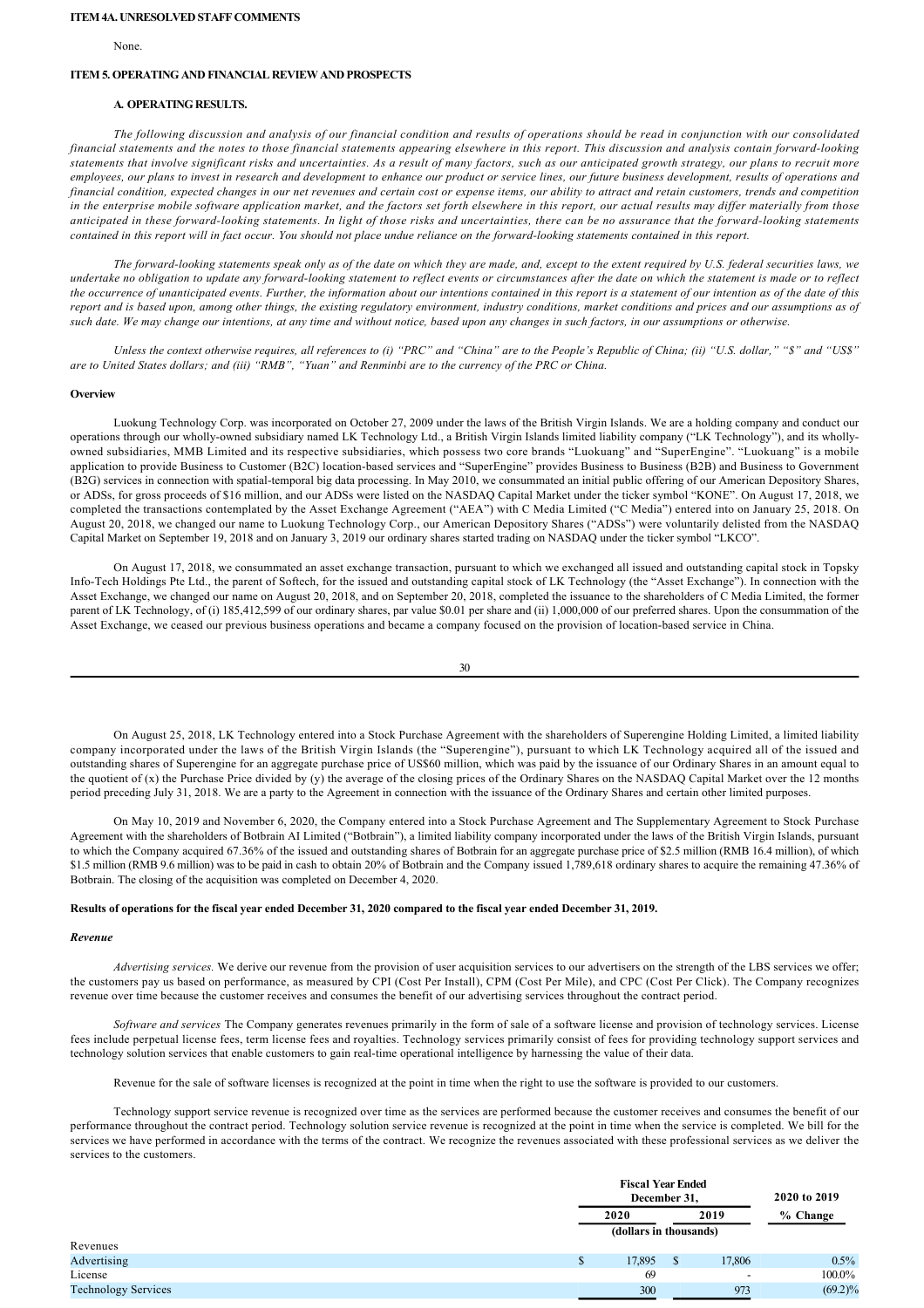None.

# **ITEM 5. OPERATING AND FINANCIAL REVIEW AND PROSPECTS**

# **A***.* **OPERATING RESULTS.**

*The following discussion and analysis of our financial condition and results of operations should be read in conjunction with our consolidated* financial statements and the notes to those financial statements appearing elsewhere in this report. This discussion and analysis contain forward-looking *statements that involve significant risks and uncertainties. As a result of many factors, such as our anticipated growth strategy, our plans to recruit more employees, our plans to invest in research and development to enhance our product or service lines, our future business development, results of operations and financial condition, expected changes in our net revenues and certain cost or expense items, our ability to attract and retain customers, trends and competition in the enterprise mobile software application market, and the factors set forth elsewhere in this report, our actual results may differ materially from those* anticipated in these forward-looking statements. In light of those risks and uncertainties, there can be no assurance that the forward-looking statements contained in this report will in fact occur. You should not place undue reliance on the forward-looking statements contained in this report.

*The forwardlooking statements speak only as of the date on which they are made, and, except to the extent required by U.S. federal securities laws, we undertake no obligation to update any forwardlooking statement to reflect events or circumstances after the date on which the statement is made or to reflect the occurrence of unanticipated events. Further, the information about our intentions contained in this report is a statement of our intention as of the date of this report and is based upon, among other things, the existing regulatory environment, industry conditions, market conditions and prices and our assumptions as of such date. We may change our intentions, at any time and without notice, based upon any changes in such factors, in our assumptions or otherwise.*

*Unless the context otherwise requires, all references to (i) "PRC" and "China" are to the People's Republic of China; (ii) "U.S. dollar," "\$" and "US\$" are to United States dollars; and (iii) "RMB", "Yuan" and Renminbi are to the currency of the PRC or China.*

#### **Overview**

Luokung Technology Corp. was incorporated on October 27, 2009 under the laws of the British Virgin Islands. We are a holding company and conduct our operations through our wholly-owned subsidiary named LK Technology Ltd., a British Virgin Islands limited liability company ("LK Technology"), and its whollyowned subsidiaries, MMB Limited and its respective subsidiaries, which possess two core brands "Luokuang" and "SuperEngine". "Luokuang" is a mobile application to provide Business to Customer (B2C) location-based services and "SuperEngine" provides Business to Business (B2B) and Business to Government (B2G) services in connection with spatial-temporal big data processing. In May 2010, we consummated an initial public offering of our American Depository Shares, or ADSs, for gross proceeds of \$16 million, and our ADSs were listed on the NASDAQ Capital Market under the ticker symbol "KONE". On August 17, 2018, we completed the transactions contemplated by the Asset Exchange Agreement ("AEA") with C Media Limited ("C Media") entered into on January 25, 2018. On August 20, 2018, we changed our name to Luokung Technology Corp., our American Depository Shares ("ADSs") were voluntarily delisted from the NASDAQ Capital Market on September 19, 2018 and on January 3, 2019 our ordinary shares started trading on NASDAQ under the ticker symbol "LKCO".

On August 17, 2018, we consummated an asset exchange transaction, pursuant to which we exchanged all issued and outstanding capital stock in Topsky Info-Tech Holdings Pte Ltd., the parent of Softech, for the issued and outstanding capital stock of LK Technology (the "Asset Exchange"). In connection with the Asset Exchange, we changed our name on August 20, 2018, and on September 20, 2018, completed the issuance to the shareholders of C Media Limited, the former parent of LK Technology, of (i) 185,412,599 of our ordinary shares, par value \$0.01 per share and (ii) 1,000,000 of our preferred shares. Upon the consummation of the Asset Exchange, we ceased our previous business operations and became a company focused on the provision of location-based service in China.

| t            | ٦                  |  |
|--------------|--------------------|--|
| ۰.<br>$\sim$ | I<br>i<br>. .<br>٧ |  |

On August 25, 2018, LK Technology entered into a Stock Purchase Agreement with the shareholders of Superengine Holding Limited, a limited liability company incorporated under the laws of the British Virgin Islands (the "Superengine"), pursuant to which LK Technology acquired all of the issued and outstanding shares of Superengine for an aggregate purchase price of US\$60 million, which was paid by the issuance of our Ordinary Shares in an amount equal to the quotient of (x) the Purchase Price divided by (y) the average of the closing prices of the Ordinary Shares on the NASDAQ Capital Market over the 12 months period preceding July 31, 2018. We are a party to the Agreement in connection with the issuance of the Ordinary Shares and certain other limited purposes.

On May 10, 2019 and November 6, 2020, the Company entered into a Stock Purchase Agreement and The Supplementary Agreement to Stock Purchase Agreement with the shareholders of Botbrain AI Limited ("Botbrain"), a limited liability company incorporated under the laws of the British Virgin Islands, pursuant to which the Company acquired 67.36% of the issued and outstanding shares of Botbrain for an aggregate purchase price of \$2.5 million (RMB 16.4 million), of which \$1.5 million (RMB 9.6 million) was to be paid in cash to obtain 20% of Botbrain and the Company issued 1,789,618 ordinary shares to acquire the remaining 47.36% of Botbrain. The closing of the acquisition was completed on December 4, 2020.

# **Results of operations for the fiscal year ended December 31, 2020 compared to the fiscal year ended December 31, 2019.**

# *Revenue*

*Advertising services.* We derive our revenue from the provision of user acquisition services to our advertisers on the strength of the LBS services we offer; the customers pay us based on performance, as measured by CPI (Cost Per Install), CPM (Cost Per Mile), and CPC (Cost Per Click). The Company recognizes revenue over time because the customer receives and consumes the benefit of our advertising services throughout the contract period.

*Software and services* The Company generates revenues primarily in the form of sale of a software license and provision of technology services. License fees include perpetual license fees, term license fees and royalties. Technology services primarily consist of fees for providing technology support services and technology solution services that enable customers to gain real-time operational intelligence by harnessing the value of their data.

Revenue for the sale of software licenses is recognized at the point in time when the right to use the software is provided to our customers.

Technology support service revenue is recognized over time as the services are performed because the customer receives and consumes the benefit of our performance throughout the contract period. Technology solution service revenue is recognized at the point in time when the service is completed. We bill for the services we have performed in accordance with the terms of the contract. We recognize the revenues associated with these professional services as we deliver the services to the customers.

|                            | <b>Fiscal Year Ended</b><br>December 31, |  |        | 2020 to 2019 |  |
|----------------------------|------------------------------------------|--|--------|--------------|--|
|                            | 2020<br>2019                             |  |        | % Change     |  |
|                            | (dollars in thousands)                   |  |        |              |  |
| Revenues                   |                                          |  |        |              |  |
| Advertising                | 17,895                                   |  | 17,806 | $0.5\%$      |  |
| License                    | 69                                       |  |        | 100.0%       |  |
| <b>Technology Services</b> | 300                                      |  | 973    | $(69.2)\%$   |  |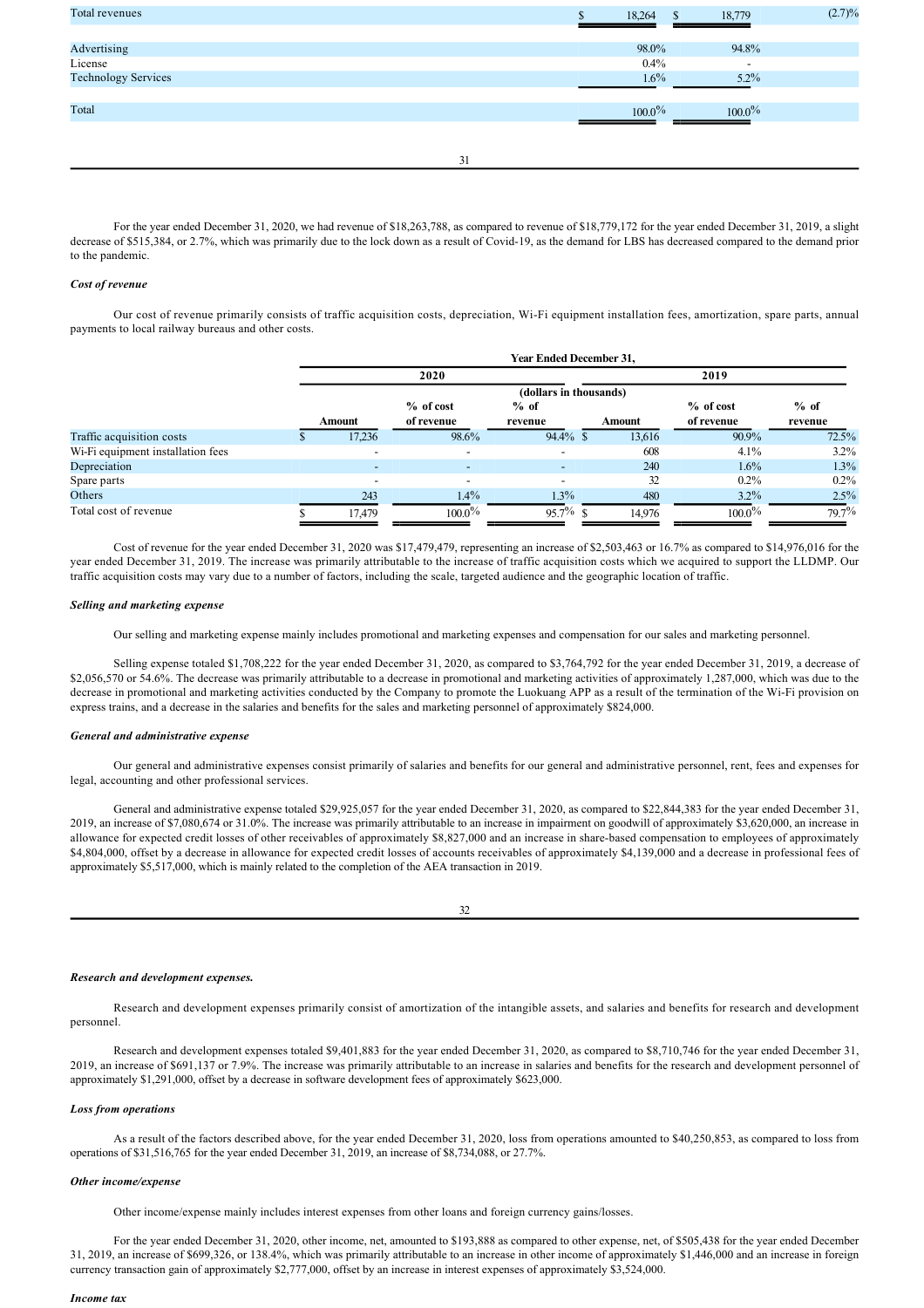| Total revenues             | 18,264    | (2.7)%<br>18,779<br>$\mathbf{s}$ |
|----------------------------|-----------|----------------------------------|
| Advertising                | 98.0%     | 94.8%                            |
| License                    | 0.4%      | $\overline{\phantom{0}}$         |
| <b>Technology Services</b> | 1.6%      | $5.2\%$                          |
|                            |           |                                  |
| Total                      | $100.0\%$ | $100.0\%$                        |
|                            |           |                                  |
|                            |           |                                  |
| 31                         |           |                                  |

For the year ended December 31, 2020, we had revenue of \$18,263,788, as compared to revenue of \$18,779,172 for the year ended December 31, 2019, a slight decrease of \$515,384, or 2.7%, which was primarily due to the lock down as a result of Covid-19, as the demand for LBS has decreased compared to the demand prior to the pandemic.

# *Cost of revenue*

Our cost of revenue primarily consists of traffic acquisition costs, depreciation, Wi-Fi equipment installation fees, amortization, spare parts, annual payments to local railway bureaus and other costs.

|                                   | <b>Year Ended December 31,</b>                 |                          |                          |        |            |         |  |
|-----------------------------------|------------------------------------------------|--------------------------|--------------------------|--------|------------|---------|--|
|                                   |                                                | 2020                     | 2019                     |        |            |         |  |
|                                   |                                                |                          | (dollars in thousands)   |        |            |         |  |
|                                   | $%$ of cost<br>$%$ of<br>$%$ of<br>$%$ of cost |                          |                          |        |            |         |  |
|                                   | Amount                                         | of revenue               | revenue                  | Amount | of revenue | revenue |  |
| Traffic acquisition costs         | 17.236                                         | 98.6%                    | $94.4\%$ \$              | 13,616 | 90.9%      | 72.5%   |  |
| Wi-Fi equipment installation fees | $\overline{\phantom{a}}$                       | $\overline{\phantom{a}}$ | -                        | 608    | $4.1\%$    | $3.2\%$ |  |
| Depreciation                      |                                                | $\overline{\phantom{0}}$ | $\overline{\phantom{0}}$ | 240    | 1.6%       | $1.3\%$ |  |
| Spare parts                       |                                                | $\overline{\phantom{a}}$ | -                        | 32     | $0.2\%$    | $0.2\%$ |  |
| Others                            | 243                                            | $1.4\%$                  | 1.3%                     | 480    | $3.2\%$    | 2.5%    |  |
| Total cost of revenue             | 17.479                                         | $100.0\%$                | $95.7\%$ \$              | 14.976 | $100.0\%$  | 79.7%   |  |

Cost of revenue for the year ended December 31, 2020 was \$17,479,479, representing an increase of \$2,503,463 or 16.7% as compared to \$14,976,016 for the year ended December 31, 2019. The increase was primarily attributable to the increase of traffic acquisition costs which we acquired to support the LLDMP. Our traffic acquisition costs may vary due to a number of factors, including the scale, targeted audience and the geographic location of traffic.

# *Selling and marketing expense*

Our selling and marketing expense mainly includes promotional and marketing expenses and compensation for our sales and marketing personnel.

Selling expense totaled \$1,708,222 for the year ended December 31, 2020, as compared to \$3,764,792 for the year ended December 31, 2019, a decrease of \$2,056,570 or 54.6%. The decrease was primarily attributable to a decrease in promotional and marketing activities of approximately 1,287,000, which was due to the decrease in promotional and marketing activities conducted by the Company to promote the Luokuang APP as a result of the termination of the Wi-Fi provision on express trains, and a decrease in the salaries and benefits for the sales and marketing personnel of approximately \$824,000.

#### *General and administrative expense*

Our general and administrative expenses consist primarily of salaries and benefits for our general and administrative personnel, rent, fees and expenses for legal, accounting and other professional services.

General and administrative expense totaled \$29,925,057 for the year ended December 31, 2020, as compared to \$22,844,383 for the year ended December 31, 2019, an increase of \$7,080,674 or 31.0%. The increase was primarily attributable to an increase in impairment on goodwill of approximately \$3,620,000, an increase in allowance for expected credit losses of other receivables of approximately \$8,827,000 and an increase in sharebased compensation to employees of approximately \$4,804,000, offset by a decrease in allowance for expected credit losses of accounts receivables of approximately \$4,139,000 and a decrease in professional fees of approximately \$5,517,000, which is mainly related to the completion of the AEA transaction in 2019.

## *Research and development expenses.*

Research and development expenses primarily consist of amortization of the intangible assets, and salaries and benefits for research and development personnel.

Research and development expenses totaled \$9,401,883 for the year ended December 31, 2020, as compared to \$8,710,746 for the year ended December 31, 2019, an increase of \$691,137 or 7.9%. The increase was primarily attributable to an increase in salaries and benefits for the research and development personnel of approximately \$1,291,000, offset by a decrease in software development fees of approximately \$623,000.

#### *Loss from operations*

As a result of the factors described above, for the year ended December 31, 2020, loss from operations amounted to \$40,250,853, as compared to loss from operations of \$31,516,765 for the year ended December 31, 2019, an increase of \$8,734,088, or 27.7%.

#### *Other income/expense*

Other income/expense mainly includes interest expenses from other loans and foreign currency gains/losses.

For the year ended December 31, 2020, other income, net, amounted to \$193,888 as compared to other expense, net, of \$505,438 for the year ended December 31, 2019, an increase of \$699,326, or 138.4%, which was primarily attributable to an increase in other income of approximately \$1,446,000 and an increase in foreign currency transaction gain of approximately \$2,777,000, offset by an increase in interest expenses of approximately \$3,524,000.

#### *Income tax*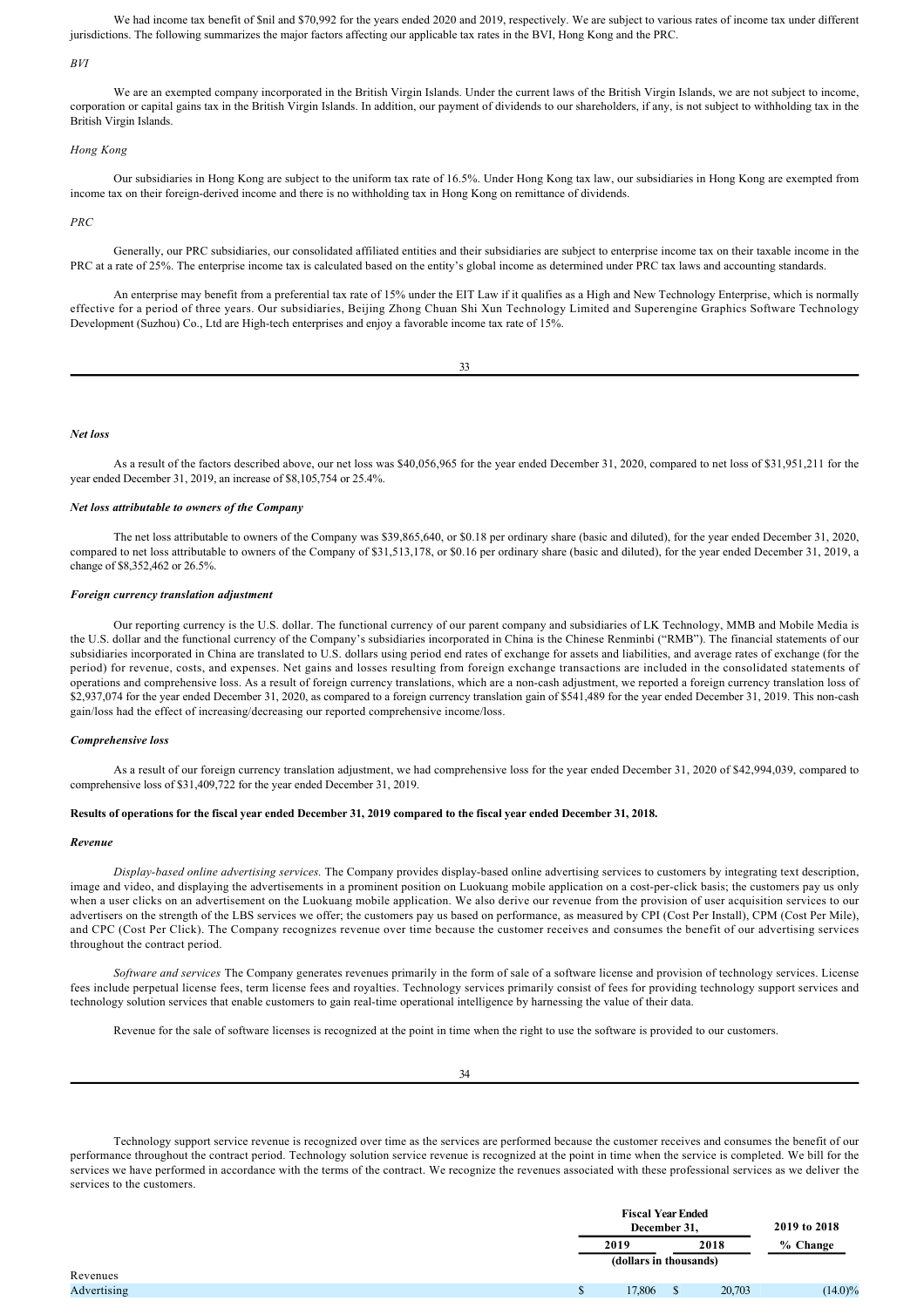We had income tax benefit of \$nil and \$70,992 for the years ended 2020 and 2019, respectively. We are subject to various rates of income tax under different jurisdictions. The following summarizes the major factors affecting our applicable tax rates in the BVI, Hong Kong and the PRC.

#### *BVI*

We are an exempted company incorporated in the British Virgin Islands. Under the current laws of the British Virgin Islands, we are not subject to income. corporation or capital gains tax in the British Virgin Islands. In addition, our payment of dividends to our shareholders, if any, is not subject to withholding tax in the British Virgin Islands.

# *Hong Kong*

Our subsidiaries in Hong Kong are subject to the uniform tax rate of 16.5%. Under Hong Kong tax law, our subsidiaries in Hong Kong are exempted from income tax on their foreign-derived income and there is no withholding tax in Hong Kong on remittance of dividends.

# *PRC*

Generally, our PRC subsidiaries, our consolidated affiliated entities and their subsidiaries are subject to enterprise income tax on their taxable income in the PRC at a rate of 25%. The enterprise income tax is calculated based on the entity's global income as determined under PRC tax laws and accounting standards.

An enterprise may benefit from a preferential tax rate of 15% under the EIT Law if it qualifies as a High and New Technology Enterprise, which is normally effective for a period of three years. Our subsidiaries, Beijing Zhong Chuan Shi Xun Technology Limited and Superengine Graphics Software Technology Development (Suzhou) Co., Ltd are High-tech enterprises and enjoy a favorable income tax rate of 15%.

| t |                        |  |
|---|------------------------|--|
|   |                        |  |
| × | I<br>٦<br>I<br>.<br>۰. |  |

# *Net loss*

As a result of the factors described above, our net loss was \$40,056,965 for the year ended December 31, 2020, compared to net loss of \$31,951,211 for the year ended December 31, 2019, an increase of \$8,105,754 or 25.4%.

# *Net loss attributable to owners of the Company*

The net loss attributable to owners of the Company was \$39,865,640, or \$0.18 per ordinary share (basic and diluted), for the year ended December 31, 2020, compared to net loss attributable to owners of the Company of \$31,513,178, or \$0.16 per ordinary share (basic and diluted), for the year ended December 31, 2019, a change of \$8,352,462 or 26.5%.

# *Foreign currency translation adjustment*

Our reporting currency is the U.S. dollar. The functional currency of our parent company and subsidiaries of LK Technology, MMB and Mobile Media is the U.S. dollar and the functional currency of the Company's subsidiaries incorporated in China is the Chinese Renminbi ("RMB"). The financial statements of our subsidiaries incorporated in China are translated to U.S. dollars using period end rates of exchange for assets and liabilities, and average rates of exchange (for the period) for revenue, costs, and expenses. Net gains and losses resulting from foreign exchange transactions are included in the consolidated statements of operations and comprehensive loss. As a result of foreign currency translations, which are a noncash adjustment, we reported a foreign currency translation loss of \$2,937,074 for the year ended December 31, 2020, as compared to a foreign currency translation gain of \$541,489 for the year ended December 31, 2019. This non-cash gain/loss had the effect of increasing/decreasing our reported comprehensive income/loss.

# *Comprehensive loss*

As a result of our foreign currency translation adjustment, we had comprehensive loss for the year ended December 31, 2020 of \$42,994,039, compared to comprehensive loss of \$31,409,722 for the year ended December 31, 2019.

# **Results of operations for the fiscal year ended December 31, 2019 compared to the fiscal year ended December 31, 2018.**

### *Revenue*

*Displaybased online advertising services.* The Company provides displaybased online advertising services to customers by integrating text description, image and video, and displaying the advertisements in a prominent position on Luokuang mobile application on a cost-per-click basis; the customers pay us only when a user clicks on an advertisement on the Luokuang mobile application. We also derive our revenue from the provision of user acquisition services to our advertisers on the strength of the LBS services we offer; the customers pay us based on performance, as measured by CPI (Cost Per Install), CPM (Cost Per Mile), and CPC (Cost Per Click). The Company recognizes revenue over time because the customer receives and consumes the benefit of our advertising services throughout the contract period.

*Software and services* The Company generates revenues primarily in the form of sale of a software license and provision of technology services. License fees include perpetual license fees, term license fees and royalties. Technology services primarily consist of fees for providing technology support services and technology solution services that enable customers to gain real-time operational intelligence by harnessing the value of their data.

Revenue for the sale of software licenses is recognized at the point in time when the right to use the software is provided to our customers.

Technology support service revenue is recognized over time as the services are performed because the customer receives and consumes the benefit of our performance throughout the contract period. Technology solution service revenue is recognized at the point in time when the service is completed. We bill for the services we have performed in accordance with the terms of the contract. We recognize the revenues associated with these professional services as we deliver the services to the customers.

| <b>Fiscal Year Ended</b><br>December 31, |        |  | 2019 to 2018 |                                |
|------------------------------------------|--------|--|--------------|--------------------------------|
|                                          | 2019   |  |              | % Change                       |
|                                          |        |  |              |                                |
|                                          | 17,806 |  | 20,703       | $(14.0)\%$                     |
|                                          |        |  |              | 2018<br>(dollars in thousands) |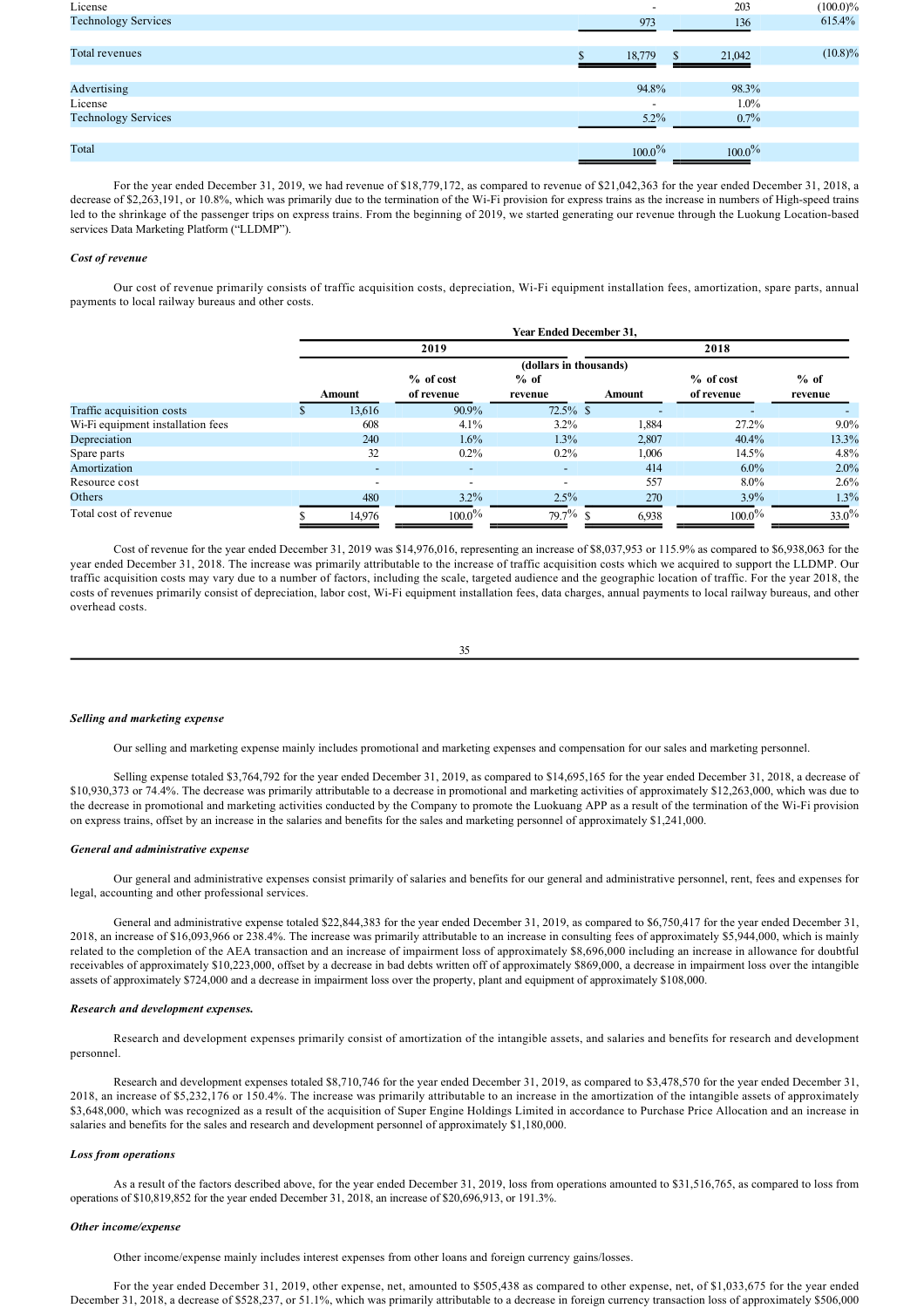| License                    | -                        |    | 203       | $(100.0)\%$ |
|----------------------------|--------------------------|----|-----------|-------------|
| <b>Technology Services</b> | 973                      |    | 136       | 615.4%      |
|                            |                          |    |           |             |
| Total revenues             | 18,779                   | S. | 21,042    | $(10.8)\%$  |
|                            |                          |    |           |             |
| Advertising                | 94.8%                    |    | 98.3%     |             |
| License                    | $\overline{\phantom{0}}$ |    | 1.0%      |             |
| <b>Technology Services</b> | $5.2\%$                  |    | $0.7\%$   |             |
|                            |                          |    |           |             |
| Total                      | $100.0\%$                |    | $100.0\%$ |             |
|                            |                          |    |           |             |

For the year ended December 31, 2019, we had revenue of \$18,779,172, as compared to revenue of \$21,042,363 for the year ended December 31, 2018, a decrease of \$2,263,191, or 10.8%, which was primarily due to the termination of the Wi-Fi provision for express trains as the increase in numbers of High-speed trains led to the shrinkage of the passenger trips on express trains. From the beginning of 2019, we started generating our revenue through the Luokung Location-based services Data Marketing Platform ("LLDMP").

# *Cost of revenue*

Our cost of revenue primarily consists of traffic acquisition costs, depreciation, WiFi equipment installation fees, amortization, spare parts, annual payments to local railway bureaus and other costs.

|                                   | <b>Year Ended December 31.</b> |                          |             |        |            |          |  |  |
|-----------------------------------|--------------------------------|--------------------------|-------------|--------|------------|----------|--|--|
|                                   |                                | 2019                     |             |        | 2018       |          |  |  |
|                                   | (dollars in thousands)         |                          |             |        |            |          |  |  |
|                                   |                                | % of cost                | $%$ of      |        | % of cost  | $%$ of   |  |  |
|                                   | Amount                         | of revenue               | revenue     | Amount | of revenue | revenue  |  |  |
| Traffic acquisition costs         | 13.616                         | 90.9%                    | $72.5\%$ \$ | -      |            |          |  |  |
| Wi-Fi equipment installation fees | 608                            | 4.1%                     | $3.2\%$     | 1,884  | 27.2%      | $9.0\%$  |  |  |
| Depreciation                      | 240                            | 1.6%                     | 1.3%        | 2,807  | 40.4%      | 13.3%    |  |  |
| Spare parts                       | 32                             | $0.2\%$                  | $0.2\%$     | 1,006  | 14.5%      | $4.8\%$  |  |  |
| Amortization                      |                                | $\overline{\phantom{0}}$ |             | 414    | $6.0\%$    | $2.0\%$  |  |  |
| Resource cost                     | $\overline{\phantom{0}}$       | $\overline{\phantom{0}}$ |             | 557    | $8.0\%$    | $2.6\%$  |  |  |
| Others                            | 480                            | $3.2\%$                  | $2.5\%$     | 270    | $3.9\%$    | $1.3\%$  |  |  |
| Total cost of revenue             | 14,976                         | $100.0\%$                | $79.7\%$ \$ | 6,938  | $100.0\%$  | $33.0\%$ |  |  |

Cost of revenue for the year ended December 31, 2019 was \$14,976,016, representing an increase of \$8,037,953 or 115.9% as compared to \$6,938,063 for the year ended December 31, 2018. The increase was primarily attributable to the increase of traffic acquisition costs which we acquired to support the LLDMP. Our traffic acquisition costs may vary due to a number of factors, including the scale, targeted audience and the geographic location of traffic. For the year 2018, the costs of revenues primarily consist of depreciation, labor cost, Wi-Fi equipment installation fees, data charges, annual payments to local railway bureaus, and other overhead costs.

$$
35\,
$$

# *Selling and marketing expense*

Our selling and marketing expense mainly includes promotional and marketing expenses and compensation for our sales and marketing personnel.

Selling expense totaled \$3,764,792 for the year ended December 31, 2019, as compared to \$14,695,165 for the year ended December 31, 2018, a decrease of \$10,930,373 or 74.4%. The decrease was primarily attributable to a decrease in promotional and marketing activities of approximately \$12,263,000, which was due to the decrease in promotional and marketing activities conducted by the Company to promote the Luokuang APP as a result of the termination of the Wi-Fi provision on express trains, offset by an increase in the salaries and benefits for the sales and marketing personnel of approximately \$1,241,000.

#### *General and administrative expense*

Our general and administrative expenses consist primarily of salaries and benefits for our general and administrative personnel, rent, fees and expenses for legal, accounting and other professional services.

General and administrative expense totaled \$22,844,383 for the year ended December 31, 2019, as compared to \$6,750,417 for the year ended December 31, 2018, an increase of \$16,093,966 or 238.4%. The increase was primarily attributable to an increase in consulting fees of approximately \$5,944,000, which is mainly related to the completion of the AEA transaction and an increase of impairment loss of approximately \$8,696,000 including an increase in allowance for doubtful receivables of approximately \$10,223,000, offset by a decrease in bad debts written off of approximately \$869,000, a decrease in impairment loss over the intangible assets of approximately \$724,000 and a decrease in impairment loss over the property, plant and equipment of approximately \$108,000.

### *Research and development expenses.*

Research and development expenses primarily consist of amortization of the intangible assets, and salaries and benefits for research and development personnel.

Research and development expenses totaled \$8,710,746 for the year ended December 31, 2019, as compared to \$3,478,570 for the year ended December 31, 2018, an increase of \$5,232,176 or 150.4%. The increase was primarily attributable to an increase in the amortization of the intangible assets of approximately \$3,648,000, which was recognized as a result of the acquisition of Super Engine Holdings Limited in accordance to Purchase Price Allocation and an increase in salaries and benefits for the sales and research and development personnel of approximately \$1,180,000.

# *Loss from operations*

As a result of the factors described above, for the year ended December 31, 2019, loss from operations amounted to \$31,516,765, as compared to loss from operations of \$10,819,852 for the year ended December 31, 2018, an increase of \$20,696,913, or 191.3%.

#### *Other income/expense*

Other income/expense mainly includes interest expenses from other loans and foreign currency gains/losses.

For the year ended December 31, 2019, other expense, net, amounted to \$505,438 as compared to other expense, net, of \$1,033,675 for the year ended December 31, 2018, a decrease of \$528,237, or 51.1%, which was primarily attributable to a decrease in foreign currency transaction loss of approximately \$506,000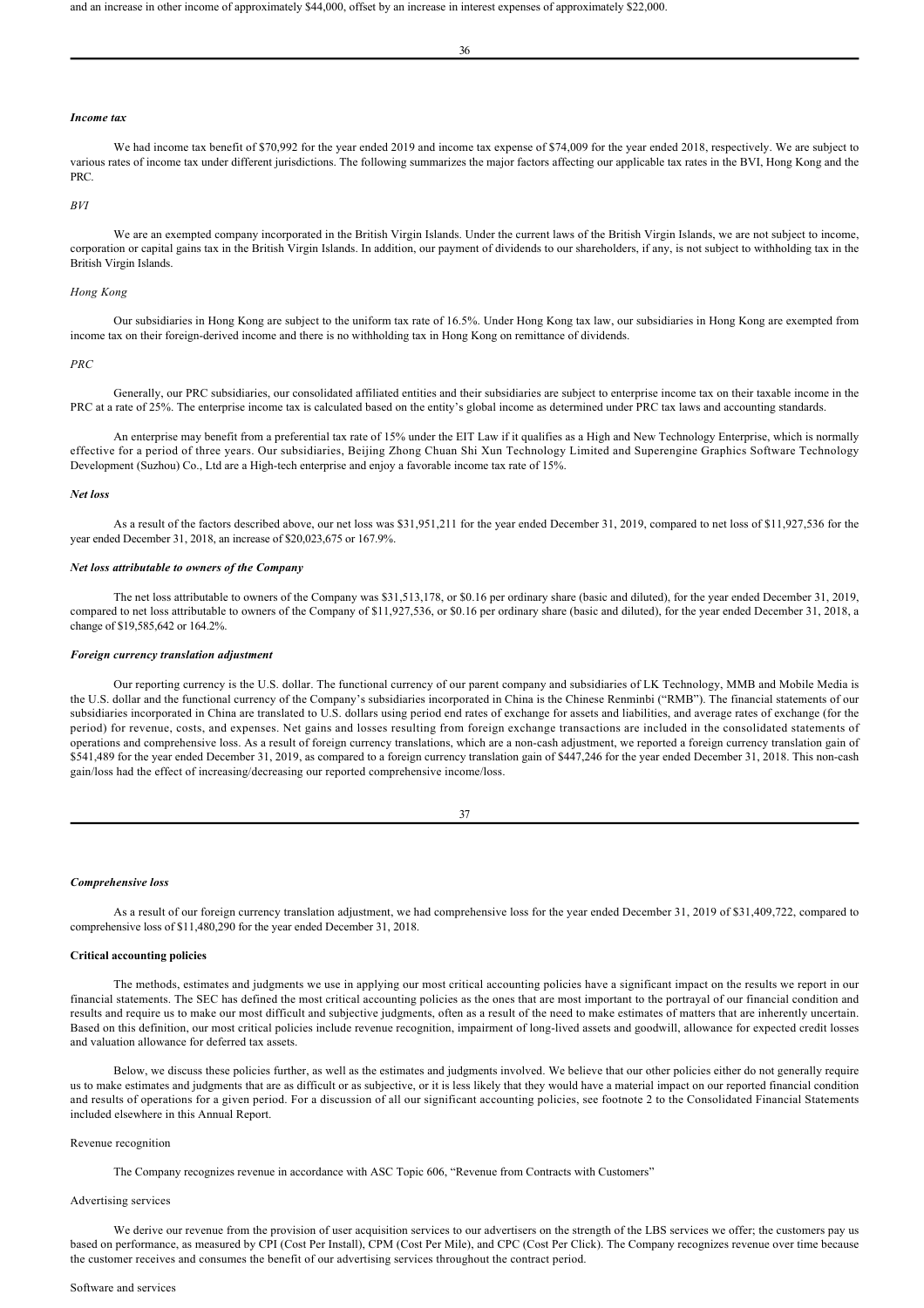and an increase in other income of approximately \$44,000, offset by an increase in interest expenses of approximately \$22,000.

# *Income tax*

We had income tax benefit of \$70,992 for the year ended 2019 and income tax expense of \$74,009 for the year ended 2018, respectively. We are subject to various rates of income tax under different jurisdictions. The following summarizes the major factors affecting our applicable tax rates in the BVI, Hong Kong and the PRC.

#### *BVI*

We are an exempted company incorporated in the British Virgin Islands. Under the current laws of the British Virgin Islands, we are not subject to income, corporation or capital gains tax in the British Virgin Islands. In addition, our payment of dividends to our shareholders, if any, is not subject to withholding tax in the British Virgin Islands.

#### *Hong Kong*

Our subsidiaries in Hong Kong are subject to the uniform tax rate of 16.5%. Under Hong Kong tax law, our subsidiaries in Hong Kong are exempted from income tax on their foreign-derived income and there is no withholding tax in Hong Kong on remittance of dividends.

#### *PRC*

Generally, our PRC subsidiaries, our consolidated affiliated entities and their subsidiaries are subject to enterprise income tax on their taxable income in the PRC at a rate of 25%. The enterprise income tax is calculated based on the entity's global income as determined under PRC tax laws and accounting standards.

An enterprise may benefit from a preferential tax rate of 15% under the EIT Law if it qualifies as a High and New Technology Enterprise, which is normally effective for a period of three years. Our subsidiaries, Beijing Zhong Chuan Shi Xun Technology Limited and Superengine Graphics Software Technology Development (Suzhou) Co., Ltd are a High-tech enterprise and enjoy a favorable income tax rate of 15%.

#### *Net loss*

As a result of the factors described above, our net loss was \$31,951,211 for the year ended December 31, 2019, compared to net loss of \$11,927,536 for the year ended December 31, 2018, an increase of \$20,023,675 or 167.9%.

## *Net loss attributable to owners of the Company*

The net loss attributable to owners of the Company was \$31,513,178, or \$0.16 per ordinary share (basic and diluted), for the year ended December 31, 2019, compared to net loss attributable to owners of the Company of \$11,927,536, or \$0.16 per ordinary share (basic and diluted), for the year ended December 31, 2018, a change of \$19,585,642 or 164.2%.

# *Foreign currency translation adjustment*

Our reporting currency is the U.S. dollar. The functional currency of our parent company and subsidiaries of LK Technology, MMB and Mobile Media is the U.S. dollar and the functional currency of the Company's subsidiaries incorporated in China is the Chinese Renminbi ("RMB"). The financial statements of our subsidiaries incorporated in China are translated to U.S. dollars using period end rates of exchange for assets and liabilities, and average rates of exchange (for the period) for revenue, costs, and expenses. Net gains and losses resulting from foreign exchange transactions are included in the consolidated statements of operations and comprehensive loss. As a result of foreign currency translations, which are a noncash adjustment, we reported a foreign currency translation gain of \$541,489 for the year ended December 31, 2019, as compared to a foreign currency translation gain of \$447,246 for the year ended December 31, 2018. This noncash gain/loss had the effect of increasing/decreasing our reported comprehensive income/loss.

# *Comprehensive loss*

As a result of our foreign currency translation adjustment, we had comprehensive loss for the year ended December 31, 2019 of \$31,409,722, compared to comprehensive loss of \$11,480,290 for the year ended December 31, 2018.

# **Critical accounting policies**

The methods, estimates and judgments we use in applying our most critical accounting policies have a significant impact on the results we report in our financial statements. The SEC has defined the most critical accounting policies as the ones that are most important to the portrayal of our financial condition and results and require us to make our most difficult and subjective judgments, often as a result of the need to make estimates of matters that are inherently uncertain. Based on this definition, our most critical policies include revenue recognition, impairment of long-lived assets and goodwill, allowance for expected credit losses and valuation allowance for deferred tax assets.

Below, we discuss these policies further, as well as the estimates and judgments involved. We believe that our other policies either do not generally require us to make estimates and judgments that are as difficult or as subjective, or it is less likely that they would have a material impact on our reported financial condition and results of operations for a given period. For a discussion of all our significant accounting policies, see footnote 2 to the Consolidated Financial Statements included elsewhere in this Annual Report.

# Revenue recognition

The Company recognizes revenue in accordance with ASC Topic 606, "Revenue from Contracts with Customers"

# Advertising services

We derive our revenue from the provision of user acquisition services to our advertisers on the strength of the LBS services we offer; the customers pay us based on performance, as measured by CPI (Cost Per Install), CPM (Cost Per Mile), and CPC (Cost Per Click). The Company recognizes revenue over time because the customer receives and consumes the benefit of our advertising services throughout the contract period.

# Software and services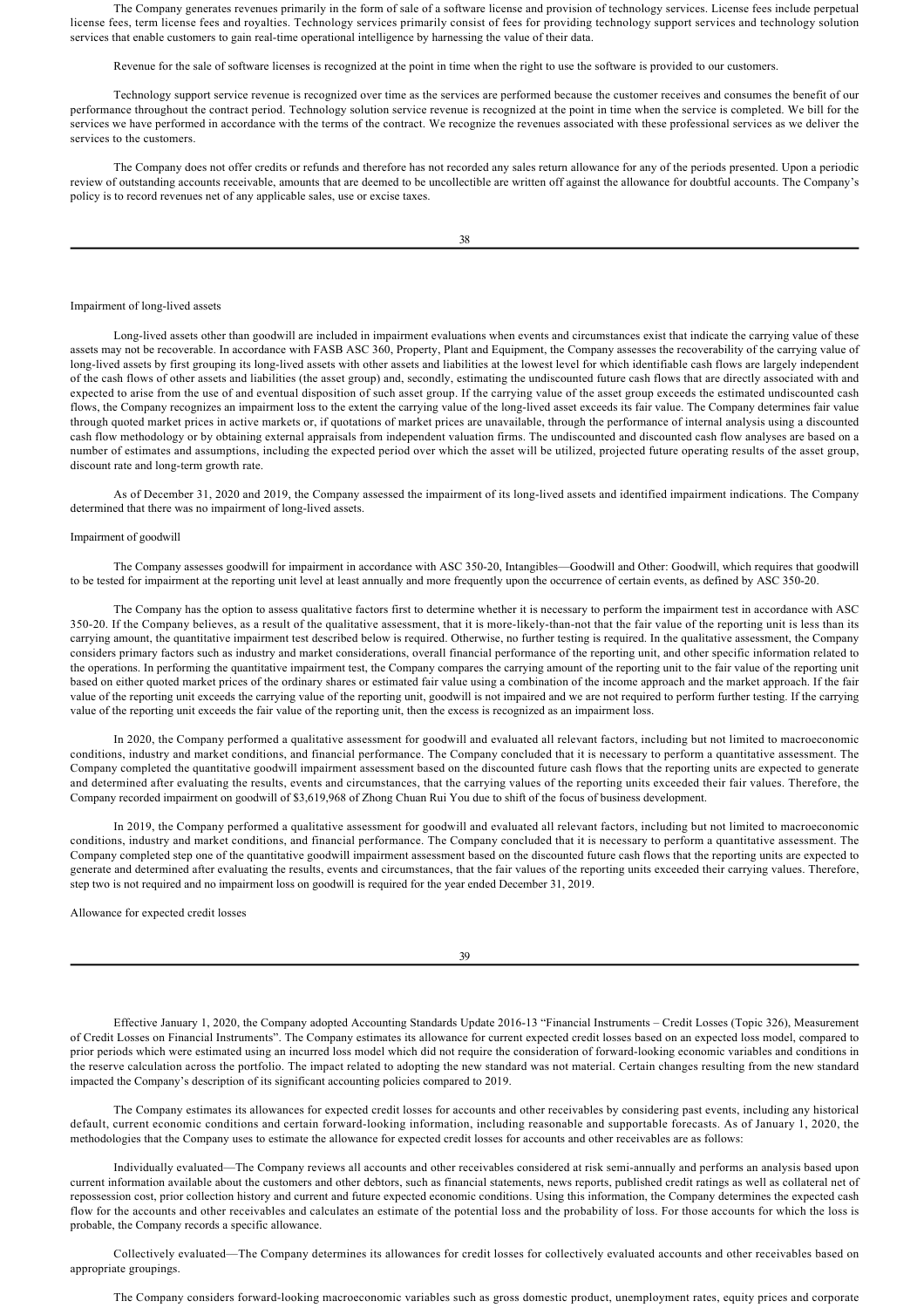The Company generates revenues primarily in the form of sale of a software license and provision of technology services. License fees include perpetual license fees, term license fees and royalties. Technology services primarily consist of fees for providing technology support services and technology solution services that enable customers to gain real-time operational intelligence by harnessing the value of their data.

Revenue for the sale of software licenses is recognized at the point in time when the right to use the software is provided to our customers.

Technology support service revenue is recognized over time as the services are performed because the customer receives and consumes the benefit of our performance throughout the contract period. Technology solution service revenue is recognized at the point in time when the service is completed. We bill for the services we have performed in accordance with the terms of the contract. We recognize the revenues associated with these professional services as we deliver the services to the customers.

The Company does not offer credits or refunds and therefore has not recorded any sales return allowance for any of the periods presented. Upon a periodic review of outstanding accounts receivable, amounts that are deemed to be uncollectible are written off against the allowance for doubtful accounts. The Company's policy is to record revenues net of any applicable sales, use or excise taxes.

#### Impairment of long-lived assets

Long-lived assets other than goodwill are included in impairment evaluations when events and circumstances exist that indicate the carrying value of these assets may not be recoverable. In accordance with FASB ASC 360, Property, Plant and Equipment, the Company assesses the recoverability of the carrying value of long-lived assets by first grouping its long-lived assets with other assets and liabilities at the lowest level for which identifiable cash flows are largely independent of the cash flows of other assets and liabilities (the asset group) and, secondly, estimating the undiscounted future cash flows that are directly associated with and expected to arise from the use of and eventual disposition of such asset group. If the carrying value of the asset group exceeds the estimated undiscounted cash flows, the Company recognizes an impairment loss to the extent the carrying value of the long-lived asset exceeds its fair value. The Company determines fair value through quoted market prices in active markets or, if quotations of market prices are unavailable, through the performance of internal analysis using a discounted cash flow methodology or by obtaining external appraisals from independent valuation firms. The undiscounted and discounted cash flow analyses are based on a number of estimates and assumptions, including the expected period over which the asset will be utilized, projected future operating results of the asset group, discount rate and long-term growth rate.

As of December 31, 2020 and 2019, the Company assessed the impairment of its long-lived assets and identified impairment indications. The Company determined that there was no impairment of long-lived assets.

#### Impairment of goodwill

The Company assesses goodwill for impairment in accordance with ASC 35020, Intangibles—Goodwill and Other: Goodwill, which requires that goodwill to be tested for impairment at the reporting unit level at least annually and more frequently upon the occurrence of certain events, as defined by ASC 350-20.

The Company has the option to assess qualitative factors first to determine whether it is necessary to perform the impairment test in accordance with ASC 35020. If the Company believes, as a result of the qualitative assessment, that it is morelikelythannot that the fair value of the reporting unit is less than its carrying amount, the quantitative impairment test described below is required. Otherwise, no further testing is required. In the qualitative assessment, the Company considers primary factors such as industry and market considerations, overall financial performance of the reporting unit, and other specific information related to the operations. In performing the quantitative impairment test, the Company compares the carrying amount of the reporting unit to the fair value of the reporting unit based on either quoted market prices of the ordinary shares or estimated fair value using a combination of the income approach and the market approach. If the fair value of the reporting unit exceeds the carrying value of the reporting unit, goodwill is not impaired and we are not required to perform further testing. If the carrying value of the reporting unit exceeds the fair value of the reporting unit, then the excess is recognized as an impairment loss.

In 2020, the Company performed a qualitative assessment for goodwill and evaluated all relevant factors, including but not limited to macroeconomic conditions, industry and market conditions, and financial performance. The Company concluded that it is necessary to perform a quantitative assessment. The Company completed the quantitative goodwill impairment assessment based on the discounted future cash flows that the reporting units are expected to generate and determined after evaluating the results, events and circumstances, that the carrying values of the reporting units exceeded their fair values. Therefore, the Company recorded impairment on goodwill of \$3,619,968 of Zhong Chuan Rui You due to shift of the focus of business development.

In 2019, the Company performed a qualitative assessment for goodwill and evaluated all relevant factors, including but not limited to macroeconomic conditions, industry and market conditions, and financial performance. The Company concluded that it is necessary to perform a quantitative assessment. The Company completed step one of the quantitative goodwill impairment assessment based on the discounted future cash flows that the reporting units are expected to generate and determined after evaluating the results, events and circumstances, that the fair values of the reporting units exceeded their carrying values. Therefore, step two is not required and no impairment loss on goodwill is required for the year ended December 31, 2019.

Allowance for expected credit losses

39

Effective January 1, 2020, the Company adopted Accounting Standards Update 201613 "Financial Instruments – Credit Losses (Topic 326), Measurement of Credit Losses on Financial Instruments". The Company estimates its allowance for current expected credit losses based on an expected loss model, compared to prior periods which were estimated using an incurred loss model which did not require the consideration of forward-looking economic variables and conditions in the reserve calculation across the portfolio. The impact related to adopting the new standard was not material. Certain changes resulting from the new standard impacted the Company's description of its significant accounting policies compared to 2019.

The Company estimates its allowances for expected credit losses for accounts and other receivables by considering past events, including any historical default, current economic conditions and certain forward-looking information, including reasonable and supportable forecasts. As of January 1, 2020, the methodologies that the Company uses to estimate the allowance for expected credit losses for accounts and other receivables are as follows:

Individually evaluated—The Company reviews all accounts and other receivables considered at risk semi-annually and performs an analysis based upon current information available about the customers and other debtors, such as financial statements, news reports, published credit ratings as well as collateral net of repossession cost, prior collection history and current and future expected economic conditions. Using this information, the Company determines the expected cash flow for the accounts and other receivables and calculates an estimate of the potential loss and the probability of loss. For those accounts for which the loss is probable, the Company records a specific allowance.

Collectively evaluated—The Company determines its allowances for credit losses for collectively evaluated accounts and other receivables based on appropriate groupings.

The Company considers forward-looking macroeconomic variables such as gross domestic product, unemployment rates, equity prices and corporate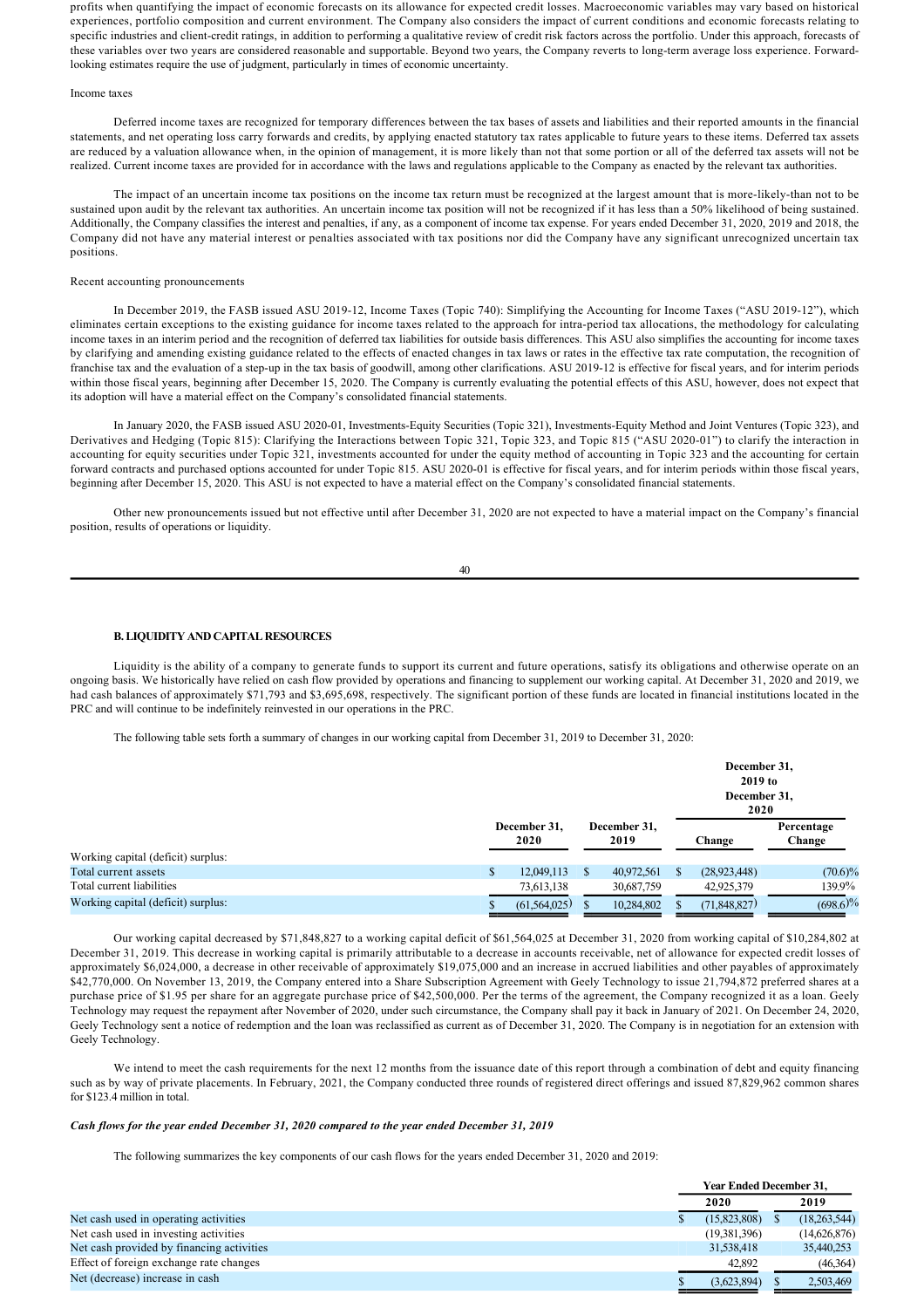profits when quantifying the impact of economic forecasts on its allowance for expected credit losses. Macroeconomic variables may vary based on historical experiences, portfolio composition and current environment. The Company also considers the impact of current conditions and economic forecasts relating to specific industries and client-credit ratings, in addition to performing a qualitative review of credit risk factors across the portfolio. Under this approach, forecasts of these variables over two years are considered reasonable and supportable. Beyond two years, the Company reverts to long-term average loss experience. Forwardlooking estimates require the use of judgment, particularly in times of economic uncertainty.

#### Income taxes

Deferred income taxes are recognized for temporary differences between the tax bases of assets and liabilities and their reported amounts in the financial statements, and net operating loss carry forwards and credits, by applying enacted statutory tax rates applicable to future years to these items. Deferred tax assets are reduced by a valuation allowance when, in the opinion of management, it is more likely than not that some portion or all of the deferred tax assets will not be realized. Current income taxes are provided for in accordance with the laws and regulations applicable to the Company as enacted by the relevant tax authorities.

The impact of an uncertain income tax positions on the income tax return must be recognized at the largest amount that is more-likely-than not to be sustained upon audit by the relevant tax authorities. An uncertain income tax position will not be recognized if it has less than a 50% likelihood of being sustained. Additionally, the Company classifies the interest and penalties, if any, as a component of income tax expense. For years ended December 31, 2020, 2019 and 2018, the Company did not have any material interest or penalties associated with tax positions nor did the Company have any significant unrecognized uncertain tax positions.

#### Recent accounting pronouncements

In December 2019, the FASB issued ASU 2019-12, Income Taxes (Topic 740): Simplifying the Accounting for Income Taxes ("ASU 2019-12"), which eliminates certain exceptions to the existing guidance for income taxes related to the approach for intra-period tax allocations, the methodology for calculating income taxes in an interim period and the recognition of deferred tax liabilities for outside basis differences. This ASU also simplifies the accounting for income taxes by clarifying and amending existing guidance related to the effects of enacted changes in tax laws or rates in the effective tax rate computation, the recognition of franchise tax and the evaluation of a step-up in the tax basis of goodwill, among other clarifications. ASU 2019-12 is effective for fiscal years, and for interim periods within those fiscal years, beginning after December 15, 2020. The Company is currently evaluating the potential effects of this ASU, however, does not expect that its adoption will have a material effect on the Company's consolidated financial statements.

In January 2020, the FASB issued ASU 2020-01, Investments-Equity Securities (Topic 321), Investments-Equity Method and Joint Ventures (Topic 323), and Derivatives and Hedging (Topic 815): Clarifying the Interactions between Topic 321, Topic 323, and Topic 815 ("ASU 2020-01") to clarify the interaction in accounting for equity securities under Topic 321, investments accounted for under the equity method of accounting in Topic 323 and the accounting for certain forward contracts and purchased options accounted for under Topic 815. ASU 2020-01 is effective for fiscal years, and for interim periods within those fiscal years, beginning after December 15, 2020. This ASU is not expected to have a material effect on the Company's consolidated financial statements.

Other new pronouncements issued but not effective until after December 31, 2020 are not expected to have a material impact on the Company's financial position, results of operations or liquidity.

# 40

# **B. LIQUIDITY AND CAPITAL RESOURCES**

Liquidity is the ability of a company to generate funds to support its current and future operations, satisfy its obligations and otherwise operate on an ongoing basis. We historically have relied on cash flow provided by operations and financing to supplement our working capital. At December 31, 2020 and 2019, we had cash balances of approximately \$71,793 and \$3,695,698, respectively. The significant portion of these funds are located in financial institutions located in the PRC and will continue to be indefinitely reinvested in our operations in the PRC.

The following table sets forth a summary of changes in our working capital from December 31, 2019 to December 31, 2020:

|                                    |      |                      |              |                      | December 31,<br>$2019$ to<br>December 31,<br>2020 |                |                      |  |  |
|------------------------------------|------|----------------------|--------------|----------------------|---------------------------------------------------|----------------|----------------------|--|--|
|                                    |      | December 31,<br>2020 |              | December 31,<br>2019 |                                                   | Change         | Percentage<br>Change |  |  |
| Working capital (deficit) surplus: |      |                      |              |                      |                                                   |                |                      |  |  |
| Total current assets               | - 11 | 12,049,113           | <sup>8</sup> | 40,972,561           | <b>S</b>                                          | (28, 923, 448) | $(70.6)\%$           |  |  |
| Total current liabilities          |      | 73,613,138           |              | 30,687,759           |                                                   | 42,925,379     | 139.9%               |  |  |
| Working capital (deficit) surplus: |      | (61, 564, 025)       |              | 10,284,802           |                                                   | (71,848,827)   | $(698.6)\%$          |  |  |

Our working capital decreased by \$71,848,827 to a working capital deficit of \$61,564,025 at December 31, 2020 from working capital of \$10,284,802 at December 31, 2019. This decrease in working capital is primarily attributable to a decrease in accounts receivable, net of allowance for expected credit losses of approximately \$6,024,000, a decrease in other receivable of approximately \$19,075,000 and an increase in accrued liabilities and other payables of approximately \$42,770,000. On November 13, 2019, the Company entered into a Share Subscription Agreement with Geely Technology to issue 21,794,872 preferred shares at a purchase price of \$1.95 per share for an aggregate purchase price of \$42,500,000. Per the terms of the agreement, the Company recognized it as a loan. Geely Technology may request the repayment after November of 2020, under such circumstance, the Company shall pay it back in January of 2021. On December 24, 2020, Geely Technology sent a notice of redemption and the loan was reclassified as current as of December 31, 2020. The Company is in negotiation for an extension with Geely Technology.

We intend to meet the cash requirements for the next 12 months from the issuance date of this report through a combination of debt and equity financing such as by way of private placements. In February, 2021, the Company conducted three rounds of registered direct offerings and issued 87,829,962 common shares for \$123.4 million in total.

#### *Cash flows for the year ended December 31, 2020 compared to the year ended December 31, 2019*

The following summarizes the key components of our cash flows for the years ended December 31, 2020 and 2019:

|                                           | <b>Year Ended December 31.</b> |  |              |  |
|-------------------------------------------|--------------------------------|--|--------------|--|
|                                           | 2020                           |  | 2019         |  |
| Net cash used in operating activities     | (15,823,808)                   |  | (18,263,544) |  |
| Net cash used in investing activities     | (19,381,396)                   |  | (14,626,876) |  |
| Net cash provided by financing activities | 31,538,418                     |  | 35,440,253   |  |
| Effect of foreign exchange rate changes   | 42.892                         |  | (46,364)     |  |
| Net (decrease) increase in cash           | (3,623,894)                    |  | 2,503,469    |  |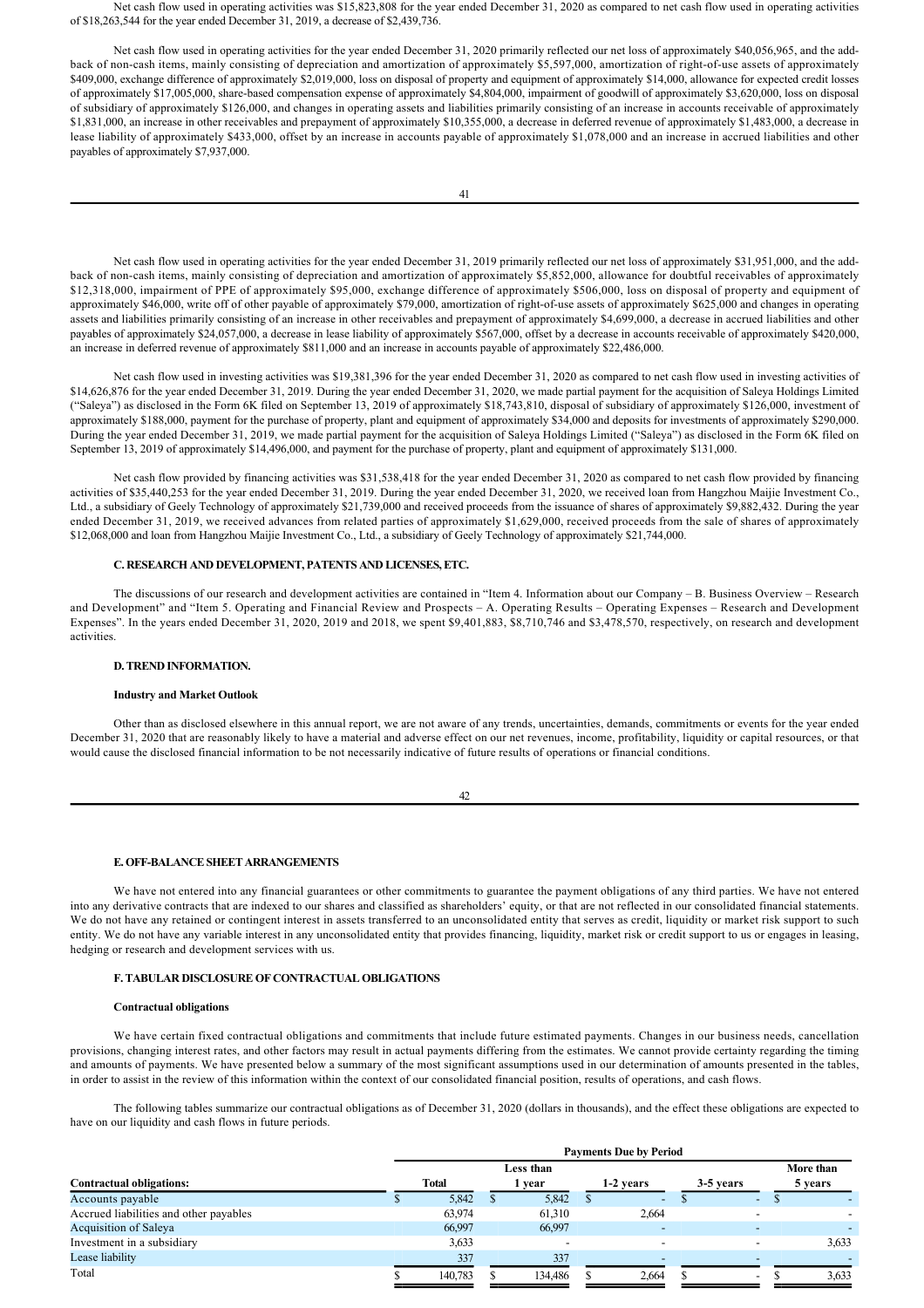Net cash flow used in operating activities was \$15,823,808 for the year ended December 31, 2020 as compared to net cash flow used in operating activities of \$18,263,544 for the year ended December 31, 2019, a decrease of \$2,439,736.

Net cash flow used in operating activities for the year ended December 31, 2020 primarily reflected our net loss of approximately \$40,056,965, and the addback of non-cash items, mainly consisting of depreciation and amortization of approximately \$5,597,000, amortization of right-of-use assets of approximately \$409,000, exchange difference of approximately \$2,019,000, loss on disposal of property and equipment of approximately \$14,000, allowance for expected credit losses of approximately \$17,005,000, share-based compensation expense of approximately \$4,804,000, impairment of goodwill of approximately \$3,620,000, loss on disposal of subsidiary of approximately \$126,000, and changes in operating assets and liabilities primarily consisting of an increase in accounts receivable of approximately \$1,831,000, an increase in other receivables and prepayment of approximately \$10,355,000, a decrease in deferred revenue of approximately \$1,483,000, a decrease in lease liability of approximately \$433,000, offset by an increase in accounts payable of approximately \$1,078,000 and an increase in accrued liabilities and other payables of approximately \$7,937,000.

Net cash flow used in operating activities for the year ended December 31, 2019 primarily reflected our net loss of approximately \$31,951,000, and the addback of non-cash items, mainly consisting of depreciation and amortization of approximately \$5,852,000, allowance for doubtful receivables of approximately \$12,318,000, impairment of PPE of approximately \$95,000, exchange difference of approximately \$506,000, loss on disposal of property and equipment of approximately \$46,000, write off of other payable of approximately \$79,000, amortization of right-of-use assets of approximately \$625,000 and changes in operating assets and liabilities primarily consisting of an increase in other receivables and prepayment of approximately \$4,699,000, a decrease in accrued liabilities and other payables of approximately \$24,057,000, a decrease in lease liability of approximately \$567,000, offset by a decrease in accounts receivable of approximately \$420,000, an increase in deferred revenue of approximately \$811,000 and an increase in accounts payable of approximately \$22,486,000.

Net cash flow used in investing activities was \$19,381,396 for the year ended December 31, 2020 as compared to net cash flow used in investing activities of \$14,626,876 for the year ended December 31, 2019. During the year ended December 31, 2020, we made partial payment for the acquisition of Saleya Holdings Limited ("Saleya") as disclosed in the Form 6K filed on September 13, 2019 of approximately \$18,743,810, disposal of subsidiary of approximately \$126,000, investment of approximately \$188,000, payment for the purchase of property, plant and equipment of approximately \$34,000 and deposits for investments of approximately \$290,000. During the year ended December 31, 2019, we made partial payment for the acquisition of Saleya Holdings Limited ("Saleya") as disclosed in the Form 6K filed on September 13, 2019 of approximately \$14,496,000, and payment for the purchase of property, plant and equipment of approximately \$131,000.

Net cash flow provided by financing activities was \$31,538,418 for the year ended December 31, 2020 as compared to net cash flow provided by financing activities of \$35,440,253 for the year ended December 31, 2019. During the year ended December 31, 2020, we received loan from Hangzhou Maijie Investment Co., Ltd., a subsidiary of Geely Technology of approximately \$21,739,000 and received proceeds from the issuance of shares of approximately \$9,882,432. During the year ended December 31, 2019, we received advances from related parties of approximately \$1,629,000, received proceeds from the sale of shares of approximately \$12,068,000 and loan from Hangzhou Maijie Investment Co., Ltd., a subsidiary of Geely Technology of approximately \$21,744,000.

# **C. RESEARCH AND DEVELOPMENT, PATENTS AND LICENSES, ETC.**

The discussions of our research and development activities are contained in "Item 4. Information about our Company – B. Business Overview – Research and Development" and "Item 5. Operating and Financial Review and Prospects – A. Operating Results – Operating Expenses – Research and Development Expenses". In the years ended December 31, 2020, 2019 and 2018, we spent \$9,401,883, \$8,710,746 and \$3,478,570, respectively, on research and development activities.

### **D. TREND INFORMATION.**

#### **Industry and Market Outlook**

Other than as disclosed elsewhere in this annual report, we are not aware of any trends, uncertainties, demands, commitments or events for the year ended December 31, 2020 that are reasonably likely to have a material and adverse effect on our net revenues, income, profitability, liquidity or capital resources, or that would cause the disclosed financial information to be not necessarily indicative of future results of operations or financial conditions.

42

### **E. OFF-BALANCE SHEET ARRANGEMENTS**

We have not entered into any financial guarantees or other commitments to guarantee the payment obligations of any third parties. We have not entered into any derivative contracts that are indexed to our shares and classified as shareholders' equity, or that are not reflected in our consolidated financial statements. We do not have any retained or contingent interest in assets transferred to an unconsolidated entity that serves as credit, liquidity or market risk support to such entity. We do not have any variable interest in any unconsolidated entity that provides financing, liquidity, market risk or credit support to us or engages in leasing, hedging or research and development services with us.

# **F. TABULAR DISCLOSURE OF CONTRACTUAL OBLIGATIONS**

#### **Contractual obligations**

We have certain fixed contractual obligations and commitments that include future estimated payments. Changes in our business needs, cancellation provisions, changing interest rates, and other factors may result in actual payments differing from the estimates. We cannot provide certainty regarding the timing and amounts of payments. We have presented below a summary of the most significant assumptions used in our determination of amounts presented in the tables, in order to assist in the review of this information within the context of our consolidated financial position, results of operations, and cash flows.

The following tables summarize our contractual obligations as of December 31, 2020 (dollars in thousands), and the effect these obligations are expected to have on our liquidity and cash flows in future periods.

|                                        | <b>Payments Due by Period</b> |         |  |                   |  |                          |  |                          |                      |
|----------------------------------------|-------------------------------|---------|--|-------------------|--|--------------------------|--|--------------------------|----------------------|
| <b>Contractual obligations:</b>        |                               | Total   |  | Less than<br>year |  | 1-2 years                |  | 3-5 years                | More than<br>5 years |
| Accounts payable                       |                               | 5,842   |  | 5,842             |  | $\overline{\phantom{a}}$ |  | $\overline{\phantom{0}}$ |                      |
| Accrued liabilities and other payables |                               | 63,974  |  | 61,310            |  | 2,664                    |  | $\overline{\phantom{0}}$ |                      |
| Acquisition of Saleya                  |                               | 66,997  |  | 66,997            |  | $\overline{\phantom{a}}$ |  |                          |                      |
| Investment in a subsidiary             |                               | 3,633   |  |                   |  | $\overline{\phantom{0}}$ |  |                          | 3,633                |
| Lease liability                        |                               | 337     |  | 337               |  | $\overline{\phantom{a}}$ |  | $\overline{\phantom{0}}$ |                      |
| Total                                  |                               | 140,783 |  | 134,486           |  | 2,664                    |  | $\overline{\phantom{0}}$ | 3,633                |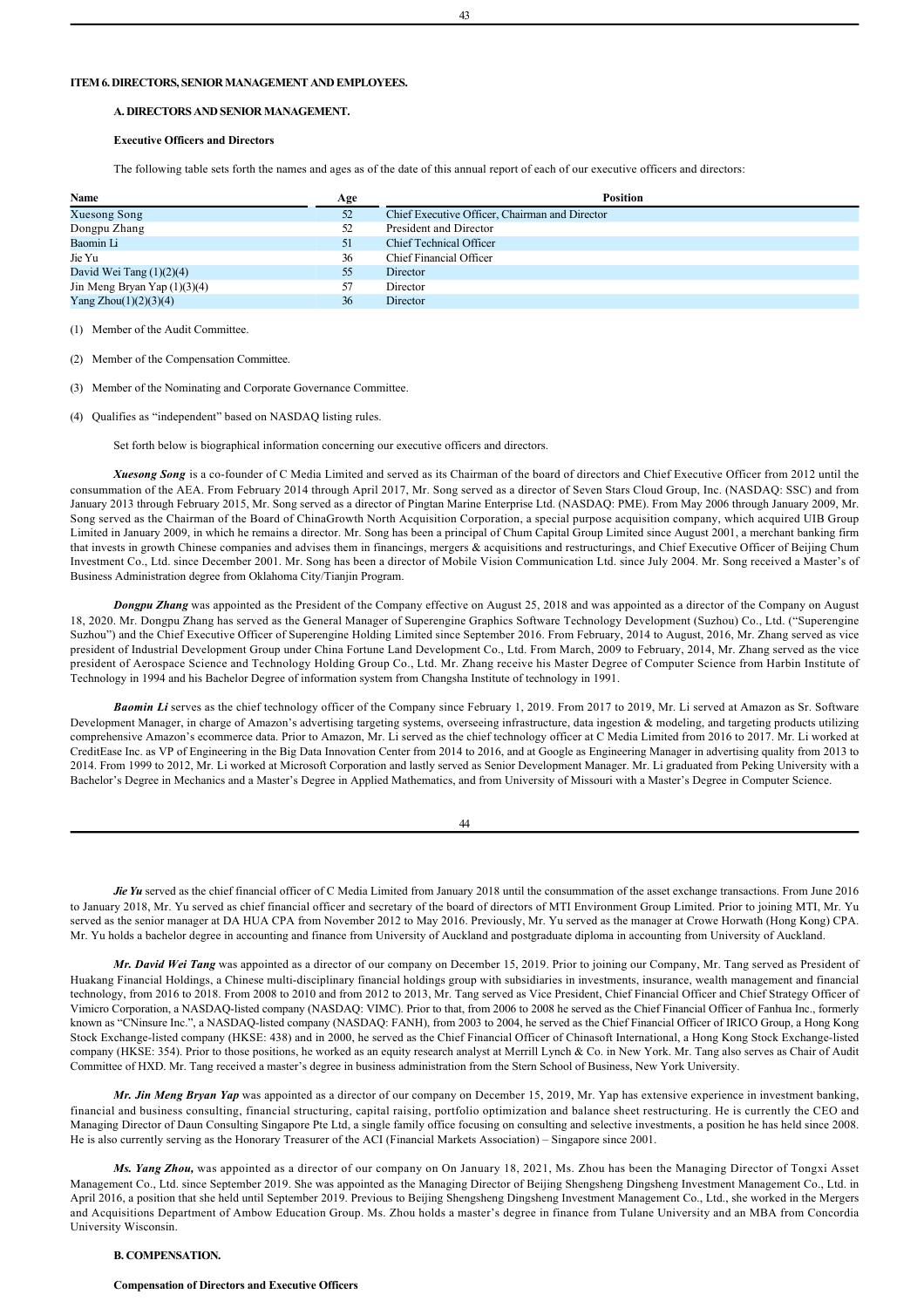# **ITEM 6. DIRECTORS, SENIOR MANAGEMENT AND EMPLOYEES.**

# **A. DIRECTORS AND SENIOR MANAGEMENT.**

# **Executive Officers and Directors**

The following table sets forth the names and ages as of the date of this annual report of each of our executive officers and directors:

| Name                           | Age | <b>Position</b>                                |  |  |
|--------------------------------|-----|------------------------------------------------|--|--|
| Xuesong Song                   | 52  | Chief Executive Officer, Chairman and Director |  |  |
| Dongpu Zhang                   | 52  | President and Director                         |  |  |
| Baomin Li                      | 51  | <b>Chief Technical Officer</b>                 |  |  |
| Jie Yu                         | 36  | <b>Chief Financial Officer</b>                 |  |  |
| David Wei Tang $(1)(2)(4)$     | 55  | Director                                       |  |  |
| Jin Meng Bryan Yap $(1)(3)(4)$ | 57  | Director                                       |  |  |
| Yang Zhou $(1)(2)(3)(4)$       | 36  | Director                                       |  |  |

<sup>(1)</sup> Member of the Audit Committee.

- (2) Member of the Compensation Committee.
- (3) Member of the Nominating and Corporate Governance Committee.
- (4) Qualifies as "independent" based on NASDAQ listing rules.

Set forth below is biographical information concerning our executive officers and directors.

Xuesong Song is a co-founder of C Media Limited and served as its Chairman of the board of directors and Chief Executive Officer from 2012 until the consummation of the AEA. From February 2014 through April 2017, Mr. Song served as a director of Seven Stars Cloud Group, Inc. (NASDAQ: SSC) and from January 2013 through February 2015, Mr. Song served as a director of Pingtan Marine Enterprise Ltd. (NASDAQ: PME). From May 2006 through January 2009, Mr. Song served as the Chairman of the Board of ChinaGrowth North Acquisition Corporation, a special purpose acquisition company, which acquired UIB Group Limited in January 2009, in which he remains a director. Mr. Song has been a principal of Chum Capital Group Limited since August 2001, a merchant banking firm that invests in growth Chinese companies and advises them in financings, mergers & acquisitions and restructurings, and Chief Executive Officer of Beijing Chum Investment Co., Ltd. since December 2001. Mr. Song has been a director of Mobile Vision Communication Ltd. since July 2004. Mr. Song received a Master's of Business Administration degree from Oklahoma City/Tianjin Program.

*Dongpu Zhang* was appointed as the President of the Company effective on August 25, 2018 and was appointed as a director of the Company on August 18, 2020. Mr. Dongpu Zhang has served as the General Manager of Superengine Graphics Software Technology Development (Suzhou) Co., Ltd. ("Superengine Suzhou") and the Chief Executive Officer of Superengine Holding Limited since September 2016. From February, 2014 to August, 2016, Mr. Zhang served as vice president of Industrial Development Group under China Fortune Land Development Co., Ltd. From March, 2009 to February, 2014, Mr. Zhang served as the vice president of Aerospace Science and Technology Holding Group Co., Ltd. Mr. Zhang receive his Master Degree of Computer Science from Harbin Institute of Technology in 1994 and his Bachelor Degree of information system from Changsha Institute of technology in 1991.

*Baomin Li* serves as the chief technology officer of the Company since February 1, 2019. From 2017 to 2019, Mr. Li served at Amazon as Sr. Software Development Manager, in charge of Amazon's advertising targeting systems, overseeing infrastructure, data ingestion & modeling, and targeting products utilizing comprehensive Amazon's ecommerce data. Prior to Amazon, Mr. Li served as the chief technology officer at C Media Limited from 2016 to 2017. Mr. Li worked at CreditEase Inc. as VP of Engineering in the Big Data Innovation Center from 2014 to 2016, and at Google as Engineering Manager in advertising quality from 2013 to 2014. From 1999 to 2012, Mr. Li worked at Microsoft Corporation and lastly served as Senior Development Manager. Mr. Li graduated from Peking University with a Bachelor's Degree in Mechanics and a Master's Degree in Applied Mathematics, and from University of Missouri with a Master's Degree in Computer Science.

44

Jie Yu served as the chief financial officer of C Media Limited from January 2018 until the consummation of the asset exchange transactions. From June 2016 to January 2018, Mr. Yu served as chief financial officer and secretary of the board of directors of MTI Environment Group Limited. Prior to joining MTI, Mr. Yu served as the senior manager at DA HUA CPA from November 2012 to May 2016. Previously, Mr. Yu served as the manager at Crowe Horwath (Hong Kong) CPA. Mr. Yu holds a bachelor degree in accounting and finance from University of Auckland and postgraduate diploma in accounting from University of Auckland.

*Mr. David Wei Tang* was appointed as a director of our company on December 15, 2019. Prior to joining our Company, Mr. Tang served as President of Huakang Financial Holdings, a Chinese multi-disciplinary financial holdings group with subsidiaries in investments, insurance, wealth management and financial technology, from 2016 to 2018. From 2008 to 2010 and from 2012 to 2013, Mr. Tang served as Vice President, Chief Financial Officer and Chief Strategy Officer of Vimicro Corporation, a NASDAQ-listed company (NASDAQ: VIMC). Prior to that, from 2006 to 2008 he served as the Chief Financial Officer of Fanhua Inc., formerly known as "CNinsure Inc.", a NASDAQ-listed company (NASDAQ: FANH), from 2003 to 2004, he served as the Chief Financial Officer of IRICO Group, a Hong Kong Stock Exchange-listed company (HKSE: 438) and in 2000, he served as the Chief Financial Officer of Chinasoft International, a Hong Kong Stock Exchange-listed company (HKSE: 354). Prior to those positions, he worked as an equity research analyst at Merrill Lynch & Co. in New York. Mr. Tang also serves as Chair of Audit Committee of HXD. Mr. Tang received a master's degree in business administration from the Stern School of Business, New York University.

*Mr. Jin Meng Bryan Yap* was appointed as a director of our company on December 15, 2019, Mr. Yap has extensive experience in investment banking, financial and business consulting, financial structuring, capital raising, portfolio optimization and balance sheet restructuring. He is currently the CEO and Managing Director of Daun Consulting Singapore Pte Ltd, a single family office focusing on consulting and selective investments, a position he has held since 2008. He is also currently serving as the Honorary Treasurer of the ACI (Financial Markets Association) – Singapore since 2001.

*Ms. Yang Zhou,* was appointed as a director of our company on On January 18, 2021, Ms. Zhou has been the Managing Director of Tongxi Asset Management Co., Ltd. since September 2019. She was appointed as the Managing Director of Beijing Shengsheng Dingsheng Investment Management Co., Ltd. in April 2016, a position that she held until September 2019. Previous to Beijing Shengsheng Dingsheng Investment Management Co., Ltd., she worked in the Mergers and Acquisitions Department of Ambow Education Group. Ms. Zhou holds a master's degree in finance from Tulane University and an MBA from Concordia University Wisconsin.

# **B. COMPENSATION.**

#### **Compensation of Directors and Executive Officers**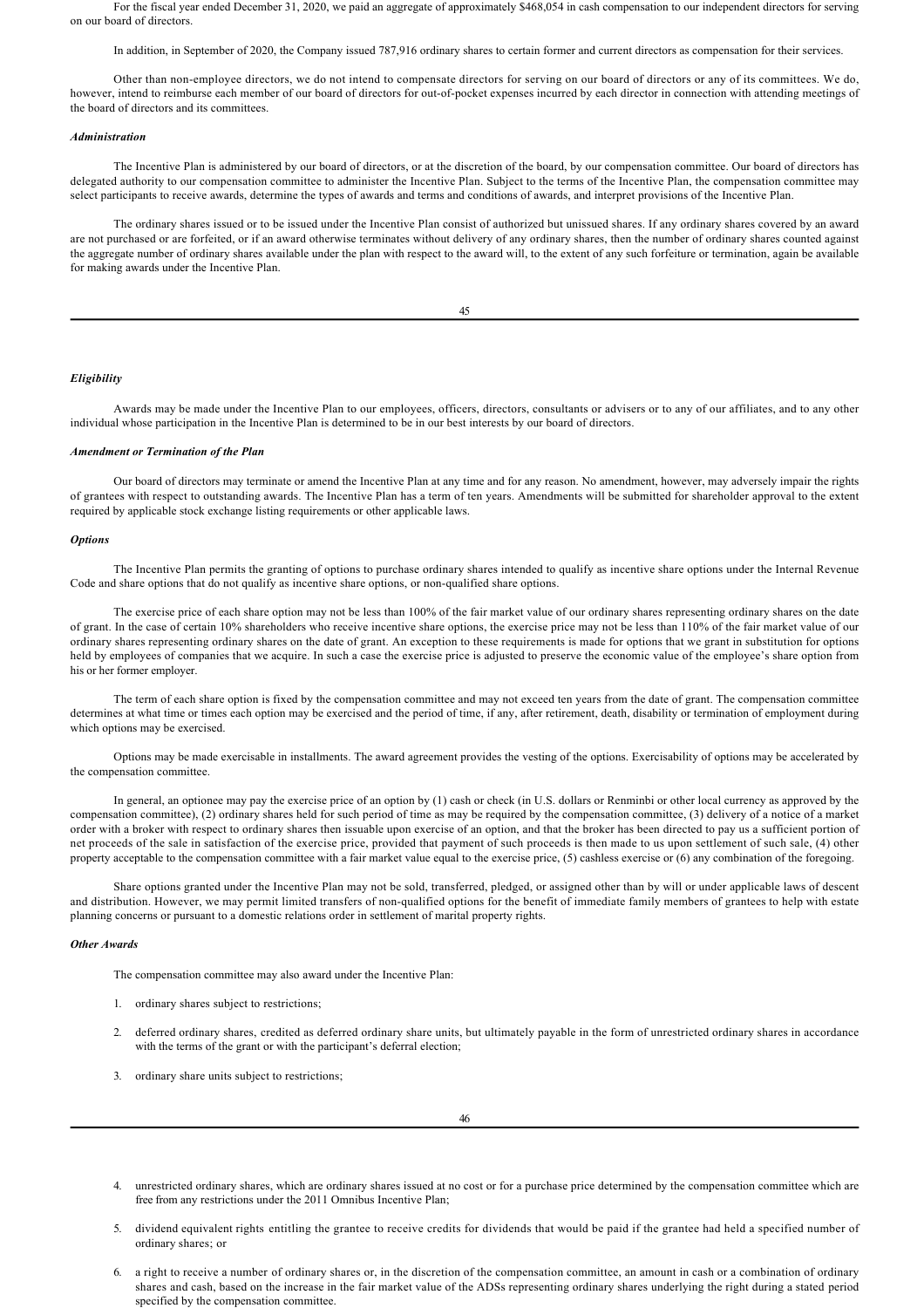For the fiscal year ended December 31, 2020, we paid an aggregate of approximately \$468,054 in cash compensation to our independent directors for serving on our board of directors.

In addition, in September of 2020, the Company issued 787,916 ordinary shares to certain former and current directors as compensation for their services.

Other than nonemployee directors, we do not intend to compensate directors for serving on our board of directors or any of its committees. We do, however, intend to reimburse each member of our board of directors for out-of-pocket expenses incurred by each director in connection with attending meetings of the board of directors and its committees.

#### *Administration*

The Incentive Plan is administered by our board of directors, or at the discretion of the board, by our compensation committee. Our board of directors has delegated authority to our compensation committee to administer the Incentive Plan. Subject to the terms of the Incentive Plan, the compensation committee may select participants to receive awards, determine the types of awards and terms and conditions of awards, and interpret provisions of the Incentive Plan.

The ordinary shares issued or to be issued under the Incentive Plan consist of authorized but unissued shares. If any ordinary shares covered by an award are not purchased or are forfeited, or if an award otherwise terminates without delivery of any ordinary shares, then the number of ordinary shares counted against the aggregate number of ordinary shares available under the plan with respect to the award will, to the extent of any such forfeiture or termination, again be available for making awards under the Incentive Plan.

## *Eligibility*

Awards may be made under the Incentive Plan to our employees, officers, directors, consultants or advisers or to any of our affiliates, and to any other individual whose participation in the Incentive Plan is determined to be in our best interests by our board of directors.

### *Amendment or Termination of the Plan*

Our board of directors may terminate or amend the Incentive Plan at any time and for any reason. No amendment, however, may adversely impair the rights of grantees with respect to outstanding awards. The Incentive Plan has a term of ten years. Amendments will be submitted for shareholder approval to the extent required by applicable stock exchange listing requirements or other applicable laws.

#### *Options*

The Incentive Plan permits the granting of options to purchase ordinary shares intended to qualify as incentive share options under the Internal Revenue Code and share options that do not qualify as incentive share options, or non-qualified share options.

The exercise price of each share option may not be less than 100% of the fair market value of our ordinary shares representing ordinary shares on the date of grant. In the case of certain 10% shareholders who receive incentive share options, the exercise price may not be less than 110% of the fair market value of our ordinary shares representing ordinary shares on the date of grant. An exception to these requirements is made for options that we grant in substitution for options held by employees of companies that we acquire. In such a case the exercise price is adjusted to preserve the economic value of the employee's share option from his or her former employer.

The term of each share option is fixed by the compensation committee and may not exceed ten years from the date of grant. The compensation committee determines at what time or times each option may be exercised and the period of time, if any, after retirement, death, disability or termination of employment during which options may be exercised.

Options may be made exercisable in installments. The award agreement provides the vesting of the options. Exercisability of options may be accelerated by the compensation committee.

In general, an optionee may pay the exercise price of an option by (1) cash or check (in U.S. dollars or Renminbi or other local currency as approved by the compensation committee), (2) ordinary shares held for such period of time as may be required by the compensation committee, (3) delivery of a notice of a market order with a broker with respect to ordinary shares then issuable upon exercise of an option, and that the broker has been directed to pay us a sufficient portion of net proceeds of the sale in satisfaction of the exercise price, provided that payment of such proceeds is then made to us upon settlement of such sale, (4) other property acceptable to the compensation committee with a fair market value equal to the exercise price, (5) cashless exercise or (6) any combination of the foregoing.

Share options granted under the Incentive Plan may not be sold, transferred, pledged, or assigned other than by will or under applicable laws of descent and distribution. However, we may permit limited transfers of nonqualified options for the benefit of immediate family members of grantees to help with estate planning concerns or pursuant to a domestic relations order in settlement of marital property rights.

#### *Other Awards*

The compensation committee may also award under the Incentive Plan:

- 1. ordinary shares subject to restrictions;
- 2. deferred ordinary shares, credited as deferred ordinary share units, but ultimately payable in the form of unrestricted ordinary shares in accordance with the terms of the grant or with the participant's deferral election;
- 3. ordinary share units subject to restrictions;

- 4. unrestricted ordinary shares, which are ordinary shares issued at no cost or for a purchase price determined by the compensation committee which are free from any restrictions under the 2011 Omnibus Incentive Plan;
- 5. dividend equivalent rights entitling the grantee to receive credits for dividends that would be paid if the grantee had held a specified number of ordinary shares; or
- a right to receive a number of ordinary shares or, in the discretion of the compensation committee, an amount in cash or a combination of ordinary shares and cash, based on the increase in the fair market value of the ADSs representing ordinary shares underlying the right during a stated period specified by the compensation committee.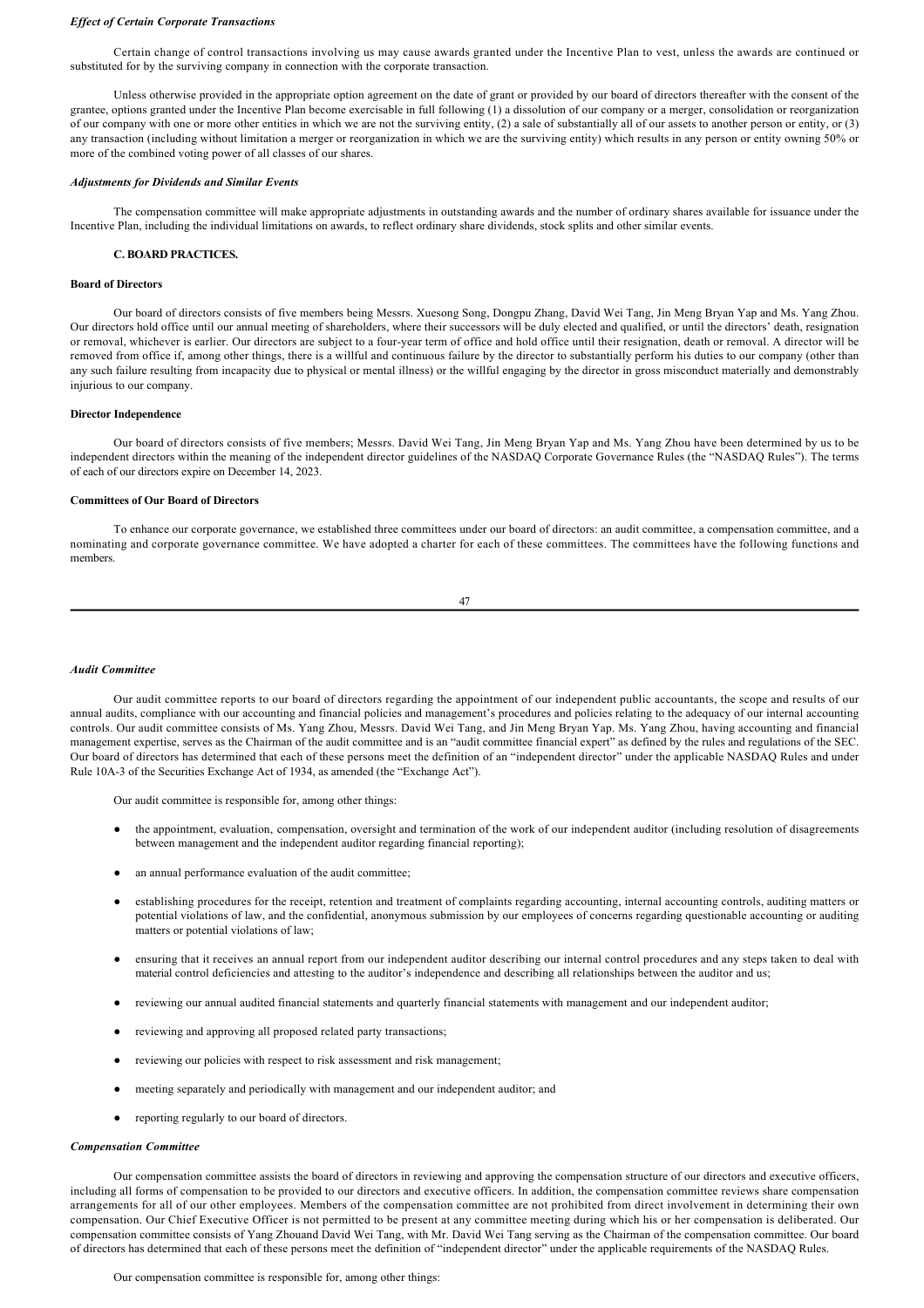## *Effect of Certain Corporate Transactions*

Certain change of control transactions involving us may cause awards granted under the Incentive Plan to vest, unless the awards are continued or substituted for by the surviving company in connection with the corporate transaction.

Unless otherwise provided in the appropriate option agreement on the date of grant or provided by our board of directors thereafter with the consent of the grantee, options granted under the Incentive Plan become exercisable in full following (1) a dissolution of our company or a merger, consolidation or reorganization of our company with one or more other entities in which we are not the surviving entity, (2) a sale of substantially all of our assets to another person or entity, or (3) any transaction (including without limitation a merger or reorganization in which we are the surviving entity) which results in any person or entity owning 50% or more of the combined voting power of all classes of our shares.

## *Adjustments for Dividends and Similar Events*

The compensation committee will make appropriate adjustments in outstanding awards and the number of ordinary shares available for issuance under the Incentive Plan, including the individual limitations on awards, to reflect ordinary share dividends, stock splits and other similar events.

#### **C. BOARD PRACTICES.**

# **Board of Directors**

Our board of directors consists of five members being Messrs. Xuesong Song, Dongpu Zhang, David Wei Tang, Jin Meng Bryan Yap and Ms. Yang Zhou. Our directors hold office until our annual meeting of shareholders, where their successors will be duly elected and qualified, or until the directors' death, resignation or removal, whichever is earlier. Our directors are subject to a fouryear term of office and hold office until their resignation, death or removal. A director will be removed from office if, among other things, there is a willful and continuous failure by the director to substantially perform his duties to our company (other than any such failure resulting from incapacity due to physical or mental illness) or the willful engaging by the director in gross misconduct materially and demonstrably injurious to our company.

# **Director Independence**

Our board of directors consists of five members; Messrs. David Wei Tang, Jin Meng Bryan Yap and Ms. Yang Zhou have been determined by us to be independent directors within the meaning of the independent director guidelines of the NASDAQ Corporate Governance Rules (the "NASDAQ Rules"). The terms of each of our directors expire on December 14, 2023.

# **Committees of Our Board of Directors**

To enhance our corporate governance, we established three committees under our board of directors: an audit committee, a compensation committee, and a nominating and corporate governance committee. We have adopted a charter for each of these committees. The committees have the following functions and members.

47

# *Audit Committee*

Our audit committee reports to our board of directors regarding the appointment of our independent public accountants, the scope and results of our annual audits, compliance with our accounting and financial policies and management's procedures and policies relating to the adequacy of our internal accounting controls. Our audit committee consists of Ms. Yang Zhou, Messrs. David Wei Tang, and Jin Meng Bryan Yap. Ms. Yang Zhou, having accounting and financial management expertise, serves as the Chairman of the audit committee and is an "audit committee financial expert" as defined by the rules and regulations of the SEC. Our board of directors has determined that each of these persons meet the definition of an "independent director" under the applicable NASDAQ Rules and under Rule 10A-3 of the Securities Exchange Act of 1934, as amended (the "Exchange Act").

Our audit committee is responsible for, among other things:

- the appointment, evaluation, compensation, oversight and termination of the work of our independent auditor (including resolution of disagreements between management and the independent auditor regarding financial reporting);
- an annual performance evaluation of the audit committee;
- establishing procedures for the receipt, retention and treatment of complaints regarding accounting, internal accounting controls, auditing matters or potential violations of law, and the confidential, anonymous submission by our employees of concerns regarding questionable accounting or auditing matters or potential violations of law;
- ensuring that it receives an annual report from our independent auditor describing our internal control procedures and any steps taken to deal with material control deficiencies and attesting to the auditor's independence and describing all relationships between the auditor and us;
- reviewing our annual audited financial statements and quarterly financial statements with management and our independent auditor;
- reviewing and approving all proposed related party transactions;
- reviewing our policies with respect to risk assessment and risk management;
- meeting separately and periodically with management and our independent auditor; and
- reporting regularly to our board of directors.

# *Compensation Committee*

Our compensation committee assists the board of directors in reviewing and approving the compensation structure of our directors and executive officers, including all forms of compensation to be provided to our directors and executive officers. In addition, the compensation committee reviews share compensation arrangements for all of our other employees. Members of the compensation committee are not prohibited from direct involvement in determining their own compensation. Our Chief Executive Officer is not permitted to be present at any committee meeting during which his or her compensation is deliberated. Our compensation committee consists of Yang Zhouand David Wei Tang, with Mr. David Wei Tang serving as the Chairman of the compensation committee. Our board of directors has determined that each of these persons meet the definition of "independent director" under the applicable requirements of the NASDAQ Rules.

Our compensation committee is responsible for, among other things: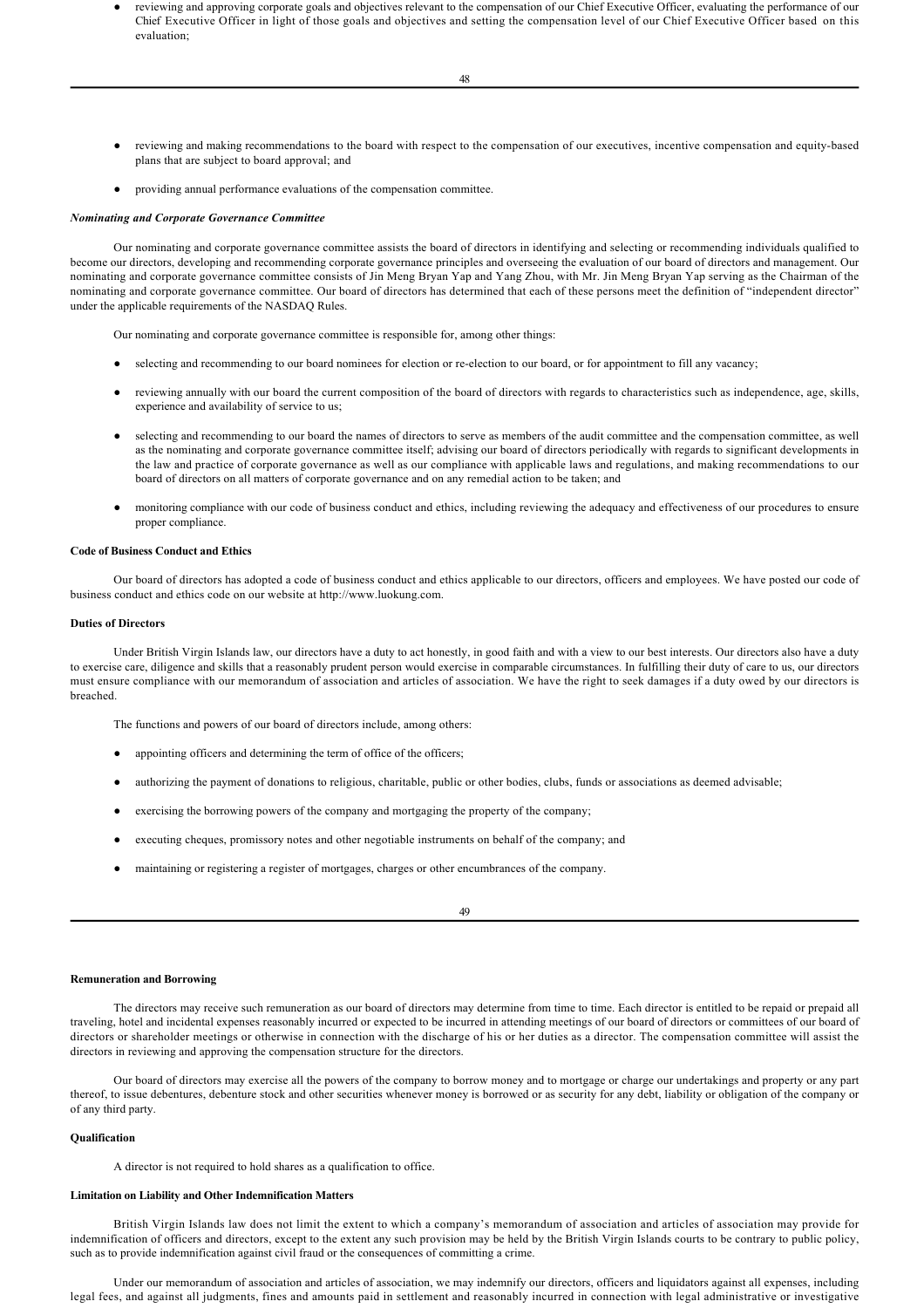reviewing and approving corporate goals and objectives relevant to the compensation of our Chief Executive Officer, evaluating the performance of our Chief Executive Officer in light of those goals and objectives and setting the compensation level of our Chief Executive Officer based on this evaluation;

- reviewing and making recommendations to the board with respect to the compensation of our executives, incentive compensation and equitybased plans that are subject to board approval; and
- providing annual performance evaluations of the compensation committee.

### *Nominating and Corporate Governance Committee*

Our nominating and corporate governance committee assists the board of directors in identifying and selecting or recommending individuals qualified to become our directors, developing and recommending corporate governance principles and overseeing the evaluation of our board of directors and management. Our nominating and corporate governance committee consists of Jin Meng Bryan Yap and Yang Zhou, with Mr. Jin Meng Bryan Yap serving as the Chairman of the nominating and corporate governance committee. Our board of directors has determined that each of these persons meet the definition of "independent director" under the applicable requirements of the NASDAQ Rules.

Our nominating and corporate governance committee is responsible for, among other things:

- selecting and recommending to our board nominees for election or re-election to our board, or for appointment to fill any vacancy;
- reviewing annually with our board the current composition of the board of directors with regards to characteristics such as independence, age, skills, experience and availability of service to us;
- selecting and recommending to our board the names of directors to serve as members of the audit committee and the compensation committee, as well as the nominating and corporate governance committee itself; advising our board of directors periodically with regards to significant developments in the law and practice of corporate governance as well as our compliance with applicable laws and regulations, and making recommendations to our board of directors on all matters of corporate governance and on any remedial action to be taken; and
- monitoring compliance with our code of business conduct and ethics, including reviewing the adequacy and effectiveness of our procedures to ensure proper compliance.

#### **Code of Business Conduct and Ethics**

Our board of directors has adopted a code of business conduct and ethics applicable to our directors, officers and employees. We have posted our code of business conduct and ethics code on our website at http://www.luokung.com.

# **Duties of Directors**

Under British Virgin Islands law, our directors have a duty to act honestly, in good faith and with a view to our best interests. Our directors also have a duty to exercise care, diligence and skills that a reasonably prudent person would exercise in comparable circumstances. In fulfilling their duty of care to us, our directors must ensure compliance with our memorandum of association and articles of association. We have the right to seek damages if a duty owed by our directors is breached.

The functions and powers of our board of directors include, among others:

- appointing officers and determining the term of office of the officers;
- authorizing the payment of donations to religious, charitable, public or other bodies, clubs, funds or associations as deemed advisable;
- exercising the borrowing powers of the company and mortgaging the property of the company;
- executing cheques, promissory notes and other negotiable instruments on behalf of the company; and
- maintaining or registering a register of mortgages, charges or other encumbrances of the company.

#### 49

#### **Remuneration and Borrowing**

The directors may receive such remuneration as our board of directors may determine from time to time. Each director is entitled to be repaid or prepaid all traveling, hotel and incidental expenses reasonably incurred or expected to be incurred in attending meetings of our board of directors or committees of our board of directors or shareholder meetings or otherwise in connection with the discharge of his or her duties as a director. The compensation committee will assist the directors in reviewing and approving the compensation structure for the directors.

Our board of directors may exercise all the powers of the company to borrow money and to mortgage or charge our undertakings and property or any part thereof, to issue debentures, debenture stock and other securities whenever money is borrowed or as security for any debt, liability or obligation of the company or of any third party.

#### **Qualification**

A director is not required to hold shares as a qualification to office.

# **Limitation on Liability and Other Indemnification Matters**

British Virgin Islands law does not limit the extent to which a company's memorandum of association and articles of association may provide for indemnification of officers and directors, except to the extent any such provision may be held by the British Virgin Islands courts to be contrary to public policy, such as to provide indemnification against civil fraud or the consequences of committing a crime.

Under our memorandum of association and articles of association, we may indemnify our directors, officers and liquidators against all expenses, including legal fees, and against all judgments, fines and amounts paid in settlement and reasonably incurred in connection with legal administrative or investigative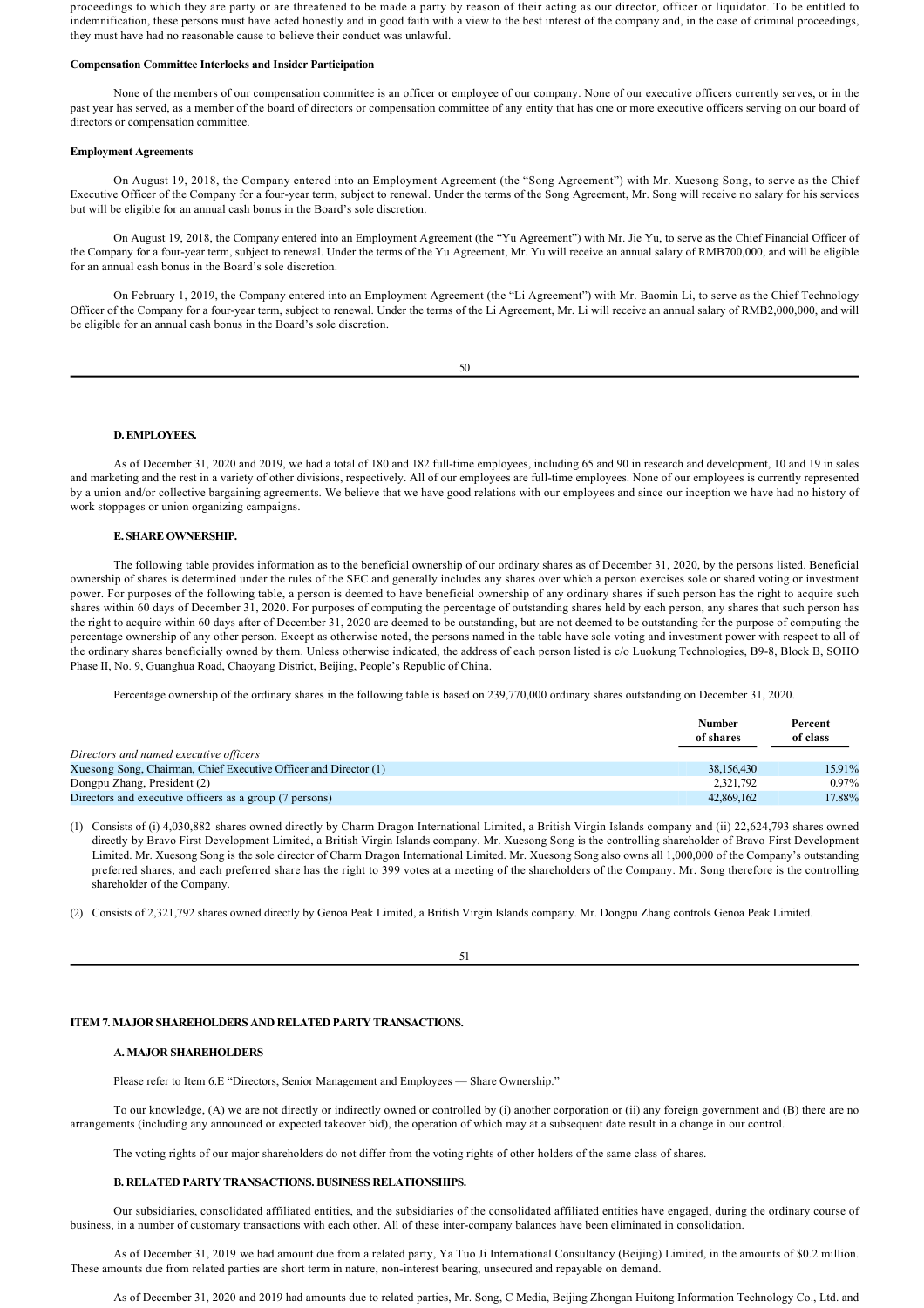proceedings to which they are party or are threatened to be made a party by reason of their acting as our director, officer or liquidator. To be entitled to indemnification, these persons must have acted honestly and in good faith with a view to the best interest of the company and, in the case of criminal proceedings, they must have had no reasonable cause to believe their conduct was unlawful.

# **Compensation Committee Interlocks and Insider Participation**

None of the members of our compensation committee is an officer or employee of our company. None of our executive officers currently serves, or in the past year has served, as a member of the board of directors or compensation committee of any entity that has one or more executive officers serving on our board of directors or compensation committee.

### **Employment Agreements**

On August 19, 2018, the Company entered into an Employment Agreement (the "Song Agreement") with Mr. Xuesong Song, to serve as the Chief Executive Officer of the Company for a fouryear term, subject to renewal. Under the terms of the Song Agreement, Mr. Song will receive no salary for his services but will be eligible for an annual cash bonus in the Board's sole discretion.

On August 19, 2018, the Company entered into an Employment Agreement (the "Yu Agreement") with Mr. Jie Yu, to serve as the Chief Financial Officer of the Company for a four-year term, subject to renewal. Under the terms of the Yu Agreement, Mr. Yu will receive an annual salary of RMB700,000, and will be eligible for an annual cash bonus in the Board's sole discretion.

On February 1, 2019, the Company entered into an Employment Agreement (the "Li Agreement") with Mr. Baomin Li, to serve as the Chief Technology Officer of the Company for a fouryear term, subject to renewal. Under the terms of the Li Agreement, Mr. Li will receive an annual salary of RMB2,000,000, and will be eligible for an annual cash bonus in the Board's sole discretion.

| ٦                             |  |
|-------------------------------|--|
| v.<br>۰,<br>۰.<br>i<br>×<br>٧ |  |

### **D. EMPLOYEES.**

As of December 31, 2020 and 2019, we had a total of 180 and 182 full-time employees, including 65 and 90 in research and development, 10 and 19 in sales and marketing and the rest in a variety of other divisions, respectively. All of our employees are full-time employees. None of our employees is currently represented by a union and/or collective bargaining agreements. We believe that we have good relations with our employees and since our inception we have had no history of work stoppages or union organizing campaigns.

# **E. SHARE OWNERSHIP.**

The following table provides information as to the beneficial ownership of our ordinary shares as of December 31, 2020, by the persons listed. Beneficial ownership of shares is determined under the rules of the SEC and generally includes any shares over which a person exercises sole or shared voting or investment power. For purposes of the following table, a person is deemed to have beneficial ownership of any ordinary shares if such person has the right to acquire such shares within 60 days of December 31, 2020. For purposes of computing the percentage of outstanding shares held by each person, any shares that such person has the right to acquire within 60 days after of December 31, 2020 are deemed to be outstanding, but are not deemed to be outstanding for the purpose of computing the percentage ownership of any other person. Except as otherwise noted, the persons named in the table have sole voting and investment power with respect to all of the ordinary shares beneficially owned by them. Unless otherwise indicated, the address of each person listed is c/o Luokung Technologies, B9-8, Block B, SOHO Phase II, No. 9, Guanghua Road, Chaoyang District, Beijing, People's Republic of China.

Percentage ownership of the ordinary shares in the following table is based on 239,770,000 ordinary shares outstanding on December 31, 2020.

|                                                                  | <b>Number</b> | Percent  |
|------------------------------------------------------------------|---------------|----------|
|                                                                  | of shares     | of class |
| Directors and named executive officers                           |               |          |
| Xuesong Song, Chairman, Chief Executive Officer and Director (1) | 38.156.430    | 15.91%   |
| Dongpu Zhang, President (2)                                      | 2,321,792     | $0.97\%$ |
| Directors and executive officers as a group (7 persons)          | 42,869,162    | 17.88%   |

(1) Consists of (i) 4,030,882 shares owned directly by Charm Dragon International Limited, a British Virgin Islands company and (ii) 22,624,793 shares owned directly by Bravo First Development Limited, a British Virgin Islands company. Mr. Xuesong Song is the controlling shareholder of Bravo First Development Limited. Mr. Xuesong Song is the sole director of Charm Dragon International Limited. Mr. Xuesong Song also owns all 1,000,000 of the Company's outstanding preferred shares, and each preferred share has the right to 399 votes at a meeting of the shareholders of the Company. Mr. Song therefore is the controlling shareholder of the Company.

(2) Consists of 2,321,792 shares owned directly by Genoa Peak Limited, a British Virgin Islands company. Mr. Dongpu Zhang controls Genoa Peak Limited.

51

#### **ITEM 7. MAJOR SHAREHOLDERS AND RELATED PARTY TRANSACTIONS.**

# **A. MAJOR SHAREHOLDERS**

Please refer to Item 6.E "Directors, Senior Management and Employees — Share Ownership."

To our knowledge, (A) we are not directly or indirectly owned or controlled by (i) another corporation or (ii) any foreign government and (B) there are no arrangements (including any announced or expected takeover bid), the operation of which may at a subsequent date result in a change in our control.

The voting rights of our major shareholders do not differ from the voting rights of other holders of the same class of shares.

### **B. RELATED PARTY TRANSACTIONS. BUSINESS RELATIONSHIPS.**

Our subsidiaries, consolidated affiliated entities, and the subsidiaries of the consolidated affiliated entities have engaged, during the ordinary course of business, in a number of customary transactions with each other. All of these intercompany balances have been eliminated in consolidation.

As of December 31, 2019 we had amount due from a related party, Ya Tuo Ji International Consultancy (Beijing) Limited, in the amounts of \$0.2 million. These amounts due from related parties are short term in nature, non-interest bearing, unsecured and repayable on demand.

As of December 31, 2020 and 2019 had amounts due to related parties, Mr. Song, C Media, Beijing Zhongan Huitong Information Technology Co., Ltd. and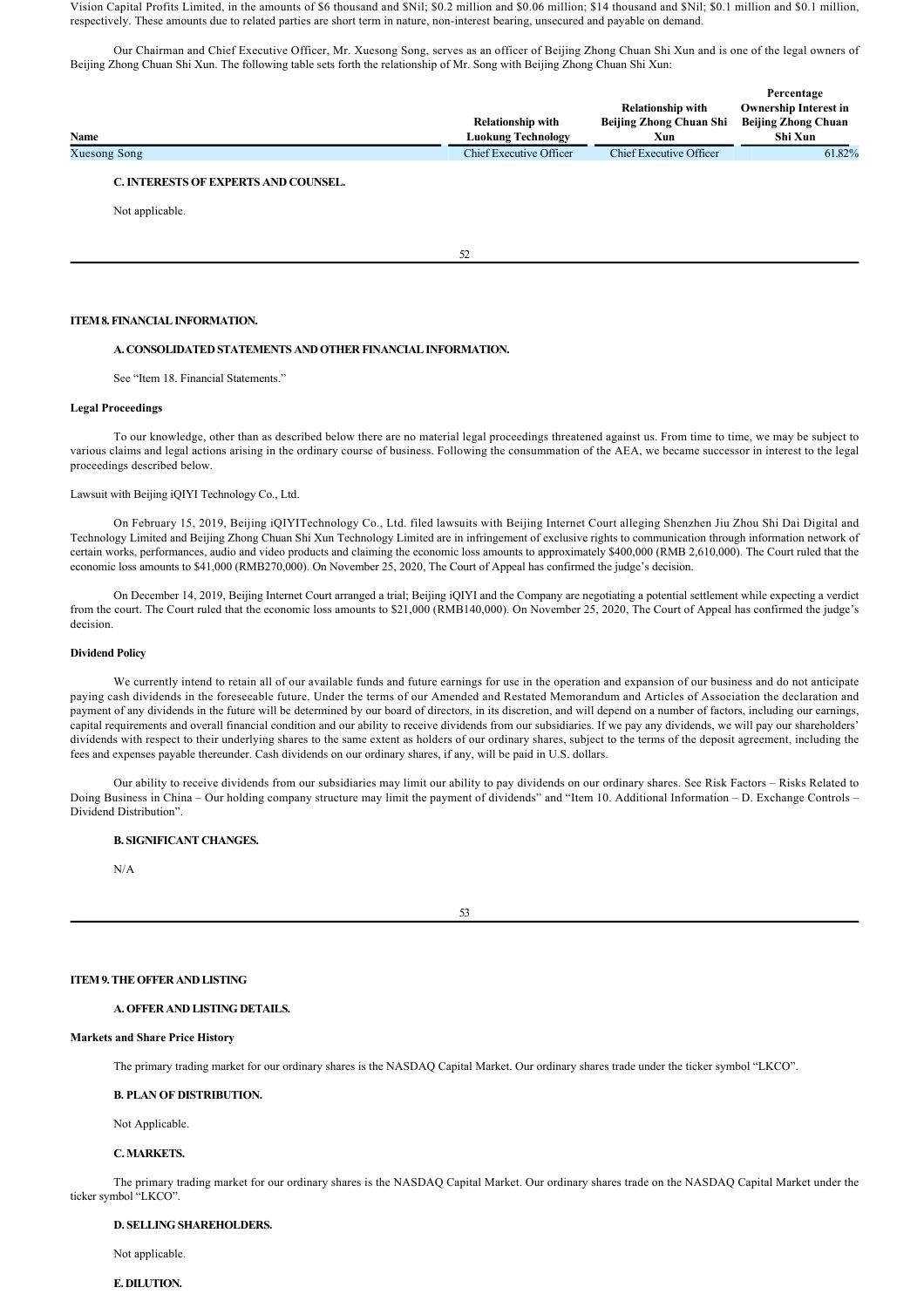Vision Capital Profits Limited, in the amounts of \$6 thousand and \$Nil; \$0.2 million and \$0.06 million; \$14 thousand and \$Nil; \$0.1 million and \$0.1 million, respectively. These amounts due to related parties are short term in nature, non-interest bearing, unsecured and payable on demand.

Our Chairman and Chief Executive Officer, Mr. Xuesong Song, serves as an officer of Beijing Zhong Chuan Shi Xun and is one of the legal owners of Beijing Zhong Chuan Shi Xun. The following table sets forth the relationship of Mr. Song with Beijing Zhong Chuan Shi Xun:

|              |                           |                                | Percentage                   |  |  |
|--------------|---------------------------|--------------------------------|------------------------------|--|--|
|              |                           | <b>Relationship with</b>       | <b>Ownership Interest in</b> |  |  |
|              | <b>Relationship with</b>  | <b>Beijing Zhong Chuan Shi</b> | <b>Beijing Zhong Chuan</b>   |  |  |
| Name         | <b>Luokung Technology</b> | Xun                            | Shi Xun                      |  |  |
| Xuesong Song | Chief Executive Officer   | <b>Chief Executive Officer</b> | 61.82%                       |  |  |

# **C. INTERESTS OF EXPERTS AND COUNSEL.**

Not applicable.

52

### **ITEM 8. FINANCIAL INFORMATION.**

# **A. CONSOLIDATED STATEMENTS AND OTHER FINANCIAL INFORMATION.**

See "Item 18. Financial Statements."

### **Legal Proceedings**

To our knowledge, other than as described below there are no material legal proceedings threatened against us. From time to time, we may be subject to various claims and legal actions arising in the ordinary course of business. Following the consummation of the AEA, we became successor in interest to the legal proceedings described below.

## Lawsuit with Beijing iQIYI Technology Co., Ltd.

On February 15, 2019, Beijing iQIYITechnology Co., Ltd. filed lawsuits with Beijing Internet Court alleging Shenzhen Jiu Zhou Shi Dai Digital and Technology Limited and Beijing Zhong Chuan Shi Xun Technology Limited are in infringement of exclusive rights to communication through information network of certain works, performances, audio and video products and claiming the economic loss amounts to approximately \$400,000 (RMB 2,610,000). The Court ruled that the economic loss amounts to \$41,000 (RMB270,000). On November 25, 2020, The Court of Appeal has confirmed the judge's decision.

On December 14, 2019, Beijing Internet Court arranged a trial; Beijing iQIYI and the Company are negotiating a potential settlement while expecting a verdict from the court. The Court ruled that the economic loss amounts to \$21,000 (RMB140,000). On November 25, 2020, The Court of Appeal has confirmed the judge's decision.

# **Dividend Policy**

We currently intend to retain all of our available funds and future earnings for use in the operation and expansion of our business and do not anticipate paying cash dividends in the foreseeable future. Under the terms of our Amended and Restated Memorandum and Articles of Association the declaration and payment of any dividends in the future will be determined by our board of directors, in its discretion, and will depend on a number of factors, including our earnings, capital requirements and overall financial condition and our ability to receive dividends from our subsidiaries. If we pay any dividends, we will pay our shareholders' dividends with respect to their underlying shares to the same extent as holders of our ordinary shares, subject to the terms of the deposit agreement, including the fees and expenses payable thereunder. Cash dividends on our ordinary shares, if any, will be paid in U.S. dollars.

Our ability to receive dividends from our subsidiaries may limit our ability to pay dividends on our ordinary shares. See Risk Factors – Risks Related to Doing Business in China – Our holding company structure may limit the payment of dividends" and "Item 10. Additional Information – D. Exchange Controls – Dividend Distribution".

# **B. SIGNIFICANT CHANGES.**

N/A

53

# **ITEM 9. THE OFFER AND LISTING**

# **A. OFFER AND LISTING DETAILS.**

#### **Markets and Share Price History**

The primary trading market for our ordinary shares is the NASDAQ Capital Market. Our ordinary shares trade under the ticker symbol "LKCO".

# **B. PLAN OF DISTRIBUTION.**

Not Applicable.

#### **C. MARKETS.**

The primary trading market for our ordinary shares is the NASDAQ Capital Market. Our ordinary shares trade on the NASDAQ Capital Market under the ticker symbol "LKCO".

#### **D. SELLING SHAREHOLDERS.**

Not applicable.

# **E. DILUTION.**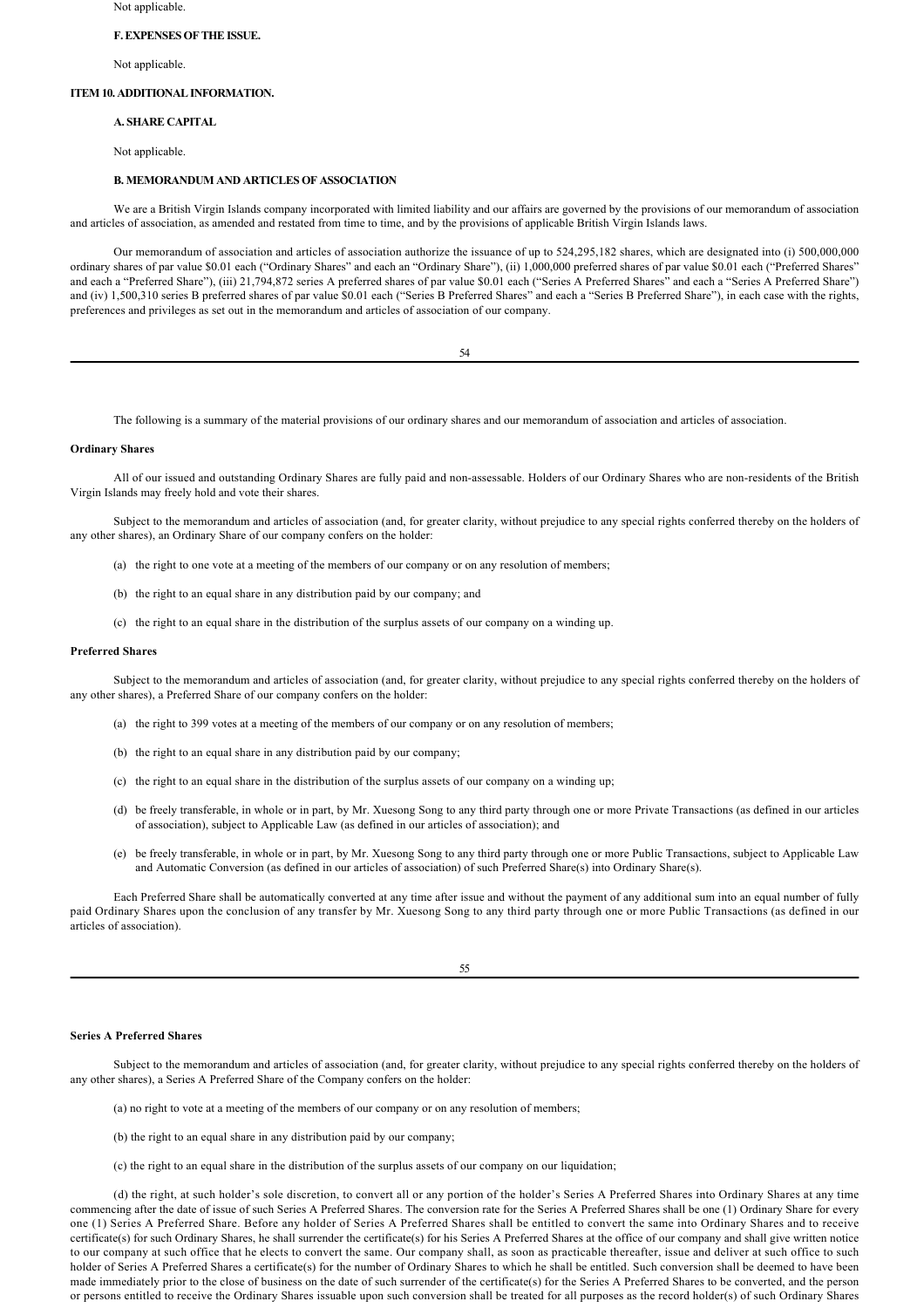Not applicable.

# **F. EXPENSES OF THE ISSUE.**

Not applicable.

# **ITEM 10. ADDITIONAL INFORMATION.**

# **A. SHARE CAPITAL**

Not applicable.

# **B. MEMORANDUM AND ARTICLES OF ASSOCIATION**

We are a British Virgin Islands company incorporated with limited liability and our affairs are governed by the provisions of our memorandum of association and articles of association, as amended and restated from time to time, and by the provisions of applicable British Virgin Islands laws.

Our memorandum of association and articles of association authorize the issuance of up to 524,295,182 shares, which are designated into (i) 500,000,000 ordinary shares of par value \$0.01 each ("Ordinary Shares" and each an "Ordinary Share"), (ii) 1,000,000 preferred shares of par value \$0.01 each ("Preferred Shares" and each a "Preferred Share"), (iii) 21,794,872 series A preferred shares of par value \$0.01 each ("Series A Preferred Shares" and each a "Series A Preferred Share") and (iv) 1,500,310 series B preferred shares of par value \$0.01 each ("Series B Preferred Shares" and each a "Series B Preferred Share"), in each case with the rights, preferences and privileges as set out in the memorandum and articles of association of our company.

54

The following is a summary of the material provisions of our ordinary shares and our memorandum of association and articles of association.

# **Ordinary Shares**

All of our issued and outstanding Ordinary Shares are fully paid and non-assessable. Holders of our Ordinary Shares who are non-residents of the British Virgin Islands may freely hold and vote their shares.

Subject to the memorandum and articles of association (and, for greater clarity, without prejudice to any special rights conferred thereby on the holders of any other shares), an Ordinary Share of our company confers on the holder:

- (a) the right to one vote at a meeting of the members of our company or on any resolution of members;
- (b) the right to an equal share in any distribution paid by our company; and
- (c) the right to an equal share in the distribution of the surplus assets of our company on a winding up.

#### **Preferred Shares**

Subject to the memorandum and articles of association (and, for greater clarity, without prejudice to any special rights conferred thereby on the holders of any other shares), a Preferred Share of our company confers on the holder:

- (a) the right to 399 votes at a meeting of the members of our company or on any resolution of members;
- (b) the right to an equal share in any distribution paid by our company;
- (c) the right to an equal share in the distribution of the surplus assets of our company on a winding up;
- (d) be freely transferable, in whole or in part, by Mr. Xuesong Song to any third party through one or more Private Transactions (as defined in our articles of association), subject to Applicable Law (as defined in our articles of association); and
- (e) be freely transferable, in whole or in part, by Mr. Xuesong Song to any third party through one or more Public Transactions, subject to Applicable Law and Automatic Conversion (as defined in our articles of association) of such Preferred Share(s) into Ordinary Share(s).

Each Preferred Share shall be automatically converted at any time after issue and without the payment of any additional sum into an equal number of fully paid Ordinary Shares upon the conclusion of any transfer by Mr. Xuesong Song to any third party through one or more Public Transactions (as defined in our articles of association).

55

#### **Series A Preferred Shares**

Subject to the memorandum and articles of association (and, for greater clarity, without prejudice to any special rights conferred thereby on the holders of any other shares), a Series A Preferred Share of the Company confers on the holder:

(a) no right to vote at a meeting of the members of our company or on any resolution of members;

- (b) the right to an equal share in any distribution paid by our company;
- (c) the right to an equal share in the distribution of the surplus assets of our company on our liquidation;

(d) the right, at such holder's sole discretion, to convert all or any portion of the holder's Series A Preferred Shares into Ordinary Shares at any time commencing after the date of issue of such Series A Preferred Shares. The conversion rate for the Series A Preferred Shares shall be one (1) Ordinary Share for every one (1) Series A Preferred Share. Before any holder of Series A Preferred Shares shall be entitled to convert the same into Ordinary Shares and to receive certificate(s) for such Ordinary Shares, he shall surrender the certificate(s) for his Series A Preferred Shares at the office of our company and shall give written notice to our company at such office that he elects to convert the same. Our company shall, as soon as practicable thereafter, issue and deliver at such office to such holder of Series A Preferred Shares a certificate(s) for the number of Ordinary Shares to which he shall be entitled. Such conversion shall be deemed to have been made immediately prior to the close of business on the date of such surrender of the certificate(s) for the Series A Preferred Shares to be converted, and the person or persons entitled to receive the Ordinary Shares issuable upon such conversion shall be treated for all purposes as the record holder(s) of such Ordinary Shares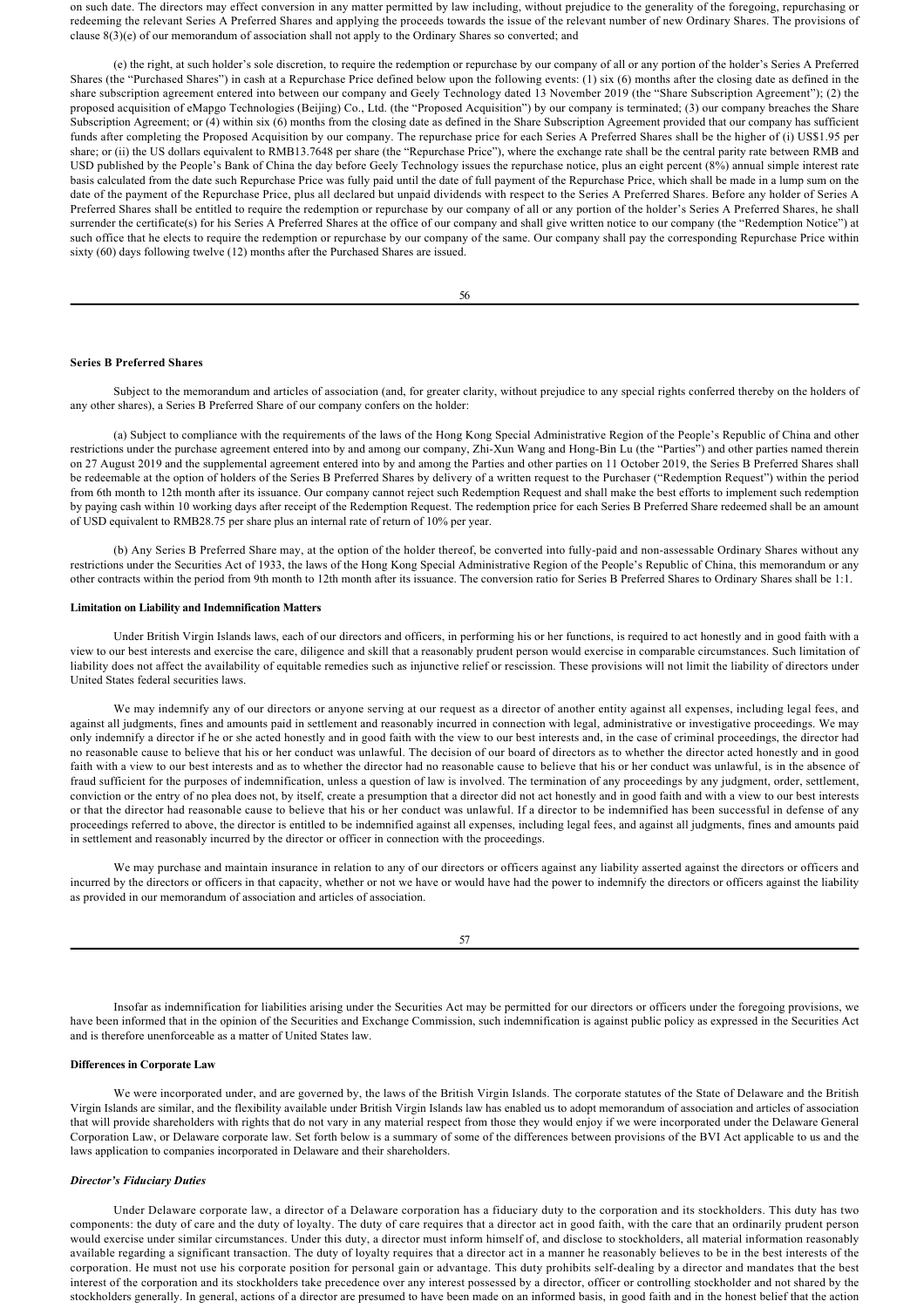on such date. The directors may effect conversion in any matter permitted by law including, without prejudice to the generality of the foregoing, repurchasing or redeeming the relevant Series A Preferred Shares and applying the proceeds towards the issue of the relevant number of new Ordinary Shares. The provisions of clause 8(3)(e) of our memorandum of association shall not apply to the Ordinary Shares so converted; and

(e) the right, at such holder's sole discretion, to require the redemption or repurchase by our company of all or any portion of the holder's Series A Preferred Shares (the "Purchased Shares") in cash at a Repurchase Price defined below upon the following events: (1) six (6) months after the closing date as defined in the share subscription agreement entered into between our company and Geely Technology dated 13 November 2019 (the "Share Subscription Agreement"); (2) the proposed acquisition of eMapgo Technologies (Beijing) Co., Ltd. (the "Proposed Acquisition") by our company is terminated; (3) our company breaches the Share Subscription Agreement; or (4) within six (6) months from the closing date as defined in the Share Subscription Agreement provided that our company has sufficient funds after completing the Proposed Acquisition by our company. The repurchase price for each Series A Preferred Shares shall be the higher of (i) US\$1.95 per share; or (ii) the US dollars equivalent to RMB13.7648 per share (the "Repurchase Price"), where the exchange rate shall be the central parity rate between RMB and USD published by the People's Bank of China the day before Geely Technology issues the repurchase notice, plus an eight percent (8%) annual simple interest rate basis calculated from the date such Repurchase Price was fully paid until the date of full payment of the Repurchase Price, which shall be made in a lump sum on the date of the payment of the Repurchase Price, plus all declared but unpaid dividends with respect to the Series A Preferred Shares. Before any holder of Series A Preferred Shares shall be entitled to require the redemption or repurchase by our company of all or any portion of the holder's Series A Preferred Shares, he shall surrender the certificate(s) for his Series A Preferred Shares at the office of our company and shall give written notice to our company (the "Redemption Notice") at such office that he elects to require the redemption or repurchase by our company of the same. Our company shall pay the corresponding Repurchase Price within sixty (60) days following twelve (12) months after the Purchased Shares are issued.

56

### **Series B Preferred Shares**

Subject to the memorandum and articles of association (and, for greater clarity, without prejudice to any special rights conferred thereby on the holders of any other shares), a Series B Preferred Share of our company confers on the holder:

(a) Subject to compliance with the requirements of the laws of the Hong Kong Special Administrative Region of the People's Republic of China and other restrictions under the purchase agreement entered into by and among our company, Zhi-Xun Wang and Hong-Bin Lu (the "Parties") and other parties named therein on 27 August 2019 and the supplemental agreement entered into by and among the Parties and other parties on 11 October 2019, the Series B Preferred Shares shall be redeemable at the option of holders of the Series B Preferred Shares by delivery of a written request to the Purchaser ("Redemption Request") within the period from 6th month to 12th month after its issuance. Our company cannot reject such Redemption Request and shall make the best efforts to implement such redemption by paying cash within 10 working days after receipt of the Redemption Request. The redemption price for each Series B Preferred Share redeemed shall be an amount of USD equivalent to RMB28.75 per share plus an internal rate of return of 10% per year.

(b) Any Series B Preferred Share may, at the option of the holder thereof, be converted into fully-paid and non-assessable Ordinary Shares without any restrictions under the Securities Act of 1933, the laws of the Hong Kong Special Administrative Region of the People's Republic of China, this memorandum or any other contracts within the period from 9th month to 12th month after its issuance. The conversion ratio for Series B Preferred Shares to Ordinary Shares shall be 1:1.

### **Limitation on Liability and Indemnification Matters**

Under British Virgin Islands laws, each of our directors and officers, in performing his or her functions, is required to act honestly and in good faith with a view to our best interests and exercise the care, diligence and skill that a reasonably prudent person would exercise in comparable circumstances. Such limitation of liability does not affect the availability of equitable remedies such as injunctive relief or rescission. These provisions will not limit the liability of directors under United States federal securities laws.

We may indemnify any of our directors or anyone serving at our request as a director of another entity against all expenses, including legal fees, and against all judgments, fines and amounts paid in settlement and reasonably incurred in connection with legal, administrative or investigative proceedings. We may only indemnify a director if he or she acted honestly and in good faith with the view to our best interests and, in the case of criminal proceedings, the director had no reasonable cause to believe that his or her conduct was unlawful. The decision of our board of directors as to whether the director acted honestly and in good faith with a view to our best interests and as to whether the director had no reasonable cause to believe that his or her conduct was unlawful, is in the absence of fraud sufficient for the purposes of indemnification, unless a question of law is involved. The termination of any proceedings by any judgment, order, settlement, conviction or the entry of no plea does not, by itself, create a presumption that a director did not act honestly and in good faith and with a view to our best interests or that the director had reasonable cause to believe that his or her conduct was unlawful. If a director to be indemnified has been successful in defense of any proceedings referred to above, the director is entitled to be indemnified against all expenses, including legal fees, and against all judgments, fines and amounts paid in settlement and reasonably incurred by the director or officer in connection with the proceedings.

We may purchase and maintain insurance in relation to any of our directors or officers against any liability asserted against the directors or officers and incurred by the directors or officers in that capacity, whether or not we have or would have had the power to indemnify the directors or officers against the liability as provided in our memorandum of association and articles of association.

# 57

Insofar as indemnification for liabilities arising under the Securities Act may be permitted for our directors or officers under the foregoing provisions, we have been informed that in the opinion of the Securities and Exchange Commission, such indemnification is against public policy as expressed in the Securities Act and is therefore unenforceable as a matter of United States law.

# **Differences in Corporate Law**

We were incorporated under, and are governed by, the laws of the British Virgin Islands. The corporate statutes of the State of Delaware and the British Virgin Islands are similar, and the flexibility available under British Virgin Islands law has enabled us to adopt memorandum of association and articles of association that will provide shareholders with rights that do not vary in any material respect from those they would enjoy if we were incorporated under the Delaware General Corporation Law, or Delaware corporate law. Set forth below is a summary of some of the differences between provisions of the BVI Act applicable to us and the laws application to companies incorporated in Delaware and their shareholders.

# *Director's Fiduciary Duties*

Under Delaware corporate law, a director of a Delaware corporation has a fiduciary duty to the corporation and its stockholders. This duty has two components: the duty of care and the duty of loyalty. The duty of care requires that a director act in good faith, with the care that an ordinarily prudent person would exercise under similar circumstances. Under this duty, a director must inform himself of, and disclose to stockholders, all material information reasonably available regarding a significant transaction. The duty of loyalty requires that a director act in a manner he reasonably believes to be in the best interests of the corporation. He must not use his corporate position for personal gain or advantage. This duty prohibits self-dealing by a director and mandates that the best interest of the corporation and its stockholders take precedence over any interest possessed by a director, officer or controlling stockholder and not shared by the stockholders generally. In general, actions of a director are presumed to have been made on an informed basis, in good faith and in the honest belief that the action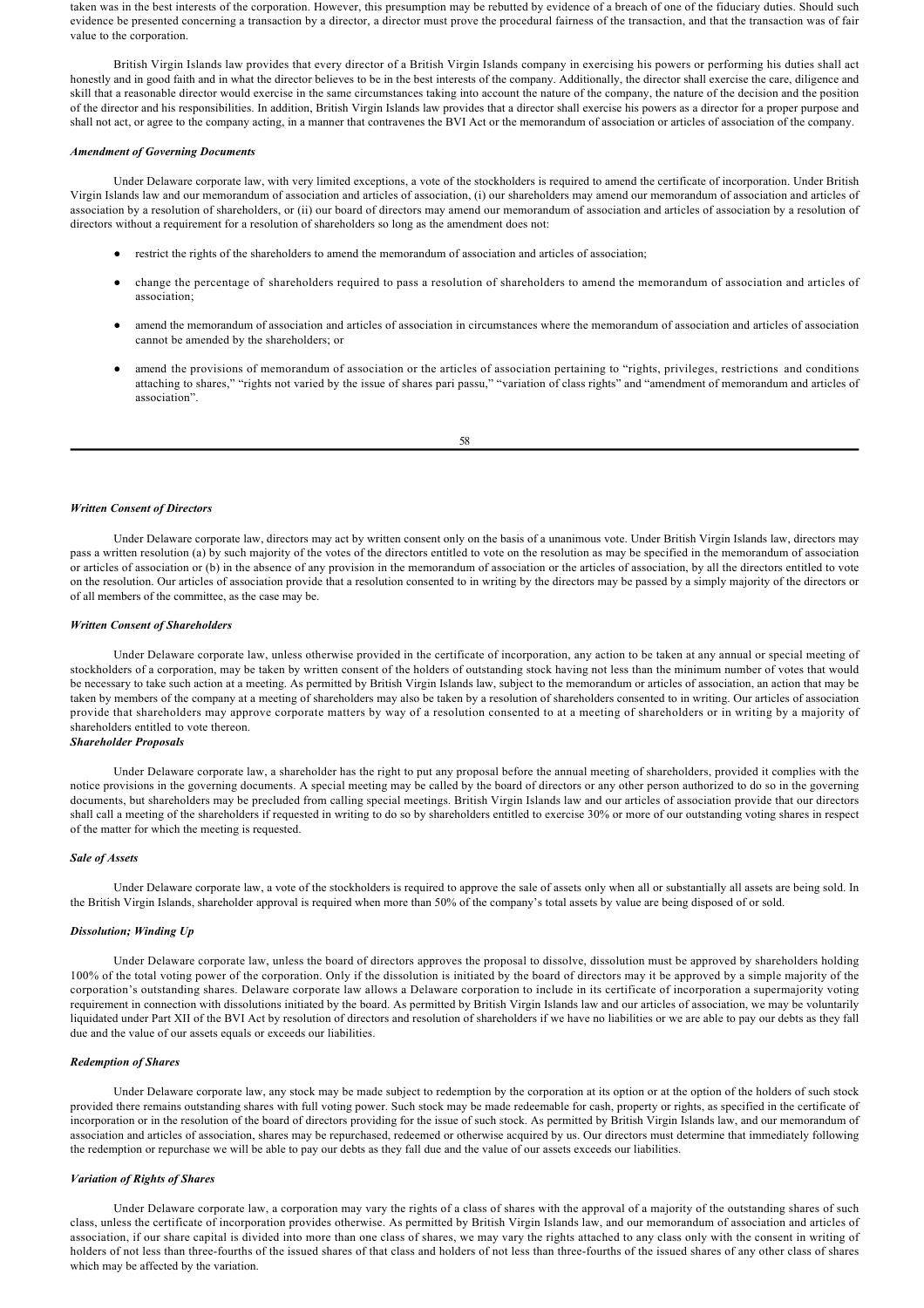taken was in the best interests of the corporation. However, this presumption may be rebutted by evidence of a breach of one of the fiduciary duties. Should such evidence be presented concerning a transaction by a director, a director must prove the procedural fairness of the transaction, and that the transaction was of fair value to the corporation.

British Virgin Islands law provides that every director of a British Virgin Islands company in exercising his powers or performing his duties shall act honestly and in good faith and in what the director believes to be in the best interests of the company. Additionally, the director shall exercise the care, diligence and skill that a reasonable director would exercise in the same circumstances taking into account the nature of the company, the nature of the decision and the position of the director and his responsibilities. In addition, British Virgin Islands law provides that a director shall exercise his powers as a director for a proper purpose and shall not act, or agree to the company acting, in a manner that contravenes the BVI Act or the memorandum of association or articles of association of the company.

### *Amendment of Governing Documents*

Under Delaware corporate law, with very limited exceptions, a vote of the stockholders is required to amend the certificate of incorporation. Under British Virgin Islands law and our memorandum of association and articles of association, (i) our shareholders may amend our memorandum of association and articles of association by a resolution of shareholders, or (ii) our board of directors may amend our memorandum of association and articles of association by a resolution of directors without a requirement for a resolution of shareholders so long as the amendment does not:

- restrict the rights of the shareholders to amend the memorandum of association and articles of association;
- change the percentage of shareholders required to pass a resolution of shareholders to amend the memorandum of association and articles of association;
- amend the memorandum of association and articles of association in circumstances where the memorandum of association and articles of association cannot be amended by the shareholders; or
- amend the provisions of memorandum of association or the articles of association pertaining to "rights, privileges, restrictions and conditions attaching to shares," "rights not varied by the issue of shares pari passu," "variation of class rights" and "amendment of memorandum and articles of association".

58

#### *Written Consent of Directors*

Under Delaware corporate law, directors may act by written consent only on the basis of a unanimous vote. Under British Virgin Islands law, directors may pass a written resolution (a) by such majority of the votes of the directors entitled to vote on the resolution as may be specified in the memorandum of association or articles of association or (b) in the absence of any provision in the memorandum of association or the articles of association, by all the directors entitled to vote on the resolution. Our articles of association provide that a resolution consented to in writing by the directors may be passed by a simply majority of the directors or of all members of the committee, as the case may be.

#### *Written Consent of Shareholders*

Under Delaware corporate law, unless otherwise provided in the certificate of incorporation, any action to be taken at any annual or special meeting of stockholders of a corporation, may be taken by written consent of the holders of outstanding stock having not less than the minimum number of votes that would be necessary to take such action at a meeting. As permitted by British Virgin Islands law, subject to the memorandum or articles of association, an action that may be taken by members of the company at a meeting of shareholders may also be taken by a resolution of shareholders consented to in writing. Our articles of association provide that shareholders may approve corporate matters by way of a resolution consented to at a meeting of shareholders or in writing by a majority of shareholders entitled to vote thereon.

*Shareholder Proposals*

Under Delaware corporate law, a shareholder has the right to put any proposal before the annual meeting of shareholders, provided it complies with the notice provisions in the governing documents. A special meeting may be called by the board of directors or any other person authorized to do so in the governing documents, but shareholders may be precluded from calling special meetings. British Virgin Islands law and our articles of association provide that our directors shall call a meeting of the shareholders if requested in writing to do so by shareholders entitled to exercise 30% or more of our outstanding voting shares in respect of the matter for which the meeting is requested.

#### *Sale of Assets*

Under Delaware corporate law, a vote of the stockholders is required to approve the sale of assets only when all or substantially all assets are being sold. In the British Virgin Islands, shareholder approval is required when more than 50% of the company's total assets by value are being disposed of or sold.

#### *Dissolution; Winding Up*

Under Delaware corporate law, unless the board of directors approves the proposal to dissolve, dissolution must be approved by shareholders holding 100% of the total voting power of the corporation. Only if the dissolution is initiated by the board of directors may it be approved by a simple majority of the corporation's outstanding shares. Delaware corporate law allows a Delaware corporation to include in its certificate of incorporation a supermajority voting requirement in connection with dissolutions initiated by the board. As permitted by British Virgin Islands law and our articles of association, we may be voluntarily liquidated under Part XII of the BVI Act by resolution of directors and resolution of shareholders if we have no liabilities or we are able to pay our debts as they fall due and the value of our assets equals or exceeds our liabilities.

## *Redemption of Shares*

Under Delaware corporate law, any stock may be made subject to redemption by the corporation at its option or at the option of the holders of such stock provided there remains outstanding shares with full voting power. Such stock may be made redeemable for cash, property or rights, as specified in the certificate of incorporation or in the resolution of the board of directors providing for the issue of such stock. As permitted by British Virgin Islands law, and our memorandum of association and articles of association, shares may be repurchased, redeemed or otherwise acquired by us. Our directors must determine that immediately following the redemption or repurchase we will be able to pay our debts as they fall due and the value of our assets exceeds our liabilities.

# *Variation of Rights of Shares*

Under Delaware corporate law, a corporation may vary the rights of a class of shares with the approval of a majority of the outstanding shares of such class, unless the certificate of incorporation provides otherwise. As permitted by British Virgin Islands law, and our memorandum of association and articles of association, if our share capital is divided into more than one class of shares, we may vary the rights attached to any class only with the consent in writing of holders of not less than three-fourths of the issued shares of that class and holders of not less than three-fourths of the issued shares of any other class of shares which may be affected by the variation.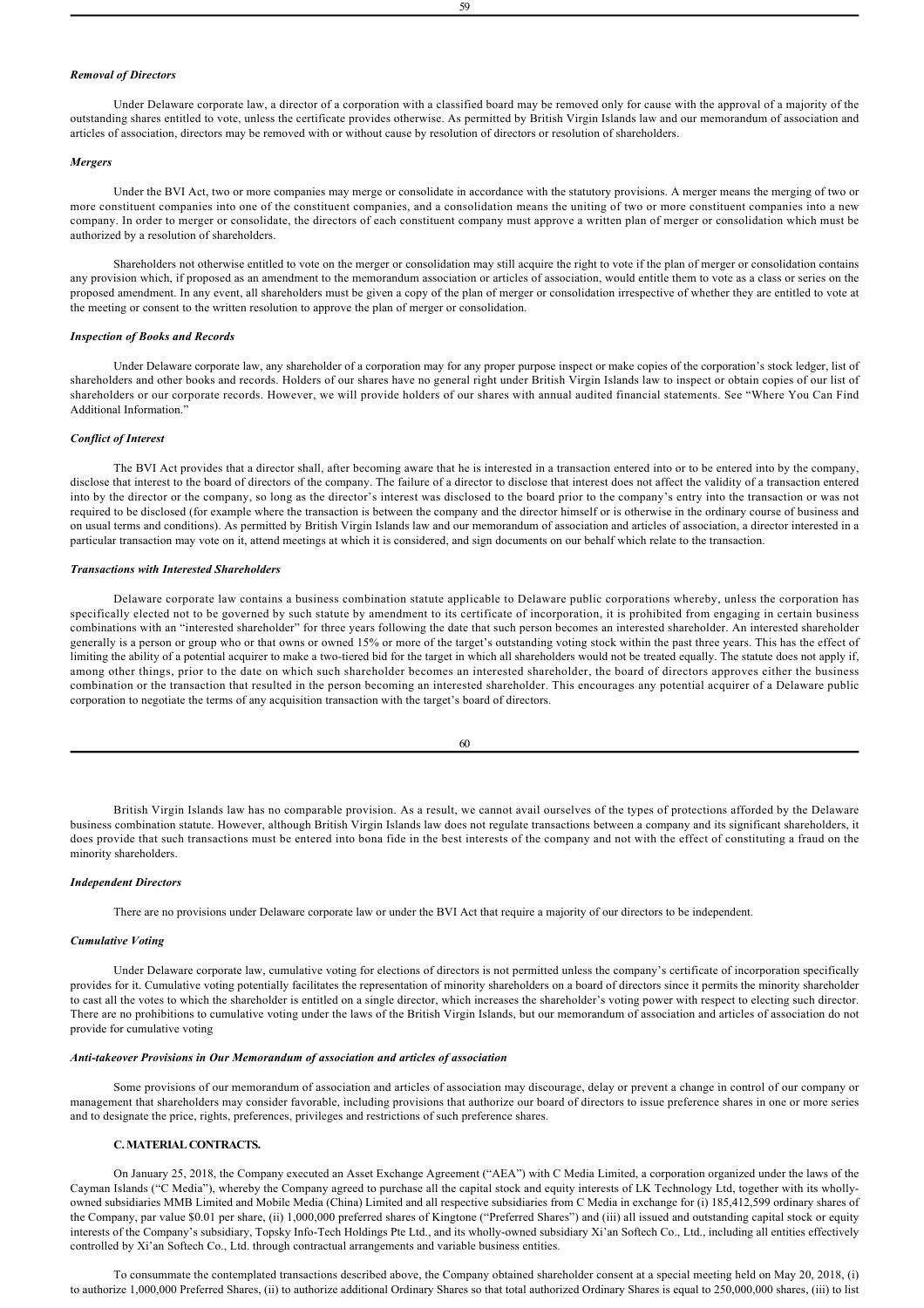## *Removal of Directors*

Under Delaware corporate law, a director of a corporation with a classified board may be removed only for cause with the approval of a majority of the outstanding shares entitled to vote, unless the certificate provides otherwise. As permitted by British Virgin Islands law and our memorandum of association and articles of association, directors may be removed with or without cause by resolution of directors or resolution of shareholders.

#### *Mergers*

Under the BVI Act, two or more companies may merge or consolidate in accordance with the statutory provisions. A merger means the merging of two or more constituent companies into one of the constituent companies, and a consolidation means the uniting of two or more constituent companies into a new company. In order to merger or consolidate, the directors of each constituent company must approve a written plan of merger or consolidation which must be authorized by a resolution of shareholders.

Shareholders not otherwise entitled to vote on the merger or consolidation may still acquire the right to vote if the plan of merger or consolidation contains any provision which, if proposed as an amendment to the memorandum association or articles of association, would entitle them to vote as a class or series on the proposed amendment. In any event, all shareholders must be given a copy of the plan of merger or consolidation irrespective of whether they are entitled to vote at the meeting or consent to the written resolution to approve the plan of merger or consolidation.

## *Inspection of Books and Records*

Under Delaware corporate law, any shareholder of a corporation may for any proper purpose inspect or make copies of the corporation's stock ledger, list of shareholders and other books and records. Holders of our shares have no general right under British Virgin Islands law to inspect or obtain copies of our list of shareholders or our corporate records. However, we will provide holders of our shares with annual audited financial statements. See "Where You Can Find Additional Information."

#### *Conflict of Interest*

The BVI Act provides that a director shall, after becoming aware that he is interested in a transaction entered into or to be entered into by the company, disclose that interest to the board of directors of the company. The failure of a director to disclose that interest does not affect the validity of a transaction entered into by the director or the company, so long as the director's interest was disclosed to the board prior to the company's entry into the transaction or was not required to be disclosed (for example where the transaction is between the company and the director himself or is otherwise in the ordinary course of business and on usual terms and conditions). As permitted by British Virgin Islands law and our memorandum of association and articles of association, a director interested in a particular transaction may vote on it, attend meetings at which it is considered, and sign documents on our behalf which relate to the transaction.

#### *Transactions with Interested Shareholders*

Delaware corporate law contains a business combination statute applicable to Delaware public corporations whereby, unless the corporation has specifically elected not to be governed by such statute by amendment to its certificate of incorporation, it is prohibited from engaging in certain business combinations with an "interested shareholder" for three years following the date that such person becomes an interested shareholder. An interested shareholder generally is a person or group who or that owns or owned 15% or more of the target's outstanding voting stock within the past three years. This has the effect of limiting the ability of a potential acquirer to make a two-tiered bid for the target in which all shareholders would not be treated equally. The statute does not apply if, among other things, prior to the date on which such shareholder becomes an interested shareholder, the board of directors approves either the business combination or the transaction that resulted in the person becoming an interested shareholder. This encourages any potential acquirer of a Delaware public corporation to negotiate the terms of any acquisition transaction with the target's board of directors.

British Virgin Islands law has no comparable provision. As a result, we cannot avail ourselves of the types of protections afforded by the Delaware business combination statute. However, although British Virgin Islands law does not regulate transactions between a company and its significant shareholders, it does provide that such transactions must be entered into bona fide in the best interests of the company and not with the effect of constituting a fraud on the minority shareholders.

#### *Independent Directors*

There are no provisions under Delaware corporate law or under the BVI Act that require a majority of our directors to be independent.

## *Cumulative Voting*

Under Delaware corporate law, cumulative voting for elections of directors is not permitted unless the company's certificate of incorporation specifically provides for it. Cumulative voting potentially facilitates the representation of minority shareholders on a board of directors since it permits the minority shareholder to cast all the votes to which the shareholder is entitled on a single director, which increases the shareholder's voting power with respect to electing such director. There are no prohibitions to cumulative voting under the laws of the British Virgin Islands, but our memorandum of association and articles of association do not provide for cumulative voting

#### *Antitakeover Provisions in Our Memorandum of association and articles of association*

Some provisions of our memorandum of association and articles of association may discourage, delay or prevent a change in control of our company or management that shareholders may consider favorable, including provisions that authorize our board of directors to issue preference shares in one or more series and to designate the price, rights, preferences, privileges and restrictions of such preference shares.

## **C. MATERIAL CONTRACTS.**

On January 25, 2018, the Company executed an Asset Exchange Agreement ("AEA") with C Media Limited, a corporation organized under the laws of the Cayman Islands ("C Media"), whereby the Company agreed to purchase all the capital stock and equity interests of LK Technology Ltd, together with its whollyowned subsidiaries MMB Limited and Mobile Media (China) Limited and all respective subsidiaries from C Media in exchange for (i) 185,412,599 ordinary shares of the Company, par value \$0.01 per share, (ii) 1,000,000 preferred shares of Kingtone ("Preferred Shares") and (iii) all issued and outstanding capital stock or equity interests of the Company's subsidiary, Topsky Info-Tech Holdings Pte Ltd., and its wholly-owned subsidiary Xi'an Softech Co., Ltd., including all entities effectively controlled by Xi'an Softech Co., Ltd. through contractual arrangements and variable business entities.

To consummate the contemplated transactions described above, the Company obtained shareholder consent at a special meeting held on May 20, 2018, (i) to authorize 1,000,000 Preferred Shares, (ii) to authorize additional Ordinary Shares so that total authorized Ordinary Shares is equal to 250,000,000 shares, (iii) to list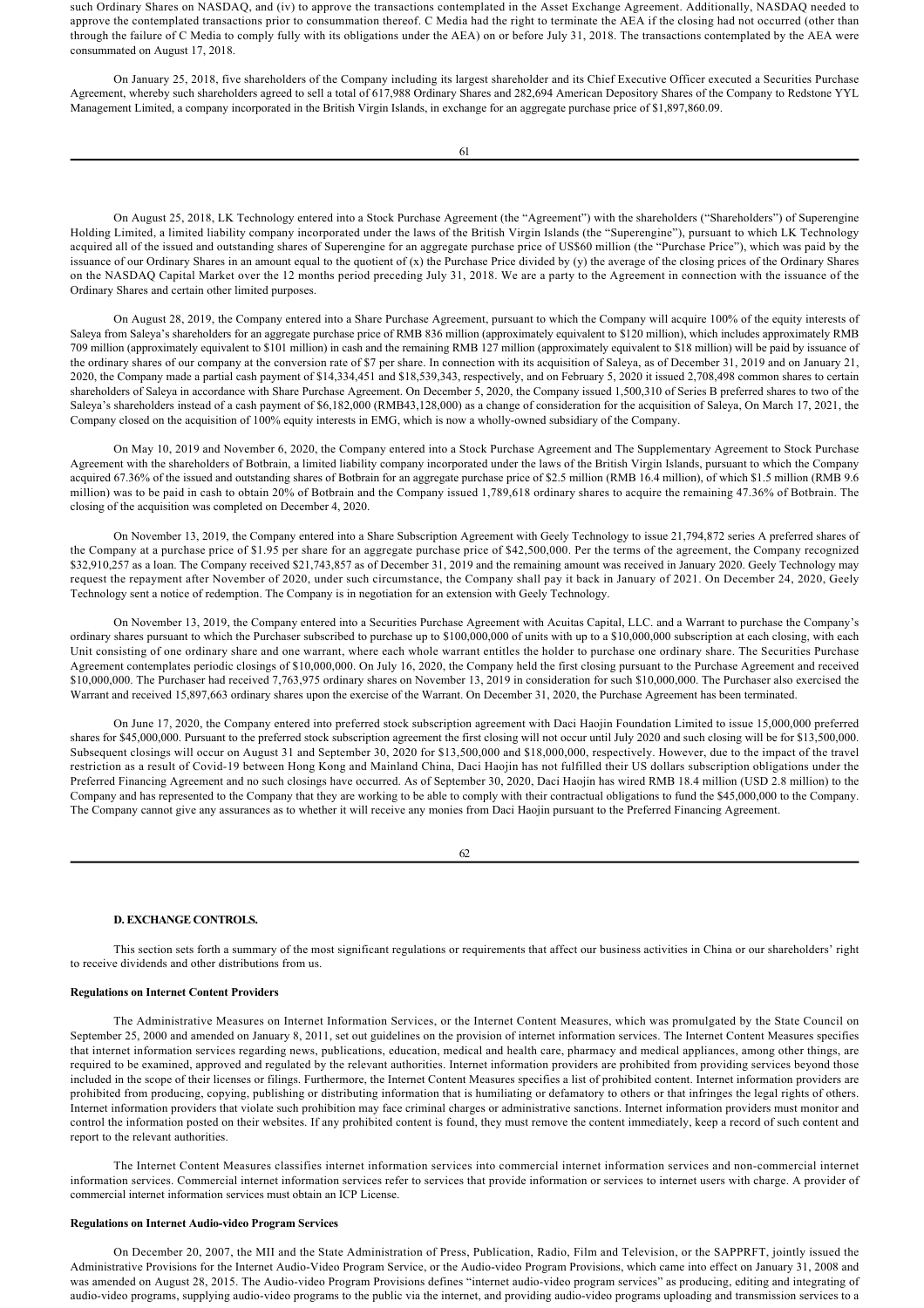such Ordinary Shares on NASDAQ, and (iv) to approve the transactions contemplated in the Asset Exchange Agreement. Additionally, NASDAQ needed to approve the contemplated transactions prior to consummation thereof. C Media had the right to terminate the AEA if the closing had not occurred (other than through the failure of C Media to comply fully with its obligations under the AEA) on or before July 31, 2018. The transactions contemplated by the AEA were consummated on August 17, 2018.

On January 25, 2018, five shareholders of the Company including its largest shareholder and its Chief Executive Officer executed a Securities Purchase Agreement, whereby such shareholders agreed to sell a total of 617,988 Ordinary Shares and 282,694 American Depository Shares of the Company to Redstone YYL Management Limited, a company incorporated in the British Virgin Islands, in exchange for an aggregate purchase price of \$1,897,860.09.

On August 25, 2018, LK Technology entered into a Stock Purchase Agreement (the "Agreement") with the shareholders ("Shareholders") of Superengine Holding Limited, a limited liability company incorporated under the laws of the British Virgin Islands (the "Superengine"), pursuant to which LK Technology acquired all of the issued and outstanding shares of Superengine for an aggregate purchase price of US\$60 million (the "Purchase Price"), which was paid by the issuance of our Ordinary Shares in an amount equal to the quotient of (x) the Purchase Price divided by (y) the average of the closing prices of the Ordinary Shares on the NASDAQ Capital Market over the 12 months period preceding July 31, 2018. We are a party to the Agreement in connection with the issuance of the Ordinary Shares and certain other limited purposes.

On August 28, 2019, the Company entered into a Share Purchase Agreement, pursuant to which the Company will acquire 100% of the equity interests of Saleya from Saleya's shareholders for an aggregate purchase price of RMB 836 million (approximately equivalent to \$120 million), which includes approximately RMB 709 million (approximately equivalent to \$101 million) in cash and the remaining RMB 127 million (approximately equivalent to \$18 million) will be paid by issuance of the ordinary shares of our company at the conversion rate of \$7 per share. In connection with its acquisition of Saleya, as of December 31, 2019 and on January 21, 2020, the Company made a partial cash payment of \$14,334,451 and \$18,539,343, respectively, and on February 5, 2020 it issued 2,708,498 common shares to certain shareholders of Saleya in accordance with Share Purchase Agreement. On December 5, 2020, the Company issued 1,500,310 of Series B preferred shares to two of the Saleya's shareholders instead of a cash payment of \$6,182,000 (RMB43,128,000) as a change of consideration for the acquisition of Saleya, On March 17, 2021, the Company closed on the acquisition of 100% equity interests in EMG, which is now a wholly-owned subsidiary of the Company.

On May 10, 2019 and November 6, 2020, the Company entered into a Stock Purchase Agreement and The Supplementary Agreement to Stock Purchase Agreement with the shareholders of Botbrain, a limited liability company incorporated under the laws of the British Virgin Islands, pursuant to which the Company acquired 67.36% of the issued and outstanding shares of Botbrain for an aggregate purchase price of \$2.5 million (RMB 16.4 million), of which \$1.5 million (RMB 9.6 million) was to be paid in cash to obtain 20% of Botbrain and the Company issued 1,789,618 ordinary shares to acquire the remaining 47.36% of Botbrain. The closing of the acquisition was completed on December 4, 2020.

On November 13, 2019, the Company entered into a Share Subscription Agreement with Geely Technology to issue 21,794,872 series A preferred shares of the Company at a purchase price of \$1.95 per share for an aggregate purchase price of \$42,500,000. Per the terms of the agreement, the Company recognized \$32,910,257 as a loan. The Company received \$21,743,857 as of December 31, 2019 and the remaining amount was received in January 2020. Geely Technology may request the repayment after November of 2020, under such circumstance, the Company shall pay it back in January of 2021. On December 24, 2020, Geely Technology sent a notice of redemption. The Company is in negotiation for an extension with Geely Technology.

On November 13, 2019, the Company entered into a Securities Purchase Agreement with Acuitas Capital, LLC. and a Warrant to purchase the Company's ordinary shares pursuant to which the Purchaser subscribed to purchase up to \$100,000,000 of units with up to a \$10,000,000 subscription at each closing, with each Unit consisting of one ordinary share and one warrant, where each whole warrant entitles the holder to purchase one ordinary share. The Securities Purchase Agreement contemplates periodic closings of \$10,000,000. On July 16, 2020, the Company held the first closing pursuant to the Purchase Agreement and received \$10,000,000. The Purchaser had received 7,763,975 ordinary shares on November 13, 2019 in consideration for such \$10,000,000. The Purchaser also exercised the Warrant and received 15,897,663 ordinary shares upon the exercise of the Warrant. On December 31, 2020, the Purchase Agreement has been terminated.

On June 17, 2020, the Company entered into preferred stock subscription agreement with Daci Haojin Foundation Limited to issue 15,000,000 preferred shares for \$45,000,000. Pursuant to the preferred stock subscription agreement the first closing will not occur until July 2020 and such closing will be for \$13,500,000. Subsequent closings will occur on August 31 and September 30, 2020 for \$13,500,000 and \$18,000,000, respectively. However, due to the impact of the travel restriction as a result of Covid-19 between Hong Kong and Mainland China, Daci Haojin has not fulfilled their US dollars subscription obligations under the Preferred Financing Agreement and no such closings have occurred. As of September 30, 2020, Daci Haojin has wired RMB 18.4 million (USD 2.8 million) to the Company and has represented to the Company that they are working to be able to comply with their contractual obligations to fund the \$45,000,000 to the Company. The Company cannot give any assurances as to whether it will receive any monies from Daci Haojin pursuant to the Preferred Financing Agreement.

62

# **D. EXCHANGE CONTROLS.**

This section sets forth a summary of the most significant regulations or requirements that affect our business activities in China or our shareholders' right to receive dividends and other distributions from us.

## **Regulations on Internet Content Providers**

The Administrative Measures on Internet Information Services, or the Internet Content Measures, which was promulgated by the State Council on September 25, 2000 and amended on January 8, 2011, set out guidelines on the provision of internet information services. The Internet Content Measures specifies that internet information services regarding news, publications, education, medical and health care, pharmacy and medical appliances, among other things, are required to be examined, approved and regulated by the relevant authorities. Internet information providers are prohibited from providing services beyond those included in the scope of their licenses or filings. Furthermore, the Internet Content Measures specifies a list of prohibited content. Internet information providers are prohibited from producing, copying, publishing or distributing information that is humiliating or defamatory to others or that infringes the legal rights of others. Internet information providers that violate such prohibition may face criminal charges or administrative sanctions. Internet information providers must monitor and control the information posted on their websites. If any prohibited content is found, they must remove the content immediately, keep a record of such content and report to the relevant authorities.

The Internet Content Measures classifies internet information services into commercial internet information services and noncommercial internet information services. Commercial internet information services refer to services that provide information or services to internet users with charge. A provider of commercial internet information services must obtain an ICP License.

## **Regulations on Internet Audio-video Program Services**

On December 20, 2007, the MII and the State Administration of Press, Publication, Radio, Film and Television, or the SAPPRFT, jointly issued the Administrative Provisions for the Internet Audio-Video Program Service, or the Audio-video Program Provisions, which came into effect on January 31, 2008 and was amended on August 28, 2015. The Audio-video Program Provisions defines "internet audio-video program services" as producing, editing and integrating of audio-video programs, supplying audio-video programs to the public via the internet, and providing audio-video programs uploading and transmission services to a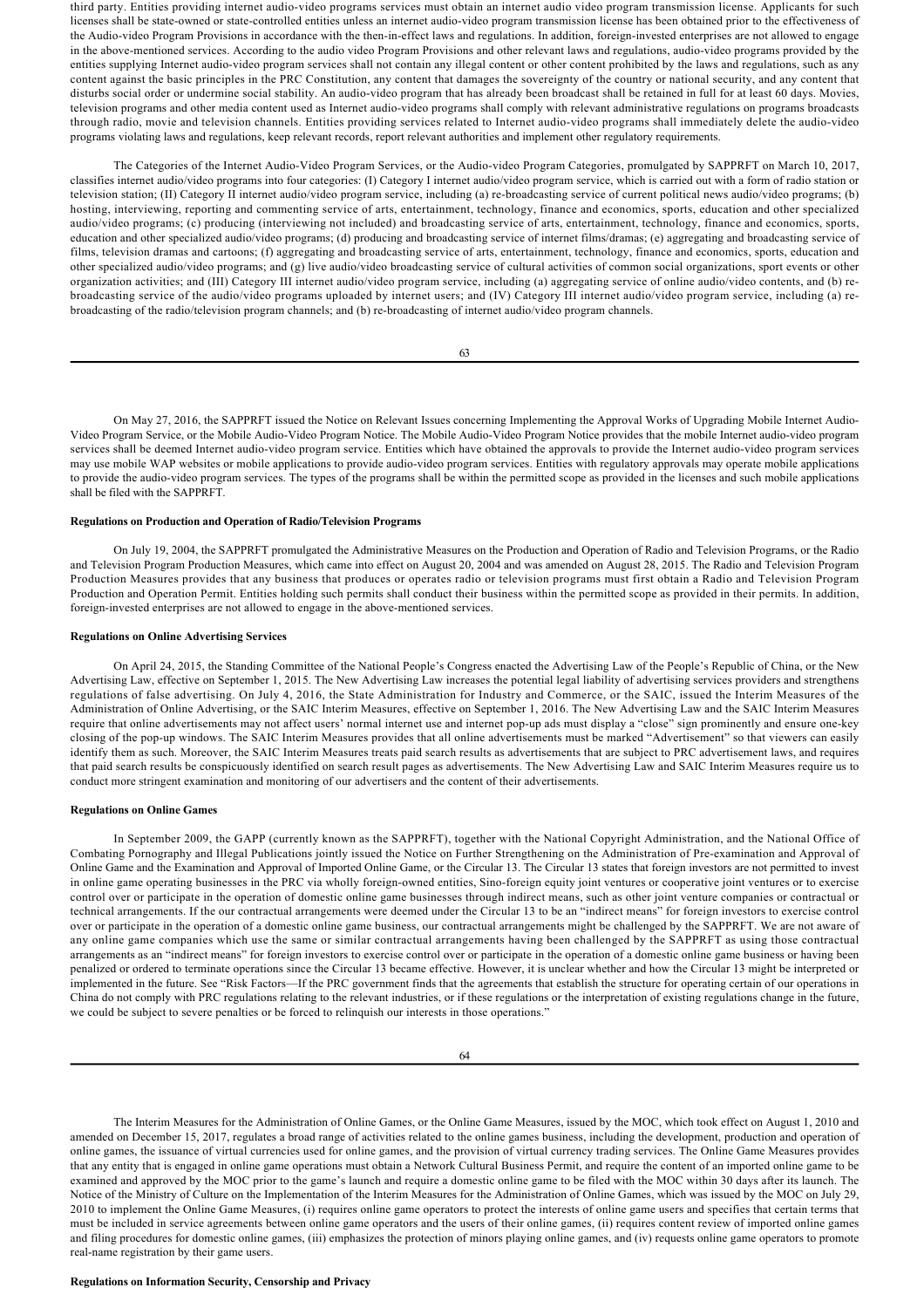third party. Entities providing internet audio-video programs services must obtain an internet audio video program transmission license. Applicants for such licenses shall be state-owned or state-controlled entities unless an internet audio-video program transmission license has been obtained prior to the effectiveness of the Audio-video Program Provisions in accordance with the then-in-effect laws and regulations. In addition, foreign-invested enterprises are not allowed to engage in the above-mentioned services. According to the audio video Program Provisions and other relevant laws and regulations, audio-video programs provided by the entities supplying Internet audio-video program services shall not contain any illegal content or other content prohibited by the laws and regulations, such as any content against the basic principles in the PRC Constitution, any content that damages the sovereignty of the country or national security, and any content that disturbs social order or undermine social stability. An audio-video program that has already been broadcast shall be retained in full for at least 60 days. Movies, television programs and other media content used as Internet audio-video programs shall comply with relevant administrative regulations on programs broadcasts through radio, movie and television channels. Entities providing services related to Internet audio-video programs shall immediately delete the audio-video programs violating laws and regulations, keep relevant records, report relevant authorities and implement other regulatory requirements.

The Categories of the Internet Audio-Video Program Services, or the Audio-video Program Categories, promulgated by SAPPRFT on March 10, 2017, classifies internet audio/video programs into four categories: (I) Category I internet audio/video program service, which is carried out with a form of radio station or television station; (II) Category II internet audio/video program service, including (a) rebroadcasting service of current political news audio/video programs; (b) hosting, interviewing, reporting and commenting service of arts, entertainment, technology, finance and economics, sports, education and other specialized audio/video programs; (c) producing (interviewing not included) and broadcasting service of arts, entertainment, technology, finance and economics, sports, education and other specialized audio/video programs; (d) producing and broadcasting service of internet films/dramas; (e) aggregating and broadcasting service of films, television dramas and cartoons; (f) aggregating and broadcasting service of arts, entertainment, technology, finance and economics, sports, education and other specialized audio/video programs; and (g) live audio/video broadcasting service of cultural activities of common social organizations, sport events or other organization activities; and (III) Category III internet audio/video program service, including (a) aggregating service of online audio/video contents, and (b) rebroadcasting service of the audio/video programs uploaded by internet users; and (IV) Category III internet audio/video program service, including (a) rebroadcasting of the radio/television program channels; and (b) rebroadcasting of internet audio/video program channels.

| I<br>×<br>I<br>I<br>. .<br>۰. |  |
|-------------------------------|--|

On May 27, 2016, the SAPPRFT issued the Notice on Relevant Issues concerning Implementing the Approval Works of Upgrading Mobile Internet Audio-Video Program Service, or the Mobile Audio-Video Program Notice. The Mobile Audio-Video Program Notice provides that the mobile Internet audio-video program services shall be deemed Internet audio-video program service. Entities which have obtained the approvals to provide the Internet audio-video program services may use mobile WAP websites or mobile applications to provide audio-video program services. Entities with regulatory approvals may operate mobile applications to provide the audio-video program services. The types of the programs shall be within the permitted scope as provided in the licenses and such mobile applications shall be filed with the SAPPRFT.

## **Regulations on Production and Operation of Radio/Television Programs**

On July 19, 2004, the SAPPRFT promulgated the Administrative Measures on the Production and Operation of Radio and Television Programs, or the Radio and Television Program Production Measures, which came into effect on August 20, 2004 and was amended on August 28, 2015. The Radio and Television Program Production Measures provides that any business that produces or operates radio or television programs must first obtain a Radio and Television Program Production and Operation Permit. Entities holding such permits shall conduct their business within the permitted scope as provided in their permits. In addition, foreign-invested enterprises are not allowed to engage in the above-mentioned services.

## **Regulations on Online Advertising Services**

On April 24, 2015, the Standing Committee of the National People's Congress enacted the Advertising Law of the People's Republic of China, or the New Advertising Law, effective on September 1, 2015. The New Advertising Law increases the potential legal liability of advertising services providers and strengthens regulations of false advertising. On July 4, 2016, the State Administration for Industry and Commerce, or the SAIC, issued the Interim Measures of the Administration of Online Advertising, or the SAIC Interim Measures, effective on September 1, 2016. The New Advertising Law and the SAIC Interim Measures require that online advertisements may not affect users' normal internet use and internet pop-up ads must display a "close" sign prominently and ensure one-key closing of the popup windows. The SAIC Interim Measures provides that all online advertisements must be marked "Advertisement" so that viewers can easily identify them as such. Moreover, the SAIC Interim Measures treats paid search results as advertisements that are subject to PRC advertisement laws, and requires that paid search results be conspicuously identified on search result pages as advertisements. The New Advertising Law and SAIC Interim Measures require us to conduct more stringent examination and monitoring of our advertisers and the content of their advertisements.

## **Regulations on Online Games**

In September 2009, the GAPP (currently known as the SAPPRFT), together with the National Copyright Administration, and the National Office of Combating Pornography and Illegal Publications jointly issued the Notice on Further Strengthening on the Administration of Preexamination and Approval of Online Game and the Examination and Approval of Imported Online Game, or the Circular 13. The Circular 13 states that foreign investors are not permitted to invest in online game operating businesses in the PRC via wholly foreign-owned entities, Sino-foreign equity joint ventures or cooperative joint ventures or to exercise control over or participate in the operation of domestic online game businesses through indirect means, such as other joint venture companies or contractual or technical arrangements. If the our contractual arrangements were deemed under the Circular 13 to be an "indirect means" for foreign investors to exercise control over or participate in the operation of a domestic online game business, our contractual arrangements might be challenged by the SAPPRFT. We are not aware of any online game companies which use the same or similar contractual arrangements having been challenged by the SAPPRFT as using those contractual arrangements as an "indirect means" for foreign investors to exercise control over or participate in the operation of a domestic online game business or having been penalized or ordered to terminate operations since the Circular 13 became effective. However, it is unclear whether and how the Circular 13 might be interpreted or implemented in the future. See "Risk Factors—If the PRC government finds that the agreements that establish the structure for operating certain of our operations in China do not comply with PRC regulations relating to the relevant industries, or if these regulations or the interpretation of existing regulations change in the future, we could be subject to severe penalties or be forced to relinquish our interests in those operations."

The Interim Measures for the Administration of Online Games, or the Online Game Measures, issued by the MOC, which took effect on August 1, 2010 and amended on December 15, 2017, regulates a broad range of activities related to the online games business, including the development, production and operation of online games, the issuance of virtual currencies used for online games, and the provision of virtual currency trading services. The Online Game Measures provides that any entity that is engaged in online game operations must obtain a Network Cultural Business Permit, and require the content of an imported online game to be examined and approved by the MOC prior to the game's launch and require a domestic online game to be filed with the MOC within 30 days after its launch. The Notice of the Ministry of Culture on the Implementation of the Interim Measures for the Administration of Online Games, which was issued by the MOC on July 29, 2010 to implement the Online Game Measures, (i) requires online game operators to protect the interests of online game users and specifies that certain terms that must be included in service agreements between online game operators and the users of their online games, (ii) requires content review of imported online games and filing procedures for domestic online games, (iii) emphasizes the protection of minors playing online games, and (iv) requests online game operators to promote real-name registration by their game users.

## **Regulations on Information Security, Censorship and Privacy**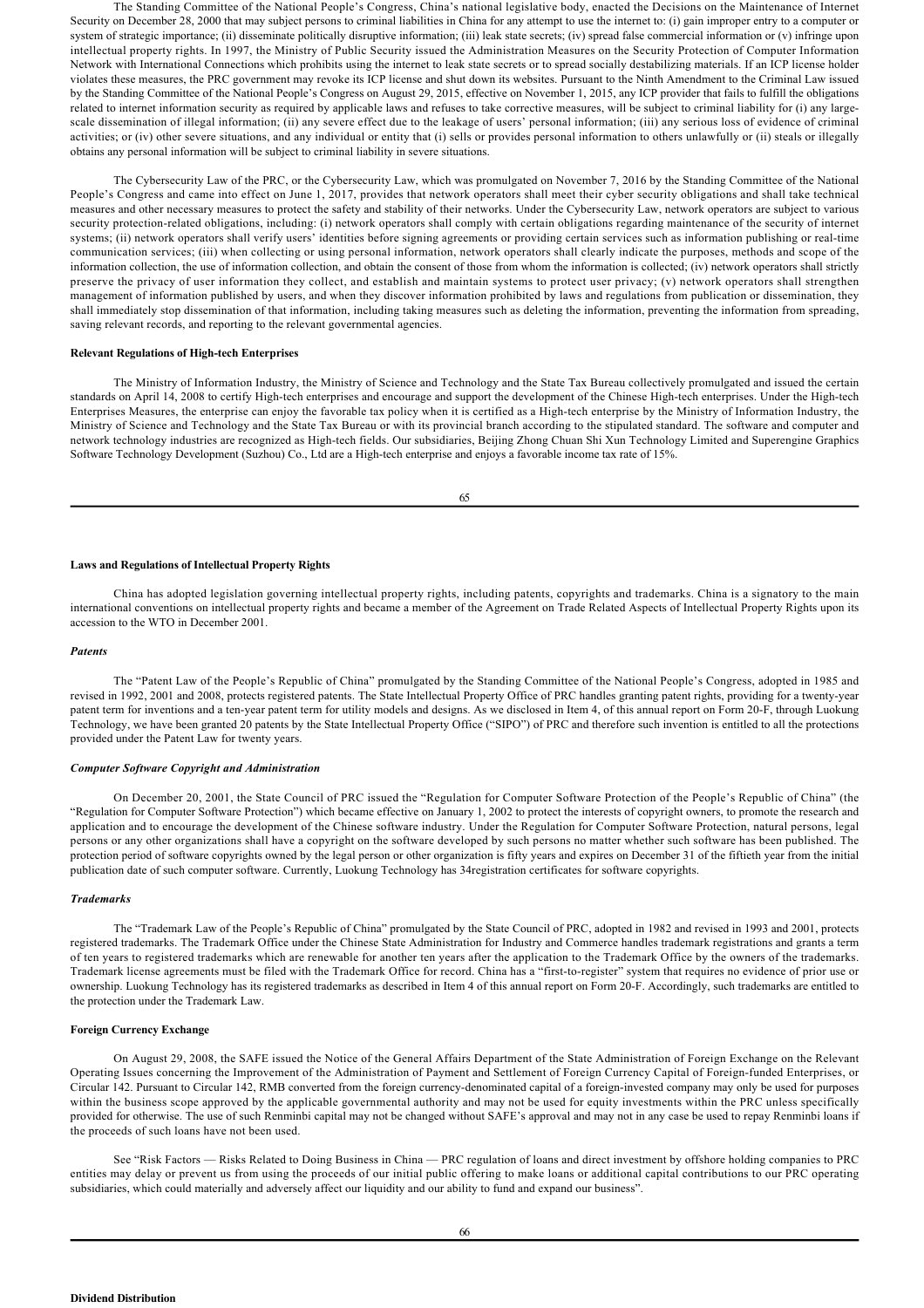The Standing Committee of the National People's Congress, China's national legislative body, enacted the Decisions on the Maintenance of Internet Security on December 28, 2000 that may subject persons to criminal liabilities in China for any attempt to use the internet to: (i) gain improper entry to a computer or system of strategic importance; (ii) disseminate politically disruptive information; (iii) leak state secrets; (iv) spread false commercial information or (v) infringe upon intellectual property rights. In 1997, the Ministry of Public Security issued the Administration Measures on the Security Protection of Computer Information Network with International Connections which prohibits using the internet to leak state secrets or to spread socially destabilizing materials. If an ICP license holder violates these measures, the PRC government may revoke its ICP license and shut down its websites. Pursuant to the Ninth Amendment to the Criminal Law issued by the Standing Committee of the National People's Congress on August 29, 2015, effective on November 1, 2015, any ICP provider that fails to fulfill the obligations related to internet information security as required by applicable laws and refuses to take corrective measures, will be subject to criminal liability for (i) any largescale dissemination of illegal information; (ii) any severe effect due to the leakage of users' personal information; (iii) any serious loss of evidence of criminal activities; or (iv) other severe situations, and any individual or entity that (i) sells or provides personal information to others unlawfully or (ii) steals or illegally obtains any personal information will be subject to criminal liability in severe situations.

The Cybersecurity Law of the PRC, or the Cybersecurity Law, which was promulgated on November 7, 2016 by the Standing Committee of the National People's Congress and came into effect on June 1, 2017, provides that network operators shall meet their cyber security obligations and shall take technical measures and other necessary measures to protect the safety and stability of their networks. Under the Cybersecurity Law, network operators are subject to various security protection-related obligations, including: (i) network operators shall comply with certain obligations regarding maintenance of the security of internet systems; (ii) network operators shall verify users' identities before signing agreements or providing certain services such as information publishing or real-time communication services; (iii) when collecting or using personal information, network operators shall clearly indicate the purposes, methods and scope of the information collection, the use of information collection, and obtain the consent of those from whom the information is collected; (iv) network operators shall strictly preserve the privacy of user information they collect, and establish and maintain systems to protect user privacy; (v) network operators shall strengthen management of information published by users, and when they discover information prohibited by laws and regulations from publication or dissemination, they shall immediately stop dissemination of that information, including taking measures such as deleting the information, preventing the information from spreading, saving relevant records, and reporting to the relevant governmental agencies.

## **Relevant Regulations of High-tech Enterprises**

The Ministry of Information Industry, the Ministry of Science and Technology and the State Tax Bureau collectively promulgated and issued the certain standards on April 14, 2008 to certify High-tech enterprises and encourage and support the development of the Chinese High-tech enterprises. Under the High-tech Enterprises Measures, the enterprise can enjoy the favorable tax policy when it is certified as a Hightech enterprise by the Ministry of Information Industry, the Ministry of Science and Technology and the State Tax Bureau or with its provincial branch according to the stipulated standard. The software and computer and network technology industries are recognized as High-tech fields. Our subsidiaries, Beijing Zhong Chuan Shi Xun Technology Limited and Superengine Graphics Software Technology Development (Suzhou) Co., Ltd are a High-tech enterprise and enjoys a favorable income tax rate of 15%.

65

#### **Laws and Regulations of Intellectual Property Rights**

China has adopted legislation governing intellectual property rights, including patents, copyrights and trademarks. China is a signatory to the main international conventions on intellectual property rights and became a member of the Agreement on Trade Related Aspects of Intellectual Property Rights upon its accession to the WTO in December 2001.

#### *Patents*

The "Patent Law of the People's Republic of China" promulgated by the Standing Committee of the National People's Congress, adopted in 1985 and revised in 1992, 2001 and 2008, protects registered patents. The State Intellectual Property Office of PRC handles granting patent rights, providing for a twentyyear patent term for inventions and a ten-year patent term for utility models and designs. As we disclosed in Item 4, of this annual report on Form 20-F, through Luokung Technology, we have been granted 20 patents by the State Intellectual Property Office ("SIPO") of PRC and therefore such invention is entitled to all the protections provided under the Patent Law for twenty years.

#### *Computer Software Copyright and Administration*

On December 20, 2001, the State Council of PRC issued the "Regulation for Computer Software Protection of the People's Republic of China" (the "Regulation for Computer Software Protection") which became effective on January 1, 2002 to protect the interests of copyright owners, to promote the research and application and to encourage the development of the Chinese software industry. Under the Regulation for Computer Software Protection, natural persons, legal persons or any other organizations shall have a copyright on the software developed by such persons no matter whether such software has been published. The protection period of software copyrights owned by the legal person or other organization is fifty years and expires on December 31 of the fiftieth year from the initial publication date of such computer software. Currently, Luokung Technology has 34registration certificates for software copyrights.

#### *Trademarks*

The "Trademark Law of the People's Republic of China" promulgated by the State Council of PRC, adopted in 1982 and revised in 1993 and 2001, protects registered trademarks. The Trademark Office under the Chinese State Administration for Industry and Commerce handles trademark registrations and grants a term of ten years to registered trademarks which are renewable for another ten years after the application to the Trademark Office by the owners of the trademarks. Trademark license agreements must be filed with the Trademark Office for record. China has a "first-to-register" system that requires no evidence of prior use or ownership. Luokung Technology has its registered trademarks as described in Item 4 of this annual report on Form 20F. Accordingly, such trademarks are entitled to the protection under the Trademark Law.

## **Foreign Currency Exchange**

On August 29, 2008, the SAFE issued the Notice of the General Affairs Department of the State Administration of Foreign Exchange on the Relevant Operating Issues concerning the Improvement of the Administration of Payment and Settlement of Foreign Currency Capital of Foreign-funded Enterprises, or Circular 142. Pursuant to Circular 142, RMB converted from the foreign currency-denominated capital of a foreign-invested company may only be used for purposes within the business scope approved by the applicable governmental authority and may not be used for equity investments within the PRC unless specifically provided for otherwise. The use of such Renminbi capital may not be changed without SAFE's approval and may not in any case be used to repay Renminbi loans if the proceeds of such loans have not been used.

See "Risk Factors — Risks Related to Doing Business in China — PRC regulation of loans and direct investment by offshore holding companies to PRC entities may delay or prevent us from using the proceeds of our initial public offering to make loans or additional capital contributions to our PRC operating subsidiaries, which could materially and adversely affect our liquidity and our ability to fund and expand our business".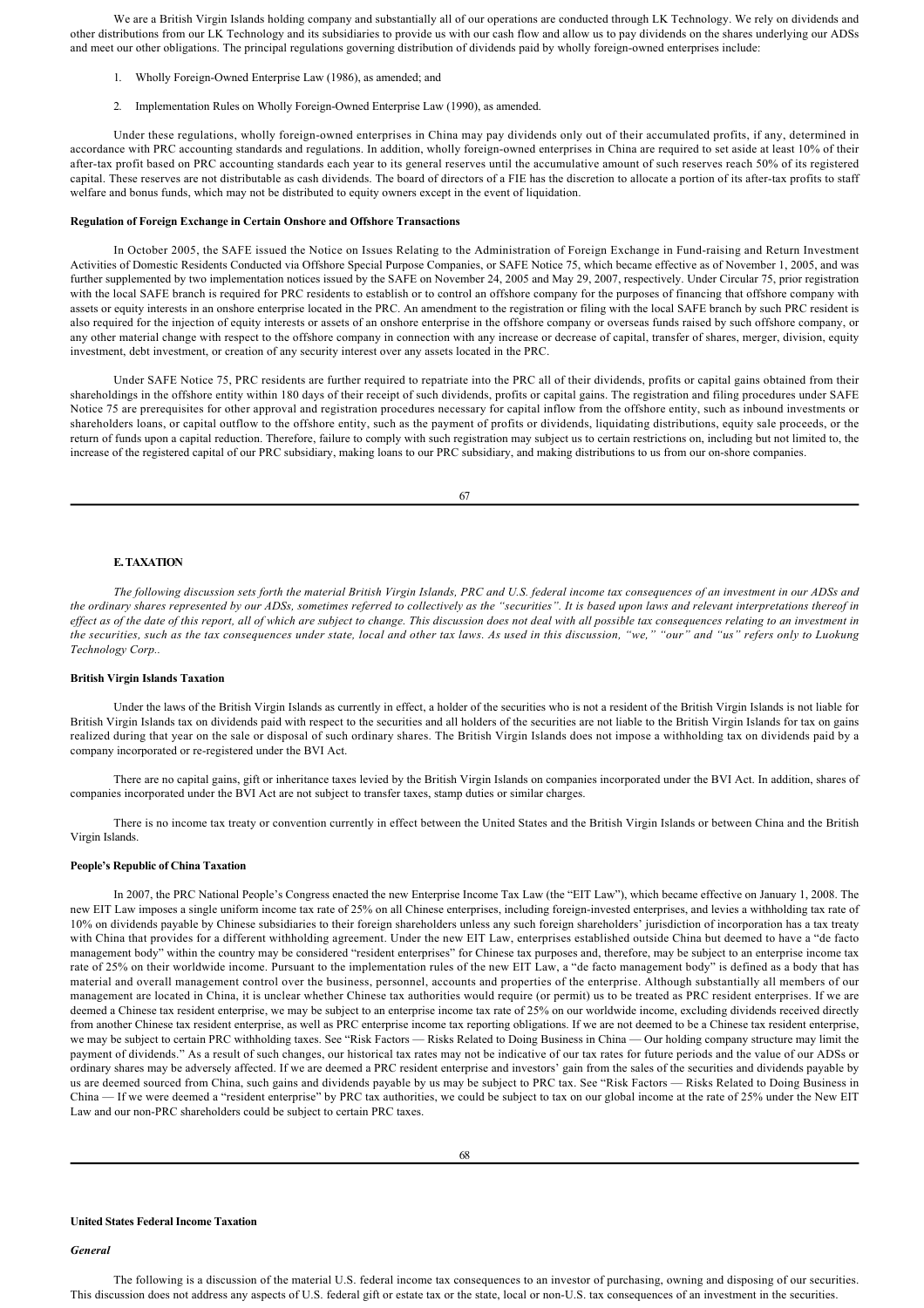We are a British Virgin Islands holding company and substantially all of our operations are conducted through LK Technology. We rely on dividends and other distributions from our LK Technology and its subsidiaries to provide us with our cash flow and allow us to pay dividends on the shares underlying our ADSs and meet our other obligations. The principal regulations governing distribution of dividends paid by wholly foreign-owned enterprises include:

- 1. Wholly Foreign-Owned Enterprise Law (1986), as amended; and
- 2. Implementation Rules on Wholly Foreign-Owned Enterprise Law (1990), as amended.

Under these regulations, wholly foreign-owned enterprises in China may pay dividends only out of their accumulated profits, if any, determined in accordance with PRC accounting standards and regulations. In addition, wholly foreign-owned enterprises in China are required to set aside at least 10% of their after-tax profit based on PRC accounting standards each year to its general reserves until the accumulative amount of such reserves reach 50% of its registered capital. These reserves are not distributable as cash dividends. The board of directors of a FIE has the discretion to allocate a portion of its after-tax profits to staff welfare and bonus funds, which may not be distributed to equity owners except in the event of liquidation.

#### **Regulation of Foreign Exchange in Certain Onshore and Offshore Transactions**

In October 2005, the SAFE issued the Notice on Issues Relating to the Administration of Foreign Exchange in Fund-raising and Return Investment Activities of Domestic Residents Conducted via Offshore Special Purpose Companies, or SAFE Notice 75, which became effective as of November 1, 2005, and was further supplemented by two implementation notices issued by the SAFE on November 24, 2005 and May 29, 2007, respectively. Under Circular 75, prior registration with the local SAFE branch is required for PRC residents to establish or to control an offshore company for the purposes of financing that offshore company with assets or equity interests in an onshore enterprise located in the PRC. An amendment to the registration or filing with the local SAFE branch by such PRC resident is also required for the injection of equity interests or assets of an onshore enterprise in the offshore company or overseas funds raised by such offshore company, or any other material change with respect to the offshore company in connection with any increase or decrease of capital, transfer of shares, merger, division, equity investment, debt investment, or creation of any security interest over any assets located in the PRC.

Under SAFE Notice 75, PRC residents are further required to repatriate into the PRC all of their dividends, profits or capital gains obtained from their shareholdings in the offshore entity within 180 days of their receipt of such dividends, profits or capital gains. The registration and filing procedures under SAFE Notice 75 are prerequisites for other approval and registration procedures necessary for capital inflow from the offshore entity, such as inbound investments or shareholders loans, or capital outflow to the offshore entity, such as the payment of profits or dividends, liquidating distributions, equity sale proceeds, or the return of funds upon a capital reduction. Therefore, failure to comply with such registration may subject us to certain restrictions on, including but not limited to, the increase of the registered capital of our PRC subsidiary, making loans to our PRC subsidiary, and making distributions to us from our onshore companies.

67

#### **E. TAXATION**

*The following discussion sets forth the material British Virgin Islands, PRC and U.S. federal income tax consequences of an investment in our ADSs and the ordinary shares represented by our ADSs, sometimes referred to collectively as the "securities". It is based upon laws and relevant interpretations thereof in effect as of the date of this report, all of which are subject to change. This discussion does not deal with all possible tax consequences relating to an investment in the securities, such as the tax consequences under state, local and other tax laws. As used in this discussion, "we," "our" and "us" refers only to Luokung Technology Corp..*

#### **British Virgin Islands Taxation**

Under the laws of the British Virgin Islands as currently in effect, a holder of the securities who is not a resident of the British Virgin Islands is not liable for British Virgin Islands tax on dividends paid with respect to the securities and all holders of the securities are not liable to the British Virgin Islands for tax on gains realized during that year on the sale or disposal of such ordinary shares. The British Virgin Islands does not impose a withholding tax on dividends paid by a company incorporated or re-registered under the BVI Act.

There are no capital gains, gift or inheritance taxes levied by the British Virgin Islands on companies incorporated under the BVI Act. In addition, shares of companies incorporated under the BVI Act are not subject to transfer taxes, stamp duties or similar charges.

There is no income tax treaty or convention currently in effect between the United States and the British Virgin Islands or between China and the British Virgin Islands.

#### **People's Republic of China Taxation**

In 2007, the PRC National People's Congress enacted the new Enterprise Income Tax Law (the "EIT Law"), which became effective on January 1, 2008. The new EIT Law imposes a single uniform income tax rate of 25% on all Chinese enterprises, including foreign-invested enterprises, and levies a withholding tax rate of 10% on dividends payable by Chinese subsidiaries to their foreign shareholders unless any such foreign shareholders' jurisdiction of incorporation has a tax treaty with China that provides for a different withholding agreement. Under the new EIT Law, enterprises established outside China but deemed to have a "de facto management body" within the country may be considered "resident enterprises" for Chinese tax purposes and, therefore, may be subject to an enterprise income tax rate of 25% on their worldwide income. Pursuant to the implementation rules of the new EIT Law, a "de facto management body" is defined as a body that has material and overall management control over the business, personnel, accounts and properties of the enterprise. Although substantially all members of our management are located in China, it is unclear whether Chinese tax authorities would require (or permit) us to be treated as PRC resident enterprises. If we are deemed a Chinese tax resident enterprise, we may be subject to an enterprise income tax rate of 25% on our worldwide income, excluding dividends received directly from another Chinese tax resident enterprise, as well as PRC enterprise income tax reporting obligations. If we are not deemed to be a Chinese tax resident enterprise, we may be subject to certain PRC withholding taxes. See "Risk Factors - Risks Related to Doing Business in China - Our holding company structure may limit the payment of dividends." As a result of such changes, our historical tax rates may not be indicative of our tax rates for future periods and the value of our ADSs or ordinary shares may be adversely affected. If we are deemed a PRC resident enterprise and investors' gain from the sales of the securities and dividends payable by us are deemed sourced from China, such gains and dividends payable by us may be subject to PRC tax. See "Risk Factors — Risks Related to Doing Business in China — If we were deemed a "resident enterprise" by PRC tax authorities, we could be subject to tax on our global income at the rate of 25% under the New EIT Law and our non-PRC shareholders could be subject to certain PRC taxes.

## **United States Federal Income Taxation**

#### *General*

The following is a discussion of the material U.S. federal income tax consequences to an investor of purchasing, owning and disposing of our securities. This discussion does not address any aspects of U.S. federal gift or estate tax or the state, local or non-U.S. tax consequences of an investment in the securities.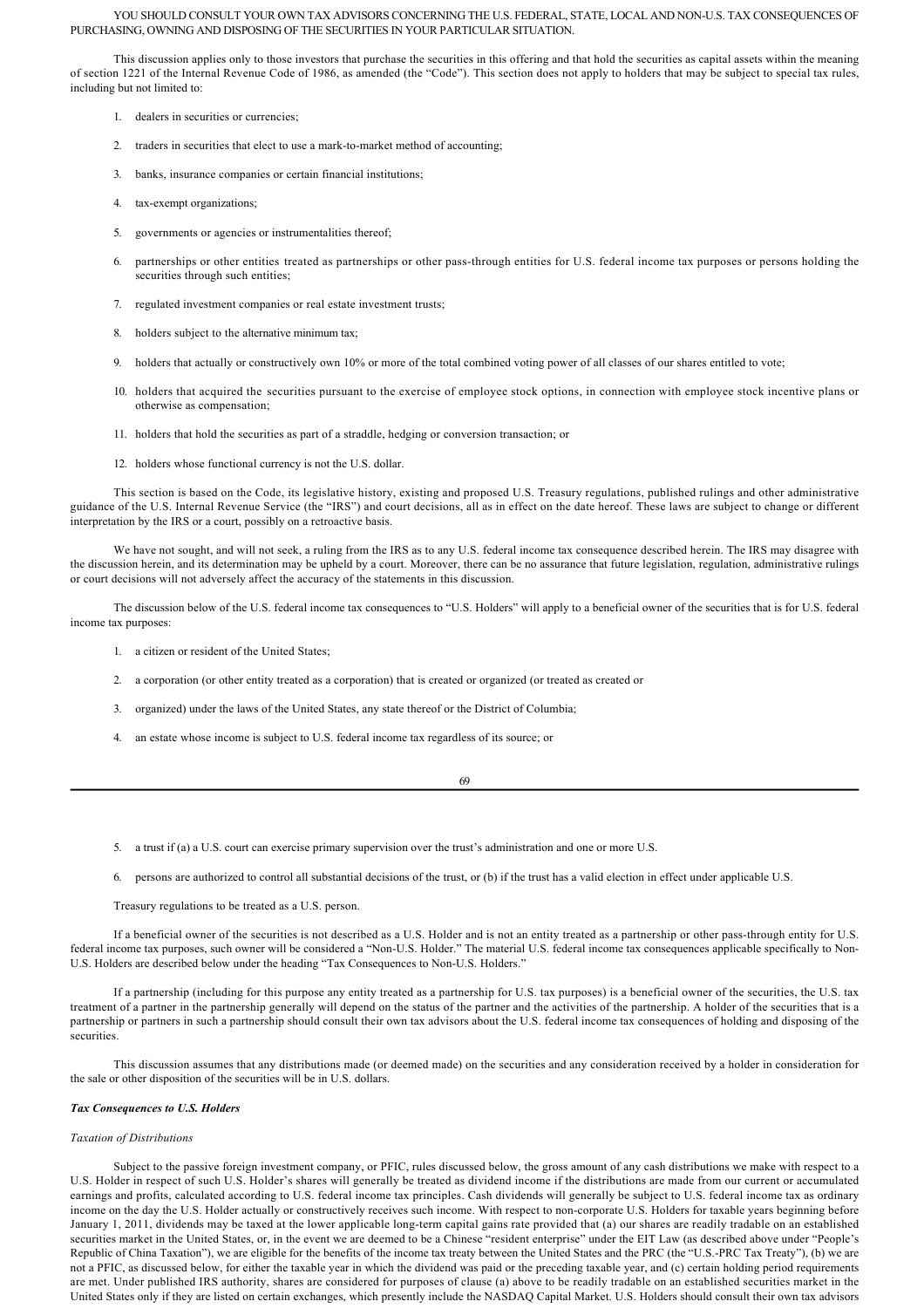YOU SHOULD CONSULT YOUR OWN TAX ADVISORS CONCERNING THE U.S. FEDERAL, STATE, LOCAL AND NON-U.S. TAX CONSEQUENCES OF PURCHASING, OWNING AND DISPOSING OF THE SECURITIES IN YOUR PARTICULAR SITUATION.

This discussion applies only to those investors that purchase the securities in this offering and that hold the securities as capital assets within the meaning of section 1221 of the Internal Revenue Code of 1986, as amended (the "Code"). This section does not apply to holders that may be subject to special tax rules, including but not limited to:

- 1. dealers in securities or currencies;
- 2. traders in securities that elect to use a mark-to-market method of accounting;
- 3. banks, insurance companies or certain financial institutions;
- 4. tax-exempt organizations;
- 5. governments or agencies or instrumentalities thereof;
- 6. partnerships or other entities treated as partnerships or other passthrough entities for U.S. federal income tax purposes or persons holding the securities through such entities;
- 7. regulated investment companies or real estate investment trusts;
- 8. holders subject to the alternative minimum tax;
- 9. holders that actually or constructively own 10% or more of the total combined voting power of all classes of our shares entitled to vote;
- 10. holders that acquired the securities pursuant to the exercise of employee stock options, in connection with employee stock incentive plans or otherwise as compensation;
- 11. holders that hold the securities as part of a straddle, hedging or conversion transaction; or
- 12. holders whose functional currency is not the U.S. dollar.

This section is based on the Code, its legislative history, existing and proposed U.S. Treasury regulations, published rulings and other administrative guidance of the U.S. Internal Revenue Service (the "IRS") and court decisions, all as in effect on the date hereof. These laws are subject to change or different interpretation by the IRS or a court, possibly on a retroactive basis.

We have not sought, and will not seek, a ruling from the IRS as to any U.S. federal income tax consequence described herein. The IRS may disagree with the discussion herein, and its determination may be upheld by a court. Moreover, there can be no assurance that future legislation, regulation, administrative rulings or court decisions will not adversely affect the accuracy of the statements in this discussion.

The discussion below of the U.S. federal income tax consequences to "U.S. Holders" will apply to a beneficial owner of the securities that is for U.S. federal income tax purposes:

- 1. a citizen or resident of the United States;
- 2. a corporation (or other entity treated as a corporation) that is created or organized (or treated as created or
- 3. organized) under the laws of the United States, any state thereof or the District of Columbia;
- 4. an estate whose income is subject to U.S. federal income tax regardless of its source; or
	- 69
- 5. a trust if (a) a U.S. court can exercise primary supervision over the trust's administration and one or more U.S.
- 6. persons are authorized to control all substantial decisions of the trust, or (b) if the trust has a valid election in effect under applicable U.S.

Treasury regulations to be treated as a U.S. person.

If a beneficial owner of the securities is not described as a U.S. Holder and is not an entity treated as a partnership or other pass-through entity for U.S. federal income tax purposes, such owner will be considered a "Non-U.S. Holder." The material U.S. federal income tax consequences applicable specifically to Non-U.S. Holders are described below under the heading "Tax Consequences to Non-U.S. Holders."

If a partnership (including for this purpose any entity treated as a partnership for U.S. tax purposes) is a beneficial owner of the securities, the U.S. tax treatment of a partner in the partnership generally will depend on the status of the partner and the activities of the partnership. A holder of the securities that is a partnership or partners in such a partnership should consult their own tax advisors about the U.S. federal income tax consequences of holding and disposing of the securities.

This discussion assumes that any distributions made (or deemed made) on the securities and any consideration received by a holder in consideration for the sale or other disposition of the securities will be in U.S. dollars.

## *Tax Consequences to U.S. Holders*

#### *Taxation of Distributions*

Subject to the passive foreign investment company, or PFIC, rules discussed below, the gross amount of any cash distributions we make with respect to a U.S. Holder in respect of such U.S. Holder's shares will generally be treated as dividend income if the distributions are made from our current or accumulated earnings and profits, calculated according to U.S. federal income tax principles. Cash dividends will generally be subject to U.S. federal income tax as ordinary income on the day the U.S. Holder actually or constructively receives such income. With respect to non-corporate U.S. Holders for taxable years beginning before January 1, 2011, dividends may be taxed at the lower applicable long-term capital gains rate provided that (a) our shares are readily tradable on an established securities market in the United States, or, in the event we are deemed to be a Chinese "resident enterprise" under the EIT Law (as described above under "People's Republic of China Taxation"), we are eligible for the benefits of the income tax treaty between the United States and the PRC (the "U.S.-PRC Tax Treaty"), (b) we are not a PFIC, as discussed below, for either the taxable year in which the dividend was paid or the preceding taxable year, and (c) certain holding period requirements are met. Under published IRS authority, shares are considered for purposes of clause (a) above to be readily tradable on an established securities market in the United States only if they are listed on certain exchanges, which presently include the NASDAQ Capital Market. U.S. Holders should consult their own tax advisors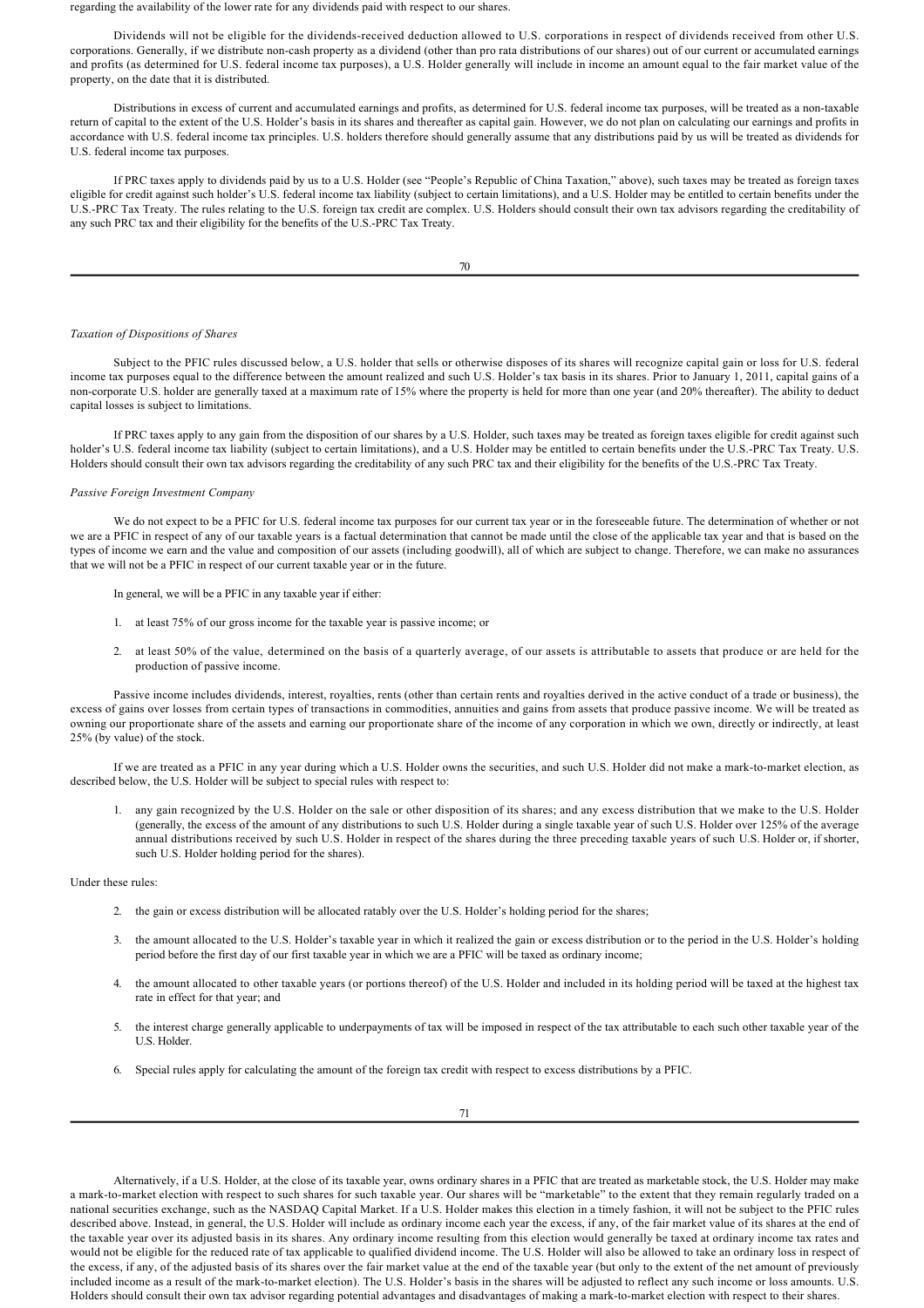regarding the availability of the lower rate for any dividends paid with respect to our shares.

Dividends will not be eligible for the dividends-received deduction allowed to U.S. corporations in respect of dividends received from other U.S. corporations. Generally, if we distribute noncash property as a dividend (other than pro rata distributions of our shares) out of our current or accumulated earnings and profits (as determined for U.S. federal income tax purposes), a U.S. Holder generally will include in income an amount equal to the fair market value of the property, on the date that it is distributed.

Distributions in excess of current and accumulated earnings and profits, as determined for U.S. federal income tax purposes, will be treated as a nontaxable return of capital to the extent of the U.S. Holder's basis in its shares and thereafter as capital gain. However, we do not plan on calculating our earnings and profits in accordance with U.S. federal income tax principles. U.S. holders therefore should generally assume that any distributions paid by us will be treated as dividends for U.S. federal income tax purposes.

If PRC taxes apply to dividends paid by us to a U.S. Holder (see "People's Republic of China Taxation," above), such taxes may be treated as foreign taxes eligible for credit against such holder's U.S. federal income tax liability (subject to certain limitations), and a U.S. Holder may be entitled to certain benefits under the U.S.PRC Tax Treaty. The rules relating to the U.S. foreign tax credit are complex. U.S. Holders should consult their own tax advisors regarding the creditability of any such PRC tax and their eligibility for the benefits of the U.S.-PRC Tax Treaty.

70

#### *Taxation of Dispositions of Shares*

Subject to the PFIC rules discussed below, a U.S. holder that sells or otherwise disposes of its shares will recognize capital gain or loss for U.S. federal income tax purposes equal to the difference between the amount realized and such U.S. Holder's tax basis in its shares. Prior to January 1, 2011, capital gains of a non-corporate U.S. holder are generally taxed at a maximum rate of 15% where the property is held for more than one year (and 20% thereafter). The ability to deduct capital losses is subject to limitations.

If PRC taxes apply to any gain from the disposition of our shares by a U.S. Holder, such taxes may be treated as foreign taxes eligible for credit against such holder's U.S. federal income tax liability (subject to certain limitations), and a U.S. Holder may be entitled to certain benefits under the U.S.-PRC Tax Treaty. U.S. Holders should consult their own tax advisors regarding the creditability of any such PRC tax and their eligibility for the benefits of the U.S.PRC Tax Treaty.

#### *Passive Foreign Investment Company*

We do not expect to be a PFIC for U.S. federal income tax purposes for our current tax year or in the foreseeable future. The determination of whether or not we are a PFIC in respect of any of our taxable years is a factual determination that cannot be made until the close of the applicable tax year and that is based on the types of income we earn and the value and composition of our assets (including goodwill), all of which are subject to change. Therefore, we can make no assurances that we will not be a PFIC in respect of our current taxable year or in the future.

In general, we will be a PFIC in any taxable year if either:

- 1. at least 75% of our gross income for the taxable year is passive income; or
- 2. at least 50% of the value, determined on the basis of a quarterly average, of our assets is attributable to assets that produce or are held for the production of passive income.

Passive income includes dividends, interest, royalties, rents (other than certain rents and royalties derived in the active conduct of a trade or business), the excess of gains over losses from certain types of transactions in commodities, annuities and gains from assets that produce passive income. We will be treated as owning our proportionate share of the assets and earning our proportionate share of the income of any corporation in which we own, directly or indirectly, at least 25% (by value) of the stock.

If we are treated as a PFIC in any year during which a U.S. Holder owns the securities, and such U.S. Holder did not make a mark-to-market election, as described below, the U.S. Holder will be subject to special rules with respect to:

1. any gain recognized by the U.S. Holder on the sale or other disposition of its shares; and any excess distribution that we make to the U.S. Holder (generally, the excess of the amount of any distributions to such U.S. Holder during a single taxable year of such U.S. Holder over 125% of the average annual distributions received by such U.S. Holder in respect of the shares during the three preceding taxable years of such U.S. Holder or, if shorter, such U.S. Holder holding period for the shares).

Under these rules:

- 2. the gain or excess distribution will be allocated ratably over the U.S. Holder's holding period for the shares;
- 3. the amount allocated to the U.S. Holder's taxable year in which it realized the gain or excess distribution or to the period in the U.S. Holder's holding period before the first day of our first taxable year in which we are a PFIC will be taxed as ordinary income;
- 4. the amount allocated to other taxable years (or portions thereof) of the U.S. Holder and included in its holding period will be taxed at the highest tax rate in effect for that year; and
- 5. the interest charge generally applicable to underpayments of tax will be imposed in respect of the tax attributable to each such other taxable year of the U.S. Holder.
- 6. Special rules apply for calculating the amount of the foreign tax credit with respect to excess distributions by a PFIC.

Alternatively, if a U.S. Holder, at the close of its taxable year, owns ordinary shares in a PFIC that are treated as marketable stock, the U.S. Holder may make a mark-to-market election with respect to such shares for such taxable year. Our shares will be "marketable" to the extent that they remain regularly traded on a national securities exchange, such as the NASDAQ Capital Market. If a U.S. Holder makes this election in a timely fashion, it will not be subject to the PFIC rules described above. Instead, in general, the U.S. Holder will include as ordinary income each year the excess, if any, of the fair market value of its shares at the end of the taxable year over its adjusted basis in its shares. Any ordinary income resulting from this election would generally be taxed at ordinary income tax rates and would not be eligible for the reduced rate of tax applicable to qualified dividend income. The U.S. Holder will also be allowed to take an ordinary loss in respect of the excess, if any, of the adjusted basis of its shares over the fair market value at the end of the taxable year (but only to the extent of the net amount of previously included income as a result of the mark-to-market election). The U.S. Holder's basis in the shares will be adjusted to reflect any such income or loss amounts. U.S. Holders should consult their own tax advisor regarding potential advantages and disadvantages of making a mark-to-market election with respect to their shares.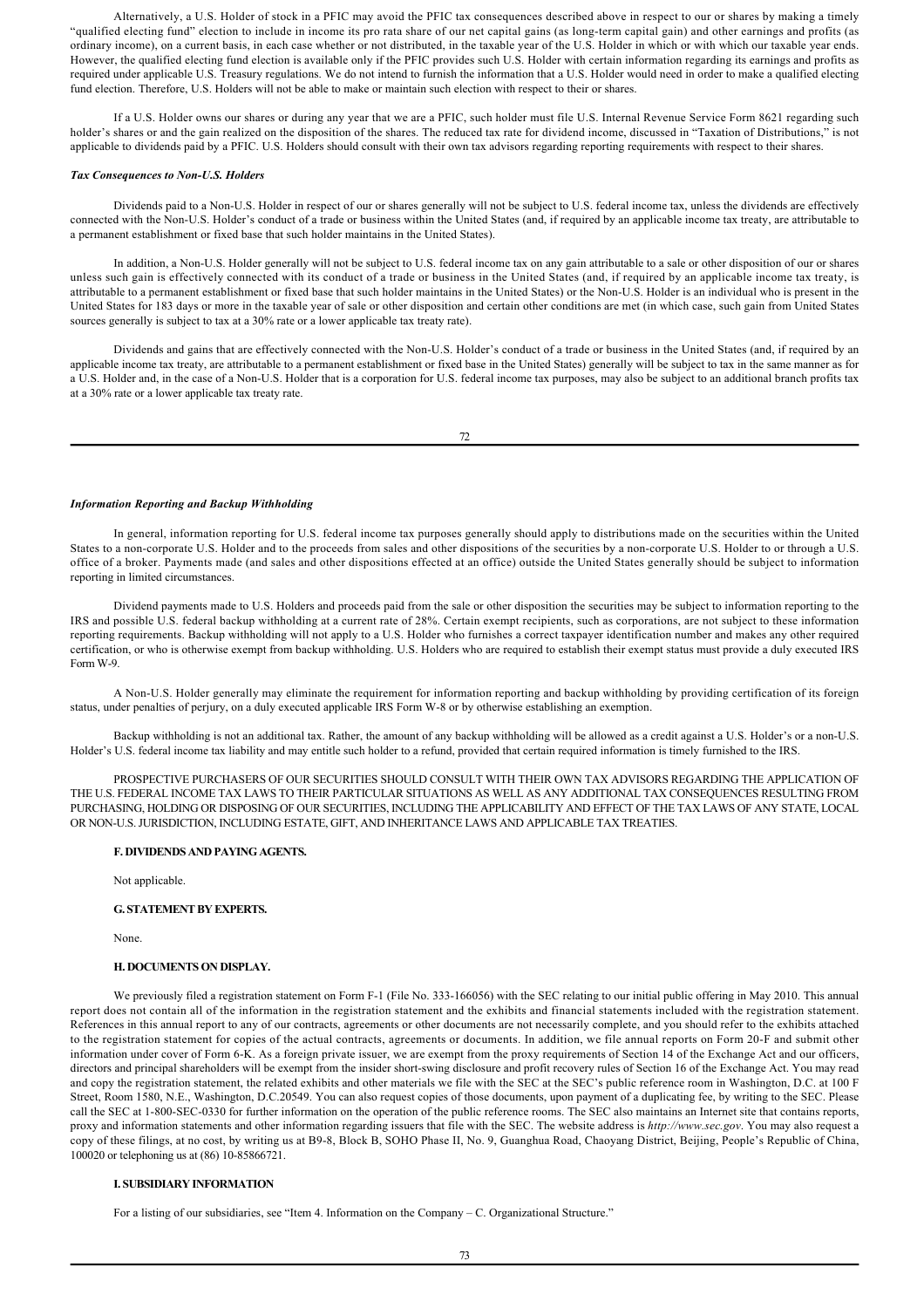Alternatively, a U.S. Holder of stock in a PFIC may avoid the PFIC tax consequences described above in respect to our or shares by making a timely "qualified electing fund" election to include in income its pro rata share of our net capital gains (as long-term capital gain) and other earnings and profits (as ordinary income), on a current basis, in each case whether or not distributed, in the taxable year of the U.S. Holder in which or with which our taxable year ends. However, the qualified electing fund election is available only if the PFIC provides such U.S. Holder with certain information regarding its earnings and profits as required under applicable U.S. Treasury regulations. We do not intend to furnish the information that a U.S. Holder would need in order to make a qualified electing fund election. Therefore, U.S. Holders will not be able to make or maintain such election with respect to their or shares.

If a U.S. Holder owns our shares or during any year that we are a PFIC, such holder must file U.S. Internal Revenue Service Form 8621 regarding such holder's shares or and the gain realized on the disposition of the shares. The reduced tax rate for dividend income, discussed in "Taxation of Distributions," is not applicable to dividends paid by a PFIC. U.S. Holders should consult with their own tax advisors regarding reporting requirements with respect to their shares.

## **Tax Consequences to Non-U.S. Holders**

Dividends paid to a Non-U.S. Holder in respect of our or shares generally will not be subject to U.S. federal income tax, unless the dividends are effectively connected with the Non-U.S. Holder's conduct of a trade or business within the United States (and, if required by an applicable income tax treaty, are attributable to a permanent establishment or fixed base that such holder maintains in the United States).

In addition, a Non-U.S. Holder generally will not be subject to U.S. federal income tax on any gain attributable to a sale or other disposition of our or shares unless such gain is effectively connected with its conduct of a trade or business in the United States (and, if required by an applicable income tax treaty, is attributable to a permanent establishment or fixed base that such holder maintains in the United States) or the Non-U.S. Holder is an individual who is present in the United States for 183 days or more in the taxable year of sale or other disposition and certain other conditions are met (in which case, such gain from United States sources generally is subject to tax at a 30% rate or a lower applicable tax treaty rate).

Dividends and gains that are effectively connected with the Non-U.S. Holder's conduct of a trade or business in the United States (and, if required by an applicable income tax treaty, are attributable to a permanent establishment or fixed base in the United States) generally will be subject to tax in the same manner as for a U.S. Holder and, in the case of a Non-U.S. Holder that is a corporation for U.S. federal income tax purposes, may also be subject to an additional branch profits tax at a 30% rate or a lower applicable tax treaty rate.

72

#### *Information Reporting and Backup Withholding*

In general, information reporting for U.S. federal income tax purposes generally should apply to distributions made on the securities within the United States to a non-corporate U.S. Holder and to the proceeds from sales and other dispositions of the securities by a non-corporate U.S. Holder to or through a U.S. office of a broker. Payments made (and sales and other dispositions effected at an office) outside the United States generally should be subject to information reporting in limited circumstances.

Dividend payments made to U.S. Holders and proceeds paid from the sale or other disposition the securities may be subject to information reporting to the IRS and possible U.S. federal backup withholding at a current rate of 28%. Certain exempt recipients, such as corporations, are not subject to these information reporting requirements. Backup withholding will not apply to a U.S. Holder who furnishes a correct taxpayer identification number and makes any other required certification, or who is otherwise exempt from backup withholding. U.S. Holders who are required to establish their exempt status must provide a duly executed IRS Form W-9.

A Non-U.S. Holder generally may eliminate the requirement for information reporting and backup withholding by providing certification of its foreign status, under penalties of perjury, on a duly executed applicable IRS Form W-8 or by otherwise establishing an exemption.

Backup withholding is not an additional tax. Rather, the amount of any backup withholding will be allowed as a credit against a U.S. Holder's or a non-U.S. Holder's U.S. federal income tax liability and may entitle such holder to a refund, provided that certain required information is timely furnished to the IRS.

PROSPECTIVE PURCHASERS OF OUR SECURITIES SHOULD CONSULT WITH THEIR OWN TAX ADVISORS REGARDING THE APPLICATION OF THE U.S. FEDERAL INCOME TAX LAWS TO THEIR PARTICULAR SITUATIONS AS WELL AS ANY ADDITIONAL TAX CONSEQUENCES RESULTING FROM PURCHASING, HOLDING OR DISPOSING OF OUR SECURITIES, INCLUDING THE APPLICABILITY AND EFFECT OF THE TAX LAWS OF ANY STATE, LOCAL OR NON-U.S. JURISDICTION, INCLUDING ESTATE, GIFT, AND INHERITANCE LAWS AND APPLICABLE TAX TREATIES.

## **F. DIVIDENDS AND PAYING AGENTS.**

Not applicable.

# **G. STATEMENT BY EXPERTS.**

None.

## **H. DOCUMENTS ON DISPLAY.**

We previously filed a registration statement on Form F-1 (File No. 333-166056) with the SEC relating to our initial public offering in May 2010. This annual report does not contain all of the information in the registration statement and the exhibits and financial statements included with the registration statement. References in this annual report to any of our contracts, agreements or other documents are not necessarily complete, and you should refer to the exhibits attached to the registration statement for copies of the actual contracts, agreements or documents. In addition, we file annual reports on Form 20-F and submit other information under cover of Form 6K. As a foreign private issuer, we are exempt from the proxy requirements of Section 14 of the Exchange Act and our officers, directors and principal shareholders will be exempt from the insider short-swing disclosure and profit recovery rules of Section 16 of the Exchange Act. You may read and copy the registration statement, the related exhibits and other materials we file with the SEC at the SEC's public reference room in Washington, D.C. at 100 F Street, Room 1580, N.E., Washington, D.C.20549. You can also request copies of those documents, upon payment of a duplicating fee, by writing to the SEC. Please call the SEC at 1-800-SEC-0330 for further information on the operation of the public reference rooms. The SEC also maintains an Internet site that contains reports, proxy and information statements and other information regarding issuers that file with the SEC. The website address is *http://www.sec.gov*. You may also request a copy of these filings, at no cost, by writing us at B98, Block B, SOHO Phase II, No. 9, Guanghua Road, Chaoyang District, Beijing, People's Republic of China, 100020 or telephoning us at (86) 10-85866721.

## **I. SUBSIDIARY INFORMATION**

For a listing of our subsidiaries, see "Item 4. Information on the Company – C. Organizational Structure."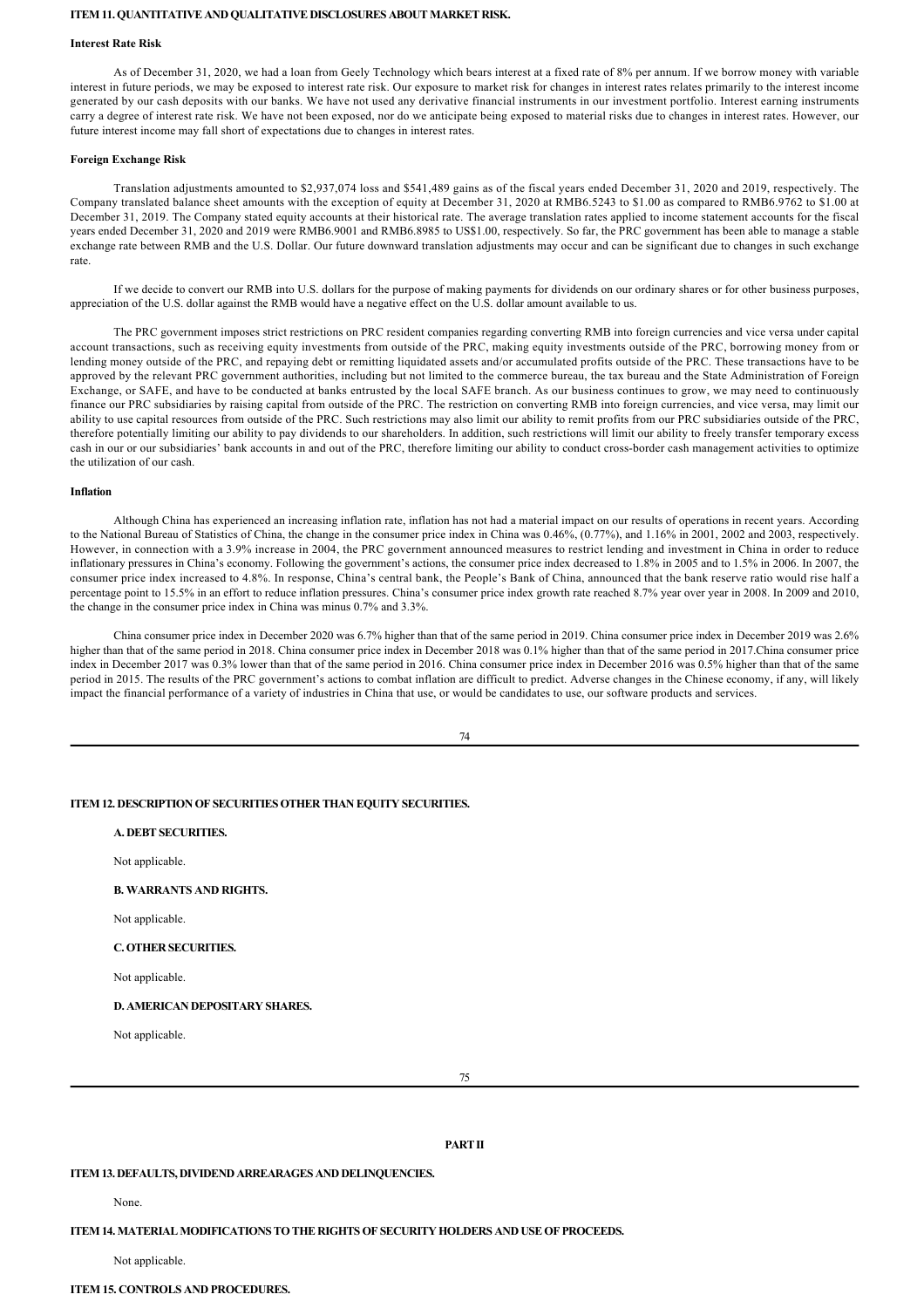## **ITEM 11. QUANTITATIVE AND QUALITATIVE DISCLOSURES ABOUT MARKET RISK.**

#### **Interest Rate Risk**

As of December 31, 2020, we had a loan from Geely Technology which bears interest at a fixed rate of 8% per annum. If we borrow money with variable interest in future periods, we may be exposed to interest rate risk. Our exposure to market risk for changes in interest rates relates primarily to the interest income generated by our cash deposits with our banks. We have not used any derivative financial instruments in our investment portfolio. Interest earning instruments carry a degree of interest rate risk. We have not been exposed, nor do we anticipate being exposed to material risks due to changes in interest rates. However, our future interest income may fall short of expectations due to changes in interest rates.

#### **Foreign Exchange Risk**

Translation adjustments amounted to \$2,937,074 loss and \$541,489 gains as of the fiscal years ended December 31, 2020 and 2019, respectively. The Company translated balance sheet amounts with the exception of equity at December 31, 2020 at RMB6.5243 to \$1.00 as compared to RMB6.9762 to \$1.00 at December 31, 2019. The Company stated equity accounts at their historical rate. The average translation rates applied to income statement accounts for the fiscal years ended December 31, 2020 and 2019 were RMB6.9001 and RMB6.8985 to US\$1.00, respectively. So far, the PRC government has been able to manage a stable exchange rate between RMB and the U.S. Dollar. Our future downward translation adjustments may occur and can be significant due to changes in such exchange rate.

If we decide to convert our RMB into U.S. dollars for the purpose of making payments for dividends on our ordinary shares or for other business purposes, appreciation of the U.S. dollar against the RMB would have a negative effect on the U.S. dollar amount available to us.

The PRC government imposes strict restrictions on PRC resident companies regarding converting RMB into foreign currencies and vice versa under capital account transactions, such as receiving equity investments from outside of the PRC, making equity investments outside of the PRC, borrowing money from or lending money outside of the PRC, and repaying debt or remitting liquidated assets and/or accumulated profits outside of the PRC. These transactions have to be approved by the relevant PRC government authorities, including but not limited to the commerce bureau, the tax bureau and the State Administration of Foreign Exchange, or SAFE, and have to be conducted at banks entrusted by the local SAFE branch. As our business continues to grow, we may need to continuously finance our PRC subsidiaries by raising capital from outside of the PRC. The restriction on converting RMB into foreign currencies, and vice versa, may limit our ability to use capital resources from outside of the PRC. Such restrictions may also limit our ability to remit profits from our PRC subsidiaries outside of the PRC, therefore potentially limiting our ability to pay dividends to our shareholders. In addition, such restrictions will limit our ability to freely transfer temporary excess cash in our or our subsidiaries' bank accounts in and out of the PRC, therefore limiting our ability to conduct cross-border cash management activities to optimize the utilization of our cash.

#### **Inflation**

Although China has experienced an increasing inflation rate, inflation has not had a material impact on our results of operations in recent years. According to the National Bureau of Statistics of China, the change in the consumer price index in China was 0.46%, (0.77%), and 1.16% in 2001, 2002 and 2003, respectively. However, in connection with a 3.9% increase in 2004, the PRC government announced measures to restrict lending and investment in China in order to reduce inflationary pressures in China's economy. Following the government's actions, the consumer price index decreased to 1.8% in 2005 and to 1.5% in 2006. In 2007, the consumer price index increased to 4.8%. In response, China's central bank, the People's Bank of China, announced that the bank reserve ratio would rise half a percentage point to 15.5% in an effort to reduce inflation pressures. China's consumer price index growth rate reached 8.7% year over year in 2008. In 2009 and 2010, the change in the consumer price index in China was minus 0.7% and 3.3%.

China consumer price index in December 2020 was 6.7% higher than that of the same period in 2019. China consumer price index in December 2019 was 2.6% higher than that of the same period in 2018. China consumer price index in December 2018 was 0.1% higher than that of the same period in 2017.China consumer price index in December 2017 was 0.3% lower than that of the same period in 2016. China consumer price index in December 2016 was 0.5% higher than that of the same period in 2015. The results of the PRC government's actions to combat inflation are difficult to predict. Adverse changes in the Chinese economy, if any, will likely impact the financial performance of a variety of industries in China that use, or would be candidates to use, our software products and services.

## **ITEM 12. DESCRIPTION OF SECURITIES OTHER THAN EQUITY SECURITIES.**

| A. DEBT SECURITIES. |  |
|---------------------|--|
|---------------------|--|

Not applicable.

**B. WARRANTS AND RIGHTS.**

Not applicable.

# **C. OTHER SECURITIES.**

Not applicable.

#### **D. AMERICAN DEPOSITARY SHARES.**

Not applicable.

75

#### **PART II**

#### **ITEM 13. DEFAULTS, DIVIDEND ARREARAGES AND DELINQUENCIES.**

None.

# **ITEM 14. MATERIAL MODIFICATIONS TO THE RIGHTS OF SECURITY HOLDERS AND USE OF PROCEEDS.**

Not applicable.

# **ITEM 15. CONTROLS AND PROCEDURES.**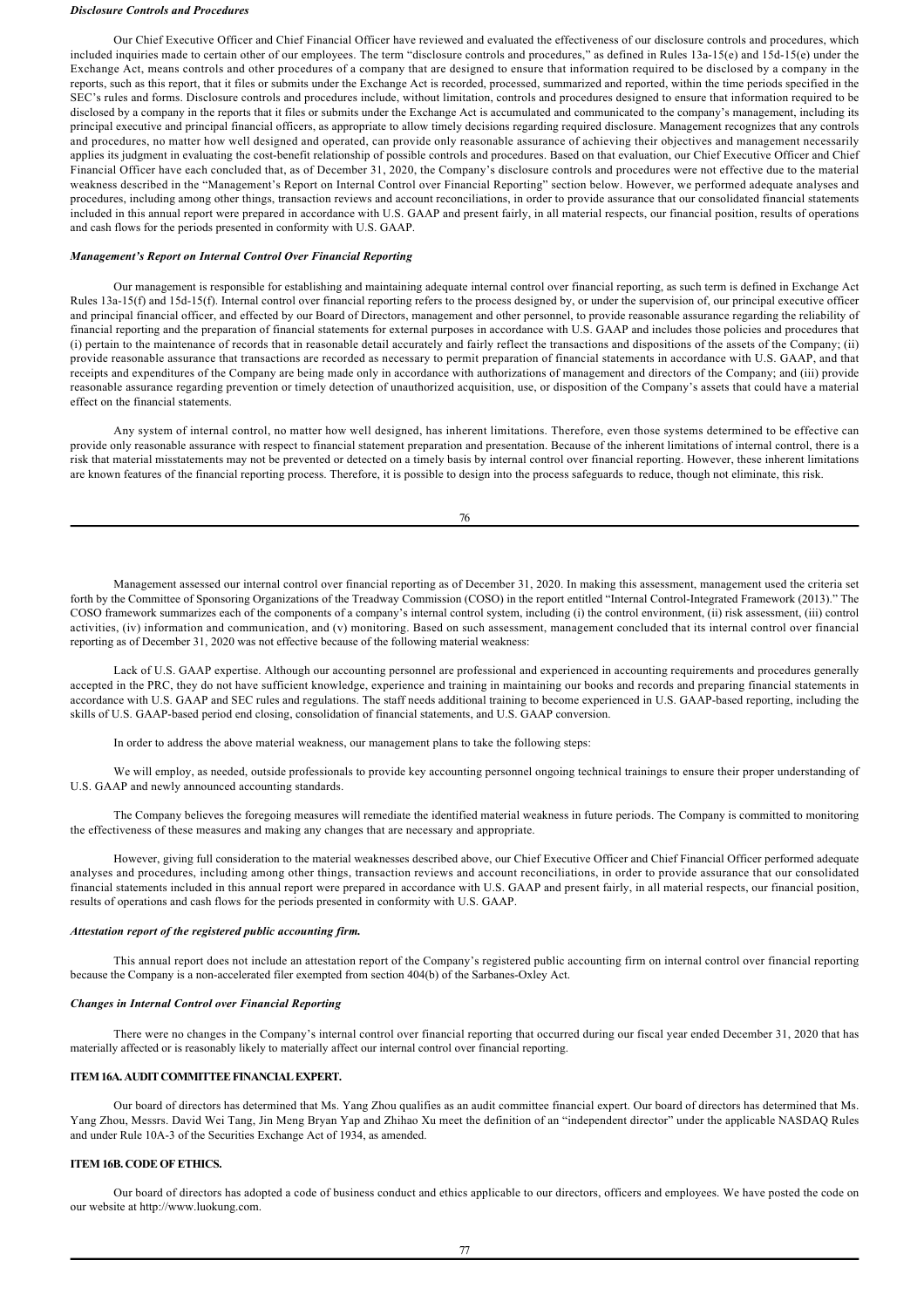#### *Disclosure Controls and Procedures*

Our Chief Executive Officer and Chief Financial Officer have reviewed and evaluated the effectiveness of our disclosure controls and procedures, which included inquiries made to certain other of our employees. The term "disclosure controls and procedures," as defined in Rules 13a-15(e) and 15d-15(e) under the Exchange Act, means controls and other procedures of a company that are designed to ensure that information required to be disclosed by a company in the reports, such as this report, that it files or submits under the Exchange Act is recorded, processed, summarized and reported, within the time periods specified in the SEC's rules and forms. Disclosure controls and procedures include, without limitation, controls and procedures designed to ensure that information required to be disclosed by a company in the reports that it files or submits under the Exchange Act is accumulated and communicated to the company's management, including its principal executive and principal financial officers, as appropriate to allow timely decisions regarding required disclosure. Management recognizes that any controls and procedures, no matter how well designed and operated, can provide only reasonable assurance of achieving their objectives and management necessarily applies its judgment in evaluating the cost-benefit relationship of possible controls and procedures. Based on that evaluation, our Chief Executive Officer and Chief Financial Officer have each concluded that, as of December 31, 2020, the Company's disclosure controls and procedures were not effective due to the material weakness described in the "Management's Report on Internal Control over Financial Reporting" section below. However, we performed adequate analyses and procedures, including among other things, transaction reviews and account reconciliations, in order to provide assurance that our consolidated financial statements included in this annual report were prepared in accordance with U.S. GAAP and present fairly, in all material respects, our financial position, results of operations and cash flows for the periods presented in conformity with U.S. GAAP.

#### *Management's Report on Internal Control Over Financial Reporting*

Our management is responsible for establishing and maintaining adequate internal control over financial reporting, as such term is defined in Exchange Act Rules 13a-15(f) and 15d-15(f). Internal control over financial reporting refers to the process designed by, or under the supervision of, our principal executive officer and principal financial officer, and effected by our Board of Directors, management and other personnel, to provide reasonable assurance regarding the reliability of financial reporting and the preparation of financial statements for external purposes in accordance with U.S. GAAP and includes those policies and procedures that (i) pertain to the maintenance of records that in reasonable detail accurately and fairly reflect the transactions and dispositions of the assets of the Company; (ii) provide reasonable assurance that transactions are recorded as necessary to permit preparation of financial statements in accordance with U.S. GAAP, and that receipts and expenditures of the Company are being made only in accordance with authorizations of management and directors of the Company; and (iii) provide reasonable assurance regarding prevention or timely detection of unauthorized acquisition, use, or disposition of the Company's assets that could have a material effect on the financial statements.

Any system of internal control, no matter how well designed, has inherent limitations. Therefore, even those systems determined to be effective can provide only reasonable assurance with respect to financial statement preparation and presentation. Because of the inherent limitations of internal control, there is a risk that material misstatements may not be prevented or detected on a timely basis by internal control over financial reporting. However, these inherent limitations are known features of the financial reporting process. Therefore, it is possible to design into the process safeguards to reduce, though not eliminate, this risk.

76

Management assessed our internal control over financial reporting as of December 31, 2020. In making this assessment, management used the criteria set forth by the Committee of Sponsoring Organizations of the Treadway Commission (COSO) in the report entitled "Internal Control-Integrated Framework (2013)." The COSO framework summarizes each of the components of a company's internal control system, including (i) the control environment, (ii) risk assessment, (iii) control activities, (iv) information and communication, and (v) monitoring. Based on such assessment, management concluded that its internal control over financial reporting as of December 31, 2020 was not effective because of the following material weakness:

Lack of U.S. GAAP expertise. Although our accounting personnel are professional and experienced in accounting requirements and procedures generally accepted in the PRC, they do not have sufficient knowledge, experience and training in maintaining our books and records and preparing financial statements in accordance with U.S. GAAP and SEC rules and regulations. The staff needs additional training to become experienced in U.S. GAAPbased reporting, including the skills of U.S. GAAP-based period end closing, consolidation of financial statements, and U.S. GAAP conversion.

In order to address the above material weakness, our management plans to take the following steps:

We will employ, as needed, outside professionals to provide key accounting personnel ongoing technical trainings to ensure their proper understanding of U.S. GAAP and newly announced accounting standards.

The Company believes the foregoing measures will remediate the identified material weakness in future periods. The Company is committed to monitoring the effectiveness of these measures and making any changes that are necessary and appropriate.

However, giving full consideration to the material weaknesses described above, our Chief Executive Officer and Chief Financial Officer performed adequate analyses and procedures, including among other things, transaction reviews and account reconciliations, in order to provide assurance that our consolidated financial statements included in this annual report were prepared in accordance with U.S. GAAP and present fairly, in all material respects, our financial position, results of operations and cash flows for the periods presented in conformity with U.S. GAAP.

#### *Attestation report of the registered public accounting firm.*

This annual report does not include an attestation report of the Company's registered public accounting firm on internal control over financial reporting because the Company is a non-accelerated filer exempted from section 404(b) of the Sarbanes-Oxley Act.

#### *Changes in Internal Control over Financial Reporting*

There were no changes in the Company's internal control over financial reporting that occurred during our fiscal year ended December 31, 2020 that has materially affected or is reasonably likely to materially affect our internal control over financial reporting.

## **ITEM 16A. AUDIT COMMITTEE FINANCIAL EXPERT.**

Our board of directors has determined that Ms. Yang Zhou qualifies as an audit committee financial expert. Our board of directors has determined that Ms. Yang Zhou, Messrs. David Wei Tang, Jin Meng Bryan Yap and Zhihao Xu meet the definition of an "independent director" under the applicable NASDAQ Rules and under Rule 10A-3 of the Securities Exchange Act of 1934, as amended.

# **ITEM 16B. CODE OF ETHICS.**

Our board of directors has adopted a code of business conduct and ethics applicable to our directors, officers and employees. We have posted the code on our website at http://www.luokung.com.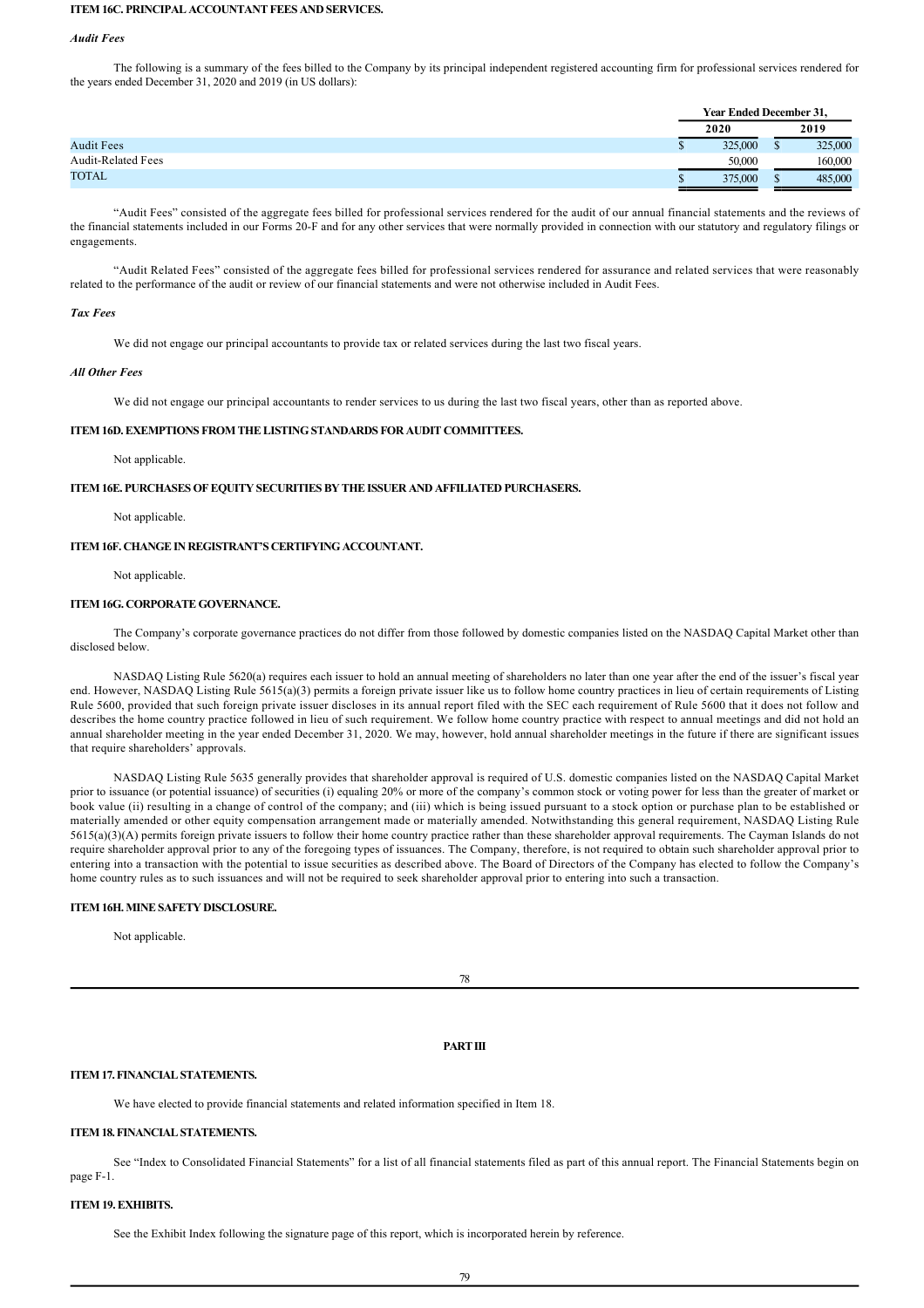## **ITEM 16C. PRINCIPAL ACCOUNTANT FEES AND SERVICES.**

#### *Audit Fees*

The following is a summary of the fees billed to the Company by its principal independent registered accounting firm for professional services rendered for the years ended December 31, 2020 and 2019 (in US dollars):

|                           |         | <b>Year Ended December 31,</b> |         |  |  |
|---------------------------|---------|--------------------------------|---------|--|--|
|                           | 2020    | 2019                           |         |  |  |
| <b>Audit Fees</b>         | 325,000 |                                | 325,000 |  |  |
| <b>Audit-Related Fees</b> | 50,000  |                                | 160,000 |  |  |
| <b>TOTAL</b>              | 375,000 |                                | 485,000 |  |  |

"Audit Fees" consisted of the aggregate fees billed for professional services rendered for the audit of our annual financial statements and the reviews of the financial statements included in our Forms 20-F and for any other services that were normally provided in connection with our statutory and regulatory filings or engagements.

"Audit Related Fees" consisted of the aggregate fees billed for professional services rendered for assurance and related services that were reasonably related to the performance of the audit or review of our financial statements and were not otherwise included in Audit Fees.

#### *Tax Fees*

We did not engage our principal accountants to provide tax or related services during the last two fiscal years.

## *All Other Fees*

We did not engage our principal accountants to render services to us during the last two fiscal years, other than as reported above.

## **ITEM 16D. EXEMPTIONS FROM THE LISTING STANDARDS FOR AUDIT COMMITTEES.**

Not applicable.

# **ITEM 16E. PURCHASES OF EQUITY SECURITIES BY THE ISSUER AND AFFILIATED PURCHASERS.**

Not applicable.

# **ITEM 16F. CHANGE IN REGISTRANT'S CERTIFYING ACCOUNTANT.**

Not applicable.

# **ITEM 16G. CORPORATE GOVERNANCE.**

The Company's corporate governance practices do not differ from those followed by domestic companies listed on the NASDAQ Capital Market other than disclosed below.

NASDAQ Listing Rule 5620(a) requires each issuer to hold an annual meeting of shareholders no later than one year after the end of the issuer's fiscal year end. However, NASDAQ Listing Rule 5615(a)(3) permits a foreign private issuer like us to follow home country practices in lieu of certain requirements of Listing Rule 5600, provided that such foreign private issuer discloses in its annual report filed with the SEC each requirement of Rule 5600 that it does not follow and describes the home country practice followed in lieu of such requirement. We follow home country practice with respect to annual meetings and did not hold an annual shareholder meeting in the year ended December 31, 2020. We may, however, hold annual shareholder meetings in the future if there are significant issues that require shareholders' approvals.

NASDAQ Listing Rule 5635 generally provides that shareholder approval is required of U.S. domestic companies listed on the NASDAQ Capital Market prior to issuance (or potential issuance) of securities (i) equaling 20% or more of the company's common stock or voting power for less than the greater of market or book value (ii) resulting in a change of control of the company; and (iii) which is being issued pursuant to a stock option or purchase plan to be established or materially amended or other equity compensation arrangement made or materially amended. Notwithstanding this general requirement, NASDAQ Listing Rule 5615(a)(3)(A) permits foreign private issuers to follow their home country practice rather than these shareholder approval requirements. The Cayman Islands do not require shareholder approval prior to any of the foregoing types of issuances. The Company, therefore, is not required to obtain such shareholder approval prior to entering into a transaction with the potential to issue securities as described above. The Board of Directors of the Company has elected to follow the Company's home country rules as to such issuances and will not be required to seek shareholder approval prior to entering into such a transaction.

# **ITEM 16H. MINE SAFETY DISCLOSURE.**

Not applicable.

78

# **PART III**

## **ITEM 17. FINANCIAL STATEMENTS.**

We have elected to provide financial statements and related information specified in Item 18.

#### **ITEM 18. FINANCIAL STATEMENTS.**

See "Index to Consolidated Financial Statements" for a list of all financial statements filed as part of this annual report. The Financial Statements begin on page F-1.

# **ITEM 19. EXHIBITS.**

See the Exhibit Index following the signature page of this report, which is incorporated herein by reference.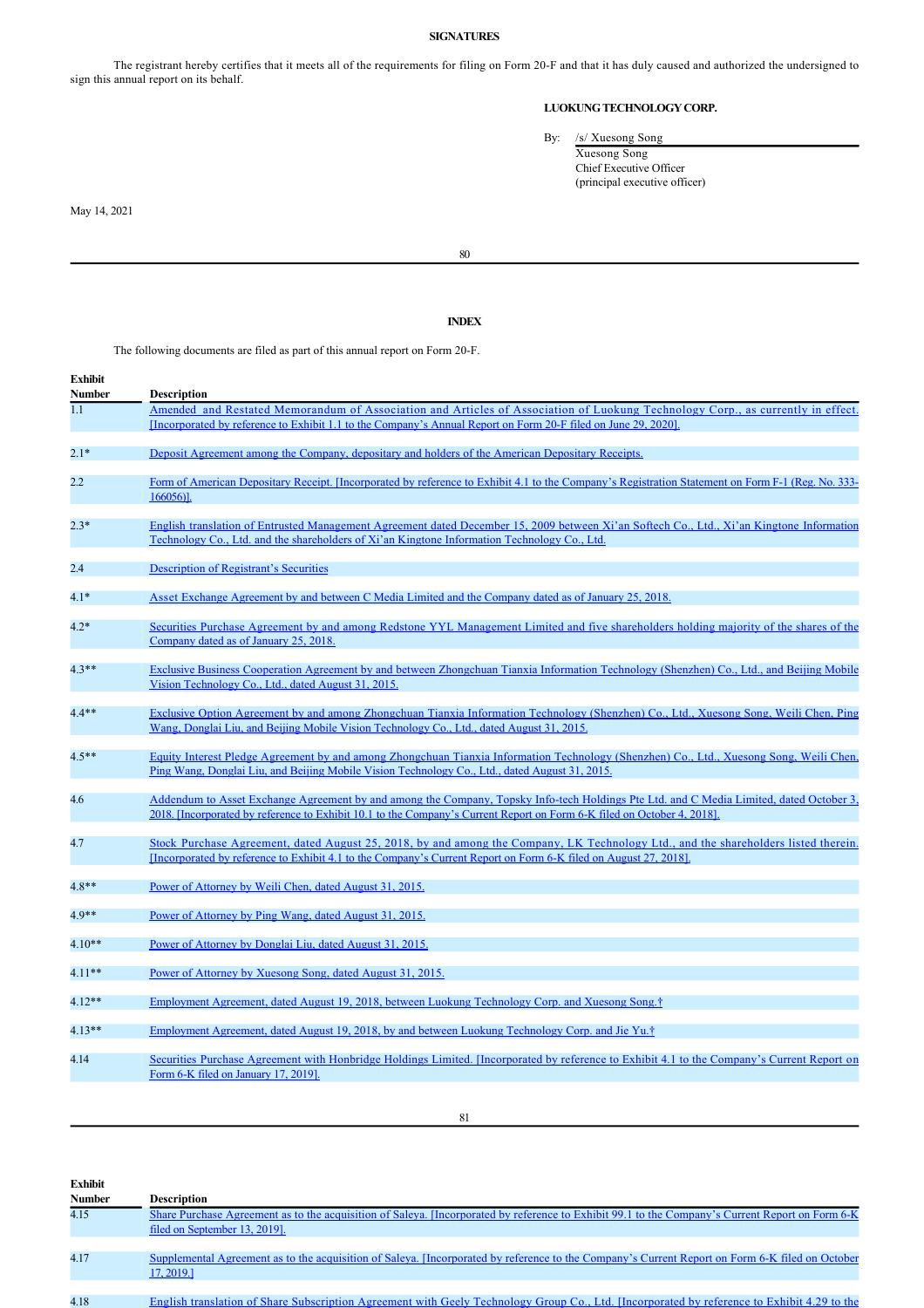# **SIGNATURES**

The registrant hereby certifies that it meets all of the requirements for filing on Form 20F and that it has duly caused and authorized the undersigned to sign this annual report on its behalf.

# **LUOKUNG TECHNOLOGY CORP.**

By: /s/ Xuesong Song

Xuesong Song Chief Executive Officer (principal executive officer)

May 14, 2021

80

# **INDEX**

The following documents are filed as part of this annual report on Form 20-F.

| <b>Exhibit</b><br>Number | <b>Description</b>                                                                                                                                                                                                                                                |
|--------------------------|-------------------------------------------------------------------------------------------------------------------------------------------------------------------------------------------------------------------------------------------------------------------|
| 1.1                      | Amended and Restated Memorandum of Association and Articles of Association of Luokung Technology Corp., as currently in effect                                                                                                                                    |
|                          | [Incorporated by reference to Exhibit 1.1 to the Company's Annual Report on Form 20-F filed on June 29, 2020]                                                                                                                                                     |
| $2.1*$                   | Deposit Agreement among the Company, depositary and holders of the American Depositary Receipts.                                                                                                                                                                  |
| 2.2                      | Form of American Depositary Receipt. [Incorporated by reference to Exhibit 4.1 to the Company's Registration Statement on Form F-1 (Reg. No. 333-<br>1660561.                                                                                                     |
| $2.3*$                   | English translation of Entrusted Management Agreement dated December 15, 2009 between Xi'an Softech Co., Ltd., Xi'an Kingtone Information<br>Technology Co., Ltd. and the shareholders of Xi'an Kingtone Information Technology Co., Ltd.                         |
| 2.4                      | <b>Description of Registrant's Securities</b>                                                                                                                                                                                                                     |
| $4.1*$                   | Asset Exchange Agreement by and between C Media Limited and the Company dated as of January 25, 2018.                                                                                                                                                             |
| $4.2*$                   | Securities Purchase Agreement by and among Redstone YYL Management Limited and five shareholders holding majority of the shares of the<br>Company dated as of January 25, 2018.                                                                                   |
| $4.3**$                  | Exclusive Business Cooperation Agreement by and between Zhongchuan Tianxia Information Technology (Shenzhen) Co., Ltd., and Beijing Mobile<br>Vision Technology Co., Ltd., dated August 31, 2015.                                                                 |
| $4.4**$                  | Exclusive Option Agreement by and among Zhongchuan Tianxia Information Technology (Shenzhen) Co., Ltd., Xuesong Song, Weili Chen, Ping<br>Wang, Donglai Liu, and Beijing Mobile Vision Technology Co., Ltd., dated August 31, 2015.                               |
| $4.5**$                  | Equity Interest Pledge Agreement by and among Zhongchuan Tianxia Information Technology (Shenzhen) Co., Ltd., Xuesong Song, Weili Chen.<br>Ping Wang, Donglai Liu, and Beijing Mobile Vision Technology Co., Ltd., dated August 31, 2015.                         |
| 4.6                      | Addendum to Asset Exchange Agreement by and among the Company, Topsky Info-tech Holdings Pte Ltd. and C Media Limited, dated October 3.<br>2018. [Incorporated by reference to Exhibit 10.1 to the Company's Current Report on Form 6-K filed on October 4, 2018] |
| 4.7                      | Stock Purchase Agreement, dated August 25, 2018, by and among the Company, LK Technology Ltd., and the shareholders listed therein<br>[Incorporated by reference to Exhibit 4.1 to the Company's Current Report on Form 6-K filed on August 27, 2018].            |
| $4.8**$                  | Power of Attorney by Weili Chen, dated August 31, 2015.                                                                                                                                                                                                           |
| $4.9**$                  | Power of Attorney by Ping Wang, dated August 31, 2015.                                                                                                                                                                                                            |
| $4.10**$                 | Power of Attorney by Donglai Liu, dated August 31, 2015.                                                                                                                                                                                                          |
| $4.11**$                 | Power of Attorney by Xuesong Song, dated August 31, 2015.                                                                                                                                                                                                         |
| $4.12**$                 | Employment Agreement, dated August 19, 2018, between Luokung Technology Corp. and Xuesong Song. <sup>†</sup>                                                                                                                                                      |
| $4.13**$                 | Employment Agreement, dated August 19, 2018, by and between Luokung Technology Corp. and Jie Yu.†                                                                                                                                                                 |
| 4.14                     | Securities Purchase Agreement with Honbridge Holdings Limited. [Incorporated by reference to Exhibit 4.1 to the Company's Current Report on<br>Form 6-K filed on January 17, 2019].                                                                               |
|                          |                                                                                                                                                                                                                                                                   |

| <b>Exhibit</b> |                                                                                                                                                                                   |
|----------------|-----------------------------------------------------------------------------------------------------------------------------------------------------------------------------------|
| <b>Number</b>  | <b>Description</b>                                                                                                                                                                |
| 4.15           | Share Purchase Agreement as to the acquisition of Saleya. [Incorporated by reference to Exhibit 99.1 to the Company's Current Report on Form 6-K<br>filed on September 13, 2019]. |
|                |                                                                                                                                                                                   |
| 4.17           | Supplemental Agreement as to the acquisition of Saleya. [Incorporated by reference to the Company's Current Report on Form 6-K filed on October<br>17, 2019.1                     |
|                |                                                                                                                                                                                   |
| 4.18           | English translation of Share Subscription Agreement with Geely Technology Group Co., Ltd. Hncorporated by reference to Exhibit 4.29 to the                                        |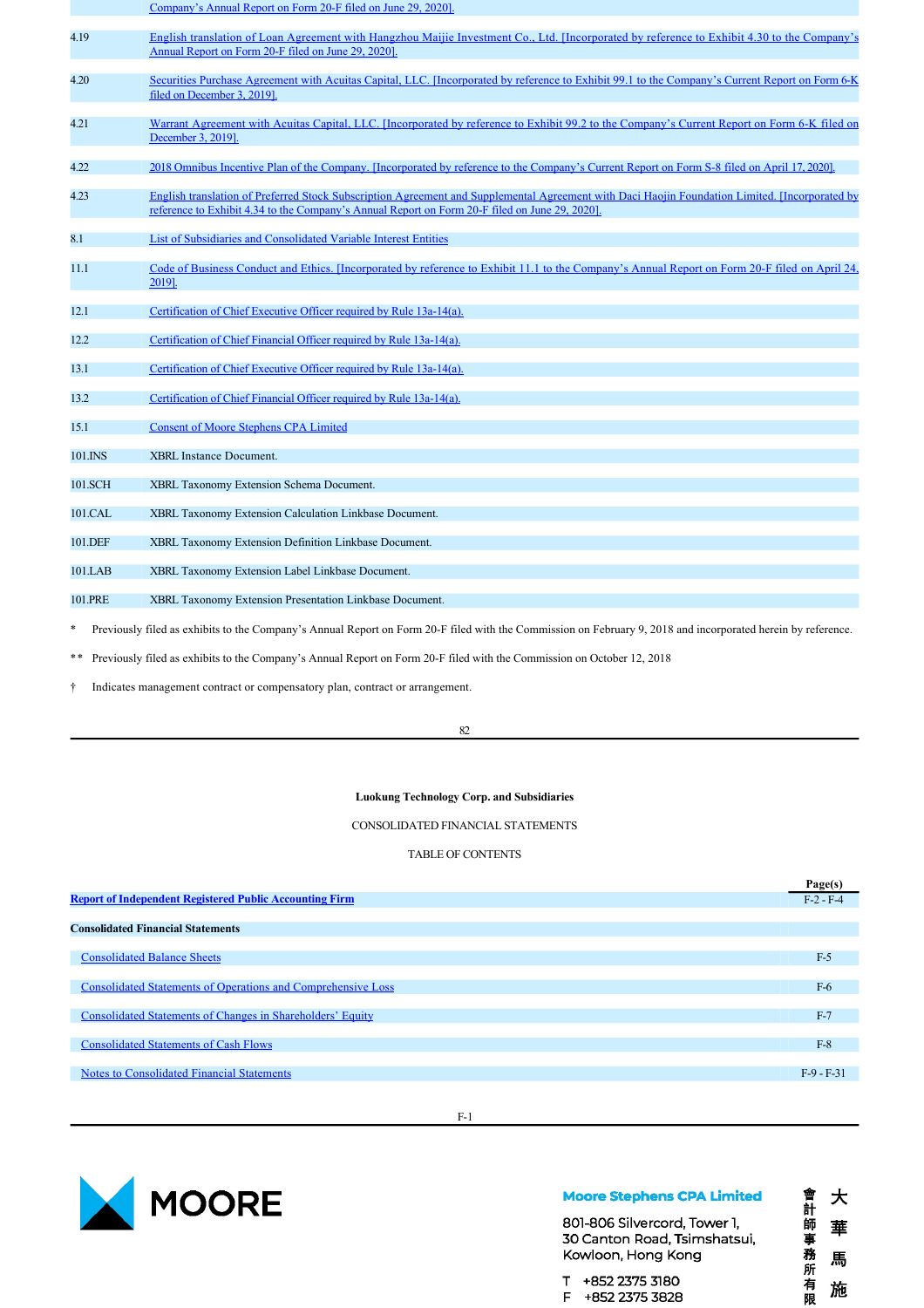|                | Company's Annual Report on Form 20-F filed on June 29, 2020].                                                                                                                                                                                    |
|----------------|--------------------------------------------------------------------------------------------------------------------------------------------------------------------------------------------------------------------------------------------------|
| 4.19           | English translation of Loan Agreement with Hangzhou Maijie Investment Co., Ltd. [Incorporated by reference to Exhibit 4.30 to the Company's<br>Annual Report on Form 20-F filed on June 29, 2020].                                               |
| 4.20           | Securities Purchase Agreement with Acuitas Capital, LLC. [Incorporated by reference to Exhibit 99.1 to the Company's Current Report on Form 6-K<br>filed on December 3, 2019].                                                                   |
| 4.21           | Warrant Agreement with Acuitas Capital, LLC. [Incorporated by reference to Exhibit 99.2 to the Company's Current Report on Form 6-K filed on<br>December 3, 2019].                                                                               |
| 4.22           | 2018 Omnibus Incentive Plan of the Company. [Incorporated by reference to the Company's Current Report on Form S-8 filed on April 17, 2020]                                                                                                      |
| 4.23           | English translation of Preferred Stock Subscription Agreement and Supplemental Agreement with Daci Haojin Foundation Limited. [Incorporated by<br>reference to Exhibit 4.34 to the Company's Annual Report on Form 20-F filed on June 29, 2020]. |
| 8.1            | List of Subsidiaries and Consolidated Variable Interest Entities                                                                                                                                                                                 |
| 11.1           | Code of Business Conduct and Ethics. [Incorporated by reference to Exhibit 11.1 to the Company's Annual Report on Form 20-F filed on April 24.<br>2019].                                                                                         |
| 12.1           | Certification of Chief Executive Officer required by Rule 13a-14(a).                                                                                                                                                                             |
| 12.2           | Certification of Chief Financial Officer required by Rule 13a-14(a).                                                                                                                                                                             |
| 13.1           | Certification of Chief Executive Officer required by Rule 13a-14(a).                                                                                                                                                                             |
| 13.2           | Certification of Chief Financial Officer required by Rule 13a-14(a).                                                                                                                                                                             |
| 15.1           | <b>Consent of Moore Stephens CPA Limited</b>                                                                                                                                                                                                     |
| 101.INS        | <b>XBRL</b> Instance Document.                                                                                                                                                                                                                   |
| 101.SCH        | XBRL Taxonomy Extension Schema Document.                                                                                                                                                                                                         |
| 101.CAL        | XBRL Taxonomy Extension Calculation Linkbase Document.                                                                                                                                                                                           |
| 101.DEF        | XBRL Taxonomy Extension Definition Linkbase Document.                                                                                                                                                                                            |
| 101.LAB        | XBRL Taxonomy Extension Label Linkbase Document.                                                                                                                                                                                                 |
| <b>101.PRE</b> | XBRL Taxonomy Extension Presentation Linkbase Document.                                                                                                                                                                                          |

\* Previously filed as exhibits to the Company's Annual Report on Form 20F filed with the Commission on February 9, 2018 and incorporated herein by reference.

\*\* Previously filed as exhibits to the Company's Annual Report on Form 20F filed with the Commission on October 12, 2018

† Indicates management contract or compensatory plan, contract or arrangement.

82

# **Luokung Technology Corp. and Subsidiaries**

CONSOLIDATED FINANCIAL STATEMENTS

# TABLE OF CONTENTS

|                                                                   | Page(s)      |
|-------------------------------------------------------------------|--------------|
| <b>Report of Independent Registered Public Accounting Firm</b>    | $F-2 - F-4$  |
|                                                                   |              |
| <b>Consolidated Financial Statements</b>                          |              |
|                                                                   |              |
| <b>Consolidated Balance Sheets</b>                                | $F-5$        |
|                                                                   |              |
| Consolidated Statements of Operations and Comprehensive Loss      | $F-6$        |
|                                                                   |              |
| <b>Consolidated Statements of Changes in Shareholders' Equity</b> | $F-7$        |
|                                                                   |              |
| <b>Consolidated Statements of Cash Flows</b>                      | $F-8$        |
|                                                                   |              |
| Notes to Consolidated Financial Statements                        | $F-9 - F-31$ |
|                                                                   |              |

 $F-1$ 



| <b>Moore Stephens CPA Limited</b>                            | 촘<br>計 |   |
|--------------------------------------------------------------|--------|---|
| 801-806 Silvercord, Tower 1,<br>30 Canton Road, Tsimshatsui, | 師<br>事 |   |
| Kowloon, Hong Kong                                           | 務<br>所 | 馬 |
| +852 2375 3180<br>+852 2375 3828<br>E                        | 有      |   |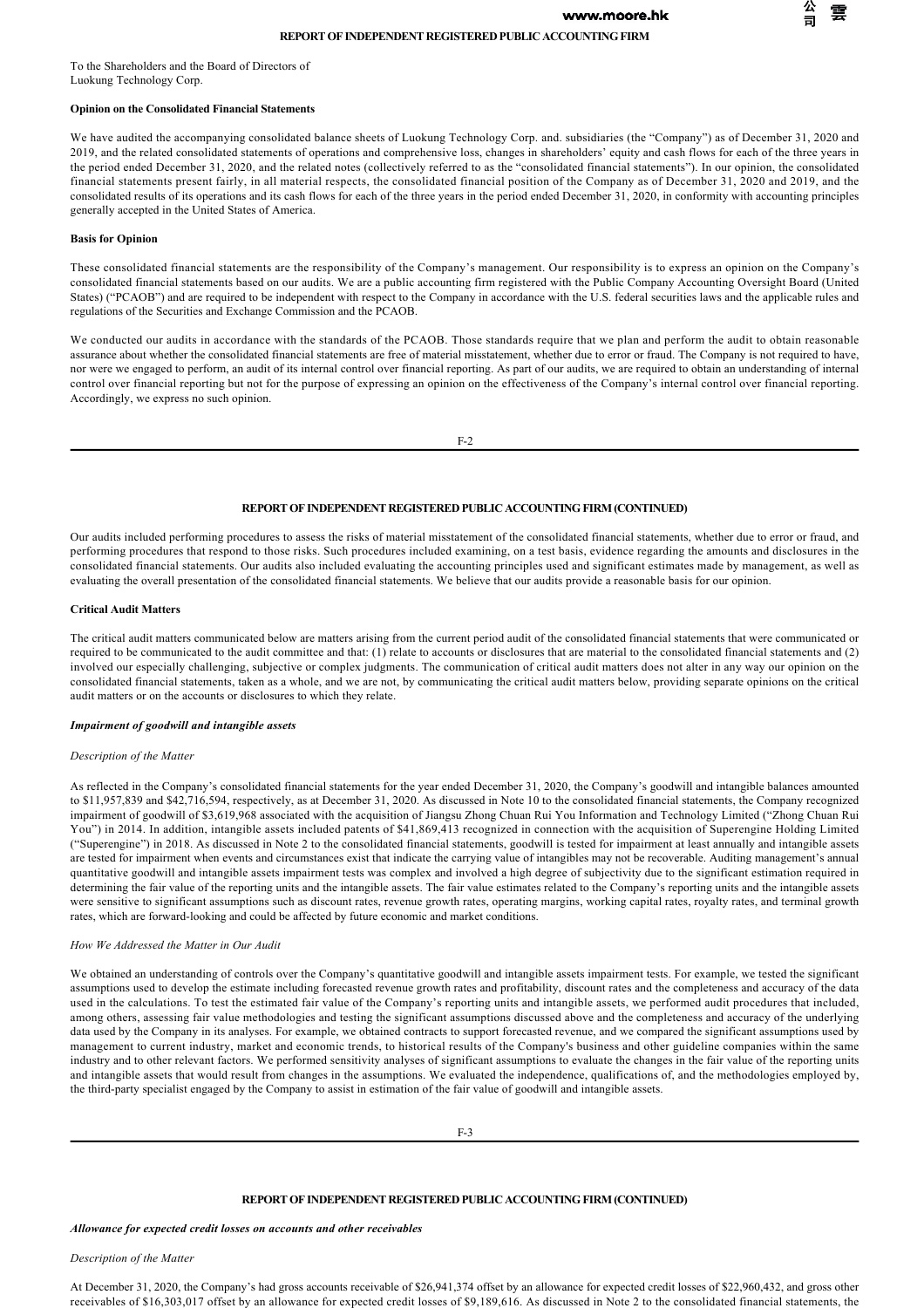# www.moore.hk



# **REPORT OF INDEPENDENT REGISTERED PUBLIC ACCOUNTING FIRM**

To the Shareholders and the Board of Directors of Luokung Technology Corp.

## **Opinion on the Consolidated Financial Statements**

We have audited the accompanying consolidated balance sheets of Luokung Technology Corp. and. subsidiaries (the "Company") as of December 31, 2020 and 2019, and the related consolidated statements of operations and comprehensive loss, changes in shareholders' equity and cash flows for each of the three years in the period ended December 31, 2020, and the related notes (collectively referred to as the "consolidated financial statements"). In our opinion, the consolidated financial statements present fairly, in all material respects, the consolidated financial position of the Company as of December 31, 2020 and 2019, and the consolidated results of its operations and its cash flows for each of the three years in the period ended December 31, 2020, in conformity with accounting principles generally accepted in the United States of America.

## **Basis for Opinion**

These consolidated financial statements are the responsibility of the Company's management. Our responsibility is to express an opinion on the Company's consolidated financial statements based on our audits. We are a public accounting firm registered with the Public Company Accounting Oversight Board (United States) ("PCAOB") and are required to be independent with respect to the Company in accordance with the U.S. federal securities laws and the applicable rules and regulations of the Securities and Exchange Commission and the PCAOB.

We conducted our audits in accordance with the standards of the PCAOB. Those standards require that we plan and perform the audit to obtain reasonable assurance about whether the consolidated financial statements are free of material misstatement, whether due to error or fraud. The Company is not required to have, nor were we engaged to perform, an audit of its internal control over financial reporting. As part of our audits, we are required to obtain an understanding of internal control over financial reporting but not for the purpose of expressing an opinion on the effectiveness of the Company's internal control over financial reporting. Accordingly, we express no such opinion.

 $F-2$ 

## **REPORT OF INDEPENDENT REGISTERED PUBLIC ACCOUNTING FIRM (CONTINUED)**

Our audits included performing procedures to assess the risks of material misstatement of the consolidated financial statements, whether due to error or fraud, and performing procedures that respond to those risks. Such procedures included examining, on a test basis, evidence regarding the amounts and disclosures in the consolidated financial statements. Our audits also included evaluating the accounting principles used and significant estimates made by management, as well as evaluating the overall presentation of the consolidated financial statements. We believe that our audits provide a reasonable basis for our opinion.

#### **Critical Audit Matters**

The critical audit matters communicated below are matters arising from the current period audit of the consolidated financial statements that were communicated or required to be communicated to the audit committee and that: (1) relate to accounts or disclosures that are material to the consolidated financial statements and (2) involved our especially challenging, subjective or complex judgments. The communication of critical audit matters does not alter in any way our opinion on the consolidated financial statements, taken as a whole, and we are not, by communicating the critical audit matters below, providing separate opinions on the critical audit matters or on the accounts or disclosures to which they relate.

#### *Impairment of goodwill and intangible assets*

## *Description of the Matter*

As reflected in the Company's consolidated financial statements for the year ended December 31, 2020, the Company's goodwill and intangible balances amounted to \$11,957,839 and \$42,716,594, respectively, as at December 31, 2020. As discussed in Note 10 to the consolidated financial statements, the Company recognized impairment of goodwill of \$3,619,968 associated with the acquisition of Jiangsu Zhong Chuan Rui You Information and Technology Limited ("Zhong Chuan Rui You") in 2014. In addition, intangible assets included patents of \$41,869,413 recognized in connection with the acquisition of Superengine Holding Limited ("Superengine") in 2018. As discussed in Note 2 to the consolidated financial statements, goodwill is tested for impairment at least annually and intangible assets are tested for impairment when events and circumstances exist that indicate the carrying value of intangibles may not be recoverable. Auditing management's annual quantitative goodwill and intangible assets impairment tests was complex and involved a high degree of subjectivity due to the significant estimation required in determining the fair value of the reporting units and the intangible assets. The fair value estimates related to the Company's reporting units and the intangible assets were sensitive to significant assumptions such as discount rates, revenue growth rates, operating margins, working capital rates, royalty rates, and terminal growth rates, which are forward-looking and could be affected by future economic and market conditions.

#### *How We Addressed the Matter in Our Audit*

We obtained an understanding of controls over the Company's quantitative goodwill and intangible assets impairment tests. For example, we tested the significant assumptions used to develop the estimate including forecasted revenue growth rates and profitability, discount rates and the completeness and accuracy of the data used in the calculations. To test the estimated fair value of the Company's reporting units and intangible assets, we performed audit procedures that included, among others, assessing fair value methodologies and testing the significant assumptions discussed above and the completeness and accuracy of the underlying data used by the Company in its analyses. For example, we obtained contracts to support forecasted revenue, and we compared the significant assumptions used by management to current industry, market and economic trends, to historical results of the Company's business and other guideline companies within the same industry and to other relevant factors. We performed sensitivity analyses of significant assumptions to evaluate the changes in the fair value of the reporting units and intangible assets that would result from changes in the assumptions. We evaluated the independence, qualifications of, and the methodologies employed by, the third-party specialist engaged by the Company to assist in estimation of the fair value of goodwill and intangible assets.

## **REPORT OF INDEPENDENT REGISTERED PUBLIC ACCOUNTING FIRM (CONTINUED)**

## *Allowance for expected credit losses on accounts and other receivables*

*Description of the Matter*

At December 31, 2020, the Company's had gross accounts receivable of \$26,941,374 offset by an allowance for expected credit losses of \$22,960,432, and gross other receivables of \$16,303,017 offset by an allowance for expected credit losses of \$9,189,616. As discussed in Note 2 to the consolidated financial statements, the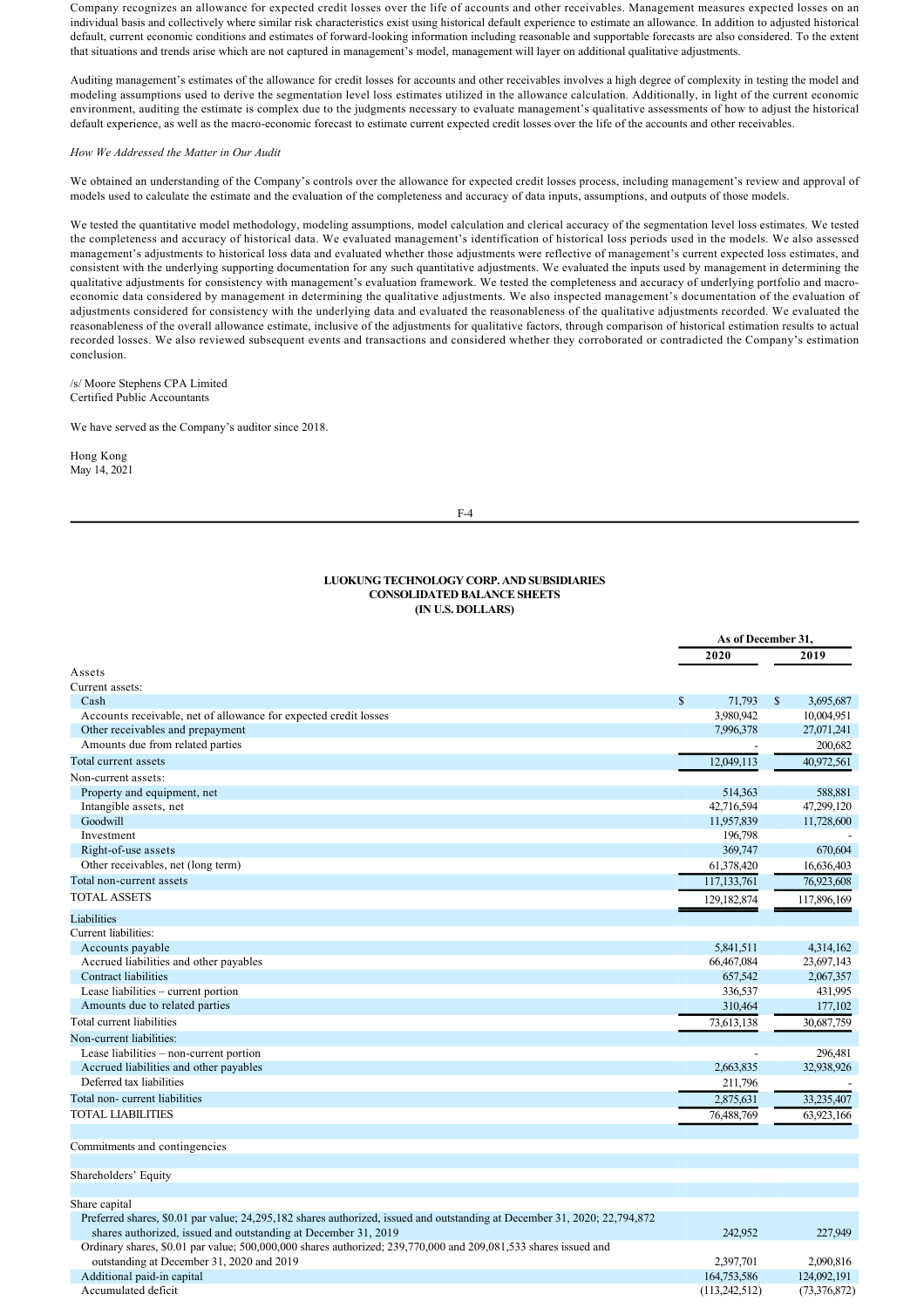Company recognizes an allowance for expected credit losses over the life of accounts and other receivables. Management measures expected losses on an individual basis and collectively where similar risk characteristics exist using historical default experience to estimate an allowance. In addition to adjusted historical default, current economic conditions and estimates of forward-looking information including reasonable and supportable forecasts are also considered. To the extent that situations and trends arise which are not captured in management's model, management will layer on additional qualitative adjustments.

Auditing management's estimates of the allowance for credit losses for accounts and other receivables involves a high degree of complexity in testing the model and modeling assumptions used to derive the segmentation level loss estimates utilized in the allowance calculation. Additionally, in light of the current economic environment, auditing the estimate is complex due to the judgments necessary to evaluate management's qualitative assessments of how to adjust the historical default experience, as well as the macro-economic forecast to estimate current expected credit losses over the life of the accounts and other receivables.

# *How We Addressed the Matter in Our Audit*

We obtained an understanding of the Company's controls over the allowance for expected credit losses process, including management's review and approval of models used to calculate the estimate and the evaluation of the completeness and accuracy of data inputs, assumptions, and outputs of those models.

We tested the quantitative model methodology, modeling assumptions, model calculation and clerical accuracy of the segmentation level loss estimates. We tested the completeness and accuracy of historical data. We evaluated management's identification of historical loss periods used in the models. We also assessed management's adjustments to historical loss data and evaluated whether those adjustments were reflective of management's current expected loss estimates, and consistent with the underlying supporting documentation for any such quantitative adjustments. We evaluated the inputs used by management in determining the qualitative adjustments for consistency with management's evaluation framework. We tested the completeness and accuracy of underlying portfolio and macroeconomic data considered by management in determining the qualitative adjustments. We also inspected management's documentation of the evaluation of adjustments considered for consistency with the underlying data and evaluated the reasonableness of the qualitative adjustments recorded. We evaluated the reasonableness of the overall allowance estimate, inclusive of the adjustments for qualitative factors, through comparison of historical estimation results to actual recorded losses. We also reviewed subsequent events and transactions and considered whether they corroborated or contradicted the Company's estimation conclusion.

/s/ Moore Stephens CPA Limited Certified Public Accountants

We have served as the Company's auditor since 2018.

Hong Kong May 14, 2021

 $F-4$ 

## **LUOKUNG TECHNOLOGY CORP. AND SUBSIDIARIES CONSOLIDATED BALANCE SHEETS (IN U.S. DOLLARS)**

|                                                                                                                           |              | As of December 31. |    |              |
|---------------------------------------------------------------------------------------------------------------------------|--------------|--------------------|----|--------------|
|                                                                                                                           |              | 2020               |    | 2019         |
| Assets                                                                                                                    |              |                    |    |              |
| Current assets:                                                                                                           |              |                    |    |              |
| Cash                                                                                                                      | $\mathbb{S}$ | 71,793             | \$ | 3,695,687    |
| Accounts receivable, net of allowance for expected credit losses                                                          |              | 3,980,942          |    | 10,004,951   |
| Other receivables and prepayment                                                                                          |              | 7,996,378          |    | 27,071,241   |
| Amounts due from related parties                                                                                          |              |                    |    | 200,682      |
| Total current assets                                                                                                      |              | 12,049,113         |    | 40,972,561   |
| Non-current assets:                                                                                                       |              |                    |    |              |
| Property and equipment, net                                                                                               |              | 514,363            |    | 588,881      |
| Intangible assets, net                                                                                                    |              | 42,716,594         |    | 47,299,120   |
| Goodwill                                                                                                                  |              | 11,957,839         |    | 11,728,600   |
| Investment                                                                                                                |              | 196,798            |    |              |
| Right-of-use assets                                                                                                       |              | 369,747            |    | 670,604      |
| Other receivables, net (long term)                                                                                        |              | 61,378,420         |    | 16,636,403   |
| Total non-current assets                                                                                                  |              | 117, 133, 761      |    | 76,923,608   |
| <b>TOTAL ASSETS</b>                                                                                                       |              | 129,182,874        |    | 117,896,169  |
| Liabilities                                                                                                               |              |                    |    |              |
| Current liabilities:                                                                                                      |              |                    |    |              |
| Accounts payable                                                                                                          |              | 5,841,511          |    | 4,314,162    |
| Accrued liabilities and other payables                                                                                    |              | 66,467,084         |    | 23,697,143   |
| <b>Contract liabilities</b>                                                                                               |              | 657,542            |    | 2,067,357    |
| Lease liabilities - current portion                                                                                       |              | 336,537            |    | 431,995      |
| Amounts due to related parties                                                                                            |              | 310,464            |    | 177,102      |
| Total current liabilities                                                                                                 |              | 73,613,138         |    | 30,687,759   |
| Non-current liabilities:                                                                                                  |              |                    |    |              |
| Lease liabilities - non-current portion                                                                                   |              |                    |    | 296,481      |
| Accrued liabilities and other payables                                                                                    |              | 2,663,835          |    | 32,938,926   |
| Deferred tax liabilities                                                                                                  |              | 211,796            |    |              |
| Total non-current liabilities                                                                                             |              | 2,875,631          |    | 33,235,407   |
| <b>TOTAL LIABILITIES</b>                                                                                                  |              | 76,488,769         |    | 63,923,166   |
| Commitments and contingencies                                                                                             |              |                    |    |              |
| Shareholders' Equity                                                                                                      |              |                    |    |              |
|                                                                                                                           |              |                    |    |              |
| Share capital                                                                                                             |              |                    |    |              |
| Preferred shares, \$0.01 par value; 24,295,182 shares authorized, issued and outstanding at December 31, 2020; 22,794,872 |              |                    |    |              |
| shares authorized, issued and outstanding at December 31, 2019                                                            |              | 242,952            |    | 227,949      |
| Ordinary shares, \$0.01 par value; 500,000,000 shares authorized; 239,770,000 and 209,081,533 shares issued and           |              |                    |    |              |
| outstanding at December 31, 2020 and 2019                                                                                 |              | 2,397,701          |    | 2,090,816    |
| Additional paid-in capital                                                                                                |              | 164,753,586        |    | 124,092,191  |
| Accumulated deficit                                                                                                       |              | (113, 242, 512)    |    | (73,376,872) |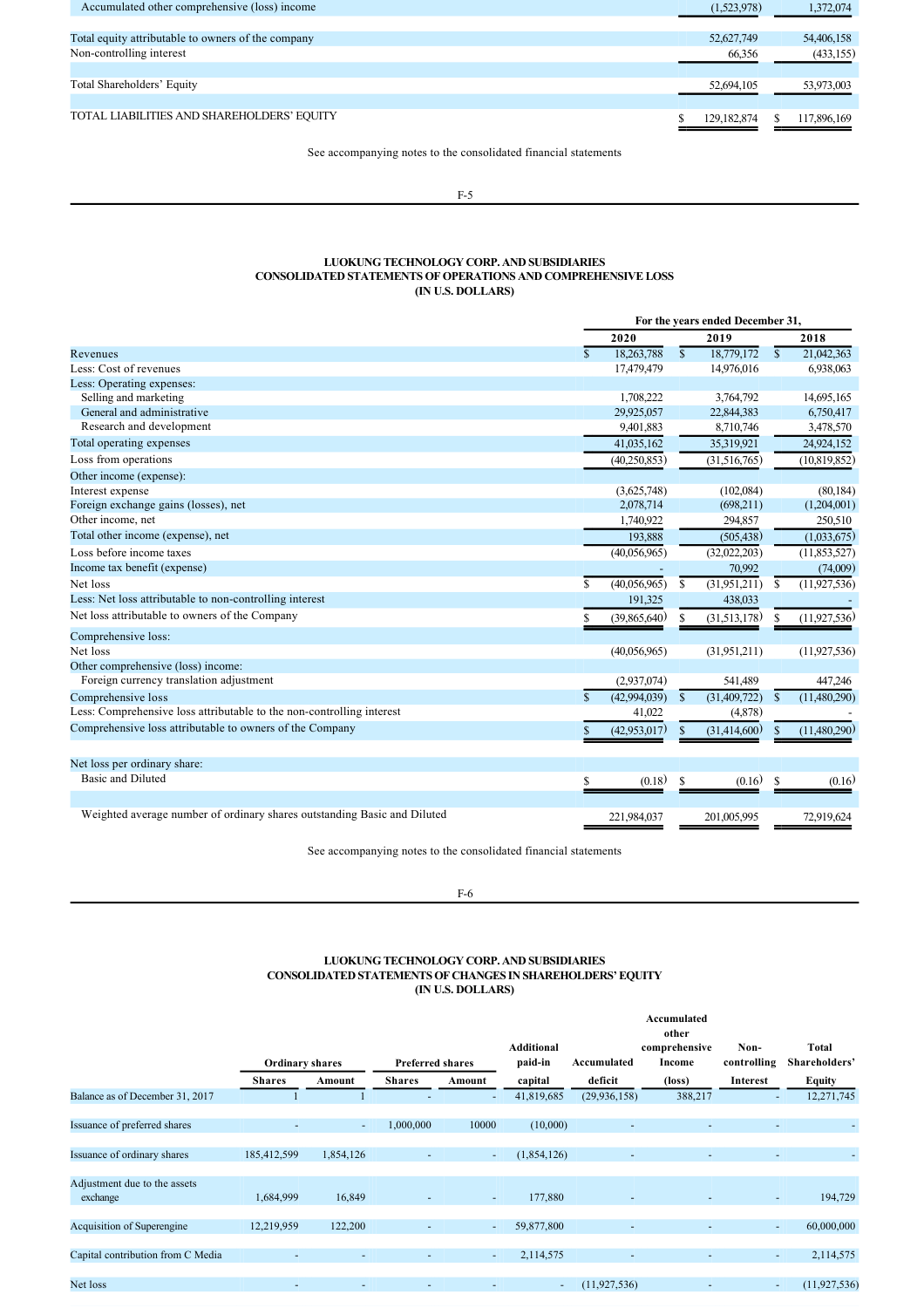| Accumulated other comprehensive (loss) income      | (1,523,978)   | 1,372,074   |
|----------------------------------------------------|---------------|-------------|
|                                                    |               |             |
| Total equity attributable to owners of the company | 52,627,749    | 54,406,158  |
| Non-controlling interest                           | 66,356        | (433, 155)  |
|                                                    |               |             |
| Total Shareholders' Equity                         | 52,694,105    | 53,973,003  |
|                                                    |               |             |
| TOTAL LIABILITIES AND SHAREHOLDERS' EQUITY         | 129, 182, 874 | 117,896,169 |

See accompanying notes to the consolidated financial statements

 $F-5$ 

#### **LUOKUNG TECHNOLOGY CORP. AND SUBSIDIARIES CONSOLIDATED STATEMENTS OF OPERATIONS AND COMPREHENSIVE LOSS (IN U.S. DOLLARS)**

|                                                                          |              | For the years ended December 31, |              |                |               |                |
|--------------------------------------------------------------------------|--------------|----------------------------------|--------------|----------------|---------------|----------------|
|                                                                          |              | 2020                             |              | 2019           |               | 2018           |
| Revenues                                                                 | $\mathbf{s}$ | 18,263,788                       | $\mathbf S$  | 18,779,172     | $\mathcal{S}$ | 21,042,363     |
| Less: Cost of revenues                                                   |              | 17,479,479                       |              | 14,976,016     |               | 6,938,063      |
| Less: Operating expenses:                                                |              |                                  |              |                |               |                |
| Selling and marketing                                                    |              | 1,708,222                        |              | 3,764,792      |               | 14,695,165     |
| General and administrative                                               |              | 29,925,057                       |              | 22,844,383     |               | 6,750,417      |
| Research and development                                                 |              | 9,401,883                        |              | 8,710,746      |               | 3,478,570      |
| Total operating expenses                                                 |              | 41,035,162                       |              | 35,319,921     |               | 24,924,152     |
| Loss from operations                                                     |              | (40, 250, 853)                   |              | (31,516,765)   |               | (10,819,852)   |
| Other income (expense):                                                  |              |                                  |              |                |               |                |
| Interest expense                                                         |              | (3,625,748)                      |              | (102,084)      |               | (80, 184)      |
| Foreign exchange gains (losses), net                                     |              | 2,078,714                        |              | (698,211)      |               | (1,204,001)    |
| Other income, net                                                        |              | 1,740,922                        |              | 294,857        |               | 250,510        |
| Total other income (expense), net                                        |              | 193,888                          |              | (505, 438)     |               | (1,033,675)    |
| Loss before income taxes                                                 |              | (40,056,965)                     |              | (32,022,203)   |               | (11, 853, 527) |
| Income tax benefit (expense)                                             |              |                                  |              | 70,992         |               | (74,009)       |
| Net loss                                                                 | \$           | (40,056,965)                     | S            | (31.951.211)   | S.            | (11, 927, 536) |
| Less: Net loss attributable to non-controlling interest                  |              | 191,325                          |              | 438,033        |               |                |
| Net loss attributable to owners of the Company                           | S            | (39,865,640)                     | \$           | (31,513,178)   | \$            | (11, 927, 536) |
| Comprehensive loss:                                                      |              |                                  |              |                |               |                |
| Net loss                                                                 |              | (40,056,965)                     |              | (31,951,211)   |               | (11, 927, 536) |
| Other comprehensive (loss) income:                                       |              |                                  |              |                |               |                |
| Foreign currency translation adjustment                                  |              | (2,937,074)                      |              | 541,489        |               | 447,246        |
| Comprehensive loss                                                       | $\mathbf{S}$ | (42,994,039)                     | $\mathbb{S}$ | (31, 409, 722) | $\mathbb{S}$  | (11,480,290)   |
| Less: Comprehensive loss attributable to the non-controlling interest    |              | 41,022                           |              | (4,878)        |               |                |
| Comprehensive loss attributable to owners of the Company                 |              | (42,953,017)                     | \$           | (31, 414, 600) |               | (11,480,290)   |
|                                                                          |              |                                  |              |                |               |                |
| Net loss per ordinary share:<br><b>Basic and Diluted</b>                 |              |                                  |              |                |               |                |
|                                                                          | \$           | (0.18)                           | S            | (0.16)         | \$            | (0.16)         |
| Weighted average number of ordinary shares outstanding Basic and Diluted |              | 221,984,037                      |              | 201,005,995    |               | 72,919,624     |

See accompanying notes to the consolidated financial statements

 $F-6$ 

# **LUOKUNG TECHNOLOGY CORP. AND SUBSIDIARIES CONSOLIDATED STATEMENTS OF CHANGES IN SHAREHOLDERS' EQUITY (IN U.S. DOLLARS)**

|                                          |                        |           |                         |                          | <b>Additional</b> |                          | Accumulated<br>other<br>comprehensive | Non-        | Total          |
|------------------------------------------|------------------------|-----------|-------------------------|--------------------------|-------------------|--------------------------|---------------------------------------|-------------|----------------|
|                                          | <b>Ordinary shares</b> |           | <b>Preferred shares</b> |                          | paid-in           | Accumulated              | Income                                | controlling | Shareholders'  |
|                                          | <b>Shares</b>          | Amount    | <b>Shares</b>           | Amount                   | capital           | deficit                  | $(\text{loss})$                       | Interest    | Equity         |
| Balance as of December 31, 2017          |                        |           |                         | ۰                        | 41,819,685        | (29, 936, 158)           | 388,217                               | ٠           | 12,271,745     |
| Issuance of preferred shares             |                        | $\sim$    | 1,000,000               | 10000                    | (10,000)          |                          |                                       |             | ٠              |
| Issuance of ordinary shares              | 185,412,599            | 1,854,126 |                         | $\sim$                   | (1,854,126)       | $\overline{\phantom{a}}$ | ٠                                     | ٠           | ٠.             |
| Adjustment due to the assets<br>exchange | 1,684,999              | 16,849    |                         | $\overline{\phantom{a}}$ | 177,880           |                          |                                       |             | 194,729        |
| Acquisition of Superengine               | 12,219,959             | 122,200   | ٠                       | ٠                        | 59,877,800        | $\overline{\phantom{a}}$ | ٠                                     | $\sim$      | 60,000,000     |
| Capital contribution from C Media        |                        |           |                         | ٠                        | 2,114,575         | $\overline{a}$           |                                       | $\sim$      | 2,114,575      |
| Net loss                                 |                        | ٠         |                         |                          | $\sim$            | (11, 927, 536)           |                                       | $\sim$      | (11, 927, 536) |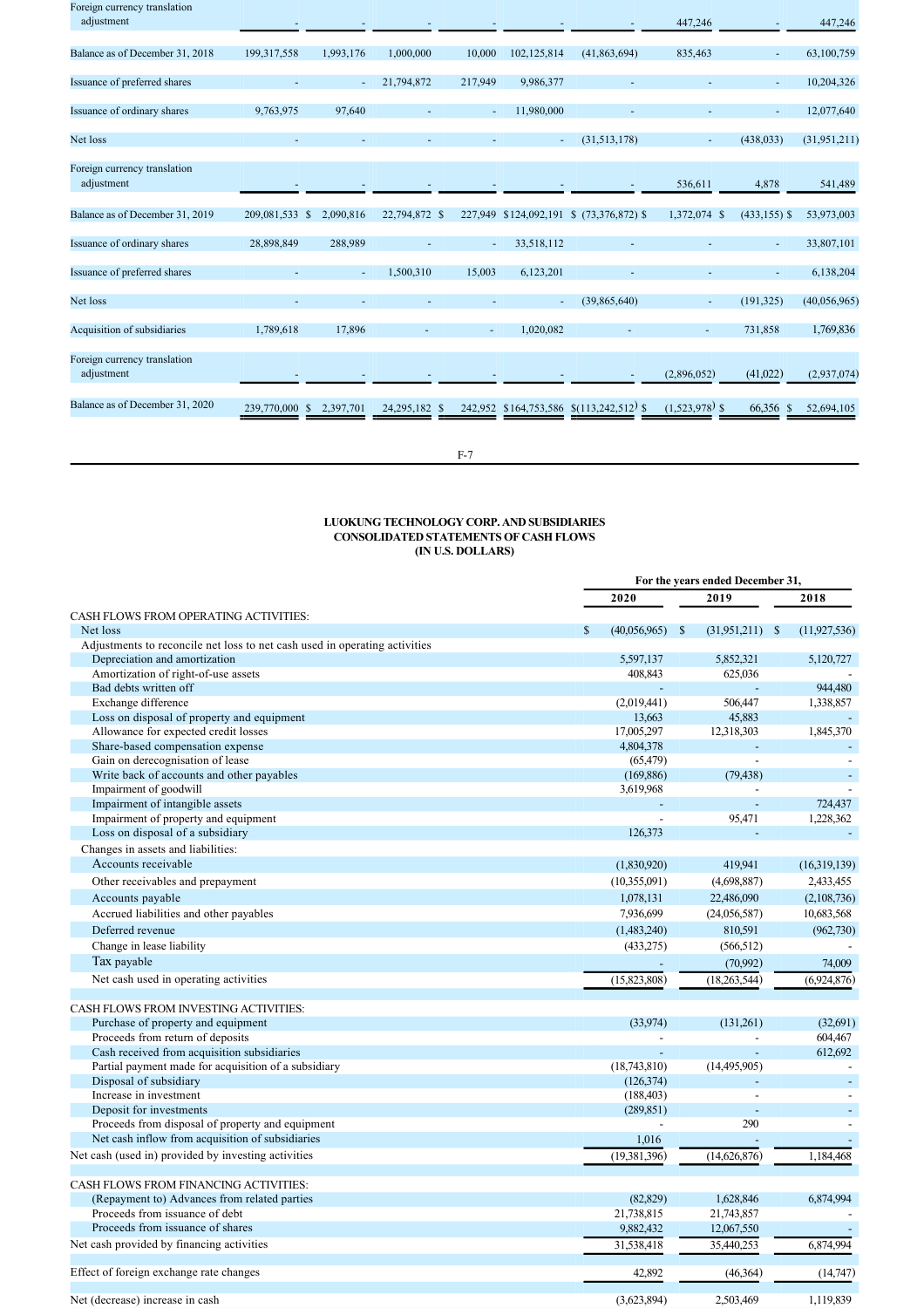| Foreign currency translation<br>adjustment |                             |           |                 |                          |                       |                                          | 447,246          |                 | 447,246        |
|--------------------------------------------|-----------------------------|-----------|-----------------|--------------------------|-----------------------|------------------------------------------|------------------|-----------------|----------------|
| Balance as of December 31, 2018            | 199, 317, 558               | 1,993,176 | 1,000,000       | 10,000                   | 102,125,814           | (41,863,694)                             | 835,463          |                 | 63,100,759     |
| Issuance of preferred shares               |                             |           | 21,794,872      | 217,949                  | 9,986,377             |                                          |                  | ٠               | 10,204,326     |
| Issuance of ordinary shares                | 9,763,975                   | 97,640    |                 |                          | 11,980,000            |                                          |                  |                 | 12,077,640     |
| Net loss                                   |                             |           |                 |                          | $\sim$                | (31, 513, 178)                           |                  | (438, 033)      | (31, 951, 211) |
| Foreign currency translation<br>adjustment |                             |           |                 |                          |                       |                                          | 536,611          | 4,878           | 541,489        |
| Balance as of December 31, 2019            | 209,081,533 \$              | 2,090,816 | 22,794,872 \$   |                          |                       | 227,949 \$124,092,191 \$ (73,376,872) \$ | 1,372,074 \$     | $(433, 155)$ \$ | 53,973,003     |
| Issuance of ordinary shares                | 28,898,849                  | 288,989   |                 | $\overline{\phantom{a}}$ | 33,518,112            |                                          |                  | $\sim$          | 33,807,101     |
| Issuance of preferred shares               |                             |           | 1,500,310       | 15,003                   | 6,123,201             |                                          |                  |                 | 6,138,204      |
| Net loss                                   |                             |           |                 |                          | $\sim$                | (39,865,640)                             |                  | (191, 325)      | (40,056,965)   |
| Acquisition of subsidiaries                | 1,789,618                   | 17,896    |                 | $\sim$                   | 1,020,082             |                                          | ٠                | 731,858         | 1,769,836      |
| Foreign currency translation<br>adjustment |                             |           |                 |                          |                       |                                          | (2,896,052)      | (41,022)        | (2,937,074)    |
| Balance as of December 31, 2020            | 239,770,000<br><sup>S</sup> | 2,397,701 | 24, 295, 182 \$ |                          | 242,952 \$164,753,586 | \$(113, 242, 512)                        | $(1,523,978)$ \$ | 66,356          | 52,694,105     |
|                                            |                             |           |                 | $F-7$                    |                       |                                          |                  |                 |                |

## **LUOKUNG TECHNOLOGY CORP. AND SUBSIDIARIES CONSOLIDATED STATEMENTS OF CASH FLOWS (IN U.S. DOLLARS)**

|                                                                            |                    | For the years ended December 31, |                   |                |
|----------------------------------------------------------------------------|--------------------|----------------------------------|-------------------|----------------|
|                                                                            | 2020               |                                  | 2019              | 2018           |
| <b>CASH FLOWS FROM OPERATING ACTIVITIES:</b>                               |                    |                                  |                   |                |
| Net loss                                                                   | \$<br>(40,056,965) | $\mathbb{S}$                     | $(31,951,211)$ \$ | (11, 927, 536) |
| Adjustments to reconcile net loss to net cash used in operating activities |                    |                                  |                   |                |
| Depreciation and amortization                                              | 5,597,137          |                                  | 5,852,321         | 5,120,727      |
| Amortization of right-of-use assets                                        | 408,843            |                                  | 625,036           |                |
| Bad debts written off                                                      |                    |                                  |                   | 944,480        |
| Exchange difference                                                        | (2,019,441)        |                                  | 506,447           | 1,338,857      |
| Loss on disposal of property and equipment                                 | 13,663             |                                  | 45,883            |                |
| Allowance for expected credit losses                                       | 17,005,297         |                                  | 12,318,303        | 1,845,370      |
| Share-based compensation expense                                           | 4,804,378          |                                  |                   |                |
| Gain on derecognisation of lease                                           | (65, 479)          |                                  | $\overline{a}$    |                |
| Write back of accounts and other payables                                  | (169, 886)         |                                  | (79, 438)         |                |
| Impairment of goodwill                                                     | 3,619,968          |                                  |                   |                |
| Impairment of intangible assets                                            |                    |                                  | L,                | 724,437        |
| Impairment of property and equipment                                       |                    |                                  | 95,471            | 1,228,362      |
| Loss on disposal of a subsidiary                                           | 126,373            |                                  |                   |                |
| Changes in assets and liabilities:                                         |                    |                                  |                   |                |
| Accounts receivable                                                        | (1,830,920)        |                                  | 419,941           | (16,319,139)   |
| Other receivables and prepayment                                           | (10,355,091)       |                                  | (4,698,887)       | 2,433,455      |
| Accounts payable                                                           | 1,078,131          |                                  | 22,486,090        | (2,108,736)    |
| Accrued liabilities and other payables                                     | 7,936,699          |                                  | (24,056,587)      | 10,683,568     |
| Deferred revenue                                                           | (1,483,240)        |                                  | 810,591           | (962, 730)     |
| Change in lease liability                                                  | (433, 275)         |                                  | (566, 512)        |                |
| Tax payable                                                                |                    |                                  | (70,992)          | 74,009         |
| Net cash used in operating activities                                      | (15, 823, 808)     |                                  | (18, 263, 544)    | (6,924,876)    |
|                                                                            |                    |                                  |                   |                |
| <b>CASH FLOWS FROM INVESTING ACTIVITIES:</b>                               |                    |                                  |                   |                |
| Purchase of property and equipment                                         | (33,974)           |                                  | (131.261)         | (32,691)       |
| Proceeds from return of deposits                                           |                    |                                  |                   | 604,467        |
| Cash received from acquisition subsidiaries                                |                    |                                  | ÷.                | 612,692        |
| Partial payment made for acquisition of a subsidiary                       | (18,743,810)       |                                  | (14,495,905)      |                |
| Disposal of subsidiary                                                     | (126, 374)         |                                  |                   |                |
| Increase in investment                                                     | (188, 403)         |                                  |                   |                |
| Deposit for investments                                                    | (289, 851)         |                                  |                   |                |
| Proceeds from disposal of property and equipment                           |                    |                                  | 290               |                |
| Net cash inflow from acquisition of subsidiaries                           | 1,016              |                                  |                   |                |
| Net cash (used in) provided by investing activities                        | (19,381,396)       |                                  | (14,626,876)      | 1,184,468      |
|                                                                            |                    |                                  |                   |                |
| CASH FLOWS FROM FINANCING ACTIVITIES:                                      |                    |                                  |                   |                |
| (Repayment to) Advances from related parties                               | (82, 829)          |                                  | 1,628,846         | 6,874,994      |
| Proceeds from issuance of debt                                             | 21,738,815         |                                  | 21,743,857        |                |
| Proceeds from issuance of shares                                           | 9,882,432          |                                  | 12,067,550        |                |
| Net cash provided by financing activities                                  | 31,538,418         |                                  | 35,440,253        | 6,874,994      |
| Effect of foreign exchange rate changes                                    | 42,892             |                                  | (46,364)          | (14, 747)      |
| Net (decrease) increase in cash                                            | (3,623,894)        |                                  | 2.503.469         | 1,119,839      |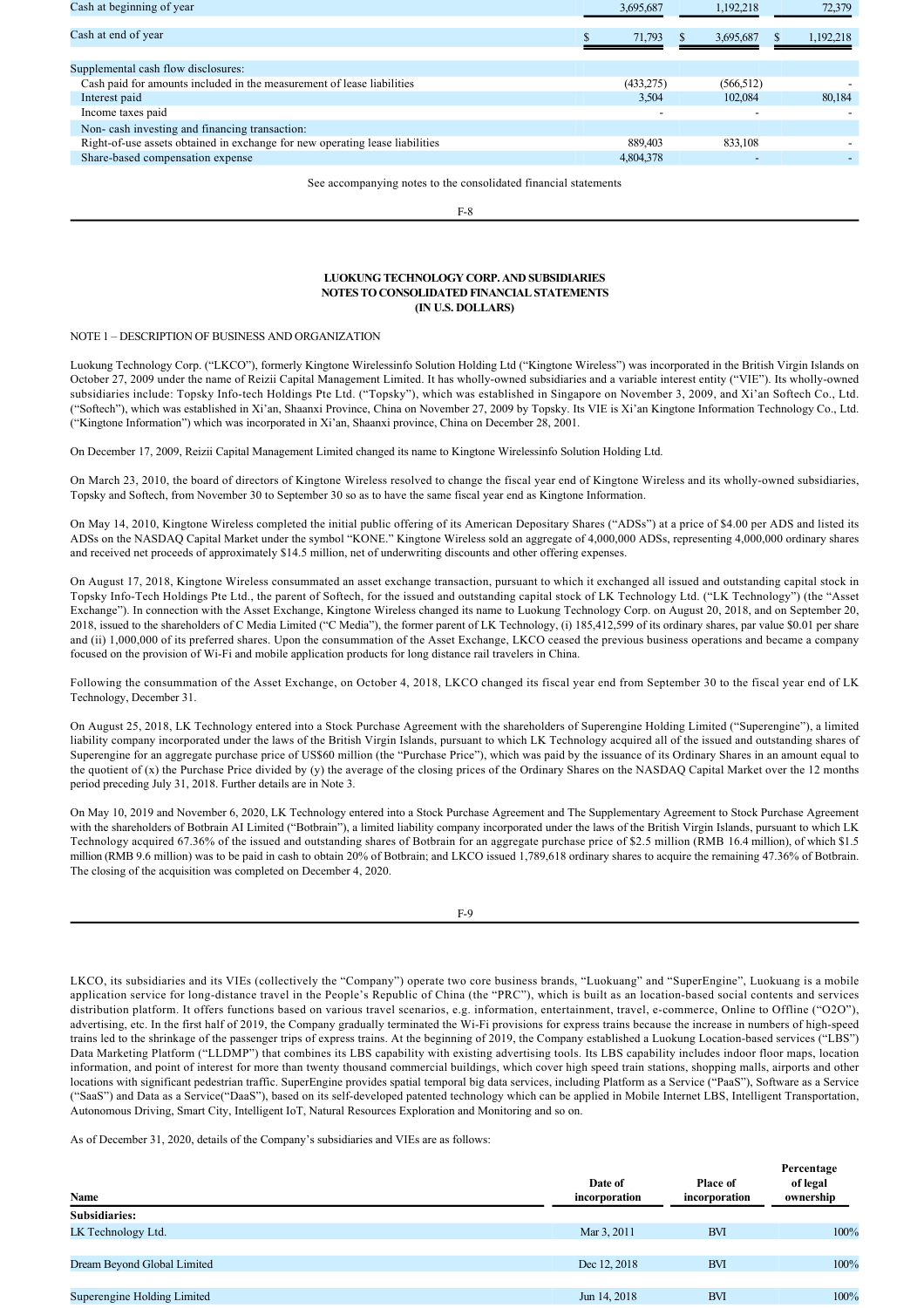| Cash at beginning of year                                                    | 3,695,687  | 1,192,218                | 72,379    |
|------------------------------------------------------------------------------|------------|--------------------------|-----------|
| Cash at end of year                                                          | 71.793     | 3,695,687                | 1,192,218 |
| Supplemental cash flow disclosures:                                          |            |                          |           |
| Cash paid for amounts included in the measurement of lease liabilities       | (433, 275) | (566, 512)               |           |
| Interest paid                                                                | 3,504      | 102,084                  | 80.184    |
| Income taxes paid                                                            |            |                          |           |
| Non-cash investing and financing transaction:                                |            |                          |           |
| Right-of-use assets obtained in exchange for new operating lease liabilities | 889.403    | 833.108                  |           |
| Share-based compensation expense                                             | 4,804,378  | $\overline{\phantom{0}}$ |           |

See accompanying notes to the consolidated financial statements

 $F-8$ 

## **LUOKUNG TECHNOLOGY CORP. AND SUBSIDIARIES NOTES TO CONSOLIDATED FINANCIAL STATEMENTS (IN U.S. DOLLARS)**

# NOTE 1 – DESCRIPTION OF BUSINESS AND ORGANIZATION

Luokung Technology Corp. ("LKCO"), formerly Kingtone Wirelessinfo Solution Holding Ltd ("Kingtone Wireless") was incorporated in the British Virgin Islands on October 27, 2009 under the name of Reizii Capital Management Limited. It has wholly-owned subsidiaries and a variable interest entity ("VIE"). Its wholly-owned subsidiaries include: Topsky Infotech Holdings Pte Ltd. ("Topsky"), which was established in Singapore on November 3, 2009, and Xi'an Softech Co., Ltd. ("Softech"), which was established in Xi'an, Shaanxi Province, China on November 27, 2009 by Topsky. Its VIE is Xi'an Kingtone Information Technology Co., Ltd. ("Kingtone Information") which was incorporated in Xi'an, Shaanxi province, China on December 28, 2001.

On December 17, 2009, Reizii Capital Management Limited changed its name to Kingtone Wirelessinfo Solution Holding Ltd.

On March 23, 2010, the board of directors of Kingtone Wireless resolved to change the fiscal year end of Kingtone Wireless and its whollyowned subsidiaries, Topsky and Softech, from November 30 to September 30 so as to have the same fiscal year end as Kingtone Information.

On May 14, 2010, Kingtone Wireless completed the initial public offering of its American Depositary Shares ("ADSs") at a price of \$4.00 per ADS and listed its ADSs on the NASDAQ Capital Market under the symbol "KONE." Kingtone Wireless sold an aggregate of 4,000,000 ADSs, representing 4,000,000 ordinary shares and received net proceeds of approximately \$14.5 million, net of underwriting discounts and other offering expenses.

On August 17, 2018, Kingtone Wireless consummated an asset exchange transaction, pursuant to which it exchanged all issued and outstanding capital stock in Topsky Info-Tech Holdings Pte Ltd., the parent of Softech, for the issued and outstanding capital stock of LK Technology Ltd. ("LK Technology") (the "Asset Exchange"). In connection with the Asset Exchange, Kingtone Wireless changed its name to Luokung Technology Corp. on August 20, 2018, and on September 20, 2018, issued to the shareholders of C Media Limited ("C Media"), the former parent of LK Technology, (i) 185,412,599 of its ordinary shares, par value \$0.01 per share and (ii) 1,000,000 of its preferred shares. Upon the consummation of the Asset Exchange, LKCO ceased the previous business operations and became a company focused on the provision of Wi-Fi and mobile application products for long distance rail travelers in China.

Following the consummation of the Asset Exchange, on October 4, 2018, LKCO changed its fiscal year end from September 30 to the fiscal year end of LK Technology, December 31.

On August 25, 2018, LK Technology entered into a Stock Purchase Agreement with the shareholders of Superengine Holding Limited ("Superengine"), a limited liability company incorporated under the laws of the British Virgin Islands, pursuant to which LK Technology acquired all of the issued and outstanding shares of Superengine for an aggregate purchase price of US\$60 million (the "Purchase Price"), which was paid by the issuance of its Ordinary Shares in an amount equal to the quotient of (x) the Purchase Price divided by (y) the average of the closing prices of the Ordinary Shares on the NASDAQ Capital Market over the 12 months period preceding July 31, 2018. Further details are in Note 3.

On May 10, 2019 and November 6, 2020, LK Technology entered into a Stock Purchase Agreement and The Supplementary Agreement to Stock Purchase Agreement with the shareholders of Botbrain AI Limited ("Botbrain"), a limited liability company incorporated under the laws of the British Virgin Islands, pursuant to which LK Technology acquired 67.36% of the issued and outstanding shares of Botbrain for an aggregate purchase price of \$2.5 million (RMB 16.4 million), of which \$1.5 million (RMB 9.6 million) was to be paid in cash to obtain 20% of Botbrain; and LKCO issued 1,789,618 ordinary shares to acquire the remaining 47.36% of Botbrain. The closing of the acquisition was completed on December 4, 2020.

|  |    | I<br>I |  |
|--|----|--------|--|
|  | ۰. | I      |  |

LKCO, its subsidiaries and its VIEs (collectively the "Company") operate two core business brands, "Luokuang" and "SuperEngine", Luokuang is a mobile application service for long-distance travel in the People's Republic of China (the "PRC"), which is built as an location-based social contents and services distribution platform. It offers functions based on various travel scenarios, e.g. information, entertainment, travel, e-commerce, Online to Offline ("O2O"), advertising, etc. In the first half of 2019, the Company gradually terminated the Wi-Fi provisions for express trains because the increase in numbers of high-speed trains led to the shrinkage of the passenger trips of express trains. At the beginning of 2019, the Company established a Luokung Location-based services ("LBS") Data Marketing Platform ("LLDMP") that combines its LBS capability with existing advertising tools. Its LBS capability includes indoor floor maps, location information, and point of interest for more than twenty thousand commercial buildings, which cover high speed train stations, shopping malls, airports and other locations with significant pedestrian traffic. SuperEngine provides spatial temporal big data services, including Platform as a Service ("PaaS"), Software as a Service ("SaaS") and Data as a Service("DaaS"), based on its selfdeveloped patented technology which can be applied in Mobile Internet LBS, Intelligent Transportation, Autonomous Driving, Smart City, Intelligent IoT, Natural Resources Exploration and Monitoring and so on.

As of December 31, 2020, details of the Company's subsidiaries and VIEs are as follows:

| Name                        | Date of<br>incorporation | <b>Place of</b><br>incorporation | 1 u centage<br>of legal<br>ownership |
|-----------------------------|--------------------------|----------------------------------|--------------------------------------|
| <b>Subsidiaries:</b>        |                          |                                  |                                      |
| LK Technology Ltd.          | Mar 3, 2011              | <b>BVI</b>                       | 100%                                 |
| Dream Beyond Global Limited | Dec 12, 2018             | <b>BVI</b>                       | 100%                                 |
| Superengine Holding Limited | Jun 14, 2018             | <b>BVI</b>                       | 100%                                 |

**Percentage**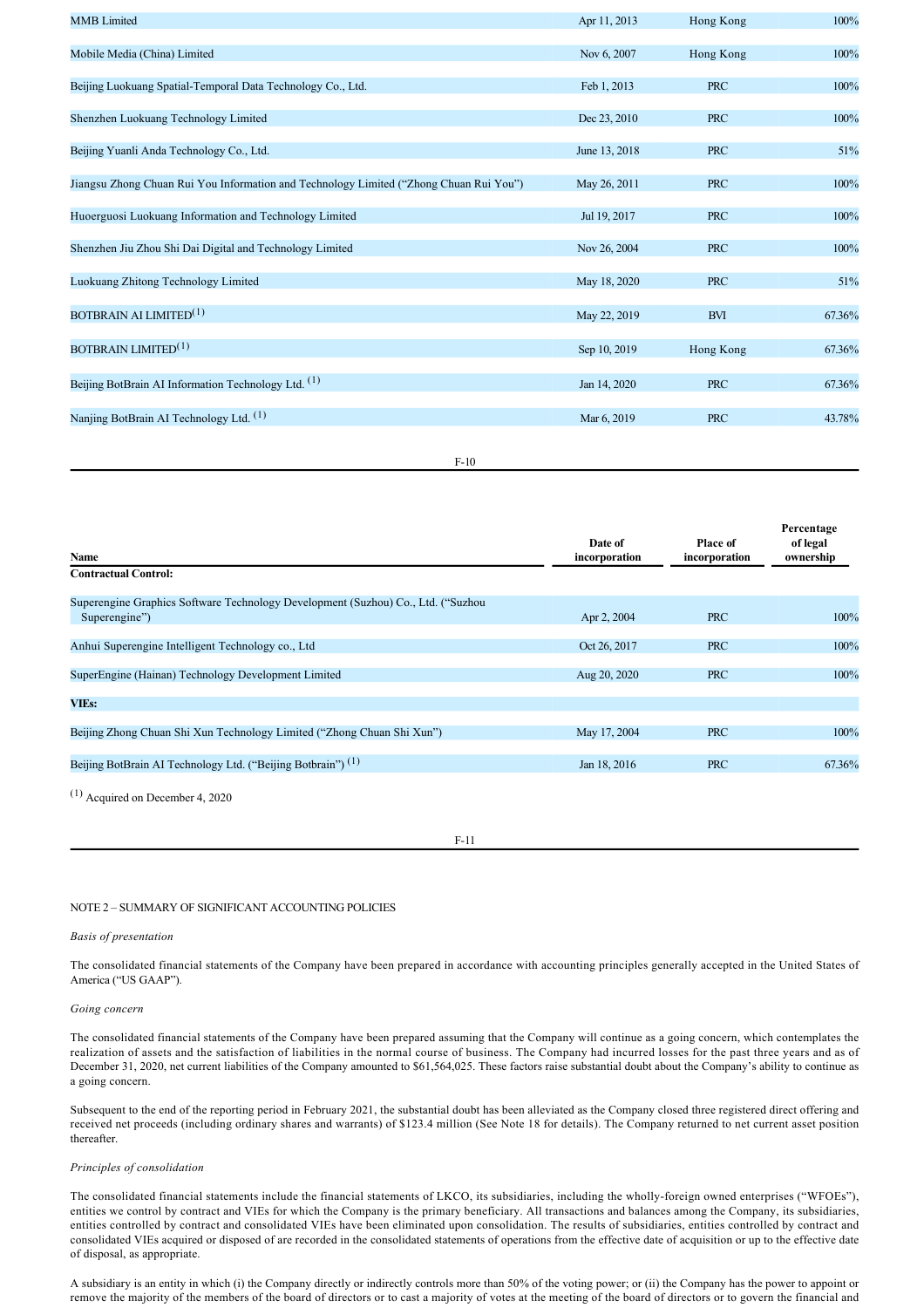| <b>MMB</b> Limited                                                                     | Apr 11, 2013  | Hong Kong  | 100%   |
|----------------------------------------------------------------------------------------|---------------|------------|--------|
| Mobile Media (China) Limited                                                           | Nov 6, 2007   | Hong Kong  | 100%   |
| Beijing Luokuang Spatial-Temporal Data Technology Co., Ltd.                            | Feb 1, 2013   | <b>PRC</b> | 100%   |
| Shenzhen Luokuang Technology Limited                                                   | Dec 23, 2010  | <b>PRC</b> | 100%   |
| Beijing Yuanli Anda Technology Co., Ltd.                                               | June 13, 2018 | <b>PRC</b> | 51%    |
| Jiangsu Zhong Chuan Rui You Information and Technology Limited ("Zhong Chuan Rui You") | May 26, 2011  | <b>PRC</b> | 100%   |
| Huoerguosi Luokuang Information and Technology Limited                                 | Jul 19, 2017  | <b>PRC</b> | 100%   |
| Shenzhen Jiu Zhou Shi Dai Digital and Technology Limited                               | Nov 26, 2004  | <b>PRC</b> | 100%   |
| Luokuang Zhitong Technology Limited                                                    | May 18, 2020  | <b>PRC</b> | 51%    |
| <b>BOTBRAIN AI LIMITED<sup>(1)</sup></b>                                               | May 22, 2019  | <b>BVI</b> | 67.36% |
| <b>BOTBRAIN LIMITED</b> <sup>(1)</sup>                                                 | Sep 10, 2019  | Hong Kong  | 67.36% |
| Beijing BotBrain AI Information Technology Ltd. (1)                                    | Jan 14, 2020  | <b>PRC</b> | 67.36% |
| Nanjing BotBrain AI Technology Ltd. (1)                                                | Mar 6, 2019   | <b>PRC</b> | 43.78% |
| $F-10$                                                                                 |               |            |        |

| <b>Name</b>                                                                       | Date of<br>incorporation | Place of<br>incorporation | Percentage<br>of legal<br>ownership |
|-----------------------------------------------------------------------------------|--------------------------|---------------------------|-------------------------------------|
| <b>Contractual Control:</b>                                                       |                          |                           |                                     |
| Superengine Graphics Software Technology Development (Suzhou) Co., Ltd. ("Suzhou" |                          |                           |                                     |
| Superengine")                                                                     | Apr 2, 2004              | <b>PRC</b>                | 100%                                |
| Anhui Superengine Intelligent Technology co., Ltd                                 | Oct 26, 2017             | <b>PRC</b>                | 100%                                |
| SuperEngine (Hainan) Technology Development Limited                               | Aug 20, 2020             | <b>PRC</b>                | 100%                                |
| <b>VIEs:</b>                                                                      |                          |                           |                                     |
| Beijing Zhong Chuan Shi Xun Technology Limited ("Zhong Chuan Shi Xun")            | May 17, 2004             | <b>PRC</b>                | 100%                                |
| Beijing BotBrain AI Technology Ltd. ("Beijing Botbrain") $(1)$                    | Jan 18, 2016             | <b>PRC</b>                | 67.36%                              |
| (1)                                                                               |                          |                           |                                     |

(1) Acquired on December 4, 2020

F-11

## NOTE 2 – SUMMARY OF SIGNIFICANT ACCOUNTING POLICIES

## *Basis of presentation*

The consolidated financial statements of the Company have been prepared in accordance with accounting principles generally accepted in the United States of America ("US GAAP").

## *Going concern*

The consolidated financial statements of the Company have been prepared assuming that the Company will continue as a going concern, which contemplates the realization of assets and the satisfaction of liabilities in the normal course of business. The Company had incurred losses for the past three years and as of December 31, 2020, net current liabilities of the Company amounted to \$61,564,025. These factors raise substantial doubt about the Company's ability to continue as a going concern.

Subsequent to the end of the reporting period in February 2021, the substantial doubt has been alleviated as the Company closed three registered direct offering and received net proceeds (including ordinary shares and warrants) of \$123.4 million (See Note 18 for details). The Company returned to net current asset position thereafter.

## *Principles of consolidation*

The consolidated financial statements include the financial statements of LKCO, its subsidiaries, including the wholly-foreign owned enterprises ("WFOEs"), entities we control by contract and VIEs for which the Company is the primary beneficiary. All transactions and balances among the Company, its subsidiaries, entities controlled by contract and consolidated VIEs have been eliminated upon consolidation. The results of subsidiaries, entities controlled by contract and consolidated VIEs acquired or disposed of are recorded in the consolidated statements of operations from the effective date of acquisition or up to the effective date of disposal, as appropriate.

A subsidiary is an entity in which (i) the Company directly or indirectly controls more than 50% of the voting power; or (ii) the Company has the power to appoint or remove the majority of the members of the board of directors or to cast a majority of votes at the meeting of the board of directors or to govern the financial and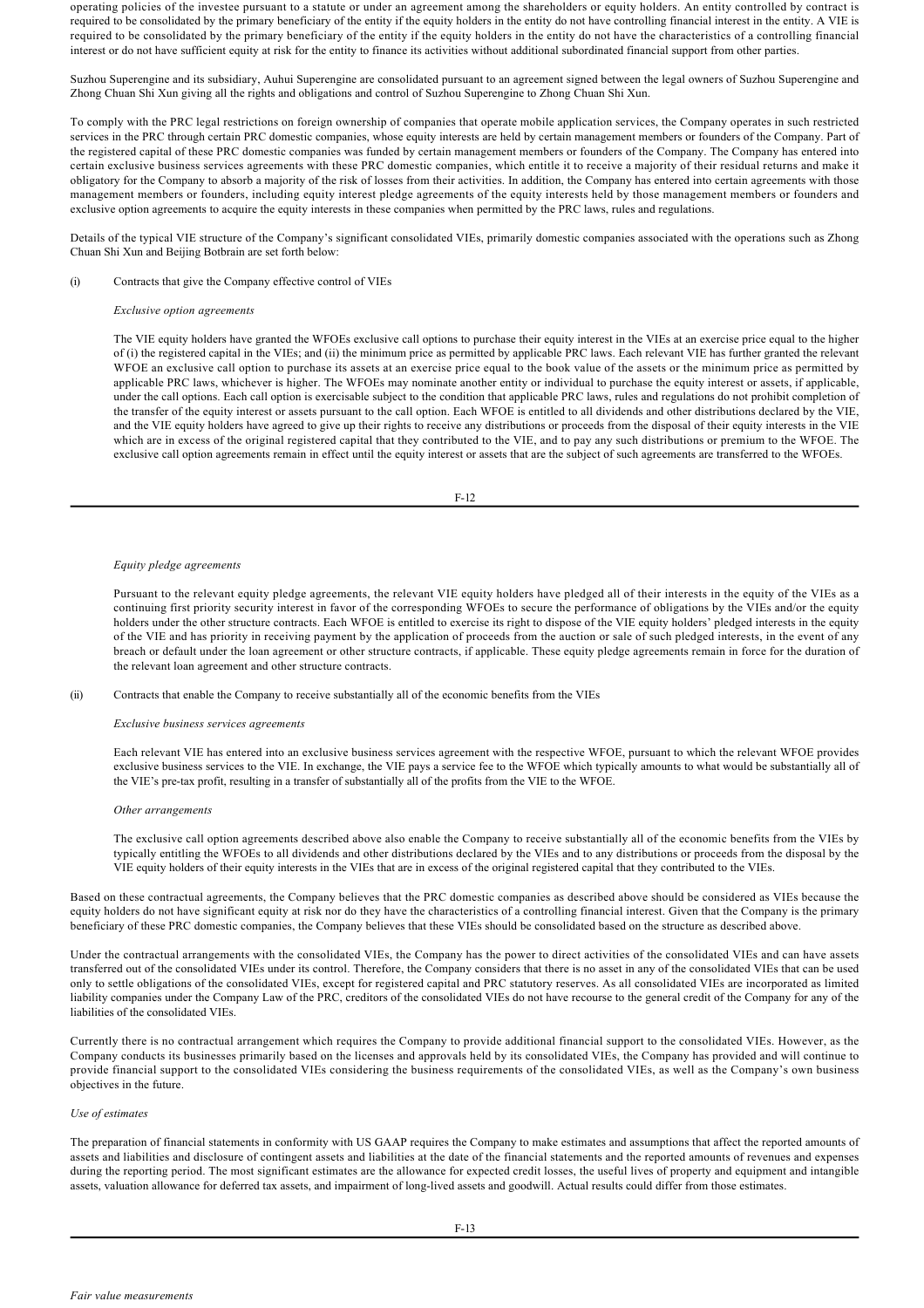operating policies of the investee pursuant to a statute or under an agreement among the shareholders or equity holders. An entity controlled by contract is required to be consolidated by the primary beneficiary of the entity if the equity holders in the entity do not have controlling financial interest in the entity. A VIE is required to be consolidated by the primary beneficiary of the entity if the equity holders in the entity do not have the characteristics of a controlling financial interest or do not have sufficient equity at risk for the entity to finance its activities without additional subordinated financial support from other parties.

Suzhou Superengine and its subsidiary, Auhui Superengine are consolidated pursuant to an agreement signed between the legal owners of Suzhou Superengine and Zhong Chuan Shi Xun giving all the rights and obligations and control of Suzhou Superengine to Zhong Chuan Shi Xun.

To comply with the PRC legal restrictions on foreign ownership of companies that operate mobile application services, the Company operates in such restricted services in the PRC through certain PRC domestic companies, whose equity interests are held by certain management members or founders of the Company. Part of the registered capital of these PRC domestic companies was funded by certain management members or founders of the Company. The Company has entered into certain exclusive business services agreements with these PRC domestic companies, which entitle it to receive a majority of their residual returns and make it obligatory for the Company to absorb a majority of the risk of losses from their activities. In addition, the Company has entered into certain agreements with those management members or founders, including equity interest pledge agreements of the equity interests held by those management members or founders and exclusive option agreements to acquire the equity interests in these companies when permitted by the PRC laws, rules and regulations.

Details of the typical VIE structure of the Company's significant consolidated VIEs, primarily domestic companies associated with the operations such as Zhong Chuan Shi Xun and Beijing Botbrain are set forth below:

(i) Contracts that give the Company effective control of VIEs

## *Exclusive option agreements*

The VIE equity holders have granted the WFOEs exclusive call options to purchase their equity interest in the VIEs at an exercise price equal to the higher of (i) the registered capital in the VIEs; and (ii) the minimum price as permitted by applicable PRC laws. Each relevant VIE has further granted the relevant WFOE an exclusive call option to purchase its assets at an exercise price equal to the book value of the assets or the minimum price as permitted by applicable PRC laws, whichever is higher. The WFOEs may nominate another entity or individual to purchase the equity interest or assets, if applicable, under the call options. Each call option is exercisable subject to the condition that applicable PRC laws, rules and regulations do not prohibit completion of the transfer of the equity interest or assets pursuant to the call option. Each WFOE is entitled to all dividends and other distributions declared by the VIE, and the VIE equity holders have agreed to give up their rights to receive any distributions or proceeds from the disposal of their equity interests in the VIE which are in excess of the original registered capital that they contributed to the VIE, and to pay any such distributions or premium to the WFOE. The exclusive call option agreements remain in effect until the equity interest or assets that are the subject of such agreements are transferred to the WFOEs.

#### *Equity pledge agreements*

Pursuant to the relevant equity pledge agreements, the relevant VIE equity holders have pledged all of their interests in the equity of the VIEs as a continuing first priority security interest in favor of the corresponding WFOEs to secure the performance of obligations by the VIEs and/or the equity holders under the other structure contracts. Each WFOE is entitled to exercise its right to dispose of the VIE equity holders' pledged interests in the equity of the VIE and has priority in receiving payment by the application of proceeds from the auction or sale of such pledged interests, in the event of any breach or default under the loan agreement or other structure contracts, if applicable. These equity pledge agreements remain in force for the duration of the relevant loan agreement and other structure contracts.

(ii) Contracts that enable the Company to receive substantially all of the economic benefits from the VIEs

#### *Exclusive business services agreements*

Each relevant VIE has entered into an exclusive business services agreement with the respective WFOE, pursuant to which the relevant WFOE provides exclusive business services to the VIE. In exchange, the VIE pays a service fee to the WFOE which typically amounts to what would be substantially all of the VIE's pretax profit, resulting in a transfer of substantially all of the profits from the VIE to the WFOE.

# *Other arrangements*

The exclusive call option agreements described above also enable the Company to receive substantially all of the economic benefits from the VIEs by typically entitling the WFOEs to all dividends and other distributions declared by the VIEs and to any distributions or proceeds from the disposal by the VIE equity holders of their equity interests in the VIEs that are in excess of the original registered capital that they contributed to the VIEs.

Based on these contractual agreements, the Company believes that the PRC domestic companies as described above should be considered as VIEs because the equity holders do not have significant equity at risk nor do they have the characteristics of a controlling financial interest. Given that the Company is the primary beneficiary of these PRC domestic companies, the Company believes that these VIEs should be consolidated based on the structure as described above.

Under the contractual arrangements with the consolidated VIEs, the Company has the power to direct activities of the consolidated VIEs and can have assets transferred out of the consolidated VIEs under its control. Therefore, the Company considers that there is no asset in any of the consolidated VIEs that can be used only to settle obligations of the consolidated VIEs, except for registered capital and PRC statutory reserves. As all consolidated VIEs are incorporated as limited liability companies under the Company Law of the PRC, creditors of the consolidated VIEs do not have recourse to the general credit of the Company for any of the liabilities of the consolidated VIEs.

Currently there is no contractual arrangement which requires the Company to provide additional financial support to the consolidated VIEs. However, as the Company conducts its businesses primarily based on the licenses and approvals held by its consolidated VIEs, the Company has provided and will continue to provide financial support to the consolidated VIEs considering the business requirements of the consolidated VIEs, as well as the Company's own business objectives in the future.

#### *Use of estimates*

The preparation of financial statements in conformity with US GAAP requires the Company to make estimates and assumptions that affect the reported amounts of assets and liabilities and disclosure of contingent assets and liabilities at the date of the financial statements and the reported amounts of revenues and expenses during the reporting period. The most significant estimates are the allowance for expected credit losses, the useful lives of property and equipment and intangible assets, valuation allowance for deferred tax assets, and impairment of long-lived assets and goodwill. Actual results could differ from those estimates.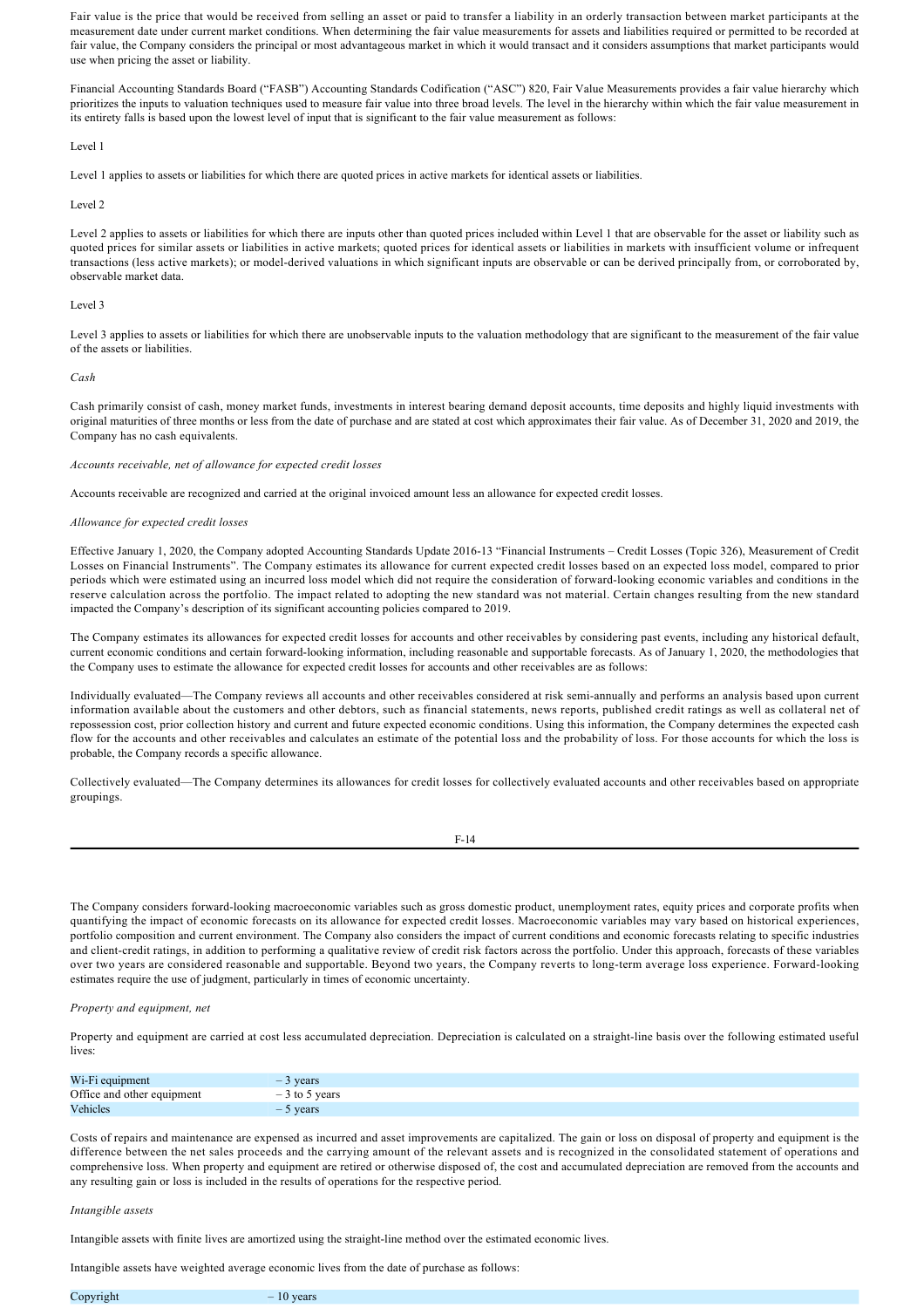Fair value is the price that would be received from selling an asset or paid to transfer a liability in an orderly transaction between market participants at the measurement date under current market conditions. When determining the fair value measurements for assets and liabilities required or permitted to be recorded at fair value, the Company considers the principal or most advantageous market in which it would transact and it considers assumptions that market participants would use when pricing the asset or liability.

Financial Accounting Standards Board ("FASB") Accounting Standards Codification ("ASC") 820, Fair Value Measurements provides a fair value hierarchy which prioritizes the inputs to valuation techniques used to measure fair value into three broad levels. The level in the hierarchy within which the fair value measurement in its entirety falls is based upon the lowest level of input that is significant to the fair value measurement as follows:

#### Level 1

Level 1 applies to assets or liabilities for which there are quoted prices in active markets for identical assets or liabilities.

Level 2

Level 2 applies to assets or liabilities for which there are inputs other than quoted prices included within Level 1 that are observable for the asset or liability such as quoted prices for similar assets or liabilities in active markets; quoted prices for identical assets or liabilities in markets with insufficient volume or infrequent transactions (less active markets); or model-derived valuations in which significant inputs are observable or can be derived principally from, or corroborated by, observable market data.

#### Level 3

Level 3 applies to assets or liabilities for which there are unobservable inputs to the valuation methodology that are significant to the measurement of the fair value of the assets or liabilities.

#### *Cash*

Cash primarily consist of cash, money market funds, investments in interest bearing demand deposit accounts, time deposits and highly liquid investments with original maturities of three months or less from the date of purchase and are stated at cost which approximates their fair value. As of December 31, 2020 and 2019, the Company has no cash equivalents.

## *Accounts receivable, net of allowance for expected credit losses*

Accounts receivable are recognized and carried at the original invoiced amount less an allowance for expected credit losses.

#### *Allowance for expected credit losses*

Effective January 1, 2020, the Company adopted Accounting Standards Update 2016-13 "Financial Instruments – Credit Losses (Topic 326), Measurement of Credit Losses on Financial Instruments". The Company estimates its allowance for current expected credit losses based on an expected loss model, compared to prior periods which were estimated using an incurred loss model which did not require the consideration of forward-looking economic variables and conditions in the reserve calculation across the portfolio. The impact related to adopting the new standard was not material. Certain changes resulting from the new standard impacted the Company's description of its significant accounting policies compared to 2019.

The Company estimates its allowances for expected credit losses for accounts and other receivables by considering past events, including any historical default, current economic conditions and certain forward-looking information, including reasonable and supportable forecasts. As of January 1, 2020, the methodologies that the Company uses to estimate the allowance for expected credit losses for accounts and other receivables are as follows:

Individually evaluated—The Company reviews all accounts and other receivables considered at risk semi-annually and performs an analysis based upon current information available about the customers and other debtors, such as financial statements, news reports, published credit ratings as well as collateral net of repossession cost, prior collection history and current and future expected economic conditions. Using this information, the Company determines the expected cash flow for the accounts and other receivables and calculates an estimate of the potential loss and the probability of loss. For those accounts for which the loss is probable, the Company records a specific allowance.

Collectively evaluated—The Company determines its allowances for credit losses for collectively evaluated accounts and other receivables based on appropriate groupings.

|--|--|

The Company considers forward-looking macroeconomic variables such as gross domestic product, unemployment rates, equity prices and corporate profits when quantifying the impact of economic forecasts on its allowance for expected credit losses. Macroeconomic variables may vary based on historical experiences, portfolio composition and current environment. The Company also considers the impact of current conditions and economic forecasts relating to specific industries and client-credit ratings, in addition to performing a qualitative review of credit risk factors across the portfolio. Under this approach, forecasts of these variables over two vears are considered reasonable and supportable. Beyond two years, the Company reverts to long-term average loss experience. Forward-looking estimates require the use of judgment, particularly in times of economic uncertainty.

#### *Property and equipment, net*

Property and equipment are carried at cost less accumulated depreciation. Depreciation is calculated on a straight-line basis over the following estimated useful lives:

| Wi-Fi equipment            | $-3$ years      |
|----------------------------|-----------------|
| Office and other equipment | $-3$ to 5 years |
| Vehicles                   | $-5$ years      |

Costs of repairs and maintenance are expensed as incurred and asset improvements are capitalized. The gain or loss on disposal of property and equipment is the difference between the net sales proceeds and the carrying amount of the relevant assets and is recognized in the consolidated statement of operations and comprehensive loss. When property and equipment are retired or otherwise disposed of, the cost and accumulated depreciation are removed from the accounts and any resulting gain or loss is included in the results of operations for the respective period.

*Intangible assets*

Intangible assets with finite lives are amortized using the straight-line method over the estimated economic lives.

Intangible assets have weighted average economic lives from the date of purchase as follows:

| Copyright | $-10$ years |
|-----------|-------------|
|           |             |
|           |             |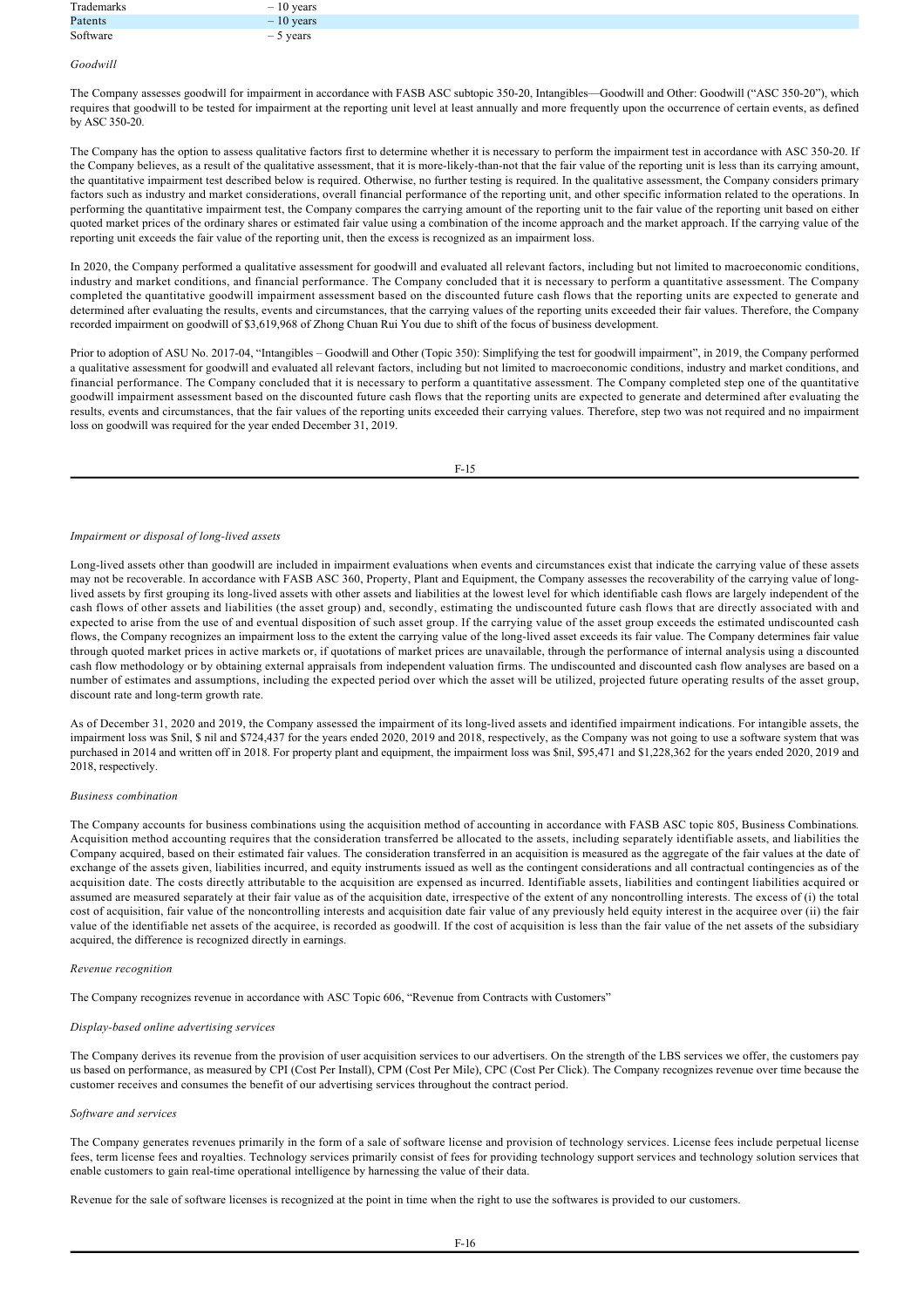| Trademarks | $-10$ years |
|------------|-------------|
| Patents    | $-10$ years |
| Software   | $-5$ years  |

*Goodwill*

The Company assesses goodwill for impairment in accordance with FASB ASC subtopic 350-20, Intangibles—Goodwill and Other: Goodwill ("ASC 350-20"), which requires that goodwill to be tested for impairment at the reporting unit level at least annually and more frequently upon the occurrence of certain events, as defined by ASC 35020.

The Company has the option to assess qualitative factors first to determine whether it is necessary to perform the impairment test in accordance with ASC 35020. If the Company believes, as a result of the qualitative assessment, that it is more-likely-than-not that the fair value of the reporting unit is less than its carrying amount, the quantitative impairment test described below is required. Otherwise, no further testing is required. In the qualitative assessment, the Company considers primary factors such as industry and market considerations, overall financial performance of the reporting unit, and other specific information related to the operations. In performing the quantitative impairment test, the Company compares the carrying amount of the reporting unit to the fair value of the reporting unit based on either quoted market prices of the ordinary shares or estimated fair value using a combination of the income approach and the market approach. If the carrying value of the reporting unit exceeds the fair value of the reporting unit, then the excess is recognized as an impairment loss.

In 2020, the Company performed a qualitative assessment for goodwill and evaluated all relevant factors, including but not limited to macroeconomic conditions, industry and market conditions, and financial performance. The Company concluded that it is necessary to perform a quantitative assessment. The Company completed the quantitative goodwill impairment assessment based on the discounted future cash flows that the reporting units are expected to generate and determined after evaluating the results, events and circumstances, that the carrying values of the reporting units exceeded their fair values. Therefore, the Company recorded impairment on goodwill of \$3,619,968 of Zhong Chuan Rui You due to shift of the focus of business development.

Prior to adoption of ASU No. 2017-04, "Intangibles – Goodwill and Other (Topic 350): Simplifying the test for goodwill impairment", in 2019, the Company performed a qualitative assessment for goodwill and evaluated all relevant factors, including but not limited to macroeconomic conditions, industry and market conditions, and financial performance. The Company concluded that it is necessary to perform a quantitative assessment. The Company completed step one of the quantitative goodwill impairment assessment based on the discounted future cash flows that the reporting units are expected to generate and determined after evaluating the results, events and circumstances, that the fair values of the reporting units exceeded their carrying values. Therefore, step two was not required and no impairment loss on goodwill was required for the year ended December 31, 2019.

 $F-15$ 

## *Impairment or disposal of long-lived assets*

Long-lived assets other than goodwill are included in impairment evaluations when events and circumstances exist that indicate the carrying value of these assets may not be recoverable. In accordance with FASB ASC 360, Property, Plant and Equipment, the Company assesses the recoverability of the carrying value of longlived assets by first grouping its long-lived assets with other assets and liabilities at the lowest level for which identifiable cash flows are largely independent of the cash flows of other assets and liabilities (the asset group) and, secondly, estimating the undiscounted future cash flows that are directly associated with and expected to arise from the use of and eventual disposition of such asset group. If the carrying value of the asset group exceeds the estimated undiscounted cash flows, the Company recognizes an impairment loss to the extent the carrying value of the long-lived asset exceeds its fair value. The Company determines fair value through quoted market prices in active markets or, if quotations of market prices are unavailable, through the performance of internal analysis using a discounted cash flow methodology or by obtaining external appraisals from independent valuation firms. The undiscounted and discounted cash flow analyses are based on a number of estimates and assumptions, including the expected period over which the asset will be utilized, projected future operating results of the asset group, discount rate and long-term growth rate.

As of December 31, 2020 and 2019, the Company assessed the impairment of its long-lived assets and identified impairment indications. For intangible assets, the impairment loss was \$nil, \$ nil and \$724,437 for the years ended 2020, 2019 and 2018, respectively, as the Company was not going to use a software system that was purchased in 2014 and written off in 2018. For property plant and equipment, the impairment loss was \$nil, \$95,471 and \$1,228,362 for the years ended 2020, 2019 and 2018, respectively.

#### *Business combination*

The Company accounts for business combinations using the acquisition method of accounting in accordance with FASB ASC topic 805, Business Combinations*.* Acquisition method accounting requires that the consideration transferred be allocated to the assets, including separately identifiable assets, and liabilities the Company acquired, based on their estimated fair values. The consideration transferred in an acquisition is measured as the aggregate of the fair values at the date of exchange of the assets given, liabilities incurred, and equity instruments issued as well as the contingent considerations and all contractual contingencies as of the acquisition date. The costs directly attributable to the acquisition are expensed as incurred. Identifiable assets, liabilities and contingent liabilities acquired or assumed are measured separately at their fair value as of the acquisition date, irrespective of the extent of any noncontrolling interests. The excess of (i) the total cost of acquisition, fair value of the noncontrolling interests and acquisition date fair value of any previously held equity interest in the acquiree over (ii) the fair value of the identifiable net assets of the acquiree, is recorded as goodwill. If the cost of acquisition is less than the fair value of the net assets of the subsidiary acquired, the difference is recognized directly in earnings.

#### *Revenue recognition*

The Company recognizes revenue in accordance with ASC Topic 606, "Revenue from Contracts with Customers"

## *Displaybased online advertising services*

The Company derives its revenue from the provision of user acquisition services to our advertisers. On the strength of the LBS services we offer, the customers pay us based on performance, as measured by CPI (Cost Per Install), CPM (Cost Per Mile), CPC (Cost Per Click). The Company recognizes revenue over time because the customer receives and consumes the benefit of our advertising services throughout the contract period.

#### *Software and services*

The Company generates revenues primarily in the form of a sale of software license and provision of technology services. License fees include perpetual license fees, term license fees and royalties. Technology services primarily consist of fees for providing technology support services and technology solution services that enable customers to gain real-time operational intelligence by harnessing the value of their data.

Revenue for the sale of software licenses is recognized at the point in time when the right to use the softwares is provided to our customers.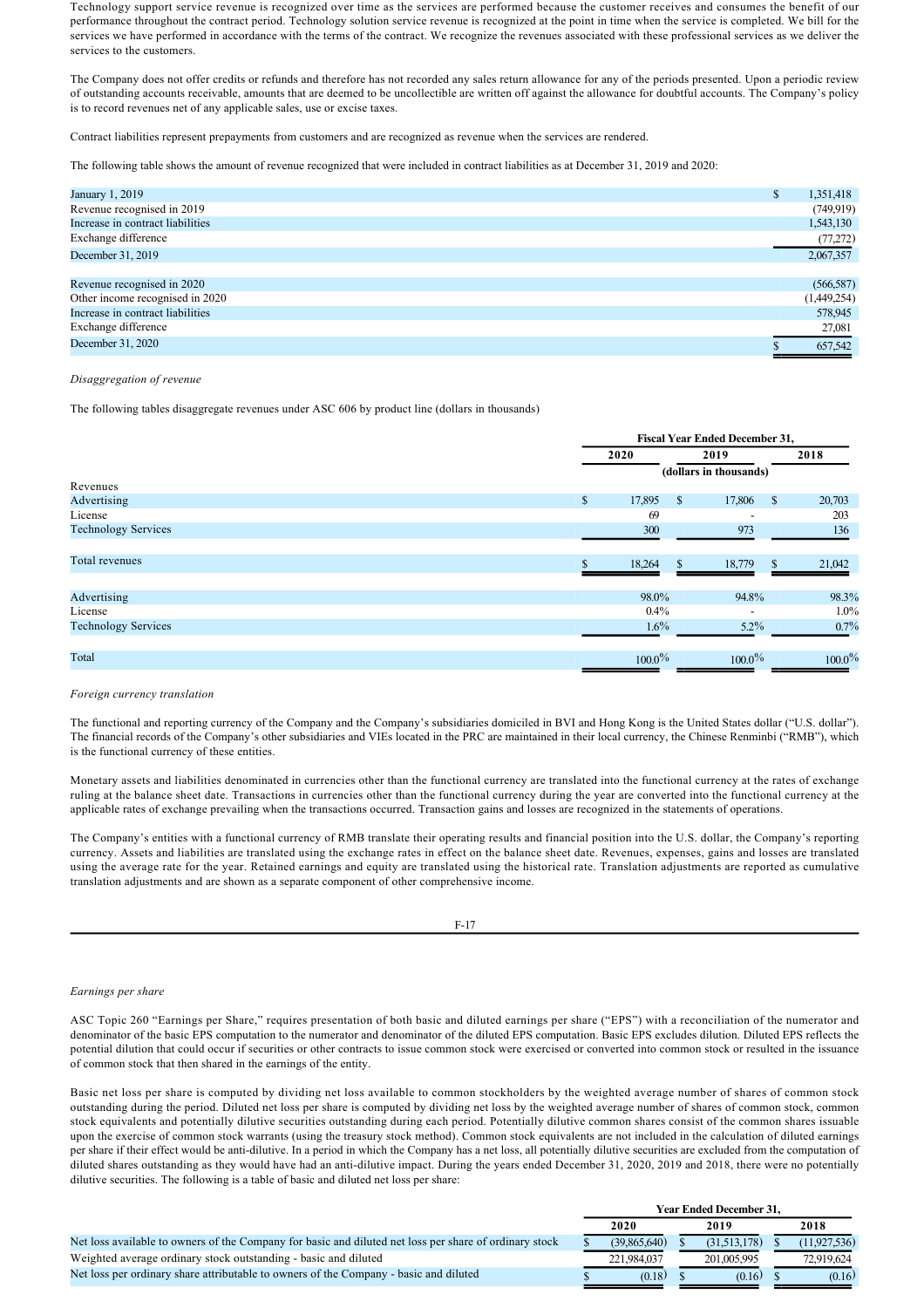Technology support service revenue is recognized over time as the services are performed because the customer receives and consumes the benefit of our performance throughout the contract period. Technology solution service revenue is recognized at the point in time when the service is completed. We bill for the services we have performed in accordance with the terms of the contract. We recognize the revenues associated with these professional services as we deliver the services to the customers.

The Company does not offer credits or refunds and therefore has not recorded any sales return allowance for any of the periods presented. Upon a periodic review of outstanding accounts receivable, amounts that are deemed to be uncollectible are written off against the allowance for doubtful accounts. The Company's policy is to record revenues net of any applicable sales, use or excise taxes.

Contract liabilities represent prepayments from customers and are recognized as revenue when the services are rendered.

The following table shows the amount of revenue recognized that were included in contract liabilities as at December 31, 2019 and 2020:

| January 1, 2019                  | ъ | 1,351,418   |
|----------------------------------|---|-------------|
| Revenue recognised in 2019       |   | (749, 919)  |
| Increase in contract liabilities |   | 1,543,130   |
| Exchange difference              |   | (77,272)    |
| December 31, 2019                |   | 2,067,357   |
|                                  |   |             |
| Revenue recognised in 2020       |   | (566, 587)  |
| Other income recognised in 2020  |   | (1,449,254) |
| Increase in contract liabilities |   | 578,945     |
| Exchange difference              |   | 27,081      |
| December 31, 2020                |   | 657,542     |
|                                  |   |             |

## *Disaggregation of revenue*

The following tables disaggregate revenues under ASC 606 by product line (dollars in thousands)

|                            |    | <b>Fiscal Year Ended December 31,</b> |              |                          |              |           |
|----------------------------|----|---------------------------------------|--------------|--------------------------|--------------|-----------|
|                            |    | 2020                                  |              | 2019                     |              | 2018      |
|                            |    |                                       |              | (dollars in thousands)   |              |           |
| Revenues                   |    |                                       |              |                          |              |           |
| Advertising                | \$ | 17,895                                | $\mathbb{S}$ | 17,806                   | $\mathbb{S}$ | 20,703    |
| License                    |    | 69                                    |              | $\overline{\phantom{a}}$ |              | 203       |
| <b>Technology Services</b> |    | 300                                   |              | 973                      |              | 136       |
| <b>Total revenues</b>      | S  | 18,264                                | $\mathbb{S}$ | 18,779                   | \$           | 21,042    |
| Advertising                |    | 98.0%                                 |              | 94.8%                    |              | 98.3%     |
| License                    |    | $0.4\%$                               |              | $\overline{a}$           |              | $1.0\%$   |
| <b>Technology Services</b> |    | 1.6%                                  |              | $5.2\%$                  |              | 0.7%      |
| Total                      |    | $100.0\%$                             |              | $100.0\%$                |              | $100.0\%$ |

#### *Foreign currency translation*

The functional and reporting currency of the Company and the Company's subsidiaries domiciled in BVI and Hong Kong is the United States dollar ("U.S. dollar"). The financial records of the Company's other subsidiaries and VIEs located in the PRC are maintained in their local currency, the Chinese Renminbi ("RMB"), which is the functional currency of these entities.

Monetary assets and liabilities denominated in currencies other than the functional currency are translated into the functional currency at the rates of exchange ruling at the balance sheet date. Transactions in currencies other than the functional currency during the year are converted into the functional currency at the applicable rates of exchange prevailing when the transactions occurred. Transaction gains and losses are recognized in the statements of operations.

The Company's entities with a functional currency of RMB translate their operating results and financial position into the U.S. dollar, the Company's reporting currency. Assets and liabilities are translated using the exchange rates in effect on the balance sheet date. Revenues, expenses, gains and losses are translated using the average rate for the year. Retained earnings and equity are translated using the historical rate. Translation adjustments are reported as cumulative translation adjustments and are shown as a separate component of other comprehensive income.

## *Earnings per share*

ASC Topic 260 "Earnings per Share," requires presentation of both basic and diluted earnings per share ("EPS") with a reconciliation of the numerator and denominator of the basic EPS computation to the numerator and denominator of the diluted EPS computation. Basic EPS excludes dilution. Diluted EPS reflects the potential dilution that could occur if securities or other contracts to issue common stock were exercised or converted into common stock or resulted in the issuance of common stock that then shared in the earnings of the entity.

Basic net loss per share is computed by dividing net loss available to common stockholders by the weighted average number of shares of common stock outstanding during the period. Diluted net loss per share is computed by dividing net loss by the weighted average number of shares of common stock, common stock equivalents and potentially dilutive securities outstanding during each period. Potentially dilutive common shares consist of the common shares issuable upon the exercise of common stock warrants (using the treasury stock method). Common stock equivalents are not included in the calculation of diluted earnings per share if their effect would be anti-dilutive. In a period in which the Company has a net loss, all potentially dilutive securities are excluded from the computation of diluted shares outstanding as they would have had an anti-dilutive impact. During the years ended December 31, 2020, 2019 and 2018, there were no potentially dilutive securities. The following is a table of basic and diluted net loss per share:

|                                                                                                        | <b>Year Ended December 31.</b> |              |  |              |  |                |
|--------------------------------------------------------------------------------------------------------|--------------------------------|--------------|--|--------------|--|----------------|
|                                                                                                        |                                | 2020         |  | 2019         |  | 2018           |
| Net loss available to owners of the Company for basic and diluted net loss per share of ordinary stock |                                | (39.865.640) |  | (31,513,178) |  | (11, 927, 536) |
| Weighted average ordinary stock outstanding - basic and diluted                                        |                                | 221.984.037  |  | 201,005,995  |  | 72.919.624     |
| Net loss per ordinary share attributable to owners of the Company - basic and diluted                  |                                | (0.18)       |  | (0.16)       |  | (0.16)         |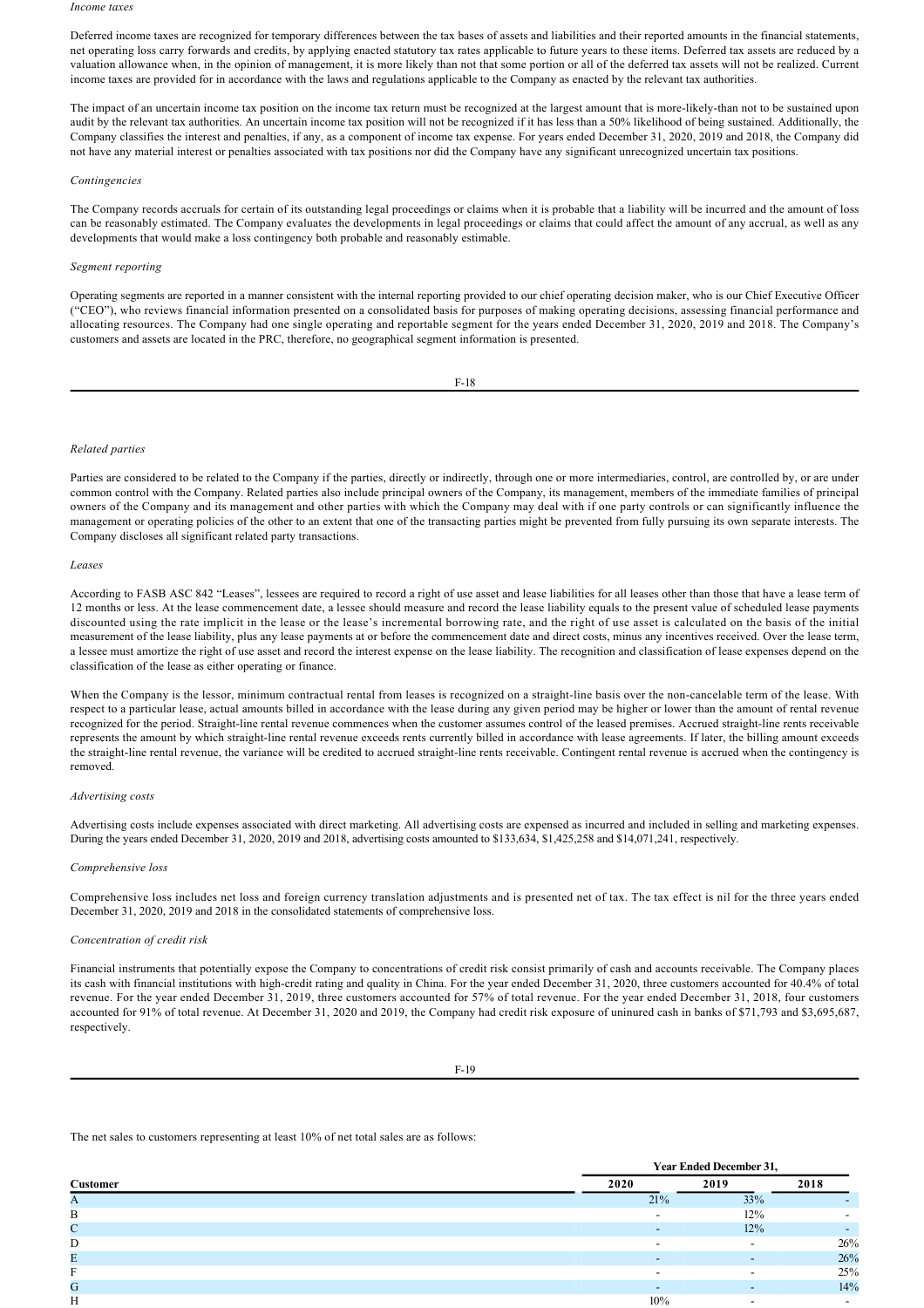#### *Income taxes*

Deferred income taxes are recognized for temporary differences between the tax bases of assets and liabilities and their reported amounts in the financial statements, net operating loss carry forwards and credits, by applying enacted statutory tax rates applicable to future years to these items. Deferred tax assets are reduced by a valuation allowance when, in the opinion of management, it is more likely than not that some portion or all of the deferred tax assets will not be realized. Current income taxes are provided for in accordance with the laws and regulations applicable to the Company as enacted by the relevant tax authorities.

The impact of an uncertain income tax position on the income tax return must be recognized at the largest amount that is more-likely-than not to be sustained upon audit by the relevant tax authorities. An uncertain income tax position will not be recognized if it has less than a 50% likelihood of being sustained. Additionally, the Company classifies the interest and penalties, if any, as a component of income tax expense. For years ended December 31, 2020, 2019 and 2018, the Company did not have any material interest or penalties associated with tax positions nor did the Company have any significant unrecognized uncertain tax positions.

#### *Contingencies*

The Company records accruals for certain of its outstanding legal proceedings or claims when it is probable that a liability will be incurred and the amount of loss can be reasonably estimated. The Company evaluates the developments in legal proceedings or claims that could affect the amount of any accrual, as well as any developments that would make a loss contingency both probable and reasonably estimable.

## *Segment reporting*

Operating segments are reported in a manner consistent with the internal reporting provided to our chief operating decision maker, who is our Chief Executive Officer ("CEO"), who reviews financial information presented on a consolidated basis for purposes of making operating decisions, assessing financial performance and allocating resources. The Company had one single operating and reportable segment for the years ended December 31, 2020, 2019 and 2018. The Company's customers and assets are located in the PRC, therefore, no geographical segment information is presented.

F-18

## *Related parties*

Parties are considered to be related to the Company if the parties, directly or indirectly, through one or more intermediaries, control, are controlled by, or are under common control with the Company. Related parties also include principal owners of the Company, its management, members of the immediate families of principal owners of the Company and its management and other parties with which the Company may deal with if one party controls or can significantly influence the management or operating policies of the other to an extent that one of the transacting parties might be prevented from fully pursuing its own separate interests. The Company discloses all significant related party transactions.

#### *Leases*

According to FASB ASC 842 "Leases", lessees are required to record a right of use asset and lease liabilities for all leases other than those that have a lease term of 12 months or less. At the lease commencement date, a lessee should measure and record the lease liability equals to the present value of scheduled lease payments discounted using the rate implicit in the lease or the lease's incremental borrowing rate, and the right of use asset is calculated on the basis of the initial measurement of the lease liability, plus any lease payments at or before the commencement date and direct costs, minus any incentives received. Over the lease term, a lessee must amortize the right of use asset and record the interest expense on the lease liability. The recognition and classification of lease expenses depend on the classification of the lease as either operating or finance.

When the Company is the lessor, minimum contractual rental from leases is recognized on a straight-line basis over the non-cancelable term of the lease. With respect to a particular lease, actual amounts billed in accordance with the lease during any given period may be higher or lower than the amount of rental revenue recognized for the period. Straight-line rental revenue commences when the customer assumes control of the leased premises. Accrued straight-line rents receivable represents the amount by which straight-line rental revenue exceeds rents currently billed in accordance with lease agreements. If later, the billing amount exceeds the straight-line rental revenue, the variance will be credited to accrued straight-line rents receivable. Contingent rental revenue is accrued when the contingency is removed.

#### *Advertising costs*

Advertising costs include expenses associated with direct marketing. All advertising costs are expensed as incurred and included in selling and marketing expenses. During the years ended December 31, 2020, 2019 and 2018, advertising costs amounted to \$133,634, \$1,425,258 and \$14,071,241, respectively.

#### *Comprehensive loss*

Comprehensive loss includes net loss and foreign currency translation adjustments and is presented net of tax. The tax effect is nil for the three years ended December 31, 2020, 2019 and 2018 in the consolidated statements of comprehensive loss.

## *Concentration of credit risk*

Financial instruments that potentially expose the Company to concentrations of credit risk consist primarily of cash and accounts receivable. The Company places its cash with financial institutions with high-credit rating and quality in China. For the year ended December 31, 2020, three customers accounted for 40.4% of total revenue. For the year ended December 31, 2019, three customers accounted for 57% of total revenue. For the year ended December 31, 2018, four customers accounted for 91% of total revenue. At December 31, 2020 and 2019, the Company had credit risk exposure of uninured cash in banks of \$71,793 and \$3,695,687, respectively.

The net sales to customers representing at least 10% of net total sales are as follows:

|            |                          | Year Ended December 31, |      |
|------------|--------------------------|-------------------------|------|
| Customer   | 2020                     | 2019                    | 2018 |
| E          | 21%                      | 33%                     |      |
| B          | -                        | 12%                     |      |
| $\sqrt{ }$ |                          | 12%                     |      |
|            | $\overline{\phantom{0}}$ |                         | 26%  |
|            | $\overline{\phantom{0}}$ |                         | 26%  |
|            | $\overline{\phantom{0}}$ | -                       | 25%  |
| G          | $\sim$                   |                         | 14%  |
| Н          | 10%                      |                         |      |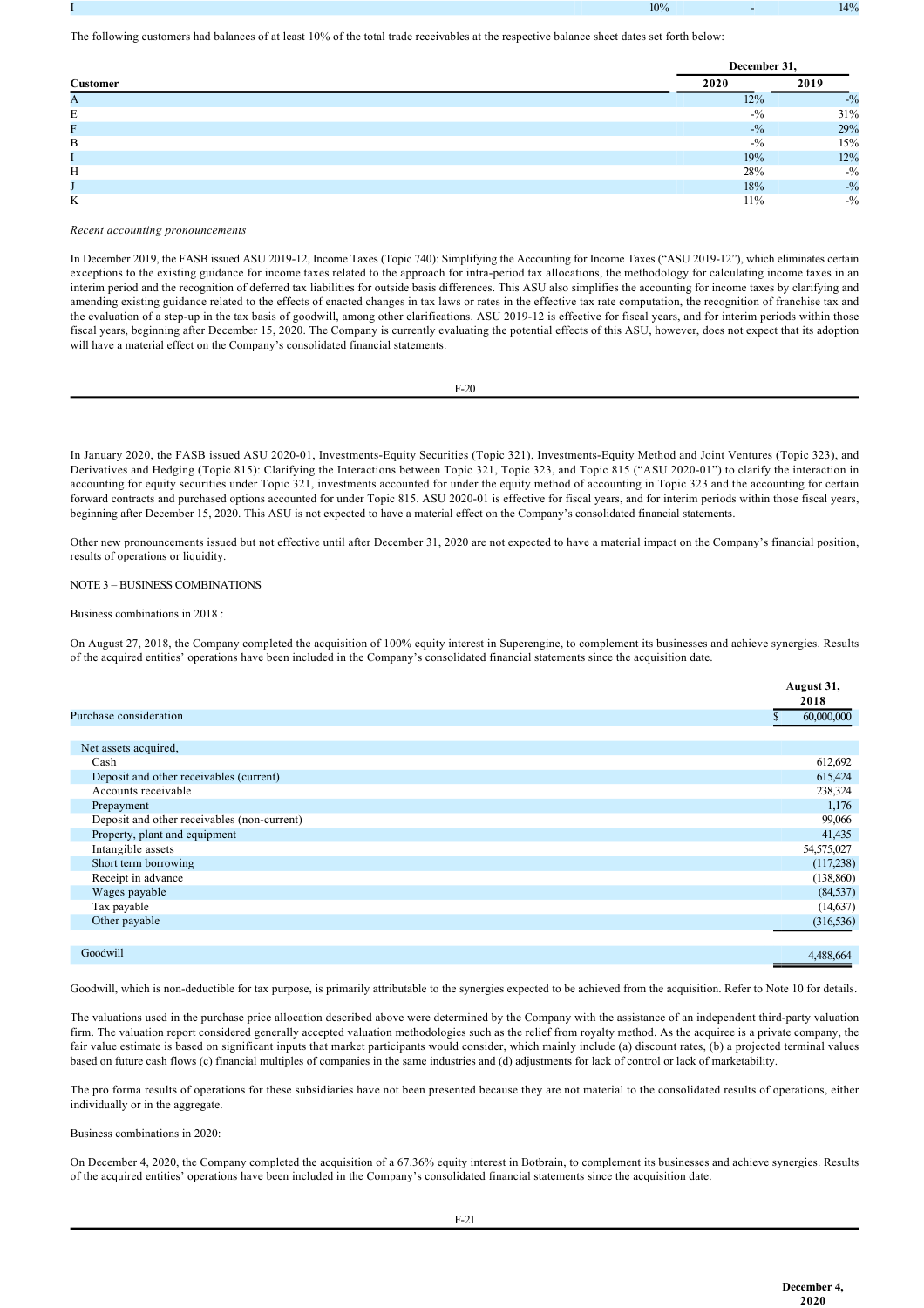I 10% and  $10\%$  and  $14\%$ 

The following customers had balances of at least 10% of the total trade receivables at the respective balance sheet dates set forth below:

|                 | December 31, |        |
|-----------------|--------------|--------|
| <b>Customer</b> | 2020         | 2019   |
| A               | 12%          | $-1/2$ |
| E               | $-1/2$       | 31%    |
| F               | $-1/2$       | 29%    |
| B               | $-1/2$       | 15%    |
|                 | 19%          | 12%    |
| Н               | 28%          | $-1/2$ |
|                 | 18%          | $-1/2$ |
| K               | $11\%$       | $-1/2$ |
|                 |              |        |

# *Recent accounting pronouncements*

In December 2019, the FASB issued ASU 2019-12. Income Taxes (Topic 740): Simplifying the Accounting for Income Taxes ("ASU 2019-12"), which eliminates certain exceptions to the existing guidance for income taxes related to the approach for intra-period tax allocations, the methodology for calculating income taxes in an interim period and the recognition of deferred tax liabilities for outside basis differences. This ASU also simplifies the accounting for income taxes by clarifying and amending existing guidance related to the effects of enacted changes in tax laws or rates in the effective tax rate computation, the recognition of franchise tax and the evaluation of a step-up in the tax basis of goodwill, among other clarifications. ASU 2019-12 is effective for fiscal years, and for interim periods within those fiscal years, beginning after December 15, 2020. The Company is currently evaluating the potential effects of this ASU, however, does not expect that its adoption will have a material effect on the Company's consolidated financial statements.

| I<br>۰, |
|---------|
|---------|

In January 2020, the FASB issued ASU 2020-01, Investments-Equity Securities (Topic 321), Investments-Equity Method and Joint Ventures (Topic 323), and Derivatives and Hedging (Topic 815): Clarifying the Interactions between Topic 321, Topic 323, and Topic 815 ("ASU 202001") to clarify the interaction in accounting for equity securities under Topic 321, investments accounted for under the equity method of accounting in Topic 323 and the accounting for certain forward contracts and purchased options accounted for under Topic 815. ASU 202001 is effective for fiscal years, and for interim periods within those fiscal years, beginning after December 15, 2020. This ASU is not expected to have a material effect on the Company's consolidated financial statements.

Other new pronouncements issued but not effective until after December 31, 2020 are not expected to have a material impact on the Company's financial position, results of operations or liquidity.

# NOTE 3 – BUSINESS COMBINATIONS

## Business combinations in 2018 :

On August 27, 2018, the Company completed the acquisition of 100% equity interest in Superengine, to complement its businesses and achieve synergies. Results of the acquired entities' operations have been included in the Company's consolidated financial statements since the acquisition date.

|                                             | August 31,<br>2018 |
|---------------------------------------------|--------------------|
| Purchase consideration                      | 60,000,000         |
|                                             |                    |
| Net assets acquired,                        |                    |
| Cash                                        | 612,692            |
| Deposit and other receivables (current)     | 615,424            |
| Accounts receivable                         | 238,324            |
| Prepayment                                  | 1,176              |
| Deposit and other receivables (non-current) | 99,066             |
| Property, plant and equipment               | 41,435             |
| Intangible assets                           | 54,575,027         |
| Short term borrowing                        | (117,238)          |
| Receipt in advance                          | (138, 860)         |
| Wages payable                               | (84, 537)          |
| Tax payable                                 | (14, 637)          |
| Other payable                               | (316, 536)         |
|                                             |                    |
| Goodwill                                    | 4,488,664          |

Goodwill, which is non-deductible for tax purpose, is primarily attributable to the synergies expected to be achieved from the acquisition. Refer to Note 10 for details.

The valuations used in the purchase price allocation described above were determined by the Company with the assistance of an independent third-party valuation firm. The valuation report considered generally accepted valuation methodologies such as the relief from royalty method. As the acquiree is a private company, the fair value estimate is based on significant inputs that market participants would consider, which mainly include (a) discount rates, (b) a projected terminal values based on future cash flows (c) financial multiples of companies in the same industries and (d) adjustments for lack of control or lack of marketability.

The pro forma results of operations for these subsidiaries have not been presented because they are not material to the consolidated results of operations, either individually or in the aggregate.

## Business combinations in 2020:

On December 4, 2020, the Company completed the acquisition of a 67.36% equity interest in Botbrain, to complement its businesses and achieve synergies. Results of the acquired entities' operations have been included in the Company's consolidated financial statements since the acquisition date.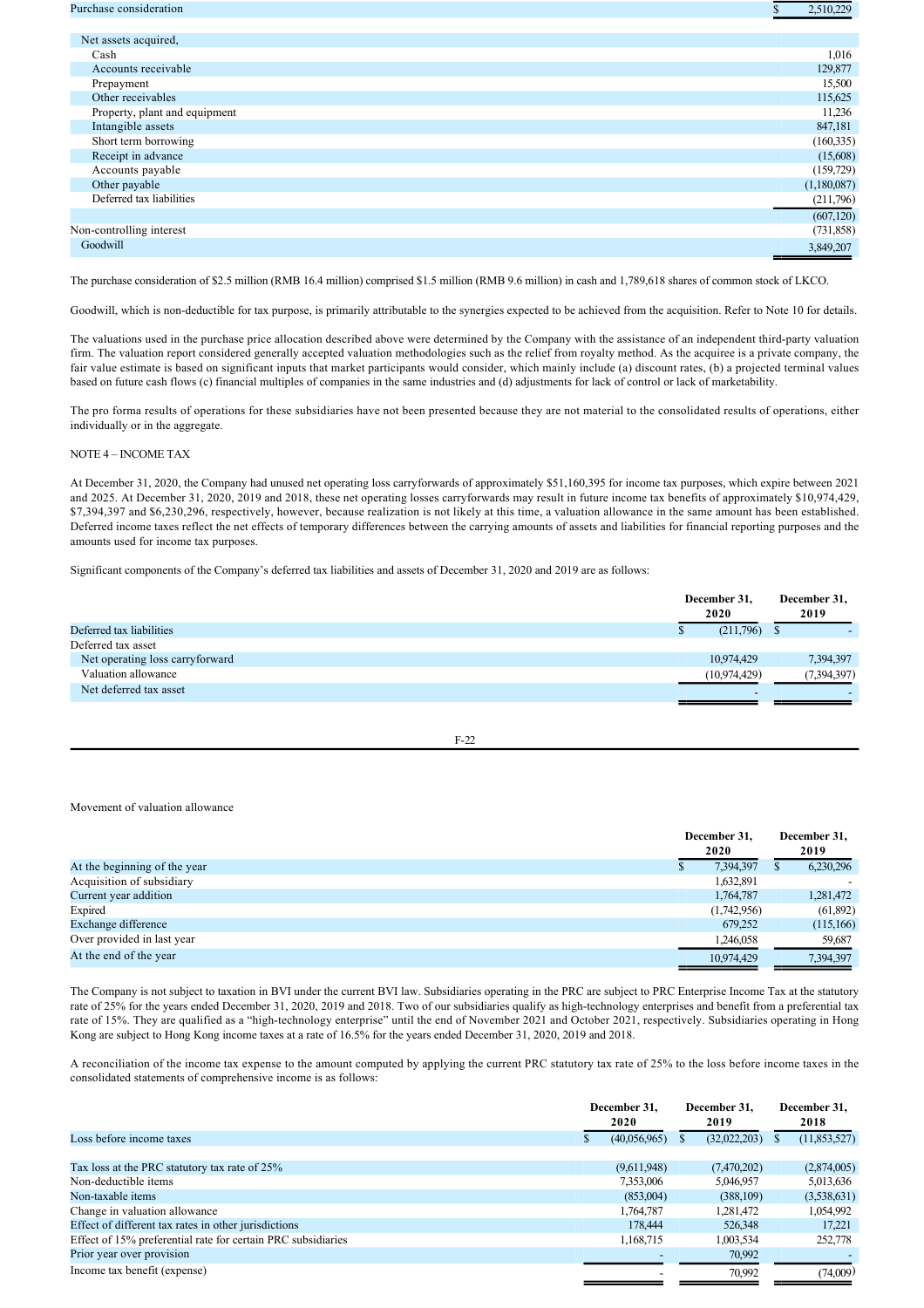| Purchase consideration        | 2,510,229   |
|-------------------------------|-------------|
|                               |             |
| Net assets acquired,          |             |
| Cash                          | 1,016       |
| Accounts receivable           | 129,877     |
| Prepayment                    | 15,500      |
| Other receivables             | 115,625     |
| Property, plant and equipment | 11,236      |
| Intangible assets             | 847,181     |
| Short term borrowing          | (160, 335)  |
| Receipt in advance            | (15,608)    |
| Accounts payable              | (159, 729)  |
| Other payable                 | (1,180,087) |
| Deferred tax liabilities      | (211,796)   |
|                               | (607, 120)  |
| Non-controlling interest      | (731, 858)  |
| Goodwill                      | 3,849,207   |

The purchase consideration of \$2.5 million (RMB 16.4 million) comprised \$1.5 million (RMB 9.6 million) in cash and 1,789,618 shares of common stock of LKCO.

Goodwill, which is non-deductible for tax purpose, is primarily attributable to the synergies expected to be achieved from the acquisition. Refer to Note 10 for details.

The valuations used in the purchase price allocation described above were determined by the Company with the assistance of an independent third-party valuation firm. The valuation report considered generally accepted valuation methodologies such as the relief from royalty method. As the acquiree is a private company, the fair value estimate is based on significant inputs that market participants would consider, which mainly include (a) discount rates, (b) a projected terminal values based on future cash flows (c) financial multiples of companies in the same industries and (d) adjustments for lack of control or lack of marketability.

The pro forma results of operations for these subsidiaries have not been presented because they are not material to the consolidated results of operations, either individually or in the aggregate.

# NOTE 4 – INCOME TAX

At December 31, 2020, the Company had unused net operating loss carryforwards of approximately \$51,160,395 for income tax purposes, which expire between 2021 and 2025. At December 31, 2020, 2019 and 2018, these net operating losses carryforwards may result in future income tax benefits of approximately \$10,974,429, \$7,394,397 and \$6,230,296, respectively, however, because realization is not likely at this time, a valuation allowance in the same amount has been established. Deferred income taxes reflect the net effects of temporary differences between the carrying amounts of assets and liabilities for financial reporting purposes and the amounts used for income tax purposes.

Significant components of the Company's deferred tax liabilities and assets of December 31, 2020 and 2019 are as follows:

|  | December 31,<br>2020 |  |             |  | December 31,<br>2019 |
|--|----------------------|--|-------------|--|----------------------|
|  | (211,796)            |  |             |  |                      |
|  |                      |  |             |  |                      |
|  | 10,974,429           |  | 7,394,397   |  |                      |
|  | (10,974,429)         |  | (7,394,397) |  |                      |
|  | -                    |  |             |  |                      |
|  |                      |  |             |  |                      |

F-22

#### Movement of valuation allowance

|                              | December 31,<br>2020 |             | December 31,<br>2019 |           |
|------------------------------|----------------------|-------------|----------------------|-----------|
| At the beginning of the year |                      | 7,394,397   |                      | 6,230,296 |
| Acquisition of subsidiary    |                      | 1,632,891   |                      |           |
| Current year addition        |                      | 1,764,787   |                      | 1,281,472 |
| Expired                      |                      | (1,742,956) |                      | (61,892)  |
| Exchange difference          |                      | 679.252     |                      | (115,166) |
| Over provided in last year   |                      | 1,246,058   |                      | 59,687    |
| At the end of the year       |                      | 10,974,429  |                      | 7,394,397 |

The Company is not subject to taxation in BVI under the current BVI law. Subsidiaries operating in the PRC are subject to PRC Enterprise Income Tax at the statutory rate of 25% for the years ended December 31, 2020, 2019 and 2018. Two of our subsidiaries qualify as hightechnology enterprises and benefit from a preferential tax rate of 15%. They are qualified as a "high-technology enterprise" until the end of November 2021 and October 2021, respectively. Subsidiaries operating in Hong Kong are subject to Hong Kong income taxes at a rate of 16.5% for the years ended December 31, 2020, 2019 and 2018.

A reconciliation of the income tax expense to the amount computed by applying the current PRC statutory tax rate of 25% to the loss before income taxes in the consolidated statements of comprehensive income is as follows:

|                                                              | December 31,<br>2020 |   | December 31,<br>2019 | December 31,<br>2018 |
|--------------------------------------------------------------|----------------------|---|----------------------|----------------------|
| Loss before income taxes                                     | (40,056,965)         | ъ | (32,022,203)         | (11,853,527)         |
| Tax loss at the PRC statutory tax rate of 25%                | (9,611,948)          |   | (7,470,202)          | (2,874,005)          |
| Non-deductible items                                         | 7,353,006            |   | 5,046,957            | 5,013,636            |
| Non-taxable items                                            | (853,004)            |   | (388, 109)           | (3,538,631)          |
| Change in valuation allowance                                | 1,764,787            |   | 1,281,472            | 1,054,992            |
| Effect of different tax rates in other jurisdictions         | 178,444              |   | 526,348              | 17.221               |
| Effect of 15% preferential rate for certain PRC subsidiaries | 1,168,715            |   | 1,003,534            | 252,778              |
| Prior year over provision                                    |                      |   | 70,992               |                      |
| Income tax benefit (expense)                                 |                      |   | 70,992               | (74,009)             |
|                                                              |                      |   |                      |                      |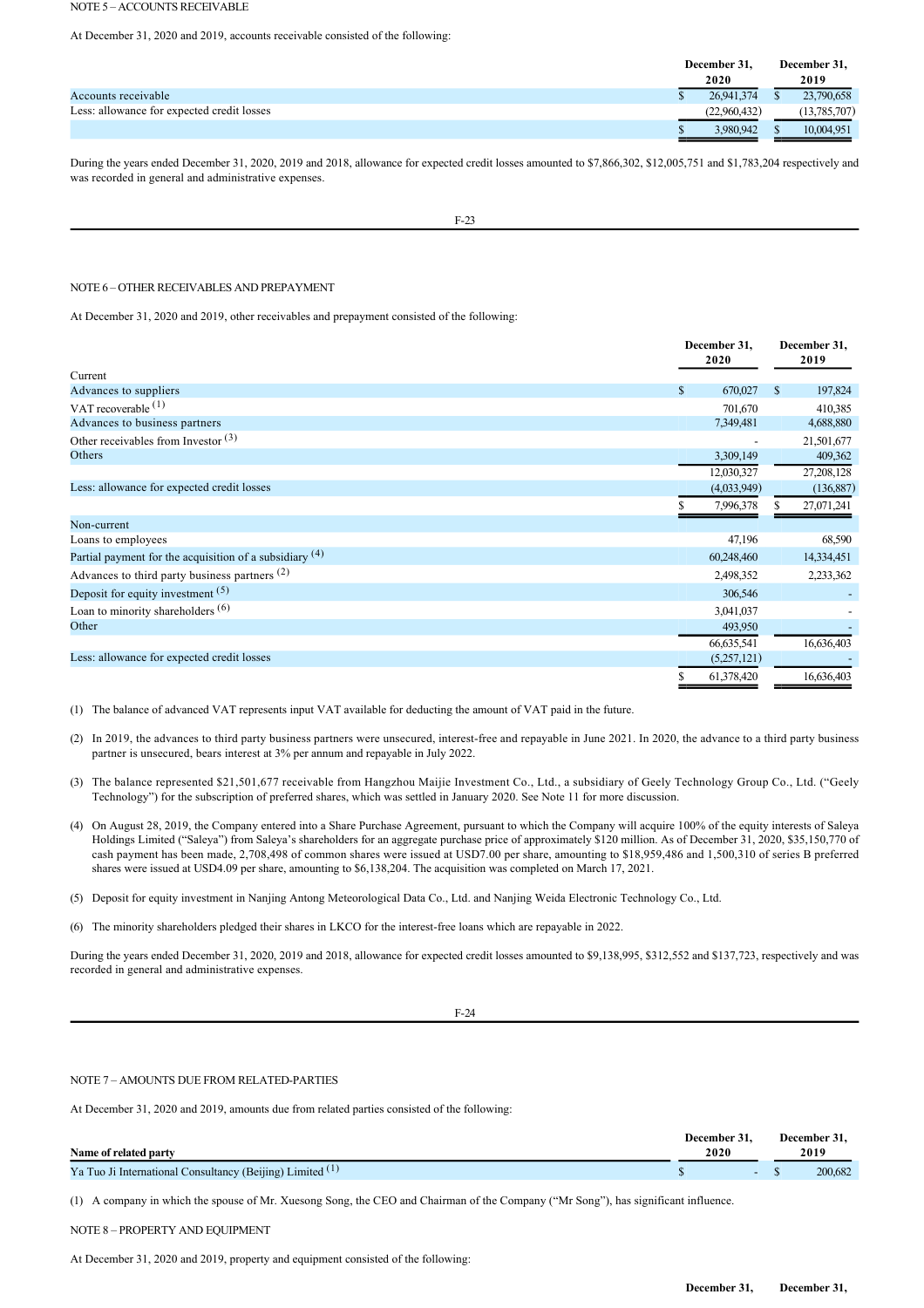## NOTE 5 – ACCOUNTS RECEIVABLE

At December 31, 2020 and 2019, accounts receivable consisted of the following:

|                                            | December 31,<br>2020 | December 31,<br>2019 |
|--------------------------------------------|----------------------|----------------------|
| Accounts receivable                        | 26.941.374           | 23,790,658           |
| Less: allowance for expected credit losses | (22,960,432)         | (13,785,707)         |
|                                            | 3.980.942            | 10.004.951           |

During the years ended December 31, 2020, 2019 and 2018, allowance for expected credit losses amounted to \$7,866,302, \$12,005,751 and \$1,783,204 respectively and was recorded in general and administrative expenses.

F-23

## NOTE 6 – OTHER RECEIVABLES AND PREPAYMENT

At December 31, 2020 and 2019, other receivables and prepayment consisted of the following:

|                                                           | December 31,<br>2020 | December 31,<br>2019 |  |
|-----------------------------------------------------------|----------------------|----------------------|--|
| Current                                                   |                      |                      |  |
| Advances to suppliers                                     | \$<br>670,027        | 197,824<br>\$        |  |
| VAT recoverable $(1)$                                     | 701,670              | 410,385              |  |
| Advances to business partners                             | 7,349,481            | 4,688,880            |  |
| Other receivables from Investor $(3)$                     |                      | 21,501,677           |  |
| Others                                                    | 3,309,149            | 409,362              |  |
|                                                           | 12,030,327           | 27,208,128           |  |
| Less: allowance for expected credit losses                | (4,033,949)          | (136, 887)           |  |
|                                                           | 7,996,378            | 27,071,241           |  |
| Non-current                                               |                      |                      |  |
| Loans to employees                                        | 47,196               | 68,590               |  |
| Partial payment for the acquisition of a subsidiary $(4)$ | 60,248,460           | 14,334,451           |  |
| Advances to third party business partners <sup>(2)</sup>  | 2,498,352            | 2,233,362            |  |
| Deposit for equity investment $(5)$                       | 306,546              |                      |  |
| Loan to minority shareholders $(6)$                       | 3,041,037            |                      |  |
| Other                                                     | 493,950              |                      |  |
|                                                           | 66,635,541           | 16,636,403           |  |
| Less: allowance for expected credit losses                | (5,257,121)          |                      |  |
|                                                           | 61,378,420           | 16,636,403           |  |

(1) The balance of advanced VAT represents input VAT available for deducting the amount of VAT paid in the future.

- (2) In 2019, the advances to third party business partners were unsecured, interest-free and repayable in June 2021. In 2020, the advance to a third party business partner is unsecured, bears interest at 3% per annum and repayable in July 2022.
- (3) The balance represented \$21,501,677 receivable from Hangzhou Maijie Investment Co., Ltd., a subsidiary of Geely Technology Group Co., Ltd. ("Geely Technology") for the subscription of preferred shares, which was settled in January 2020. See Note 11 for more discussion.
- (4) On August 28, 2019, the Company entered into a Share Purchase Agreement, pursuant to which the Company will acquire 100% of the equity interests of Saleya Holdings Limited ("Saleya") from Saleya's shareholders for an aggregate purchase price of approximately \$120 million. As of December 31, 2020, \$35,150,770 of cash payment has been made, 2,708,498 of common shares were issued at USD7.00 per share, amounting to \$18,959,486 and 1,500,310 of series B preferred shares were issued at USD4.09 per share, amounting to \$6,138,204. The acquisition was completed on March 17, 2021.
- (5) Deposit for equity investment in Nanjing Antong Meteorological Data Co., Ltd. and Nanjing Weida Electronic Technology Co., Ltd.

(6) The minority shareholders pledged their shares in LKCO for the interest-free loans which are repayable in 2022.

During the years ended December 31, 2020, 2019 and 2018, allowance for expected credit losses amounted to \$9,138,995, \$312,552 and \$137,723, respectively and was recorded in general and administrative expenses.

F-24

# NOTE 7 - AMOUNTS DUE FROM RELATED-PARTIES

At December 31, 2020 and 2019, amounts due from related parties consisted of the following:

| Name of related party                                                | December 31,<br>2020 | December 31,<br>2019 |
|----------------------------------------------------------------------|----------------------|----------------------|
| Ya Tuo Ji International Consultancy (Beijing) Limited <sup>(1)</sup> |                      | 200,682              |

(1) A company in which the spouse of Mr. Xuesong Song, the CEO and Chairman of the Company ("Mr Song"), has significant influence.

NOTE 8 – PROPERTY AND EQUIPMENT

At December 31, 2020 and 2019, property and equipment consisted of the following: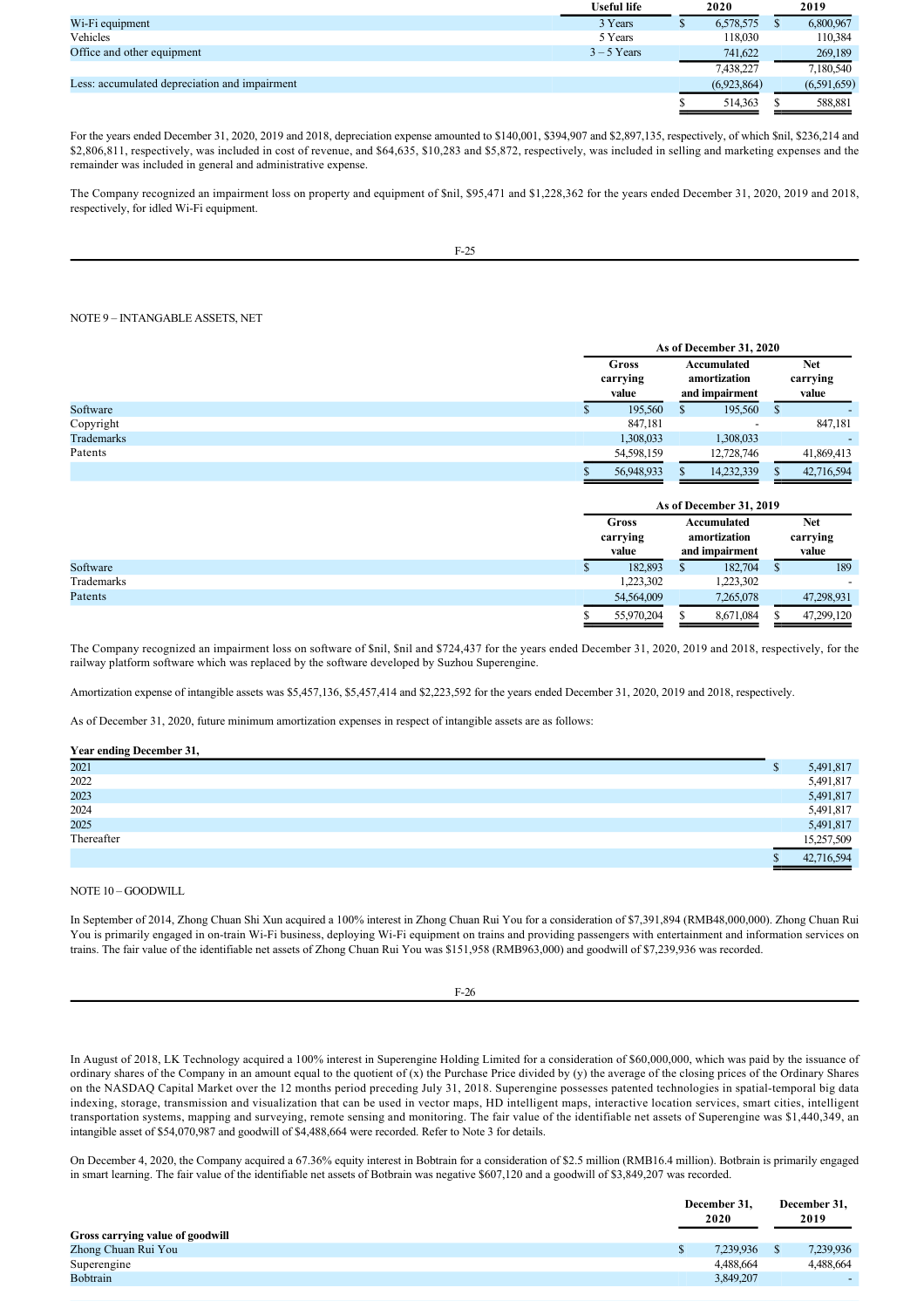|                                               | <b>Useful life</b> | 2020 |             | 2019        |
|-----------------------------------------------|--------------------|------|-------------|-------------|
| Wi-Fi equipment                               | 3 Years            |      | 6,578,575   | 6,800,967   |
| Vehicles                                      | 5 Years            |      | 118,030     | 110,384     |
| Office and other equipment                    | $3 - 5$ Years      |      | 741,622     | 269,189     |
|                                               |                    |      | 7,438,227   | 7,180,540   |
| Less: accumulated depreciation and impairment |                    |      | (6,923,864) | (6,591,659) |
|                                               |                    |      | 514,363     | 588,881     |

For the years ended December 31, 2020, 2019 and 2018, depreciation expense amounted to \$140,001, \$394,907 and \$2,897,135, respectively, of which \$nil, \$236,214 and \$2,806,811, respectively, was included in cost of revenue, and \$64,635, \$10,283 and \$5,872, respectively, was included in selling and marketing expenses and the remainder was included in general and administrative expense.

The Company recognized an impairment loss on property and equipment of \$nil, \$95,471 and \$1,228,362 for the years ended December 31, 2020, 2019 and 2018, respectively, for idled Wi-Fi equipment.

# NOTE 9 – INTANGABLE ASSETS, NET

|            | As of December 31, 2020    |                                               |                          |   |                                 |  |
|------------|----------------------------|-----------------------------------------------|--------------------------|---|---------------------------------|--|
|            | Gross<br>carrying<br>value | Accumulated<br>amortization<br>and impairment |                          |   | <b>Net</b><br>carrying<br>value |  |
| Software   | 195,560                    |                                               | 195,560                  | D |                                 |  |
| Copyright  | 847,181                    |                                               | $\overline{\phantom{a}}$ |   | 847,181                         |  |
| Trademarks | 1,308,033                  |                                               | 1,308,033                |   |                                 |  |
| Patents    | 54,598,159                 |                                               | 12,728,746               |   | 41,869,413                      |  |
|            | 56,948,933                 |                                               | 14,232,339               |   | 42,716,594                      |  |

|            | As of December 31, 2019    |                                               |           |  |                                 |  |
|------------|----------------------------|-----------------------------------------------|-----------|--|---------------------------------|--|
|            | Gross<br>carrying<br>value | Accumulated<br>amortization<br>and impairment |           |  | <b>Net</b><br>carrying<br>value |  |
| Software   | 182,893                    | Ф                                             | 182,704   |  | 189                             |  |
| Trademarks | 1,223,302                  |                                               | 1,223,302 |  | $\overline{\phantom{0}}$        |  |
| Patents    | 54,564,009                 |                                               | 7,265,078 |  | 47,298,931                      |  |
|            | 55,970,204                 |                                               | 8,671,084 |  | 47,299,120                      |  |

The Company recognized an impairment loss on software of \$nil, \$nil and \$724,437 for the years ended December 31, 2020, 2019 and 2018, respectively, for the railway platform software which was replaced by the software developed by Suzhou Superengine.

Amortization expense of intangible assets was \$5,457,136, \$5,457,414 and \$2,223,592 for the years ended December 31, 2020, 2019 and 2018, respectively.

As of December 31, 2020, future minimum amortization expenses in respect of intangible assets are as follows:

| <b>rear enume December 51,</b> |            |
|--------------------------------|------------|
| 2021                           | 5,491,817  |
| 2022                           | 5,491,817  |
| 2023                           | 5,491,817  |
| 2024                           | 5,491,817  |
| 2025                           | 5,491,817  |
| Thereafter                     | 15,257,509 |
|                                | 42,716,594 |
|                                |            |

# NOTE 10 – GOODWILL

**Year ending December 31,**

In September of 2014, Zhong Chuan Shi Xun acquired a 100% interest in Zhong Chuan Rui You for a consideration of \$7,391,894 (RMB48,000,000). Zhong Chuan Rui You is primarily engaged in on-train Wi-Fi business, deploying Wi-Fi equipment on trains and providing passengers with entertainment and information services on trains. The fair value of the identifiable net assets of Zhong Chuan Rui You was \$151,958 (RMB963,000) and goodwill of \$7,239,936 was recorded.

F-26

In August of 2018, LK Technology acquired a 100% interest in Superengine Holding Limited for a consideration of \$60,000,000, which was paid by the issuance of ordinary shares of the Company in an amount equal to the quotient of  $(x)$  the Purchase Price divided by  $(y)$  the average of the closing prices of the Ordinary Shares on the NASDAQ Capital Market over the 12 months period preceding July 31, 2018. Superengine possesses patented technologies in spatialtemporal big data indexing, storage, transmission and visualization that can be used in vector maps, HD intelligent maps, interactive location services, smart cities, intelligent transportation systems, mapping and surveying, remote sensing and monitoring. The fair value of the identifiable net assets of Superengine was \$1,440,349, an intangible asset of \$54,070,987 and goodwill of \$4,488,664 were recorded. Refer to Note 3 for details.

On December 4, 2020, the Company acquired a 67.36% equity interest in Bobtrain for a consideration of \$2.5 million (RMB16.4 million). Botbrain is primarily engaged in smart learning. The fair value of the identifiable net assets of Botbrain was negative \$607,120 and a goodwill of \$3,849,207 was recorded.

| Gross carrying value of goodwill | December 31,<br>2020 | December 31,<br>2019 |
|----------------------------------|----------------------|----------------------|
| Zhong Chuan Rui You              | 7,239,936            | 7,239,936            |
| Superengine                      | 4,488,664            | 4,488,664            |
| Bobtrain                         | 3,849,207            |                      |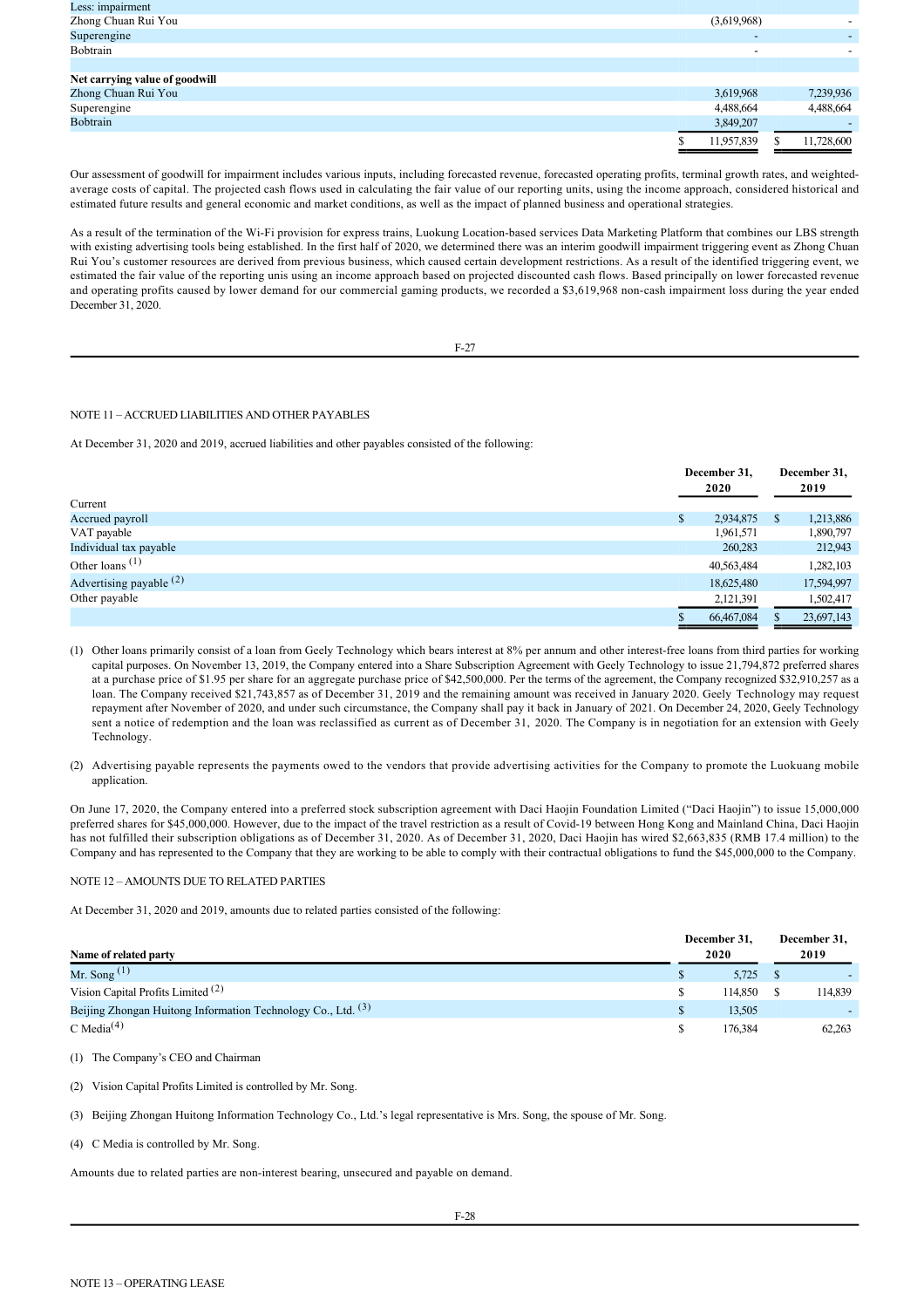| Less: impairment               |                          |            |
|--------------------------------|--------------------------|------------|
| Zhong Chuan Rui You            | (3,619,968)              |            |
| Superengine                    | $\overline{\phantom{0}}$ |            |
| Bobtrain                       | $\overline{\phantom{0}}$ |            |
|                                |                          |            |
| Net carrying value of goodwill |                          |            |
| Zhong Chuan Rui You            | 3,619,968                | 7,239,936  |
| Superengine                    | 4,488,664                | 4,488,664  |
| <b>Bobtrain</b>                | 3,849,207                |            |
|                                | 11,957,839               | 11,728,600 |

Our assessment of goodwill for impairment includes various inputs, including forecasted revenue, forecasted operating profits, terminal growth rates, and weightedaverage costs of capital. The projected cash flows used in calculating the fair value of our reporting units, using the income approach, considered historical and estimated future results and general economic and market conditions, as well as the impact of planned business and operational strategies.

As a result of the termination of the Wi-Fi provision for express trains, Luokung Location-based services Data Marketing Platform that combines our LBS strength with existing advertising tools being established. In the first half of 2020, we determined there was an interim goodwill impairment triggering event as Zhong Chuan Rui You's customer resources are derived from previous business, which caused certain development restrictions. As a result of the identified triggering event, we estimated the fair value of the reporting unis using an income approach based on projected discounted cash flows. Based principally on lower forecasted revenue and operating profits caused by lower demand for our commercial gaming products, we recorded a \$3,619,968 non-cash impairment loss during the year ended December 31, 2020.

F-27

# NOTE 11 – ACCRUED LIABILITIES AND OTHER PAYABLES

At December 31, 2020 and 2019, accrued liabilities and other payables consisted of the following:

| Current                 | December 31,<br>2020 | December 31,<br>2019 |            |  |
|-------------------------|----------------------|----------------------|------------|--|
| Accrued payroll         | \$<br>2,934,875      | S.                   | 1,213,886  |  |
| VAT payable             | 1,961,571            |                      | 1,890,797  |  |
| Individual tax payable  | 260,283              |                      | 212,943    |  |
| Other loans $(1)$       | 40,563,484           |                      | 1,282,103  |  |
| Advertising payable (2) | 18,625,480           |                      | 17,594,997 |  |
| Other payable           | 2,121,391            |                      | 1,502,417  |  |
|                         | 66,467,084           |                      | 23,697,143 |  |

- (1) Other loans primarily consist of a loan from Geely Technology which bears interest at 8% per annum and other interest-free loans from third parties for working capital purposes. On November 13, 2019, the Company entered into a Share Subscription Agreement with Geely Technology to issue 21,794,872 preferred shares at a purchase price of \$1.95 per share for an aggregate purchase price of \$42,500,000. Per the terms of the agreement, the Company recognized \$32,910,257 as a loan. The Company received \$21,743,857 as of December 31, 2019 and the remaining amount was received in January 2020. Geely Technology may request repayment after November of 2020, and under such circumstance, the Company shall pay it back in January of 2021. On December 24, 2020, Geely Technology sent a notice of redemption and the loan was reclassified as current as of December 31, 2020. The Company is in negotiation for an extension with Geely Technology.
- (2) Advertising payable represents the payments owed to the vendors that provide advertising activities for the Company to promote the Luokuang mobile application

On June 17, 2020, the Company entered into a preferred stock subscription agreement with Daci Haojin Foundation Limited ("Daci Haojin") to issue 15,000,000 preferred shares for \$45,000,000. However, due to the impact of the travel restriction as a result of Covid-19 between Hong Kong and Mainland China, Daci Haojin has not fulfilled their subscription obligations as of December 31, 2020. As of December 31, 2020, Daci Haojin has wired \$2,663,835 (RMB 17.4 million) to the Company and has represented to the Company that they are working to be able to comply with their contractual obligations to fund the \$45,000,000 to the Company.

## NOTE 12 – AMOUNTS DUE TO RELATED PARTIES

At December 31, 2020 and 2019, amounts due to related parties consisted of the following:

|                                                              | December 31, |  | December 31, |  |
|--------------------------------------------------------------|--------------|--|--------------|--|
| Name of related party                                        | 2020         |  | 2019         |  |
| Mr. Song $(1)$                                               | 5.725        |  |              |  |
| Vision Capital Profits Limited $(2)$                         | 114.850      |  | 114,839      |  |
| Beijing Zhongan Huitong Information Technology Co., Ltd. (3) | 13,505       |  |              |  |
| C Media <sup>(4)</sup>                                       | 176.384      |  | 62,263       |  |

(1) The Company's CEO and Chairman

(2) Vision Capital Profits Limited is controlled by Mr. Song.

(3) Beijing Zhongan Huitong Information Technology Co., Ltd.'s legal representative is Mrs. Song, the spouse of Mr. Song.

(4) C Media is controlled by Mr. Song.

Amounts due to related parties are non-interest bearing, unsecured and payable on demand.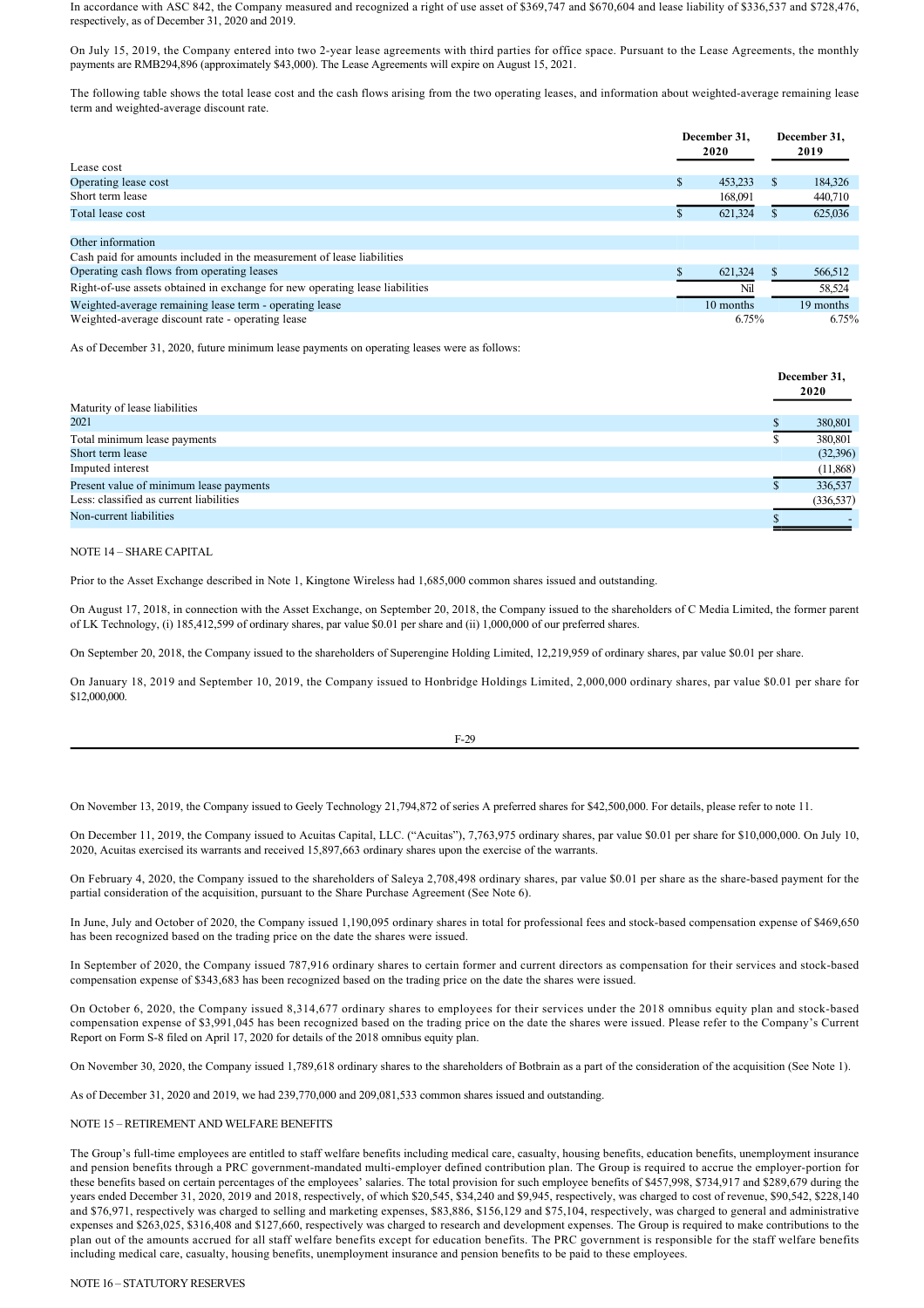In accordance with ASC 842, the Company measured and recognized a right of use asset of \$369,747 and \$670,604 and lease liability of \$336,537 and \$728,476, respectively, as of December 31, 2020 and 2019.

On July 15, 2019, the Company entered into two 2-year lease agreements with third parties for office space. Pursuant to the Lease Agreements, the monthly payments are RMB294,896 (approximately \$43,000). The Lease Agreements will expire on August 15, 2021.

The following table shows the total lease cost and the cash flows arising from the two operating leases, and information about weighted-average remaining lease term and weighted-average discount rate.

|                                                                              |     | December 31,<br>2020 |   | December 31,<br>2019 |
|------------------------------------------------------------------------------|-----|----------------------|---|----------------------|
| Lease cost                                                                   |     |                      |   |                      |
| Operating lease cost                                                         | \$. | 453,233              | S | 184,326              |
| Short term lease                                                             |     | 168,091              |   | 440,710              |
| Total lease cost                                                             |     | 621,324              |   | 625,036              |
| Other information                                                            |     |                      |   |                      |
| Cash paid for amounts included in the measurement of lease liabilities       |     |                      |   |                      |
| Operating cash flows from operating leases                                   |     | 621,324              |   | 566,512              |
| Right-of-use assets obtained in exchange for new operating lease liabilities |     | Nil                  |   | 58,524               |
| Weighted-average remaining lease term - operating lease                      |     | 10 months            |   | 19 months            |
| Weighted-average discount rate - operating lease                             |     | 6.75%                |   | 6.75%                |

As of December 31, 2020, future minimum lease payments on operating leases were as follows:

|                                         |  | December 31,<br>2020 |
|-----------------------------------------|--|----------------------|
| Maturity of lease liabilities           |  |                      |
| 2021                                    |  | 380,801              |
| Total minimum lease payments            |  | 380,801              |
| Short term lease                        |  | (32, 396)            |
| Imputed interest                        |  | (11,868)             |
| Present value of minimum lease payments |  | 336,537              |
| Less: classified as current liabilities |  | (336, 537)           |
| Non-current liabilities                 |  |                      |

## NOTE 14 – SHARE CAPITAL

Prior to the Asset Exchange described in Note 1, Kingtone Wireless had 1,685,000 common shares issued and outstanding.

On August 17, 2018, in connection with the Asset Exchange, on September 20, 2018, the Company issued to the shareholders of C Media Limited, the former parent of LK Technology, (i) 185,412,599 of ordinary shares, par value \$0.01 per share and (ii) 1,000,000 of our preferred shares.

On September 20, 2018, the Company issued to the shareholders of Superengine Holding Limited, 12,219,959 of ordinary shares, par value \$0.01 per share.

On January 18, 2019 and September 10, 2019, the Company issued to Honbridge Holdings Limited, 2,000,000 ordinary shares, par value \$0.01 per share for \$12,000,000.

F-29

On November 13, 2019, the Company issued to Geely Technology 21,794,872 of series A preferred shares for \$42,500,000. For details, please refer to note 11.

On December 11, 2019, the Company issued to Acuitas Capital, LLC. ("Acuitas"), 7,763,975 ordinary shares, par value \$0.01 per share for \$10,000,000. On July 10, 2020, Acuitas exercised its warrants and received 15,897,663 ordinary shares upon the exercise of the warrants.

On February 4, 2020, the Company issued to the shareholders of Saleya 2,708,498 ordinary shares, par value \$0.01 per share as the share-based payment for the partial consideration of the acquisition, pursuant to the Share Purchase Agreement (See Note 6).

In June, July and October of 2020, the Company issued 1,190,095 ordinary shares in total for professional fees and stock-based compensation expense of \$469,650 has been recognized based on the trading price on the date the shares were issued.

In September of 2020, the Company issued 787,916 ordinary shares to certain former and current directors as compensation for their services and stockbased compensation expense of \$343,683 has been recognized based on the trading price on the date the shares were issued.

On October 6, 2020, the Company issued 8,314,677 ordinary shares to employees for their services under the 2018 omnibus equity plan and stockbased compensation expense of \$3,991,045 has been recognized based on the trading price on the date the shares were issued. Please refer to the Company's Current Report on Form S-8 filed on April 17, 2020 for details of the 2018 omnibus equity plan.

On November 30, 2020, the Company issued 1,789,618 ordinary shares to the shareholders of Botbrain as a part of the consideration of the acquisition (See Note 1).

As of December 31, 2020 and 2019, we had 239,770,000 and 209,081,533 common shares issued and outstanding.

## NOTE 15 – RETIREMENT AND WELFARE BENEFITS

The Group's full-time employees are entitled to staff welfare benefits including medical care, casualty, housing benefits, education benefits, unemployment insurance and pension benefits through a PRC government-mandated multi-employer defined contribution plan. The Group is required to accrue the employer-portion for these benefits based on certain percentages of the employees' salaries. The total provision for such employee benefits of \$457,998, \$734,917 and \$289,679 during the years ended December 31, 2020, 2019 and 2018, respectively, of which \$20,545, \$34,240 and \$9,945, respectively, was charged to cost of revenue, \$90,542, \$228,140 and \$76,971, respectively was charged to selling and marketing expenses, \$83,886, \$156,129 and \$75,104, respectively, was charged to general and administrative expenses and \$263,025, \$316,408 and \$127,660, respectively was charged to research and development expenses. The Group is required to make contributions to the plan out of the amounts accrued for all staff welfare benefits except for education benefits. The PRC government is responsible for the staff welfare benefits including medical care, casualty, housing benefits, unemployment insurance and pension benefits to be paid to these employees.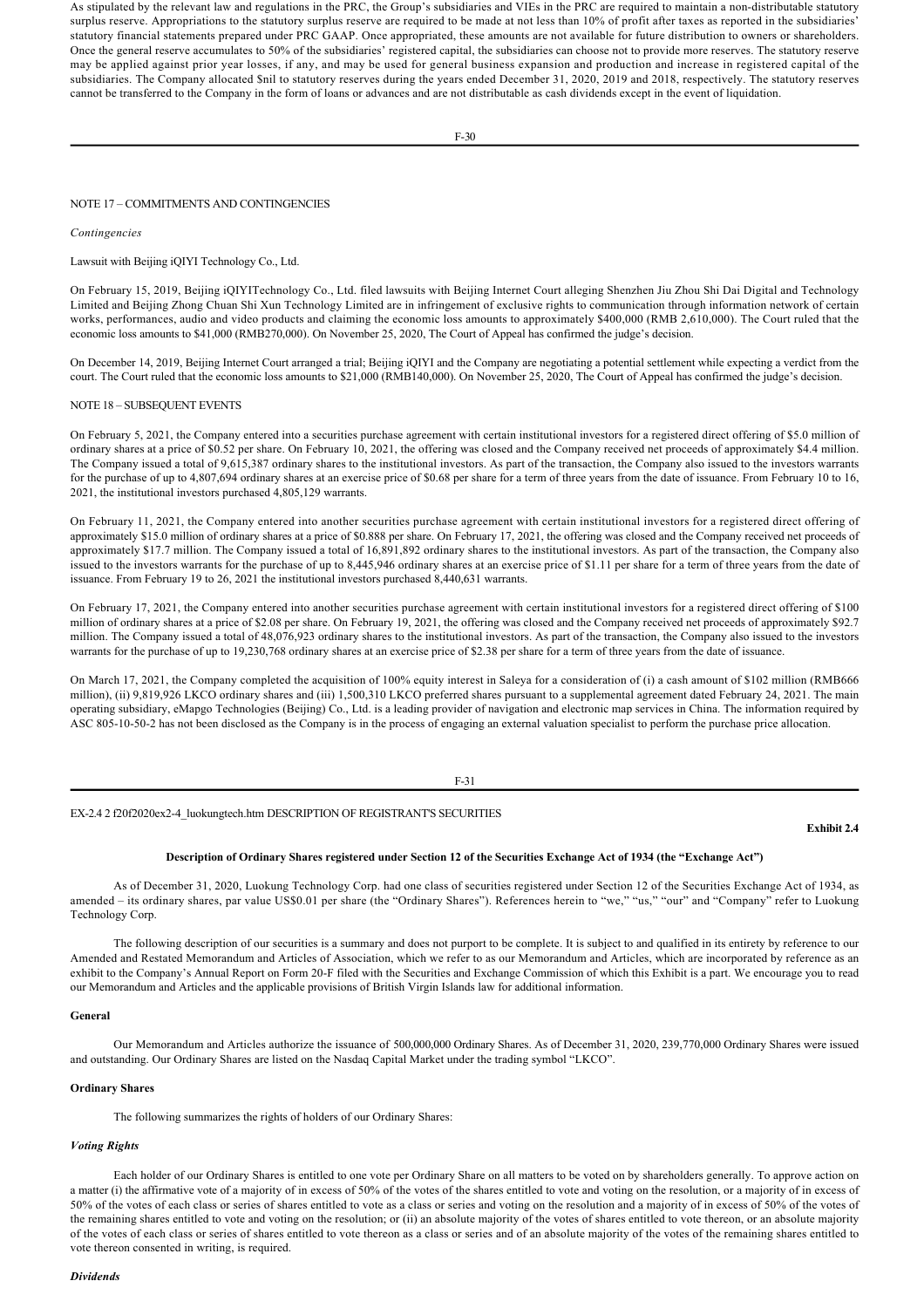As stipulated by the relevant law and regulations in the PRC, the Group's subsidiaries and VIEs in the PRC are required to maintain a non-distributable statutory surplus reserve. Appropriations to the statutory surplus reserve are required to be made at not less than 10% of profit after taxes as reported in the subsidiaries' statutory financial statements prepared under PRC GAAP. Once appropriated, these amounts are not available for future distribution to owners or shareholders. Once the general reserve accumulates to 50% of the subsidiaries' registered capital, the subsidiaries can choose not to provide more reserves. The statutory reserve may be applied against prior year losses, if any, and may be used for general business expansion and production and increase in registered capital of the subsidiaries. The Company allocated \$nil to statutory reserves during the years ended December 31, 2020, 2019 and 2018, respectively. The statutory reserves cannot be transferred to the Company in the form of loans or advances and are not distributable as cash dividends except in the event of liquidation.

## NOTE 17 – COMMITMENTS AND CONTINGENCIES

*Contingencies*

Lawsuit with Beijing iQIYI Technology Co., Ltd.

On February 15, 2019, Beijing iQIYITechnology Co., Ltd. filed lawsuits with Beijing Internet Court alleging Shenzhen Jiu Zhou Shi Dai Digital and Technology Limited and Beijing Zhong Chuan Shi Xun Technology Limited are in infringement of exclusive rights to communication through information network of certain works, performances, audio and video products and claiming the economic loss amounts to approximately \$400,000 (RMB 2,610,000). The Court ruled that the economic loss amounts to \$41,000 (RMB270,000). On November 25, 2020, The Court of Appeal has confirmed the judge's decision.

On December 14, 2019, Beijing Internet Court arranged a trial; Beijing iQIYI and the Company are negotiating a potential settlement while expecting a verdict from the court. The Court ruled that the economic loss amounts to \$21,000 (RMB140,000). On November 25, 2020, The Court of Appeal has confirmed the judge's decision.

## NOTE 18 – SUBSEQUENT EVENTS

On February 5, 2021, the Company entered into a securities purchase agreement with certain institutional investors for a registered direct offering of \$5.0 million of ordinary shares at a price of \$0.52 per share. On February 10, 2021, the offering was closed and the Company received net proceeds of approximately \$4.4 million. The Company issued a total of 9,615,387 ordinary shares to the institutional investors. As part of the transaction, the Company also issued to the investors warrants for the purchase of up to 4,807,694 ordinary shares at an exercise price of \$0.68 per share for a term of three years from the date of issuance. From February 10 to 16, 2021, the institutional investors purchased 4,805,129 warrants.

On February 11, 2021, the Company entered into another securities purchase agreement with certain institutional investors for a registered direct offering of approximately \$15.0 million of ordinary shares at a price of \$0.888 per share. On February 17, 2021, the offering was closed and the Company received net proceeds of approximately \$17.7 million. The Company issued a total of 16,891,892 ordinary shares to the institutional investors. As part of the transaction, the Company also issued to the investors warrants for the purchase of up to 8,445,946 ordinary shares at an exercise price of \$1.11 per share for a term of three years from the date of issuance. From February 19 to 26, 2021 the institutional investors purchased 8,440,631 warrants.

On February 17, 2021, the Company entered into another securities purchase agreement with certain institutional investors for a registered direct offering of \$100 million of ordinary shares at a price of \$2.08 per share. On February 19, 2021, the offering was closed and the Company received net proceeds of approximately \$92.7 million. The Company issued a total of 48,076,923 ordinary shares to the institutional investors. As part of the transaction, the Company also issued to the investors warrants for the purchase of up to 19,230,768 ordinary shares at an exercise price of \$2.38 per share for a term of three years from the date of issuance.

On March 17, 2021, the Company completed the acquisition of 100% equity interest in Saleya for a consideration of (i) a cash amount of \$102 million (RMB666 million), (ii) 9,819,926 LKCO ordinary shares and (iii) 1,500,310 LKCO preferred shares pursuant to a supplemental agreement dated February 24, 2021. The main operating subsidiary, eMapgo Technologies (Beijing) Co., Ltd. is a leading provider of navigation and electronic map services in China. The information required by ASC 805-10-50-2 has not been disclosed as the Company is in the process of engaging an external valuation specialist to perform the purchase price allocation.

# F31

EX-2.4 2 f20f2020ex2-4\_luokungtech.htm DESCRIPTION OF REGISTRANT'S SECURITIES

**Exhibit 2.4**

# **Description of Ordinary Shares registered under Section 12 of the Securities Exchange Act of 1934 (the "Exchange Act")**

As of December 31, 2020, Luokung Technology Corp. had one class of securities registered under Section 12 of the Securities Exchange Act of 1934, as amended – its ordinary shares, par value US\$0.01 per share (the "Ordinary Shares"). References herein to "we," "us," "our" and "Company" refer to Luokung Technology Corp.

The following description of our securities is a summary and does not purport to be complete. It is subject to and qualified in its entirety by reference to our Amended and Restated Memorandum and Articles of Association, which we refer to as our Memorandum and Articles, which are incorporated by reference as an exhibit to the Company's Annual Report on Form 20-F filed with the Securities and Exchange Commission of which this Exhibit is a part. We encourage you to read our Memorandum and Articles and the applicable provisions of British Virgin Islands law for additional information.

## **General**

Our Memorandum and Articles authorize the issuance of 500,000,000 Ordinary Shares. As of December 31, 2020, 239,770,000 Ordinary Shares were issued and outstanding. Our Ordinary Shares are listed on the Nasdaq Capital Market under the trading symbol "LKCO".

#### **Ordinary Shares**

The following summarizes the rights of holders of our Ordinary Shares:

# *Voting Rights*

Each holder of our Ordinary Shares is entitled to one vote per Ordinary Share on all matters to be voted on by shareholders generally. To approve action on a matter (i) the affirmative vote of a majority of in excess of 50% of the votes of the shares entitled to vote and voting on the resolution, or a majority of in excess of 50% of the votes of each class or series of shares entitled to vote as a class or series and voting on the resolution and a majority of in excess of 50% of the votes of the remaining shares entitled to vote and voting on the resolution; or (ii) an absolute majority of the votes of shares entitled to vote thereon, or an absolute majority of the votes of each class or series of shares entitled to vote thereon as a class or series and of an absolute majority of the votes of the remaining shares entitled to vote thereon consented in writing, is required.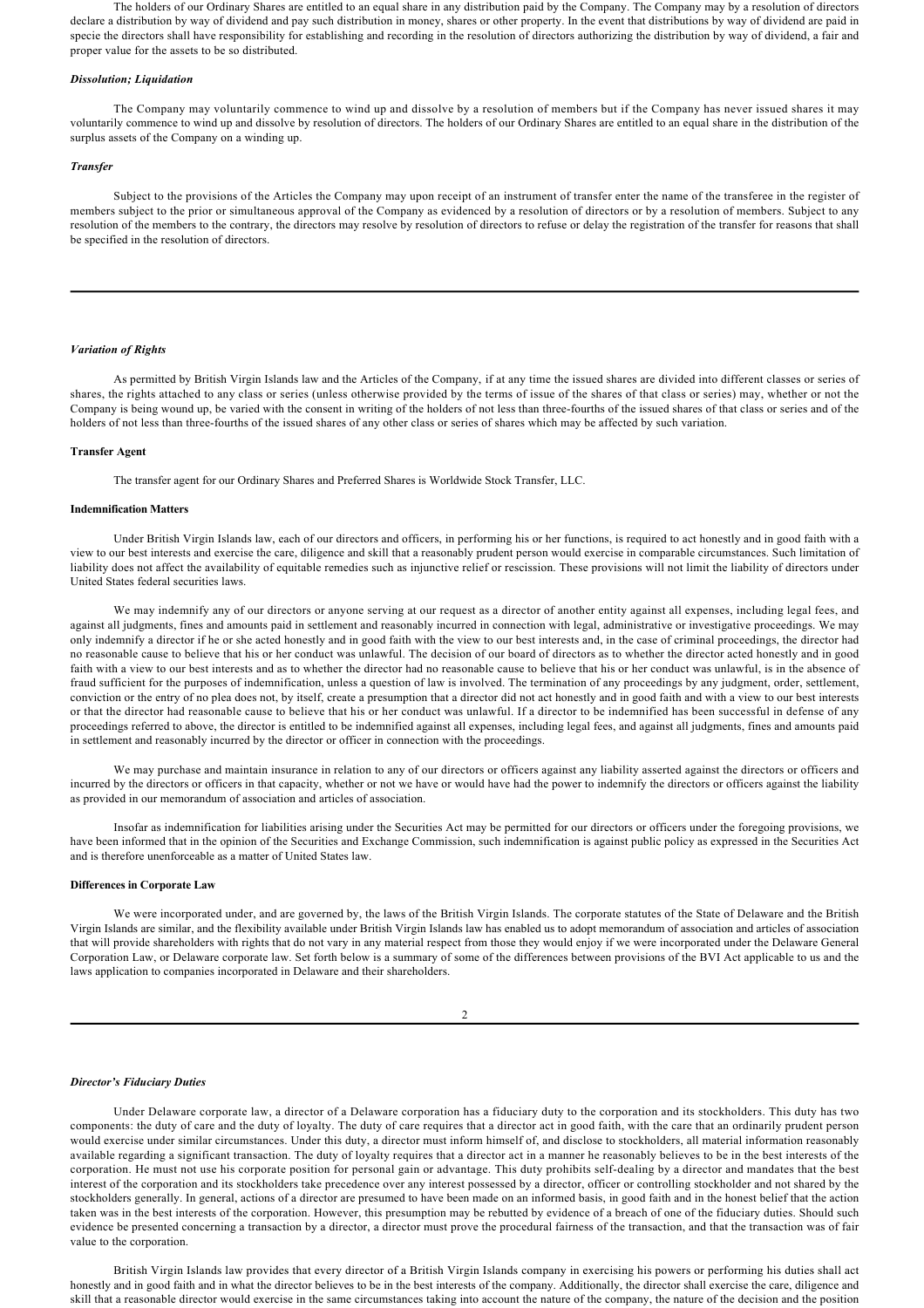The holders of our Ordinary Shares are entitled to an equal share in any distribution paid by the Company. The Company may by a resolution of directors declare a distribution by way of dividend and pay such distribution in money, shares or other property. In the event that distributions by way of dividend are paid in specie the directors shall have responsibility for establishing and recording in the resolution of directors authorizing the distribution by way of dividend, a fair and proper value for the assets to be so distributed.

## *Dissolution; Liquidation*

The Company may voluntarily commence to wind up and dissolve by a resolution of members but if the Company has never issued shares it may voluntarily commence to wind up and dissolve by resolution of directors. The holders of our Ordinary Shares are entitled to an equal share in the distribution of the surplus assets of the Company on a winding up.

## *Transfer*

Subject to the provisions of the Articles the Company may upon receipt of an instrument of transfer enter the name of the transferee in the register of members subject to the prior or simultaneous approval of the Company as evidenced by a resolution of directors or by a resolution of members. Subject to any resolution of the members to the contrary, the directors may resolve by resolution of directors to refuse or delay the registration of the transfer for reasons that shall be specified in the resolution of directors.

## *Variation of Rights*

As permitted by British Virgin Islands law and the Articles of the Company, if at any time the issued shares are divided into different classes or series of shares, the rights attached to any class or series (unless otherwise provided by the terms of issue of the shares of that class or series) may, whether or not the Company is being wound up, be varied with the consent in writing of the holders of not less than three-fourths of the issued shares of that class or series and of the holders of not less than three-fourths of the issued shares of any other class or series of shares which may be affected by such variation.

#### **Transfer Agent**

The transfer agent for our Ordinary Shares and Preferred Shares is Worldwide Stock Transfer, LLC.

#### **Indemnification Matters**

Under British Virgin Islands law, each of our directors and officers, in performing his or her functions, is required to act honestly and in good faith with a view to our best interests and exercise the care, diligence and skill that a reasonably prudent person would exercise in comparable circumstances. Such limitation of liability does not affect the availability of equitable remedies such as injunctive relief or rescission. These provisions will not limit the liability of directors under United States federal securities laws.

We may indemnify any of our directors or anyone serving at our request as a director of another entity against all expenses, including legal fees, and against all judgments, fines and amounts paid in settlement and reasonably incurred in connection with legal, administrative or investigative proceedings. We may only indemnify a director if he or she acted honestly and in good faith with the view to our best interests and, in the case of criminal proceedings, the director had no reasonable cause to believe that his or her conduct was unlawful. The decision of our board of directors as to whether the director acted honestly and in good faith with a view to our best interests and as to whether the director had no reasonable cause to believe that his or her conduct was unlawful, is in the absence of fraud sufficient for the purposes of indemnification, unless a question of law is involved. The termination of any proceedings by any judgment, order, settlement, conviction or the entry of no plea does not, by itself, create a presumption that a director did not act honestly and in good faith and with a view to our best interests or that the director had reasonable cause to believe that his or her conduct was unlawful. If a director to be indemnified has been successful in defense of any proceedings referred to above, the director is entitled to be indemnified against all expenses, including legal fees, and against all judgments, fines and amounts paid in settlement and reasonably incurred by the director or officer in connection with the proceedings.

We may purchase and maintain insurance in relation to any of our directors or officers against any liability asserted against the directors or officers and incurred by the directors or officers in that capacity, whether or not we have or would have had the power to indemnify the directors or officers against the liability as provided in our memorandum of association and articles of association.

Insofar as indemnification for liabilities arising under the Securities Act may be permitted for our directors or officers under the foregoing provisions, we have been informed that in the opinion of the Securities and Exchange Commission, such indemnification is against public policy as expressed in the Securities Act and is therefore unenforceable as a matter of United States law.

## **Differences in Corporate Law**

We were incorporated under, and are governed by, the laws of the British Virgin Islands. The corporate statutes of the State of Delaware and the British Virgin Islands are similar, and the flexibility available under British Virgin Islands law has enabled us to adopt memorandum of association and articles of association that will provide shareholders with rights that do not vary in any material respect from those they would enjoy if we were incorporated under the Delaware General Corporation Law, or Delaware corporate law. Set forth below is a summary of some of the differences between provisions of the BVI Act applicable to us and the laws application to companies incorporated in Delaware and their shareholders.

#### $\mathcal{L}$

#### *Director's Fiduciary Duties*

Under Delaware corporate law, a director of a Delaware corporation has a fiduciary duty to the corporation and its stockholders. This duty has two components: the duty of care and the duty of loyalty. The duty of care requires that a director act in good faith, with the care that an ordinarily prudent person would exercise under similar circumstances. Under this duty, a director must inform himself of, and disclose to stockholders, all material information reasonably available regarding a significant transaction. The duty of loyalty requires that a director act in a manner he reasonably believes to be in the best interests of the corporation. He must not use his corporate position for personal gain or advantage. This duty prohibits self-dealing by a director and mandates that the best interest of the corporation and its stockholders take precedence over any interest possessed by a director, officer or controlling stockholder and not shared by the stockholders generally. In general, actions of a director are presumed to have been made on an informed basis, in good faith and in the honest belief that the action taken was in the best interests of the corporation. However, this presumption may be rebutted by evidence of a breach of one of the fiduciary duties. Should such evidence be presented concerning a transaction by a director, a director must prove the procedural fairness of the transaction, and that the transaction was of fair value to the corporation.

British Virgin Islands law provides that every director of a British Virgin Islands company in exercising his powers or performing his duties shall act honestly and in good faith and in what the director believes to be in the best interests of the company. Additionally, the director shall exercise the care, diligence and skill that a reasonable director would exercise in the same circumstances taking into account the nature of the company, the nature of the decision and the position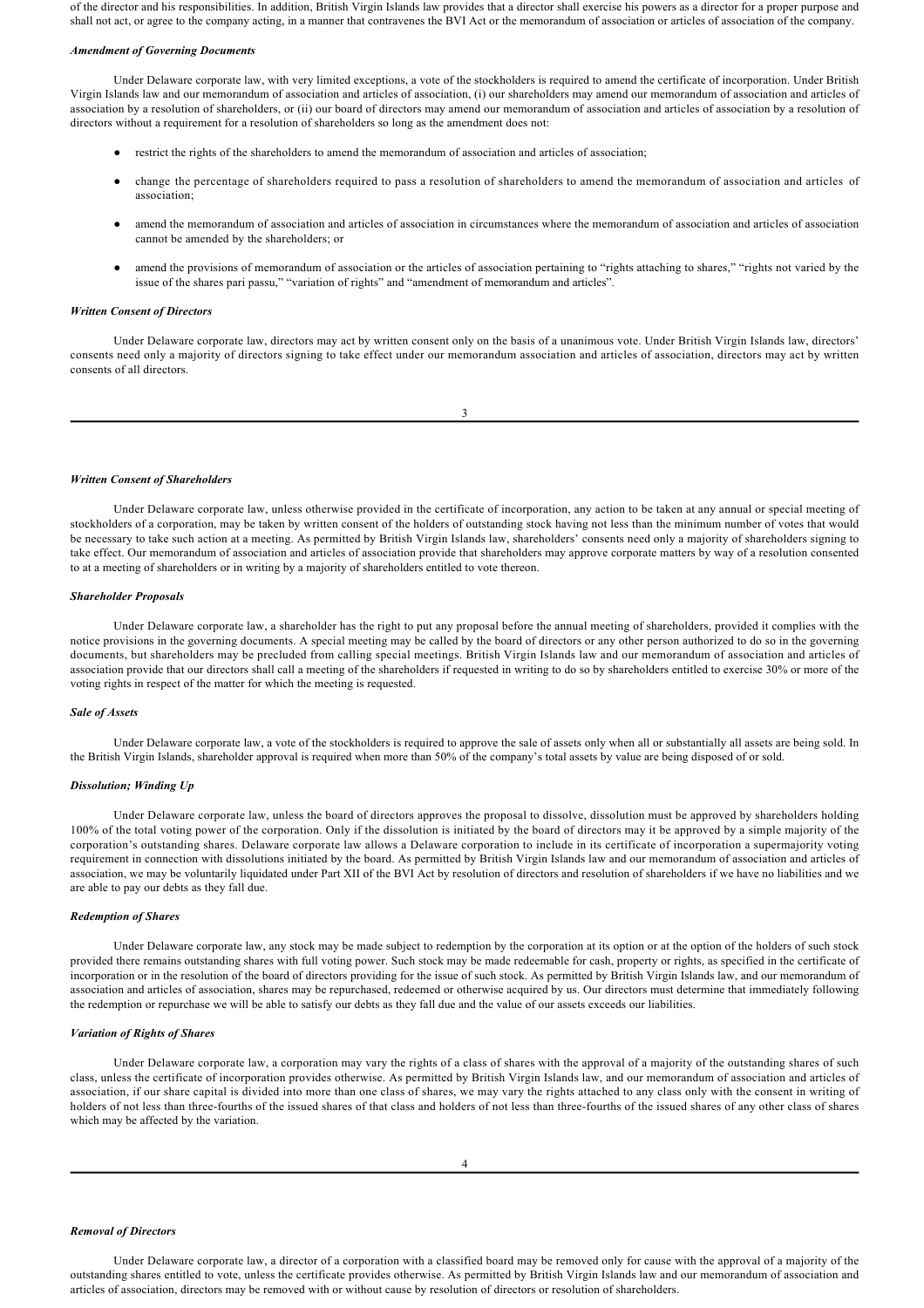of the director and his responsibilities. In addition, British Virgin Islands law provides that a director shall exercise his powers as a director for a proper purpose and shall not act, or agree to the company acting, in a manner that contravenes the BVI Act or the memorandum of association or articles of association of the company.

#### *Amendment of Governing Documents*

Under Delaware corporate law, with very limited exceptions, a vote of the stockholders is required to amend the certificate of incorporation. Under British Virgin Islands law and our memorandum of association and articles of association, (i) our shareholders may amend our memorandum of association and articles of association by a resolution of shareholders, or (ii) our board of directors may amend our memorandum of association and articles of association by a resolution of directors without a requirement for a resolution of shareholders so long as the amendment does not:

- restrict the rights of the shareholders to amend the memorandum of association and articles of association;
- change the percentage of shareholders required to pass a resolution of shareholders to amend the memorandum of association and articles of association;
- amend the memorandum of association and articles of association in circumstances where the memorandum of association and articles of association cannot be amended by the shareholders; or
- amend the provisions of memorandum of association or the articles of association pertaining to "rights attaching to shares," "rights not varied by the issue of the shares pari passu," "variation of rights" and "amendment of memorandum and articles".

#### *Written Consent of Directors*

Under Delaware corporate law, directors may act by written consent only on the basis of a unanimous vote. Under British Virgin Islands law, directors' consents need only a majority of directors signing to take effect under our memorandum association and articles of association, directors may act by written consents of all directors.

3

#### *Written Consent of Shareholders*

Under Delaware corporate law, unless otherwise provided in the certificate of incorporation, any action to be taken at any annual or special meeting of stockholders of a corporation, may be taken by written consent of the holders of outstanding stock having not less than the minimum number of votes that would be necessary to take such action at a meeting. As permitted by British Virgin Islands law, shareholders' consents need only a majority of shareholders signing to take effect. Our memorandum of association and articles of association provide that shareholders may approve corporate matters by way of a resolution consented to at a meeting of shareholders or in writing by a majority of shareholders entitled to vote thereon.

#### *Shareholder Proposals*

Under Delaware corporate law, a shareholder has the right to put any proposal before the annual meeting of shareholders, provided it complies with the notice provisions in the governing documents. A special meeting may be called by the board of directors or any other person authorized to do so in the governing documents, but shareholders may be precluded from calling special meetings. British Virgin Islands law and our memorandum of association and articles of association provide that our directors shall call a meeting of the shareholders if requested in writing to do so by shareholders entitled to exercise 30% or more of the voting rights in respect of the matter for which the meeting is requested.

## *Sale of Assets*

Under Delaware corporate law, a vote of the stockholders is required to approve the sale of assets only when all or substantially all assets are being sold. In the British Virgin Islands, shareholder approval is required when more than 50% of the company's total assets by value are being disposed of or sold.

## *Dissolution; Winding Up*

Under Delaware corporate law, unless the board of directors approves the proposal to dissolve, dissolution must be approved by shareholders holding 100% of the total voting power of the corporation. Only if the dissolution is initiated by the board of directors may it be approved by a simple majority of the corporation's outstanding shares. Delaware corporate law allows a Delaware corporation to include in its certificate of incorporation a supermajority voting requirement in connection with dissolutions initiated by the board. As permitted by British Virgin Islands law and our memorandum of association and articles of association, we may be voluntarily liquidated under Part XII of the BVI Act by resolution of directors and resolution of shareholders if we have no liabilities and we are able to pay our debts as they fall due.

#### *Redemption of Shares*

Under Delaware corporate law, any stock may be made subject to redemption by the corporation at its option or at the option of the holders of such stock provided there remains outstanding shares with full voting power. Such stock may be made redeemable for cash, property or rights, as specified in the certificate of incorporation or in the resolution of the board of directors providing for the issue of such stock. As permitted by British Virgin Islands law, and our memorandum of association and articles of association, shares may be repurchased, redeemed or otherwise acquired by us. Our directors must determine that immediately following the redemption or repurchase we will be able to satisfy our debts as they fall due and the value of our assets exceeds our liabilities.

#### *Variation of Rights of Shares*

Under Delaware corporate law, a corporation may vary the rights of a class of shares with the approval of a majority of the outstanding shares of such class, unless the certificate of incorporation provides otherwise. As permitted by British Virgin Islands law, and our memorandum of association and articles of association, if our share capital is divided into more than one class of shares, we may vary the rights attached to any class only with the consent in writing of holders of not less than three-fourths of the issued shares of that class and holders of not less than three-fourths of the issued shares of any other class of shares which may be affected by the variation.

## *Removal of Directors*

Under Delaware corporate law, a director of a corporation with a classified board may be removed only for cause with the approval of a majority of the outstanding shares entitled to vote, unless the certificate provides otherwise. As permitted by British Virgin Islands law and our memorandum of association and articles of association, directors may be removed with or without cause by resolution of directors or resolution of shareholders.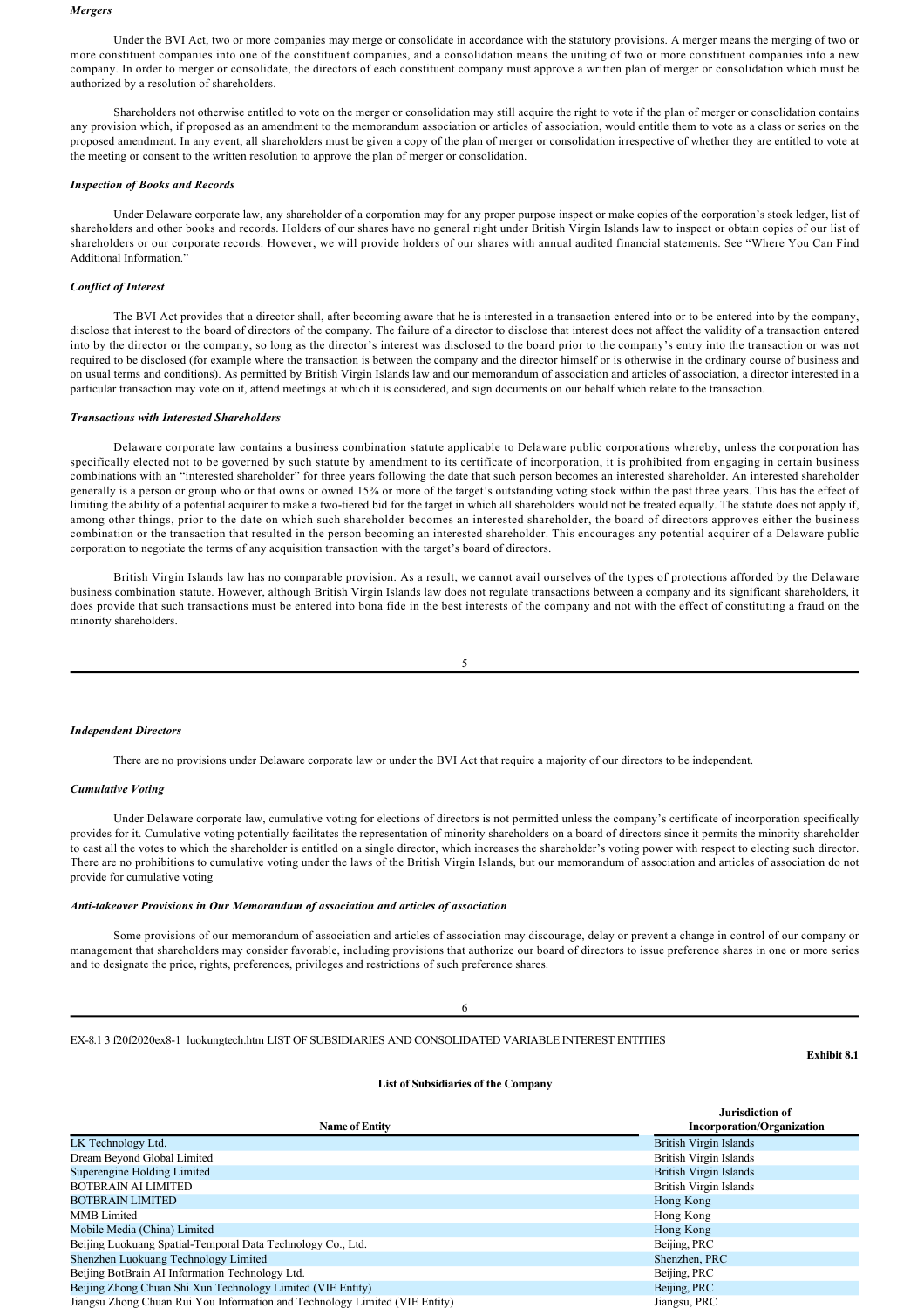#### *Mergers*

Under the BVI Act, two or more companies may merge or consolidate in accordance with the statutory provisions. A merger means the merging of two or more constituent companies into one of the constituent companies, and a consolidation means the uniting of two or more constituent companies into a new company. In order to merger or consolidate, the directors of each constituent company must approve a written plan of merger or consolidation which must be authorized by a resolution of shareholders.

Shareholders not otherwise entitled to vote on the merger or consolidation may still acquire the right to vote if the plan of merger or consolidation contains any provision which, if proposed as an amendment to the memorandum association or articles of association, would entitle them to vote as a class or series on the proposed amendment. In any event, all shareholders must be given a copy of the plan of merger or consolidation irrespective of whether they are entitled to vote at the meeting or consent to the written resolution to approve the plan of merger or consolidation.

#### *Inspection of Books and Records*

Under Delaware corporate law, any shareholder of a corporation may for any proper purpose inspect or make copies of the corporation's stock ledger, list of shareholders and other books and records. Holders of our shares have no general right under British Virgin Islands law to inspect or obtain copies of our list of shareholders or our corporate records. However, we will provide holders of our shares with annual audited financial statements. See "Where You Can Find Additional Information."

#### *Conflict of Interest*

The BVI Act provides that a director shall, after becoming aware that he is interested in a transaction entered into or to be entered into by the company, disclose that interest to the board of directors of the company. The failure of a director to disclose that interest does not affect the validity of a transaction entered into by the director or the company, so long as the director's interest was disclosed to the board prior to the company's entry into the transaction or was not required to be disclosed (for example where the transaction is between the company and the director himself or is otherwise in the ordinary course of business and on usual terms and conditions). As permitted by British Virgin Islands law and our memorandum of association and articles of association, a director interested in a particular transaction may vote on it, attend meetings at which it is considered, and sign documents on our behalf which relate to the transaction.

#### *Transactions with Interested Shareholders*

Delaware corporate law contains a business combination statute applicable to Delaware public corporations whereby, unless the corporation has specifically elected not to be governed by such statute by amendment to its certificate of incorporation, it is prohibited from engaging in certain business combinations with an "interested shareholder" for three years following the date that such person becomes an interested shareholder. An interested shareholder generally is a person or group who or that owns or owned 15% or more of the target's outstanding voting stock within the past three years. This has the effect of limiting the ability of a potential acquirer to make a two-tiered bid for the target in which all shareholders would not be treated equally. The statute does not apply if, among other things, prior to the date on which such shareholder becomes an interested shareholder, the board of directors approves either the business combination or the transaction that resulted in the person becoming an interested shareholder. This encourages any potential acquirer of a Delaware public corporation to negotiate the terms of any acquisition transaction with the target's board of directors.

British Virgin Islands law has no comparable provision. As a result, we cannot avail ourselves of the types of protections afforded by the Delaware business combination statute. However, although British Virgin Islands law does not regulate transactions between a company and its significant shareholders, it does provide that such transactions must be entered into bona fide in the best interests of the company and not with the effect of constituting a fraud on the minority shareholders.

| × |        |  |
|---|--------|--|
|   | ł<br>I |  |
| × | ٧      |  |

#### *Independent Directors*

There are no provisions under Delaware corporate law or under the BVI Act that require a majority of our directors to be independent.

# *Cumulative Voting*

Under Delaware corporate law, cumulative voting for elections of directors is not permitted unless the company's certificate of incorporation specifically provides for it. Cumulative voting potentially facilitates the representation of minority shareholders on a board of directors since it permits the minority shareholder to cast all the votes to which the shareholder is entitled on a single director, which increases the shareholder's voting power with respect to electing such director. There are no prohibitions to cumulative voting under the laws of the British Virgin Islands, but our memorandum of association and articles of association do not provide for cumulative voting

## *Antitakeover Provisions in Our Memorandum of association and articles of association*

Some provisions of our memorandum of association and articles of association may discourage, delay or prevent a change in control of our company or management that shareholders may consider favorable, including provisions that authorize our board of directors to issue preference shares in one or more series and to designate the price, rights, preferences, privileges and restrictions of such preference shares.

6

EX8.1 3 f20f2020ex81\_luokungtech.htm LIST OF SUBSIDIARIES AND CONSOLIDATED VARIABLE INTEREST ENTITIES

**Exhibit 8.1**

#### **List of Subsidiaries of the Company**

|                                                                             | Jurisdiction of                   |
|-----------------------------------------------------------------------------|-----------------------------------|
| <b>Name of Entity</b>                                                       | <b>Incorporation/Organization</b> |
| LK Technology Ltd.                                                          | <b>British Virgin Islands</b>     |
| Dream Beyond Global Limited                                                 | British Virgin Islands            |
| Superengine Holding Limited                                                 | <b>British Virgin Islands</b>     |
| <b>BOTBRAIN AI LIMITED</b>                                                  | <b>British Virgin Islands</b>     |
| <b>BOTBRAIN LIMITED</b>                                                     | Hong Kong                         |
| <b>MMB</b> Limited                                                          | Hong Kong                         |
| Mobile Media (China) Limited                                                | Hong Kong                         |
| Beijing Luokuang Spatial-Temporal Data Technology Co., Ltd.                 | Beijing, PRC                      |
| Shenzhen Luokuang Technology Limited                                        | Shenzhen, PRC                     |
| Beijing BotBrain AI Information Technology Ltd.                             | Beijing, PRC                      |
| Beijing Zhong Chuan Shi Xun Technology Limited (VIE Entity)                 | Beijing, PRC                      |
| Jiangsu Zhong Chuan Rui You Information and Technology Limited (VIE Entity) | Jiangsu, PRC                      |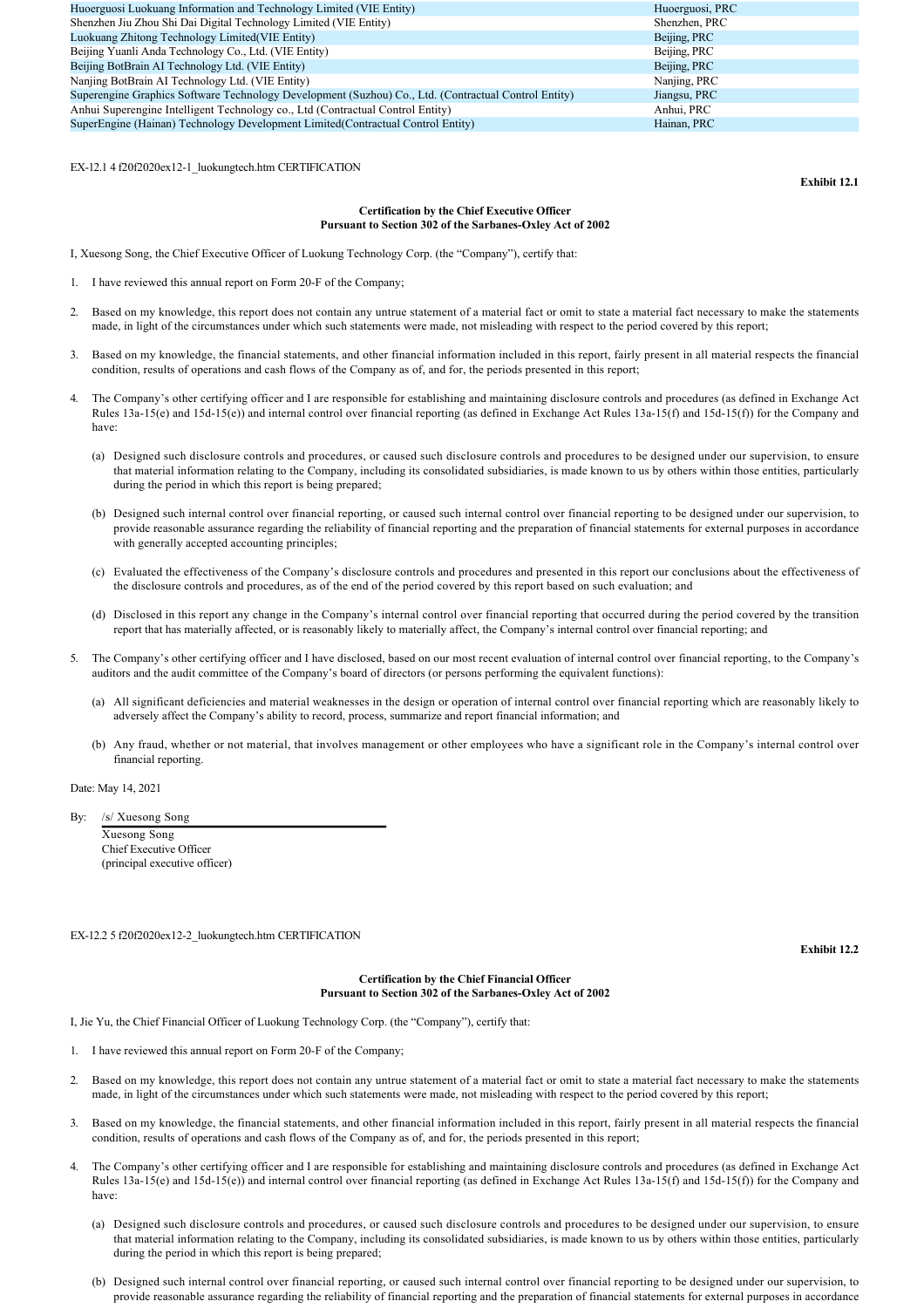| Huoerguosi Luokuang Information and Technology Limited (VIE Entity)                                  | Huoerguosi, PRC |
|------------------------------------------------------------------------------------------------------|-----------------|
| Shenzhen Jiu Zhou Shi Dai Digital Technology Limited (VIE Entity)                                    | Shenzhen, PRC   |
| Luokuang Zhitong Technology Limited (VIE Entity)                                                     | Beijing, PRC    |
| Beijing Yuanli Anda Technology Co., Ltd. (VIE Entity)                                                | Beijing, PRC    |
| Beijing BotBrain AI Technology Ltd. (VIE Entity)                                                     | Beijing, PRC    |
| Nanjing BotBrain AI Technology Ltd. (VIE Entity)                                                     | Nanjing, PRC    |
| Superengine Graphics Software Technology Development (Suzhou) Co., Ltd. (Contractual Control Entity) | Jiangsu, PRC    |
| Anhui Superengine Intelligent Technology co., Ltd (Contractual Control Entity)                       | Anhui, PRC      |
| SuperEngine (Hainan) Technology Development Limited (Contractual Control Entity)                     | Hainan, PRC     |

EX-12.1 4 f20f2020ex12-1\_luokungtech.htm CERTIFICATION

**Exhibit 12.1**

## **Certification by the Chief Executive Officer** Pursuant to Section 302 of the Sarbanes-Oxley Act of 2002

I, Xuesong Song, the Chief Executive Officer of Luokung Technology Corp. (the "Company"), certify that:

- 1. I have reviewed this annual report on Form 20-F of the Company;
- 2. Based on my knowledge, this report does not contain any untrue statement of a material fact or omit to state a material fact necessary to make the statements made, in light of the circumstances under which such statements were made, not misleading with respect to the period covered by this report;
- 3. Based on my knowledge, the financial statements, and other financial information included in this report, fairly present in all material respects the financial condition, results of operations and cash flows of the Company as of, and for, the periods presented in this report;
- 4. The Company's other certifying officer and I are responsible for establishing and maintaining disclosure controls and procedures (as defined in Exchange Act Rules 13a-15(e) and 15d-15(e)) and internal control over financial reporting (as defined in Exchange Act Rules 13a-15(f) and 15d-15(f)) for the Company and have:
	- (a) Designed such disclosure controls and procedures, or caused such disclosure controls and procedures to be designed under our supervision, to ensure that material information relating to the Company, including its consolidated subsidiaries, is made known to us by others within those entities, particularly during the period in which this report is being prepared;
	- (b) Designed such internal control over financial reporting, or caused such internal control over financial reporting to be designed under our supervision, to provide reasonable assurance regarding the reliability of financial reporting and the preparation of financial statements for external purposes in accordance with generally accepted accounting principles;
	- (c) Evaluated the effectiveness of the Company's disclosure controls and procedures and presented in this report our conclusions about the effectiveness of the disclosure controls and procedures, as of the end of the period covered by this report based on such evaluation; and
	- (d) Disclosed in this report any change in the Company's internal control over financial reporting that occurred during the period covered by the transition report that has materially affected, or is reasonably likely to materially affect, the Company's internal control over financial reporting; and
- 5. The Company's other certifying officer and I have disclosed, based on our most recent evaluation of internal control over financial reporting, to the Company's auditors and the audit committee of the Company's board of directors (or persons performing the equivalent functions):
	- (a) All significant deficiencies and material weaknesses in the design or operation of internal control over financial reporting which are reasonably likely to adversely affect the Company's ability to record, process, summarize and report financial information; and
	- (b) Any fraud, whether or not material, that involves management or other employees who have a significant role in the Company's internal control over financial reporting.

Date: May 14, 2021

By: /s/ Xuesong Song Xuesong Song Chief Executive Officer (principal executive officer)

EX12.2 5 f20f2020ex122\_luokungtech.htm CERTIFICATION

**Exhibit 12.2**

## **Certification by the Chief Financial Officer** Pursuant to Section 302 of the Sarbanes-Oxley Act of 2002

I, Jie Yu, the Chief Financial Officer of Luokung Technology Corp. (the "Company"), certify that:

- 1. I have reviewed this annual report on Form 20-F of the Company;
- 2. Based on my knowledge, this report does not contain any untrue statement of a material fact or omit to state a material fact necessary to make the statements made, in light of the circumstances under which such statements were made, not misleading with respect to the period covered by this report;
- 3. Based on my knowledge, the financial statements, and other financial information included in this report, fairly present in all material respects the financial condition, results of operations and cash flows of the Company as of, and for, the periods presented in this report;
- 4. The Company's other certifying officer and I are responsible for establishing and maintaining disclosure controls and procedures (as defined in Exchange Act Rules  $13a-15(e)$  and  $15d-15(e)$  and internal control over financial reporting (as defined in Exchange Act Rules  $13a-15(f)$  and  $15d-15(f)$ ) for the Company and have:
	- (a) Designed such disclosure controls and procedures, or caused such disclosure controls and procedures to be designed under our supervision, to ensure that material information relating to the Company, including its consolidated subsidiaries, is made known to us by others within those entities, particularly during the period in which this report is being prepared;
	- (b) Designed such internal control over financial reporting, or caused such internal control over financial reporting to be designed under our supervision, to provide reasonable assurance regarding the reliability of financial reporting and the preparation of financial statements for external purposes in accordance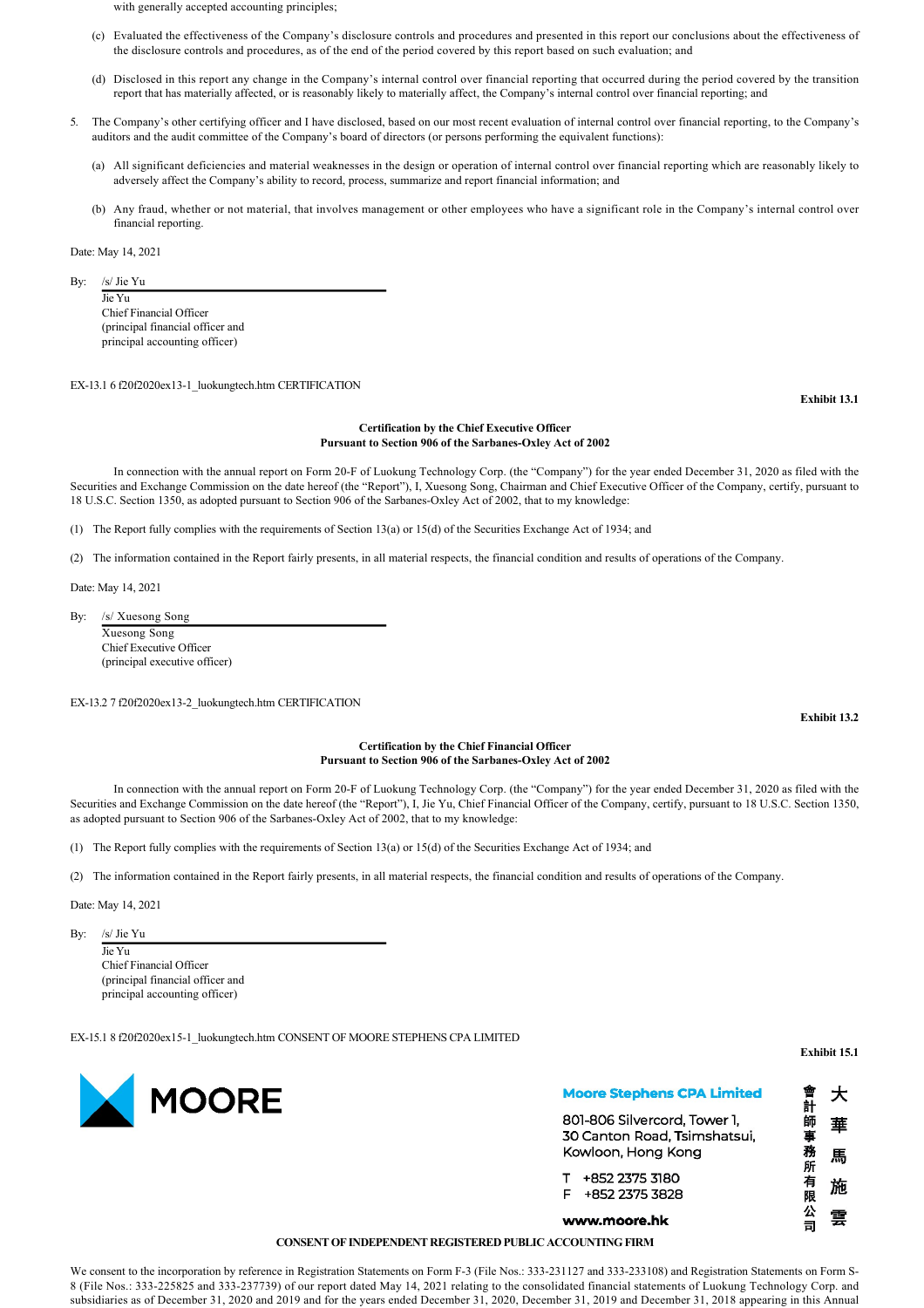with generally accepted accounting principles;

- (c) Evaluated the effectiveness of the Company's disclosure controls and procedures and presented in this report our conclusions about the effectiveness of the disclosure controls and procedures, as of the end of the period covered by this report based on such evaluation; and
- (d) Disclosed in this report any change in the Company's internal control over financial reporting that occurred during the period covered by the transition report that has materially affected, or is reasonably likely to materially affect, the Company's internal control over financial reporting; and
- 5. The Company's other certifying officer and I have disclosed, based on our most recent evaluation of internal control over financial reporting, to the Company's auditors and the audit committee of the Company's board of directors (or persons performing the equivalent functions):
	- (a) All significant deficiencies and material weaknesses in the design or operation of internal control over financial reporting which are reasonably likely to adversely affect the Company's ability to record, process, summarize and report financial information; and
	- (b) Any fraud, whether or not material, that involves management or other employees who have a significant role in the Company's internal control over financial reporting.

Date: May 14, 2021

By: /s/ Jie Yu

Jie Yu Chief Financial Officer (principal financial officer and principal accounting officer)

EX-13.1 6 f20f2020ex13-1\_luokungtech.htm CERTIFICATION

## **Exhibit 13.1**

# **Certification by the Chief Executive Officer** Pursuant to Section 906 of the Sarbanes-Oxley Act of 2002

In connection with the annual report on Form 20-F of Luokung Technology Corp. (the "Company") for the year ended December 31, 2020 as filed with the Securities and Exchange Commission on the date hereof (the "Report"), I, Xuesong Song, Chairman and Chief Executive Officer of the Company, certify, pursuant to 18 U.S.C. Section 1350, as adopted pursuant to Section 906 of the Sarbanes-Oxley Act of 2002, that to my knowledge:

(1) The Report fully complies with the requirements of Section 13(a) or 15(d) of the Securities Exchange Act of 1934; and

(2) The information contained in the Report fairly presents, in all material respects, the financial condition and results of operations of the Company.

Date: May 14, 2021

By: /s/ Xuesong Song Xuesong Song Chief Executive Officer (principal executive officer)

EX-13.2 7 f20f2020ex13-2\_luokungtech.htm CERTIFICATION

**Exhibit 13.2**

**Exhibit 15.1**

大 韮 馬

施

公司 雲

## **Certification by the Chief Financial Officer** Pursuant to Section 906 of the Sarbanes-Oxley Act of 2002

In connection with the annual report on Form 20F of Luokung Technology Corp. (the "Company") for the year ended December 31, 2020 as filed with the Securities and Exchange Commission on the date hereof (the "Report"), I, Jie Yu, Chief Financial Officer of the Company, certify, pursuant to 18 U.S.C. Section 1350, as adopted pursuant to Section 906 of the Sarbanes-Oxley Act of 2002, that to my knowledge:

(1) The Report fully complies with the requirements of Section 13(a) or 15(d) of the Securities Exchange Act of 1934; and

(2) The information contained in the Report fairly presents, in all material respects, the financial condition and results of operations of the Company.

Date: May 14, 2021

By: /s/ Jie Yu

Jie Yu Chief Financial Officer (principal financial officer and principal accounting officer)

EX-15.1 8 f20f2020ex15-1\_luokungtech.htm CONSENT OF MOORE STEPHENS CPA LIMITED



| <b>Moore Stephens CPA Limited</b> | 會<br>計 |
|-----------------------------------|--------|
| 801-806 Silvercord, Tower 1,      | 師<br>事 |
| 30 Canton Road, Tsimshatsui,      |        |
| Kowloon, Hong Kong                | 務<br>所 |
| +852 2375 3180<br>T.              | 有      |
| +852 2375 3828<br>E.              | 限      |

www.moore.hk

**CONSENT OF INDEPENDENT REGISTERED PUBLIC ACCOUNTING FIRM**

We consent to the incorporation by reference in Registration Statements on Form F-3 (File Nos.: 333-231127 and 333-23108) and Registration Statements on Form S-8 (File Nos.: 333225825 and 333237739) of our report dated May 14, 2021 relating to the consolidated financial statements of Luokung Technology Corp. and subsidiaries as of December 31, 2020 and 2019 and for the years ended December 31, 2020, December 31, 2019 and December 31, 2018 appearing in this Annual